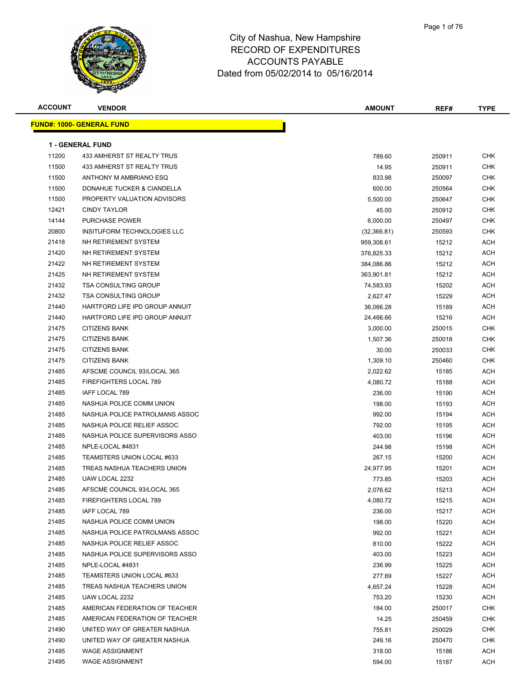

| <b>ACCOUNT</b> | <b>VENDOR</b>                    | <b>AMOUNT</b> | REF#   | <b>TYPE</b> |
|----------------|----------------------------------|---------------|--------|-------------|
|                | <b>FUND#: 1000- GENERAL FUND</b> |               |        |             |
|                |                                  |               |        |             |
|                | <b>1 - GENERAL FUND</b>          |               |        |             |
| 11200          | 433 AMHERST ST REALTY TRUS       | 789.60        | 250911 | CHK         |
| 11500          | 433 AMHERST ST REALTY TRUS       | 14.95         | 250911 | <b>CHK</b>  |
| 11500          | ANTHONY M AMBRIANO ESQ           | 833.98        | 250097 | CHK         |
| 11500          | DONAHUE TUCKER & CIANDELLA       | 600.00        | 250564 | CHK         |
| 11500          | PROPERTY VALUATION ADVISORS      | 5,500.00      | 250647 | <b>CHK</b>  |
| 12421          | <b>CINDY TAYLOR</b>              | 45.00         | 250912 | <b>CHK</b>  |
| 14144          | <b>PURCHASE POWER</b>            | 6,000.00      | 250497 | CHK         |
| 20800          | INSITUFORM TECHNOLOGIES LLC      | (32,366.81)   | 250593 | <b>CHK</b>  |
| 21418          | NH RETIREMENT SYSTEM             | 959,308.61    | 15212  | ACH         |
| 21420          | NH RETIREMENT SYSTEM             | 376,825.33    | 15212  | ACH         |
| 21422          | NH RETIREMENT SYSTEM             | 384,086.86    | 15212  | ACH         |
| 21425          | NH RETIREMENT SYSTEM             | 363,901.81    | 15212  | ACH         |
| 21432          | <b>TSA CONSULTING GROUP</b>      | 74,583.93     | 15202  | ACH         |
| 21432          | <b>TSA CONSULTING GROUP</b>      | 2,627.47      | 15229  | ACH         |
| 21440          | HARTFORD LIFE IPD GROUP ANNUIT   | 36,066.28     | 15189  | ACH         |
| 21440          | HARTFORD LIFE IPD GROUP ANNUIT   | 24,466.66     | 15216  | ACH         |
| 21475          | <b>CITIZENS BANK</b>             | 3,000.00      | 250015 | CHK         |
| 21475          | <b>CITIZENS BANK</b>             | 1,507.36      | 250018 | CHK         |
| 21475          | <b>CITIZENS BANK</b>             | 30.00         | 250033 | CHK         |
| 21475          | <b>CITIZENS BANK</b>             | 1,309.10      | 250460 | <b>CHK</b>  |
| 21485          | AFSCME COUNCIL 93/LOCAL 365      | 2,022.62      | 15185  | ACH         |
| 21485          | FIREFIGHTERS LOCAL 789           | 4,080.72      | 15188  | ACH         |
| 21485          | IAFF LOCAL 789                   | 236.00        | 15190  | ACH         |
| 21485          | NASHUA POLICE COMM UNION         | 198.00        | 15193  | ACH         |
| 21485          | NASHUA POLICE PATROLMANS ASSOC   | 992.00        | 15194  | ACH         |
| 21485          | NASHUA POLICE RELIEF ASSOC       | 792.00        | 15195  | ACH         |
| 21485          | NASHUA POLICE SUPERVISORS ASSO   | 403.00        | 15196  | ACH         |
| 21485          | NPLE-LOCAL #4831                 | 244.98        | 15198  | ACH         |
| 21485          | TEAMSTERS UNION LOCAL #633       | 267.15        | 15200  | ACH         |
| 21485          | TREAS NASHUA TEACHERS UNION      | 24,977.95     | 15201  | ACH         |
| 21485          | UAW LOCAL 2232                   | 773.85        | 15203  | ACH         |
| 21485          | AFSCME COUNCIL 93/LOCAL 365      | 2,076.62      | 15213  | ACH         |
| 21485          | FIREFIGHTERS LOCAL 789           | 4,080.72      | 15215  | ACH         |
| 21485          | <b>IAFF LOCAL 789</b>            | 236.00        | 15217  | ACH         |
| 21485          | NASHUA POLICE COMM UNION         | 198.00        | 15220  | ACH         |
| 21485          | NASHUA POLICE PATROLMANS ASSOC   | 992.00        | 15221  | ACH         |
| 21485          | NASHUA POLICE RELIEF ASSOC       | 810.00        | 15222  | ACH         |
| 21485          | NASHUA POLICE SUPERVISORS ASSO   | 403.00        | 15223  | ACH         |
| 21485          | NPLE-LOCAL #4831                 | 236.99        | 15225  | ACH         |
| 21485          | TEAMSTERS UNION LOCAL #633       | 277.69        | 15227  | ACH         |
| 21485          | TREAS NASHUA TEACHERS UNION      | 4,657.24      | 15228  | ACH         |
| 21485          | UAW LOCAL 2232                   | 753.20        | 15230  | ACH         |
| 21485          | AMERICAN FEDERATION OF TEACHER   | 184.00        | 250017 | <b>CHK</b>  |
| 21485          | AMERICAN FEDERATION OF TEACHER   | 14.25         | 250459 | CHK         |
| 21490          | UNITED WAY OF GREATER NASHUA     | 755.81        | 250029 | <b>CHK</b>  |
| 21490          | UNITED WAY OF GREATER NASHUA     | 249.16        | 250470 | CHK         |
| 21495          | <b>WAGE ASSIGNMENT</b>           | 318.00        | 15186  | ACH         |
| 21495          | <b>WAGE ASSIGNMENT</b>           | 594.00        | 15187  | ACH         |
|                |                                  |               |        |             |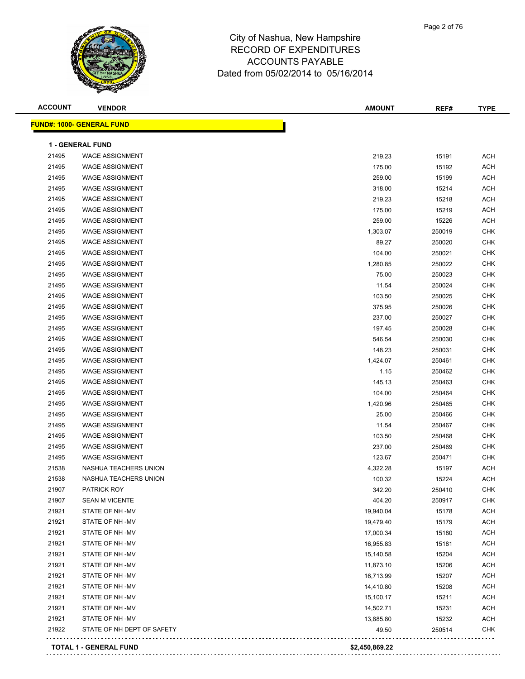

| <b>ACCOUNT</b> | <b>VENDOR</b>                                    | <b>AMOUNT</b> | REF#             | <b>TYPE</b>              |
|----------------|--------------------------------------------------|---------------|------------------|--------------------------|
|                | <b>FUND#: 1000- GENERAL FUND</b>                 |               |                  |                          |
|                | 1 - GENERAL FUND                                 |               |                  |                          |
| 21495          | <b>WAGE ASSIGNMENT</b>                           | 219.23        | 15191            | <b>ACH</b>               |
| 21495          | <b>WAGE ASSIGNMENT</b>                           | 175.00        | 15192            | <b>ACH</b>               |
| 21495          | <b>WAGE ASSIGNMENT</b>                           | 259.00        | 15199            | <b>ACH</b>               |
| 21495          | <b>WAGE ASSIGNMENT</b>                           | 318.00        | 15214            | <b>ACH</b>               |
| 21495          | <b>WAGE ASSIGNMENT</b>                           | 219.23        | 15218            | <b>ACH</b>               |
| 21495          | <b>WAGE ASSIGNMENT</b>                           | 175.00        | 15219            | <b>ACH</b>               |
| 21495          | <b>WAGE ASSIGNMENT</b>                           | 259.00        | 15226            | <b>ACH</b>               |
| 21495          | <b>WAGE ASSIGNMENT</b>                           | 1,303.07      | 250019           | <b>CHK</b>               |
| 21495          | <b>WAGE ASSIGNMENT</b>                           | 89.27         | 250020           | <b>CHK</b>               |
| 21495          | <b>WAGE ASSIGNMENT</b>                           | 104.00        | 250021           | <b>CHK</b>               |
| 21495          | <b>WAGE ASSIGNMENT</b>                           | 1,280.85      | 250022           | <b>CHK</b>               |
| 21495          | <b>WAGE ASSIGNMENT</b>                           | 75.00         | 250023           | <b>CHK</b>               |
| 21495          | <b>WAGE ASSIGNMENT</b>                           | 11.54         | 250024           | <b>CHK</b>               |
| 21495          | <b>WAGE ASSIGNMENT</b>                           | 103.50        | 250025           | <b>CHK</b>               |
| 21495          | <b>WAGE ASSIGNMENT</b>                           | 375.95        | 250026           | <b>CHK</b>               |
| 21495          | <b>WAGE ASSIGNMENT</b>                           | 237.00        | 250027           | <b>CHK</b>               |
| 21495          | <b>WAGE ASSIGNMENT</b>                           | 197.45        | 250028           | <b>CHK</b>               |
| 21495          | <b>WAGE ASSIGNMENT</b>                           | 546.54        | 250030           | <b>CHK</b>               |
| 21495          | <b>WAGE ASSIGNMENT</b>                           | 148.23        | 250031           | <b>CHK</b>               |
| 21495          | <b>WAGE ASSIGNMENT</b>                           | 1,424.07      |                  | <b>CHK</b>               |
| 21495          | <b>WAGE ASSIGNMENT</b>                           | 1.15          | 250461<br>250462 | <b>CHK</b>               |
| 21495          | <b>WAGE ASSIGNMENT</b>                           | 145.13        |                  | <b>CHK</b>               |
| 21495          | <b>WAGE ASSIGNMENT</b>                           |               | 250463           | <b>CHK</b>               |
| 21495          | <b>WAGE ASSIGNMENT</b>                           | 104.00        | 250464           | <b>CHK</b>               |
| 21495          | <b>WAGE ASSIGNMENT</b>                           | 1,420.96      | 250465           | <b>CHK</b>               |
| 21495          | <b>WAGE ASSIGNMENT</b>                           | 25.00         | 250466           | <b>CHK</b>               |
|                |                                                  | 11.54         | 250467           |                          |
| 21495<br>21495 | <b>WAGE ASSIGNMENT</b><br><b>WAGE ASSIGNMENT</b> | 103.50        | 250468           | <b>CHK</b><br><b>CHK</b> |
|                |                                                  | 237.00        | 250469           |                          |
| 21495          | <b>WAGE ASSIGNMENT</b>                           | 123.67        | 250471           | <b>CHK</b>               |
| 21538          | NASHUA TEACHERS UNION                            | 4,322.28      | 15197            | <b>ACH</b>               |
| 21538          | NASHUA TEACHERS UNION                            | 100.32        | 15224            | <b>ACH</b>               |
| 21907          | PATRICK ROY                                      | 342.20        | 250410           | <b>CHK</b>               |
| 21907          | <b>SEAN M VICENTE</b>                            | 404.20        | 250917           | CHK                      |
| 21921          | STATE OF NH-MV                                   | 19,940.04     | 15178            | <b>ACH</b>               |
| 21921          | STATE OF NH -MV                                  | 19,479.40     | 15179            | <b>ACH</b>               |
| 21921          | STATE OF NH -MV                                  | 17,000.34     | 15180            | <b>ACH</b>               |
| 21921          | STATE OF NH -MV                                  | 16,955.83     | 15181            | <b>ACH</b>               |
| 21921          | STATE OF NH-MV<br>STATE OF NH-MV                 | 15,140.58     | 15204            | <b>ACH</b>               |
| 21921          |                                                  | 11,873.10     | 15206            | <b>ACH</b>               |
| 21921          | STATE OF NH-MV                                   | 16,713.99     | 15207            | <b>ACH</b>               |
| 21921          | STATE OF NH-MV                                   | 14,410.80     | 15208            | <b>ACH</b>               |
| 21921          | STATE OF NH -MV                                  | 15,100.17     | 15211            | <b>ACH</b>               |
| 21921          | STATE OF NH -MV                                  | 14,502.71     | 15231            | <b>ACH</b>               |
| 21921          | STATE OF NH -MV                                  | 13,885.80     | 15232            | <b>ACH</b>               |
| 21922          | STATE OF NH DEPT OF SAFETY                       | 49.50         | 250514           | <b>CHK</b>               |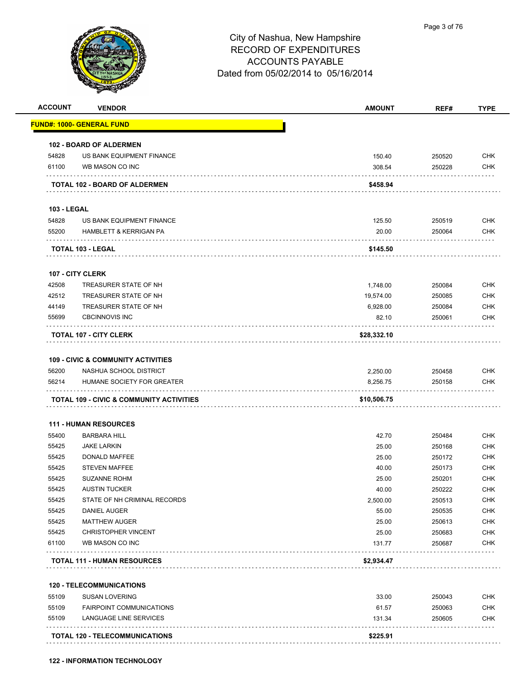

| <b>ACCOUNT</b>     | <b>VENDOR</b>                                      | <b>AMOUNT</b> | REF#   | <b>TYPE</b>                            |
|--------------------|----------------------------------------------------|---------------|--------|----------------------------------------|
|                    | <u> FUND#: 1000- GENERAL FUND</u>                  |               |        |                                        |
|                    | <b>102 - BOARD OF ALDERMEN</b>                     |               |        |                                        |
| 54828              | US BANK EQUIPMENT FINANCE                          | 150.40        | 250520 | <b>CHK</b>                             |
| 61100              | WB MASON CO INC                                    | 308.54        | 250228 | <b>CHK</b>                             |
|                    | TOTAL 102 - BOARD OF ALDERMEN                      | \$458.94      |        |                                        |
| <b>103 - LEGAL</b> |                                                    |               |        |                                        |
| 54828              | US BANK EQUIPMENT FINANCE                          | 125.50        | 250519 | <b>CHK</b>                             |
| 55200              | <b>HAMBLETT &amp; KERRIGAN PA</b>                  | 20.00         | 250064 | <b>CHK</b>                             |
|                    | TOTAL 103 - LEGAL                                  | \$145.50      |        |                                        |
|                    | 107 - CITY CLERK                                   |               |        |                                        |
| 42508              | TREASURER STATE OF NH                              | 1,748.00      | 250084 | <b>CHK</b>                             |
| 42512              | TREASURER STATE OF NH                              | 19,574.00     | 250085 | <b>CHK</b>                             |
| 44149              | TREASURER STATE OF NH                              | 6,928.00      | 250084 | <b>CHK</b>                             |
| 55699              | <b>CBCINNOVIS INC</b><br>distances and all signals | 82.10         | 250061 | <b>CHK</b>                             |
|                    | <b>TOTAL 107 - CITY CLERK</b>                      | \$28,332.10   |        |                                        |
|                    | <b>109 - CIVIC &amp; COMMUNITY ACTIVITIES</b>      |               |        |                                        |
| 56200              | NASHUA SCHOOL DISTRICT                             | 2,250.00      | 250458 | <b>CHK</b>                             |
| 56214              | HUMANE SOCIETY FOR GREATER                         | 8,256.75      | 250158 | <b>CHK</b>                             |
|                    | TOTAL 109 - CIVIC & COMMUNITY ACTIVITIES           | \$10,506.75   |        |                                        |
|                    |                                                    |               |        |                                        |
|                    | <b>111 - HUMAN RESOURCES</b>                       |               |        |                                        |
| 55400              | <b>BARBARA HILL</b>                                | 42.70         | 250484 | <b>CHK</b>                             |
| 55425              | <b>JAKE LARKIN</b>                                 | 25.00         | 250168 | <b>CHK</b>                             |
| 55425              | <b>DONALD MAFFEE</b>                               | 25.00         | 250172 | <b>CHK</b>                             |
| 55425              | <b>STEVEN MAFFEE</b>                               | 40.00         | 250173 | <b>CHK</b>                             |
| 55425              | <b>SUZANNE ROHM</b>                                | 25.00         | 250201 | <b>CHK</b>                             |
| 55425              | <b>AUSTIN TUCKER</b>                               | 40.00         | 250222 | <b>CHK</b>                             |
| 55425              | STATE OF NH CRIMINAL RECORDS                       | 2,500.00      | 250513 | <b>CHK</b>                             |
| 55425              | DANIEL AUGER                                       | 55.00         | 250535 | <b>CHK</b>                             |
| 55425              | <b>MATTHEW AUGER</b>                               | 25.00         | 250613 | <b>CHK</b>                             |
| 55425              | <b>CHRISTOPHER VINCENT</b>                         | 25.00         | 250683 | <b>CHK</b>                             |
| 61100              | WB MASON CO INC<br>.                               | 131.77        | 250687 | <b>CHK</b>                             |
|                    | <b>TOTAL 111 - HUMAN RESOURCES</b>                 | \$2,934.47    |        |                                        |
|                    |                                                    |               |        |                                        |
|                    | <b>120 - TELECOMMUNICATIONS</b>                    |               |        |                                        |
| 55109              | <b>SUSAN LOVERING</b>                              | 33.00         | 250043 |                                        |
| 55109              | <b>FAIRPOINT COMMUNICATIONS</b>                    | 61.57         | 250063 |                                        |
| 55109              | LANGUAGE LINE SERVICES                             | 131.34        | 250605 | <b>CHK</b><br><b>CHK</b><br><b>CHK</b> |

**122 - INFORMATION TECHNOLOGY**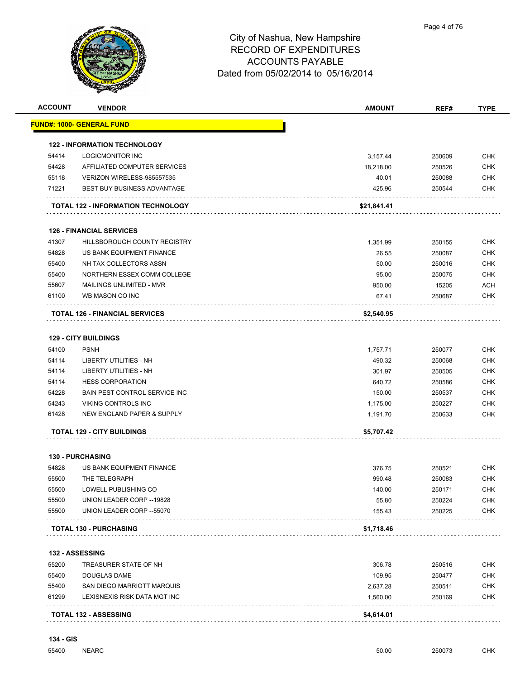

| <b>ACCOUNT</b> | <b>VENDOR</b>                         | <b>AMOUNT</b> | REF#   | <b>TYPE</b> |
|----------------|---------------------------------------|---------------|--------|-------------|
|                | <u> FUND#: 1000- GENERAL FUND</u>     |               |        |             |
|                | <b>122 - INFORMATION TECHNOLOGY</b>   |               |        |             |
| 54414          | LOGICMONITOR INC                      | 3,157.44      | 250609 | <b>CHK</b>  |
| 54428          | AFFILIATED COMPUTER SERVICES          | 18,218.00     | 250526 | <b>CHK</b>  |
| 55118          | VERIZON WIRELESS-985557535            | 40.01         | 250088 | CHK         |
| 71221          | <b>BEST BUY BUSINESS ADVANTAGE</b>    | 425.96        | 250544 | CHK         |
|                | TOTAL 122 - INFORMATION TECHNOLOGY    | \$21,841.41   |        |             |
|                | <b>126 - FINANCIAL SERVICES</b>       |               |        |             |
| 41307          | HILLSBOROUGH COUNTY REGISTRY          | 1,351.99      | 250155 | <b>CHK</b>  |
| 54828          | US BANK EQUIPMENT FINANCE             | 26.55         | 250087 | <b>CHK</b>  |
| 55400          | NH TAX COLLECTORS ASSN                | 50.00         | 250016 | CHK         |
| 55400          | NORTHERN ESSEX COMM COLLEGE           | 95.00         | 250075 | <b>CHK</b>  |
| 55607          | <b>MAILINGS UNLIMITED - MVR</b>       | 950.00        | 15205  | <b>ACH</b>  |
| 61100          | WB MASON CO INC                       | 67.41         | 250687 | CHK         |
|                | <b>TOTAL 126 - FINANCIAL SERVICES</b> | \$2,540.95    |        |             |
|                | <b>129 - CITY BUILDINGS</b>           |               |        |             |
| 54100          | <b>PSNH</b>                           | 1,757.71      | 250077 | <b>CHK</b>  |
| 54114          | LIBERTY UTILITIES - NH                | 490.32        | 250068 | <b>CHK</b>  |
| 54114          | LIBERTY UTILITIES - NH                | 301.97        | 250505 | <b>CHK</b>  |
| 54114          | <b>HESS CORPORATION</b>               | 640.72        | 250586 | CHK         |
| 54228          | BAIN PEST CONTROL SERVICE INC         | 150.00        | 250537 | CHK         |
| 54243          | VIKING CONTROLS INC                   | 1,175.00      | 250227 | <b>CHK</b>  |
| 61428          | NEW ENGLAND PAPER & SUPPLY            | 1,191.70      | 250633 | CHK         |
|                | <b>TOTAL 129 - CITY BUILDINGS</b>     | \$5,707.42    |        |             |
|                | <b>130 - PURCHASING</b>               |               |        |             |
| 54828          | US BANK EQUIPMENT FINANCE             | 376.75        | 250521 | <b>CHK</b>  |
| 55500          | THE TELEGRAPH                         | 990.48        | 250083 | <b>CHK</b>  |
| 55500          | LOWELL PUBLISHING CO                  | 140.00        | 250171 | <b>CHK</b>  |
| 55500          | UNION LEADER CORP--19828              | 55.80         | 250224 | CHK         |
| 55500          | UNION LEADER CORP -- 55070            | 155.43        | 250225 | CHK         |
|                | <b>TOTAL 130 - PURCHASING</b>         | \$1,718.46    |        |             |
|                | <b>132 - ASSESSING</b>                |               |        |             |
| 55200          | TREASURER STATE OF NH                 | 306.78        | 250516 | CHK         |
| 55400          | DOUGLAS DAME                          | 109.95        | 250477 | CHK         |
| 55400          | SAN DIEGO MARRIOTT MARQUIS            | 2,637.28      | 250511 | <b>CHK</b>  |
| 61299          | LEXISNEXIS RISK DATA MGT INC          | 1,560.00      | 250169 | <b>CHK</b>  |
|                | TOTAL 132 - ASSESSING                 | \$4,614.01    |        |             |

. . . . . . . . .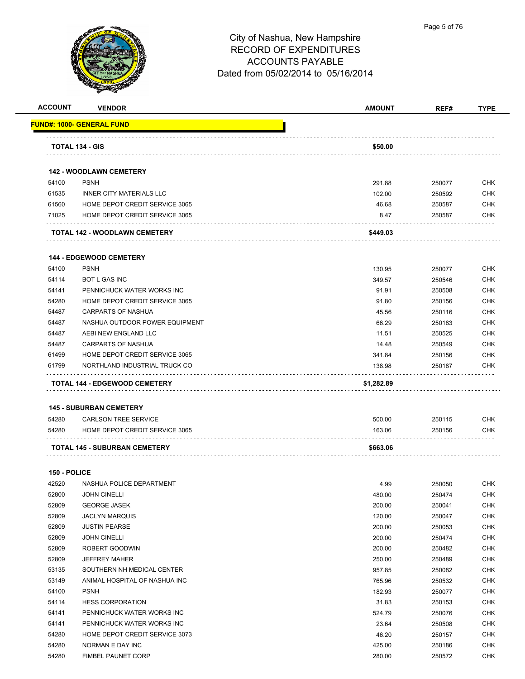

| <b>ACCOUNT</b> | <b>VENDOR</b>                                                 | <b>AMOUNT</b> | REF#   | <b>TYPE</b>              |
|----------------|---------------------------------------------------------------|---------------|--------|--------------------------|
|                | FUND#: 1000- GENERAL FUND                                     |               |        |                          |
|                | TOTAL 134 - GIS                                               | \$50.00       |        |                          |
|                |                                                               |               |        |                          |
|                | <b>142 - WOODLAWN CEMETERY</b>                                |               |        |                          |
| 54100          | <b>PSNH</b>                                                   | 291.88        | 250077 | <b>CHK</b>               |
| 61535          | <b>INNER CITY MATERIALS LLC</b>                               | 102.00        | 250592 | <b>CHK</b>               |
| 61560          | HOME DEPOT CREDIT SERVICE 3065                                | 46.68         | 250587 | CHK                      |
| 71025          | HOME DEPOT CREDIT SERVICE 3065                                | 8.47          | 250587 | <b>CHK</b>               |
|                | TOTAL 142 - WOODLAWN CEMETERY                                 | \$449.03      |        |                          |
|                | <b>144 - EDGEWOOD CEMETERY</b>                                |               |        |                          |
| 54100          | <b>PSNH</b>                                                   | 130.95        | 250077 | CHK                      |
| 54114          | <b>BOT L GAS INC</b>                                          | 349.57        | 250546 | CHK                      |
| 54141          | PENNICHUCK WATER WORKS INC                                    | 91.91         | 250508 | CHK                      |
| 54280          | HOME DEPOT CREDIT SERVICE 3065                                | 91.80         | 250156 | CHK                      |
| 54487          | <b>CARPARTS OF NASHUA</b>                                     | 45.56         | 250116 | CHK                      |
| 54487          | NASHUA OUTDOOR POWER EQUIPMENT                                | 66.29         | 250183 | CHK                      |
| 54487          | AEBI NEW ENGLAND LLC                                          | 11.51         | 250525 | CHK                      |
| 54487          | <b>CARPARTS OF NASHUA</b>                                     | 14.48         | 250549 | <b>CHK</b>               |
| 61499          | HOME DEPOT CREDIT SERVICE 3065                                | 341.84        | 250156 | <b>CHK</b>               |
| 61799          | NORTHLAND INDUSTRIAL TRUCK CO                                 | 138.98        | 250187 | CHK                      |
|                | TOTAL 144 - EDGEWOOD CEMETERY                                 | \$1,282.89    |        |                          |
|                |                                                               |               |        |                          |
| 54280          | <b>145 - SUBURBAN CEMETERY</b><br><b>CARLSON TREE SERVICE</b> | 500.00        | 250115 | CHK                      |
| 54280          | HOME DEPOT CREDIT SERVICE 3065                                | 163.06        | 250156 | CHK                      |
|                | TOTAL 145 - SUBURBAN CEMETERY                                 | \$663.06      |        |                          |
|                |                                                               |               |        |                          |
| 150 - POLICE   |                                                               |               |        |                          |
| 42520          | NASHUA POLICE DEPARTMENT                                      | 4.99          | 250050 | CHK                      |
| 52800          | <b>JOHN CINELLI</b>                                           | 480.00        | 250474 | <b>CHK</b>               |
| 52809          | <b>GEORGE JASEK</b>                                           | 200.00        | 250041 | CHK                      |
| 52809          | <b>JACLYN MARQUIS</b>                                         | 120.00        | 250047 | <b>CHK</b>               |
| 52809          | <b>JUSTIN PEARSE</b>                                          | 200.00        | 250053 | <b>CHK</b>               |
| 52809          | <b>JOHN CINELLI</b>                                           | 200.00        | 250474 | <b>CHK</b>               |
| 52809          | ROBERT GOODWIN                                                | 200.00        | 250482 | <b>CHK</b>               |
| 52809          | <b>JEFFREY MAHER</b>                                          | 250.00        | 250489 | <b>CHK</b>               |
| 53135          | SOUTHERN NH MEDICAL CENTER                                    | 957.85        | 250082 | <b>CHK</b>               |
| 53149          | ANIMAL HOSPITAL OF NASHUA INC                                 | 765.96        | 250532 | <b>CHK</b>               |
| 54100          | <b>PSNH</b>                                                   | 182.93        | 250077 | <b>CHK</b>               |
| 54114          | <b>HESS CORPORATION</b><br>PENNICHUCK WATER WORKS INC         | 31.83         | 250153 | <b>CHK</b>               |
| 54141          |                                                               | 524.79        | 250076 | CHK                      |
| 54141          | PENNICHUCK WATER WORKS INC                                    | 23.64         | 250508 | CHK                      |
| 54280<br>54280 | HOME DEPOT CREDIT SERVICE 3073                                | 46.20         | 250157 | <b>CHK</b><br><b>CHK</b> |
| 54280          | NORMAN E DAY INC                                              | 425.00        | 250186 |                          |
|                | <b>FIMBEL PAUNET CORP</b>                                     | 280.00        | 250572 | <b>CHK</b>               |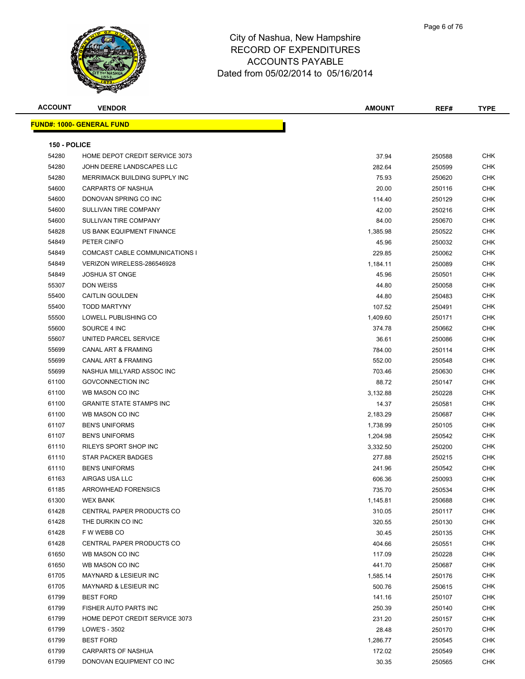

| <b>ACCOUNT</b> | <b>VENDOR</b>                    | <b>AMOUNT</b> | REF#   | <b>TYPE</b> |
|----------------|----------------------------------|---------------|--------|-------------|
|                | <b>FUND#: 1000- GENERAL FUND</b> |               |        |             |
|                |                                  |               |        |             |
| 150 - POLICE   |                                  |               |        |             |
| 54280          | HOME DEPOT CREDIT SERVICE 3073   | 37.94         | 250588 | <b>CHK</b>  |
| 54280          | JOHN DEERE LANDSCAPES LLC        | 282.64        | 250599 | <b>CHK</b>  |
| 54280          | MERRIMACK BUILDING SUPPLY INC    | 75.93         | 250620 | CHK         |
| 54600          | <b>CARPARTS OF NASHUA</b>        | 20.00         | 250116 | CHK         |
| 54600          | DONOVAN SPRING CO INC            | 114.40        | 250129 | CHK         |
| 54600          | SULLIVAN TIRE COMPANY            | 42.00         | 250216 | <b>CHK</b>  |
| 54600          | SULLIVAN TIRE COMPANY            | 84.00         | 250670 | CHK         |
| 54828          | US BANK EQUIPMENT FINANCE        | 1,385.98      | 250522 | <b>CHK</b>  |
| 54849          | PETER CINFO                      | 45.96         | 250032 | CHK         |
| 54849          | COMCAST CABLE COMMUNICATIONS I   | 229.85        | 250062 | CHK         |
| 54849          | VERIZON WIRELESS-286546928       | 1,184.11      | 250089 | CHK         |
| 54849          | <b>JOSHUA ST ONGE</b>            | 45.96         | 250501 | <b>CHK</b>  |
| 55307          | DON WEISS                        | 44.80         | 250058 | CHK         |
| 55400          | <b>CAITLIN GOULDEN</b>           | 44.80         | 250483 | CHK         |
| 55400          | <b>TODD MARTYNY</b>              | 107.52        | 250491 | CHK         |
| 55500          | LOWELL PUBLISHING CO             | 1,409.60      | 250171 | CHK         |
| 55600          | SOURCE 4 INC                     | 374.78        | 250662 | CHK         |
| 55607          | UNITED PARCEL SERVICE            | 36.61         | 250086 | CHK         |
| 55699          | CANAL ART & FRAMING              | 784.00        | 250114 | <b>CHK</b>  |
| 55699          | <b>CANAL ART &amp; FRAMING</b>   | 552.00        | 250548 | CHK         |
| 55699          | NASHUA MILLYARD ASSOC INC        | 703.46        | 250630 | CHK         |
| 61100          | <b>GOVCONNECTION INC</b>         | 88.72         | 250147 | <b>CHK</b>  |
| 61100          | WB MASON CO INC                  | 3,132.88      | 250228 | CHK         |
| 61100          | <b>GRANITE STATE STAMPS INC</b>  | 14.37         | 250581 | CHK         |
| 61100          | WB MASON CO INC                  | 2,183.29      | 250687 | CHK         |
| 61107          | <b>BEN'S UNIFORMS</b>            | 1,738.99      | 250105 | CHK         |
| 61107          | <b>BEN'S UNIFORMS</b>            | 1,204.98      | 250542 | CHK         |
| 61110          | RILEYS SPORT SHOP INC            | 3,332.50      | 250200 | CHK         |
| 61110          | STAR PACKER BADGES               | 277.88        | 250215 | CHK         |
| 61110          | <b>BEN'S UNIFORMS</b>            | 241.96        | 250542 | <b>CHK</b>  |
| 61163          | AIRGAS USA LLC                   | 606.36        | 250093 | CHK         |
| 61185          | ARROWHEAD FORENSICS              | 735.70        | 250534 | CHK         |
| 61300          | <b>WEX BANK</b>                  | 1,145.81      | 250688 | CHK         |
| 61428          | CENTRAL PAPER PRODUCTS CO        | 310.05        | 250117 | <b>CHK</b>  |
| 61428          | THE DURKIN CO INC                | 320.55        | 250130 | CHK         |
| 61428          | F W WEBB CO                      | 30.45         | 250135 | CHK         |
| 61428          | CENTRAL PAPER PRODUCTS CO        | 404.66        | 250551 | <b>CHK</b>  |
| 61650          | WB MASON CO INC                  | 117.09        | 250228 | <b>CHK</b>  |
| 61650          | WB MASON CO INC                  | 441.70        | 250687 | <b>CHK</b>  |
| 61705          | MAYNARD & LESIEUR INC            | 1,585.14      | 250176 | CHK         |
| 61705          | MAYNARD & LESIEUR INC            | 500.76        | 250615 | CHK         |
| 61799          | <b>BEST FORD</b>                 | 141.16        | 250107 | <b>CHK</b>  |
| 61799          | FISHER AUTO PARTS INC            | 250.39        | 250140 | <b>CHK</b>  |
| 61799          | HOME DEPOT CREDIT SERVICE 3073   | 231.20        | 250157 | <b>CHK</b>  |
| 61799          | LOWE'S - 3502                    | 28.48         | 250170 | <b>CHK</b>  |
| 61799          | <b>BEST FORD</b>                 | 1,286.77      | 250545 | CHK         |
| 61799          | <b>CARPARTS OF NASHUA</b>        | 172.02        | 250549 | CHK         |
| 61799          | DONOVAN EQUIPMENT CO INC         | 30.35         | 250565 | <b>CHK</b>  |
|                |                                  |               |        |             |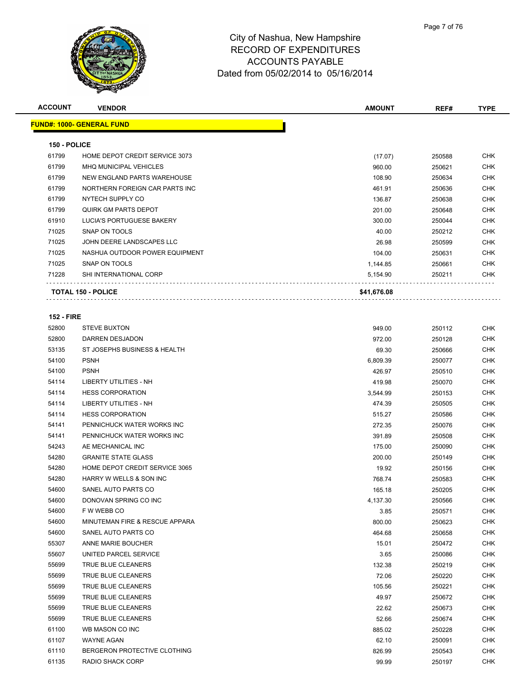

| <b>ACCOUNT</b>    | <b>VENDOR</b>                    | <b>AMOUNT</b> | REF#   | <b>TYPE</b> |
|-------------------|----------------------------------|---------------|--------|-------------|
|                   | <b>FUND#: 1000- GENERAL FUND</b> |               |        |             |
|                   |                                  |               |        |             |
| 150 - POLICE      |                                  |               |        |             |
| 61799             | HOME DEPOT CREDIT SERVICE 3073   | (17.07)       | 250588 | <b>CHK</b>  |
| 61799             | <b>MHQ MUNICIPAL VEHICLES</b>    | 960.00        | 250621 | <b>CHK</b>  |
| 61799             | NEW ENGLAND PARTS WAREHOUSE      | 108.90        | 250634 | CHK         |
| 61799             | NORTHERN FOREIGN CAR PARTS INC   | 461.91        | 250636 | CHK         |
| 61799             | NYTECH SUPPLY CO                 | 136.87        | 250638 | CHK         |
| 61799             | <b>QUIRK GM PARTS DEPOT</b>      | 201.00        | 250648 | CHK         |
| 61910             | LUCIA'S PORTUGUESE BAKERY        | 300.00        | 250044 | CHK         |
| 71025             | SNAP ON TOOLS                    | 40.00         | 250212 | CHK         |
| 71025             | JOHN DEERE LANDSCAPES LLC        | 26.98         | 250599 | <b>CHK</b>  |
| 71025             | NASHUA OUTDOOR POWER EQUIPMENT   | 104.00        | 250631 | CHK         |
| 71025             | SNAP ON TOOLS                    | 1,144.85      | 250661 | CHK         |
| 71228             | SHI INTERNATIONAL CORP           | 5,154.90      | 250211 | CHK         |
|                   | TOTAL 150 - POLICE               | \$41,676.08   |        |             |
|                   |                                  |               |        |             |
| <b>152 - FIRE</b> |                                  |               |        |             |
| 52800             | <b>STEVE BUXTON</b>              | 949.00        | 250112 | CHK         |
| 52800             | DARREN DESJADON                  | 972.00        | 250128 | CHK         |
| 53135             | ST JOSEPHS BUSINESS & HEALTH     | 69.30         | 250666 | CHK         |
| 54100             | <b>PSNH</b>                      | 6,809.39      | 250077 | CHK         |
| 54100             | <b>PSNH</b>                      | 426.97        | 250510 | <b>CHK</b>  |
| 54114             | <b>LIBERTY UTILITIES - NH</b>    | 419.98        | 250070 | CHK         |
| 54114             | <b>HESS CORPORATION</b>          | 3,544.99      | 250153 | <b>CHK</b>  |
| 54114             | <b>LIBERTY UTILITIES - NH</b>    | 474.39        | 250505 | <b>CHK</b>  |
| 54114             | <b>HESS CORPORATION</b>          | 515.27        | 250586 | <b>CHK</b>  |
| 54141             | PENNICHUCK WATER WORKS INC       | 272.35        | 250076 | <b>CHK</b>  |
| 54141             | PENNICHUCK WATER WORKS INC       | 391.89        | 250508 | CHK         |
| 54243             | AE MECHANICAL INC                | 175.00        | 250090 | CHK         |
| 54280             | <b>GRANITE STATE GLASS</b>       | 200.00        | 250149 | CHK         |
| 54280             | HOME DEPOT CREDIT SERVICE 3065   | 19.92         | 250156 | CHK         |
| 54280             | HARRY W WELLS & SON INC          | 768.74        | 250583 | <b>CHK</b>  |
| 54600             | SANEL AUTO PARTS CO              | 165.18        | 250205 | <b>CHK</b>  |
| 54600             | DONOVAN SPRING CO INC            | 4,137.30      | 250566 | CHK         |
| 54600             | F W WEBB CO                      | 3.85          | 250571 | <b>CHK</b>  |
| 54600             | MINUTEMAN FIRE & RESCUE APPARA   | 800.00        | 250623 | <b>CHK</b>  |
| 54600             | SANEL AUTO PARTS CO              | 464.68        | 250658 | <b>CHK</b>  |
| 55307             | ANNE MARIE BOUCHER               | 15.01         | 250472 | CHK         |
| 55607             | UNITED PARCEL SERVICE            | 3.65          | 250086 | CHK         |
| 55699             | TRUE BLUE CLEANERS               | 132.38        | 250219 | CHK         |
| 55699             | TRUE BLUE CLEANERS               | 72.06         | 250220 | CHK         |
| 55699             | TRUE BLUE CLEANERS               | 105.56        | 250221 | CHK         |
| 55699             | TRUE BLUE CLEANERS               | 49.97         | 250672 | <b>CHK</b>  |
| 55699             | TRUE BLUE CLEANERS               | 22.62         | 250673 | CHK         |
| 55699             | TRUE BLUE CLEANERS               | 52.66         | 250674 | CHK         |
| 61100             | WB MASON CO INC                  | 885.02        | 250228 | CHK         |
| 61107             | WAYNE AGAN                       | 62.10         | 250091 | CHK         |
| 61110             | BERGERON PROTECTIVE CLOTHING     | 826.99        | 250543 | CHK         |
| 61135             | RADIO SHACK CORP                 | 99.99         | 250197 | <b>CHK</b>  |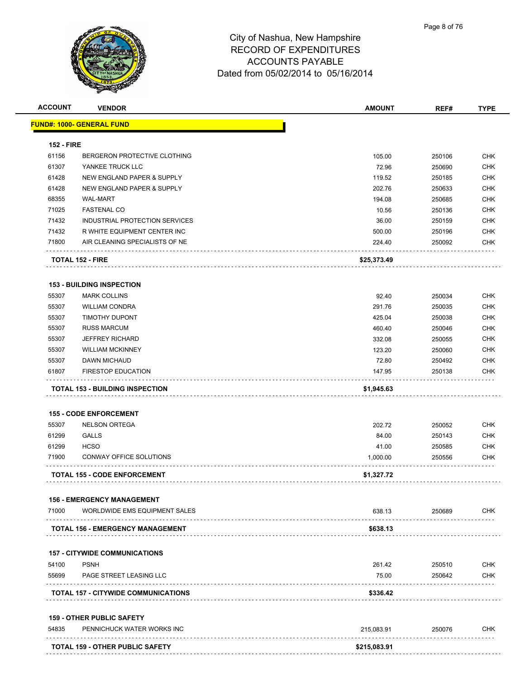

|                         | <b>VENDOR</b>                          | <b>AMOUNT</b> | REF#   | <b>TYPE</b>                                                                                           |
|-------------------------|----------------------------------------|---------------|--------|-------------------------------------------------------------------------------------------------------|
|                         | <b>FUND#: 1000- GENERAL FUND</b>       |               |        |                                                                                                       |
|                         |                                        |               |        |                                                                                                       |
| <b>152 - FIRE</b>       |                                        |               |        |                                                                                                       |
| 61156                   | BERGERON PROTECTIVE CLOTHING           | 105.00        | 250106 | <b>CHK</b>                                                                                            |
| 61307                   | YANKEE TRUCK LLC                       | 72.96         | 250690 | <b>CHK</b>                                                                                            |
| 61428                   | NEW ENGLAND PAPER & SUPPLY             | 119.52        | 250185 | <b>CHK</b>                                                                                            |
| 61428                   | NEW ENGLAND PAPER & SUPPLY             | 202.76        | 250633 | <b>CHK</b>                                                                                            |
| 68355                   | <b>WAL-MART</b>                        | 194.08        | 250685 | <b>CHK</b>                                                                                            |
| 71025                   | <b>FASTENAL CO</b>                     | 10.56         | 250136 | <b>CHK</b>                                                                                            |
| 71432                   | INDUSTRIAL PROTECTION SERVICES         | 36.00         | 250159 | <b>CHK</b>                                                                                            |
| 71432                   | R WHITE EQUIPMENT CENTER INC           | 500.00        | 250196 | <b>CHK</b>                                                                                            |
| 71800                   | AIR CLEANING SPECIALISTS OF NE         | 224.40        | 250092 | <b>CHK</b>                                                                                            |
|                         | <b>TOTAL 152 - FIRE</b>                | \$25,373.49   |        |                                                                                                       |
|                         | <b>153 - BUILDING INSPECTION</b>       |               |        |                                                                                                       |
| 55307                   | <b>MARK COLLINS</b>                    | 92.40         | 250034 | <b>CHK</b>                                                                                            |
| 55307                   | <b>WILLIAM CONDRA</b>                  | 291.76        | 250035 | <b>CHK</b>                                                                                            |
| 55307                   | <b>TIMOTHY DUPONT</b>                  | 425.04        | 250038 | <b>CHK</b>                                                                                            |
| 55307                   | <b>RUSS MARCUM</b>                     | 460.40        | 250046 | <b>CHK</b>                                                                                            |
| 55307                   | <b>JEFFREY RICHARD</b>                 | 332.08        | 250055 | <b>CHK</b>                                                                                            |
| 55307                   | <b>WILLIAM MCKINNEY</b>                | 123.20        | 250060 | CHK                                                                                                   |
| 55307                   | DAWN MICHAUD                           | 72.80         | 250492 | CHK                                                                                                   |
| 61807                   | <b>FIRESTOP EDUCATION</b>              | 147.95        | 250138 | <b>CHK</b>                                                                                            |
|                         |                                        |               |        |                                                                                                       |
|                         | <b>TOTAL 153 - BUILDING INSPECTION</b> | \$1,945.63    |        |                                                                                                       |
|                         |                                        |               |        |                                                                                                       |
|                         | <b>155 - CODE ENFORCEMENT</b>          |               |        |                                                                                                       |
| 55307                   | <b>NELSON ORTEGA</b>                   | 202.72        | 250052 |                                                                                                       |
|                         | <b>GALLS</b>                           | 84.00         | 250143 |                                                                                                       |
|                         | <b>HCSO</b>                            | 41.00         | 250585 |                                                                                                       |
|                         | <b>CONWAY OFFICE SOLUTIONS</b>         | 1,000.00      | 250556 |                                                                                                       |
| 61299<br>61299<br>71900 | <b>TOTAL 155 - CODE ENFORCEMENT</b>    | \$1,327.72    |        |                                                                                                       |
|                         | <b>156 - EMERGENCY MANAGEMENT</b>      |               |        |                                                                                                       |
| 71000                   | WORLDWIDE EMS EQUIPMENT SALES          | 638.13        | 250689 |                                                                                                       |
|                         | TOTAL 156 - EMERGENCY MANAGEMENT       | \$638.13      |        |                                                                                                       |
|                         |                                        |               |        |                                                                                                       |
|                         | <b>157 - CITYWIDE COMMUNICATIONS</b>   |               |        |                                                                                                       |
| 54100                   | <b>PSNH</b>                            | 261.42        | 250510 |                                                                                                       |
| 55699                   | PAGE STREET LEASING LLC                | 75.00         | 250642 |                                                                                                       |
|                         | TOTAL 157 - CITYWIDE COMMUNICATIONS    | \$336.42      |        |                                                                                                       |
|                         | <b>159 - OTHER PUBLIC SAFETY</b>       |               |        |                                                                                                       |
| 54835                   | PENNICHUCK WATER WORKS INC             | 215,083.91    | 250076 | <b>CHK</b><br><b>CHK</b><br><b>CHK</b><br>CHK<br><b>CHK</b><br><b>CHK</b><br><b>CHK</b><br><b>CHK</b> |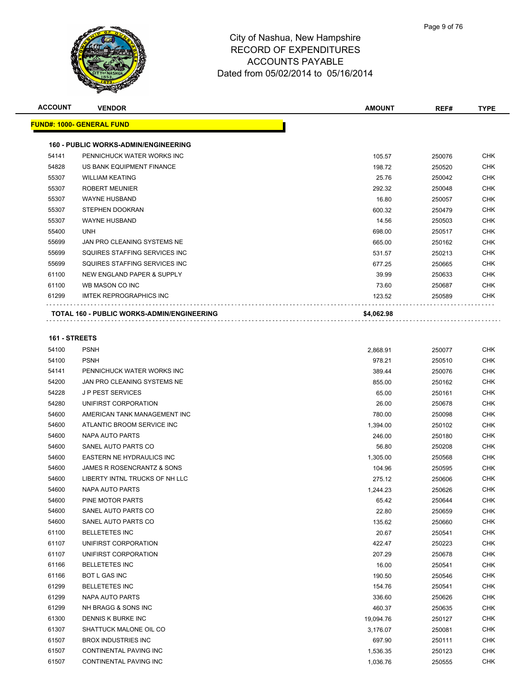

| <b>ACCOUNT</b> | <b>VENDOR</b>                                     | <b>AMOUNT</b> | REF#   | <b>TYPE</b> |
|----------------|---------------------------------------------------|---------------|--------|-------------|
|                | <b>FUND#: 1000- GENERAL FUND</b>                  |               |        |             |
|                | <b>160 - PUBLIC WORKS-ADMIN/ENGINEERING</b>       |               |        |             |
| 54141          | PENNICHUCK WATER WORKS INC                        | 105.57        | 250076 | <b>CHK</b>  |
| 54828          | US BANK EQUIPMENT FINANCE                         | 198.72        | 250520 | <b>CHK</b>  |
| 55307          | <b>WILLIAM KEATING</b>                            | 25.76         | 250042 | <b>CHK</b>  |
| 55307          | <b>ROBERT MEUNIER</b>                             | 292.32        | 250048 | <b>CHK</b>  |
| 55307          | <b>WAYNE HUSBAND</b>                              | 16.80         | 250057 | <b>CHK</b>  |
| 55307          | <b>STEPHEN DOOKRAN</b>                            | 600.32        | 250479 | <b>CHK</b>  |
| 55307          | <b>WAYNE HUSBAND</b>                              | 14.56         | 250503 | <b>CHK</b>  |
| 55400          | <b>UNH</b>                                        | 698.00        | 250517 | <b>CHK</b>  |
| 55699          | JAN PRO CLEANING SYSTEMS NE                       | 665.00        | 250162 | <b>CHK</b>  |
| 55699          | SQUIRES STAFFING SERVICES INC                     | 531.57        | 250213 | <b>CHK</b>  |
| 55699          | SQUIRES STAFFING SERVICES INC.                    | 677.25        | 250665 | <b>CHK</b>  |
| 61100          | NEW ENGLAND PAPER & SUPPLY                        | 39.99         | 250633 | <b>CHK</b>  |
| 61100          | WB MASON CO INC                                   | 73.60         | 250687 | <b>CHK</b>  |
| 61299          | <b>IMTEK REPROGRAPHICS INC</b>                    | 123.52        | 250589 | <b>CHK</b>  |
|                | <b>TOTAL 160 - PUBLIC WORKS-ADMIN/ENGINEERING</b> | \$4,062.98    |        |             |
|                |                                                   |               |        |             |

| 54100 | <b>PSNH</b>                    | 2,868.91  | 250077 | <b>CHK</b> |
|-------|--------------------------------|-----------|--------|------------|
| 54100 | <b>PSNH</b>                    | 978.21    | 250510 | <b>CHK</b> |
| 54141 | PENNICHUCK WATER WORKS INC     | 389.44    | 250076 | <b>CHK</b> |
| 54200 | JAN PRO CLEANING SYSTEMS NE    | 855.00    | 250162 | <b>CHK</b> |
| 54228 | <b>JP PEST SERVICES</b>        | 65.00     | 250161 | <b>CHK</b> |
| 54280 | UNIFIRST CORPORATION           | 26.00     | 250678 | <b>CHK</b> |
| 54600 | AMERICAN TANK MANAGEMENT INC   | 780.00    | 250098 | <b>CHK</b> |
| 54600 | ATLANTIC BROOM SERVICE INC     | 1,394.00  | 250102 | <b>CHK</b> |
| 54600 | NAPA AUTO PARTS                | 246.00    | 250180 | <b>CHK</b> |
| 54600 | SANEL AUTO PARTS CO            | 56.80     | 250208 | <b>CHK</b> |
| 54600 | EASTERN NE HYDRAULICS INC      | 1,305.00  | 250568 | <b>CHK</b> |
| 54600 | JAMES R ROSENCRANTZ & SONS     | 104.96    | 250595 | <b>CHK</b> |
| 54600 | LIBERTY INTNL TRUCKS OF NH LLC | 275.12    | 250606 | <b>CHK</b> |
| 54600 | <b>NAPA AUTO PARTS</b>         | 1,244.23  | 250626 | <b>CHK</b> |
| 54600 | PINE MOTOR PARTS               | 65.42     | 250644 | <b>CHK</b> |
| 54600 | SANEL AUTO PARTS CO            | 22.80     | 250659 | <b>CHK</b> |
| 54600 | SANEL AUTO PARTS CO            | 135.62    | 250660 | <b>CHK</b> |
| 61100 | <b>BELLETETES INC</b>          | 20.67     | 250541 | <b>CHK</b> |
| 61107 | UNIFIRST CORPORATION           | 422.47    | 250223 | <b>CHK</b> |
| 61107 | UNIFIRST CORPORATION           | 207.29    | 250678 | <b>CHK</b> |
| 61166 | <b>BELLETETES INC</b>          | 16.00     | 250541 | <b>CHK</b> |
| 61166 | <b>BOT L GAS INC</b>           | 190.50    | 250546 | <b>CHK</b> |
| 61299 | <b>BELLETETES INC</b>          | 154.76    | 250541 | <b>CHK</b> |
| 61299 | NAPA AUTO PARTS                | 336.60    | 250626 | <b>CHK</b> |
| 61299 | NH BRAGG & SONS INC            | 460.37    | 250635 | <b>CHK</b> |
| 61300 | DENNIS K BURKE INC             | 19,094.76 | 250127 | <b>CHK</b> |
| 61307 | SHATTUCK MALONE OIL CO         | 3,176.07  | 250081 | <b>CHK</b> |
| 61507 | <b>BROX INDUSTRIES INC</b>     | 697.90    | 250111 | <b>CHK</b> |
| 61507 | CONTINENTAL PAVING INC         | 1,536.35  | 250123 | <b>CHK</b> |
| 61507 | CONTINENTAL PAVING INC         | 1,036.76  | 250555 | <b>CHK</b> |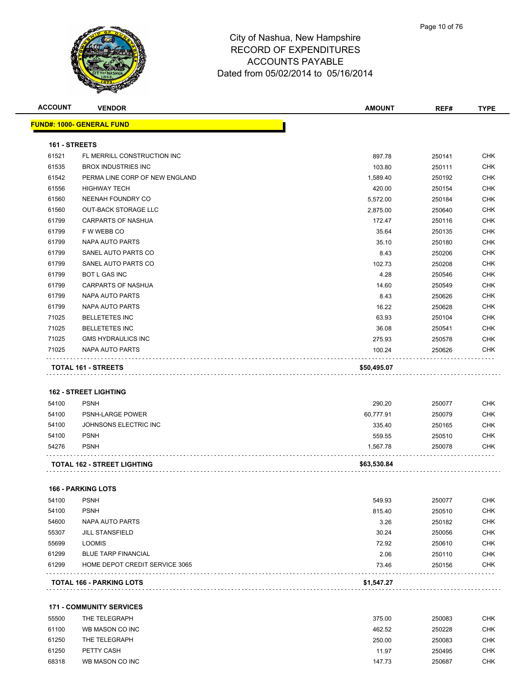

| <b>ACCOUNT</b> | <b>VENDOR</b>                               | <b>AMOUNT</b> | REF#   | <b>TYPE</b> |
|----------------|---------------------------------------------|---------------|--------|-------------|
|                | FUND#: 1000- GENERAL FUND                   |               |        |             |
| 161 - STREETS  |                                             |               |        |             |
| 61521          | FL MERRILL CONSTRUCTION INC                 | 897.78        | 250141 | <b>CHK</b>  |
| 61535          | <b>BROX INDUSTRIES INC</b>                  | 103.80        | 250111 | <b>CHK</b>  |
| 61542          | PERMA LINE CORP OF NEW ENGLAND              | 1,589.40      | 250192 | CHK         |
| 61556          | <b>HIGHWAY TECH</b>                         | 420.00        | 250154 | <b>CHK</b>  |
| 61560          | NEENAH FOUNDRY CO                           | 5,572.00      | 250184 | <b>CHK</b>  |
| 61560          | <b>OUT-BACK STORAGE LLC</b>                 | 2,875.00      | 250640 | <b>CHK</b>  |
| 61799          | <b>CARPARTS OF NASHUA</b>                   | 172.47        | 250116 | <b>CHK</b>  |
| 61799          | F W WEBB CO                                 | 35.64         | 250135 | <b>CHK</b>  |
| 61799          | NAPA AUTO PARTS                             | 35.10         | 250180 | <b>CHK</b>  |
| 61799          | SANEL AUTO PARTS CO                         | 8.43          | 250206 | <b>CHK</b>  |
| 61799          | SANEL AUTO PARTS CO                         | 102.73        | 250208 | CHK         |
| 61799          | <b>BOT L GAS INC</b>                        | 4.28          | 250546 | CHK         |
| 61799          | <b>CARPARTS OF NASHUA</b>                   | 14.60         | 250549 | <b>CHK</b>  |
| 61799          | <b>NAPA AUTO PARTS</b>                      | 8.43          | 250626 | <b>CHK</b>  |
| 61799          | <b>NAPA AUTO PARTS</b>                      |               |        | <b>CHK</b>  |
|                |                                             | 16.22         | 250628 |             |
| 71025          | <b>BELLETETES INC</b>                       | 63.93         | 250104 | <b>CHK</b>  |
| 71025          | <b>BELLETETES INC</b>                       | 36.08         | 250541 | CHK         |
| 71025          | <b>GMS HYDRAULICS INC</b>                   | 275.93        | 250578 | <b>CHK</b>  |
| 71025          | <b>NAPA AUTO PARTS</b>                      | 100.24        | 250626 | <b>CHK</b>  |
|                | TOTAL 161 - STREETS                         | \$50,495.07   |        |             |
|                |                                             |               |        |             |
| 54100          | <b>162 - STREET LIGHTING</b><br><b>PSNH</b> |               |        | <b>CHK</b>  |
| 54100          |                                             | 290.20        | 250077 |             |
|                | PSNH-LARGE POWER                            | 60,777.91     | 250079 | <b>CHK</b>  |
| 54100          | JOHNSONS ELECTRIC INC                       | 335.40        | 250165 | <b>CHK</b>  |
| 54100          | <b>PSNH</b>                                 | 559.55        | 250510 | <b>CHK</b>  |
| 54276          | <b>PSNH</b>                                 | 1,567.78      | 250078 | CHK         |
|                | TOTAL 162 - STREET LIGHTING                 | \$63,530.84   |        |             |
|                |                                             |               |        |             |
|                | <b>166 - PARKING LOTS</b>                   |               |        |             |
| 54100          | <b>PSNH</b>                                 | 549.93        | 250077 | <b>CHK</b>  |
| 54100          | <b>PSNH</b>                                 | 815.40        | 250510 | <b>CHK</b>  |
| 54600          | NAPA AUTO PARTS                             | 3.26          | 250182 | <b>CHK</b>  |
| 55307          | <b>JILL STANSFIELD</b>                      | 30.24         | 250056 | CHK         |
| 55699          | <b>LOOMIS</b>                               | 72.92         | 250610 | <b>CHK</b>  |
| 61299          | <b>BLUE TARP FINANCIAL</b>                  | 2.06          | 250110 | CHK         |
| 61299          | HOME DEPOT CREDIT SERVICE 3065              | 73.46         | 250156 | <b>CHK</b>  |
|                | <b>TOTAL 166 - PARKING LOTS</b>             | \$1,547.27    |        |             |
|                |                                             |               |        |             |
|                | <b>171 - COMMUNITY SERVICES</b>             |               |        |             |
| 55500          | THE TELEGRAPH                               | 375.00        | 250083 | <b>CHK</b>  |
| 61100          | WB MASON CO INC                             | 462.52        | 250228 | <b>CHK</b>  |
| 61250          | THE TELEGRAPH                               | 250.00        | 250083 | <b>CHK</b>  |
| 61250          | PETTY CASH                                  | 11.97         | 250495 | <b>CHK</b>  |
| 68318          | WB MASON CO INC                             | 147.73        | 250687 | <b>CHK</b>  |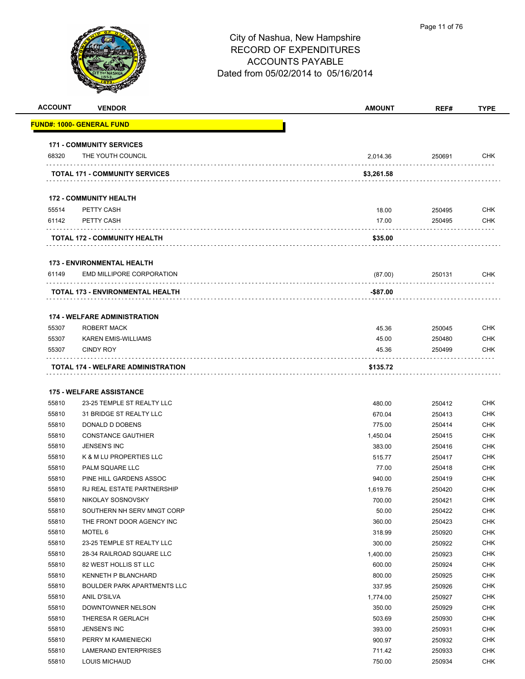

| <b>ACCOUNT</b> | <b>VENDOR</b>                         | <b>AMOUNT</b> | REF#   | <b>TYPE</b> |
|----------------|---------------------------------------|---------------|--------|-------------|
|                | FUND#: 1000- GENERAL FUND             |               |        |             |
|                | <b>171 - COMMUNITY SERVICES</b>       |               |        |             |
| 68320          | THE YOUTH COUNCIL                     | 2,014.36      | 250691 | <b>CHK</b>  |
|                | <b>TOTAL 171 - COMMUNITY SERVICES</b> | \$3,261.58    |        |             |
|                | <b>172 - COMMUNITY HEALTH</b>         |               |        |             |
| 55514          | PETTY CASH                            | 18.00         | 250495 | <b>CHK</b>  |
| 61142          | PETTY CASH                            | 17.00         | 250495 | CHK         |
|                |                                       |               |        |             |
|                | <b>TOTAL 172 - COMMUNITY HEALTH</b>   | \$35.00       |        |             |
|                | <b>173 - ENVIRONMENTAL HEALTH</b>     |               |        |             |
| 61149          | EMD MILLIPORE CORPORATION             | (87.00)       | 250131 | <b>CHK</b>  |
|                | TOTAL 173 - ENVIRONMENTAL HEALTH      | -\$87.00      |        |             |
|                |                                       |               |        |             |
|                | <b>174 - WELFARE ADMINISTRATION</b>   |               |        |             |
| 55307          | ROBERT MACK                           | 45.36         | 250045 | <b>CHK</b>  |
| 55307          | <b>KAREN EMIS-WILLIAMS</b>            | 45.00         | 250480 | <b>CHK</b>  |
| 55307          | <b>CINDY ROY</b>                      | 45.36         | 250499 | CHK         |
|                | TOTAL 174 - WELFARE ADMINISTRATION    | \$135.72      |        |             |
|                |                                       |               |        |             |
|                | <b>175 - WELFARE ASSISTANCE</b>       |               |        |             |
| 55810          | 23-25 TEMPLE ST REALTY LLC            | 480.00        | 250412 | <b>CHK</b>  |
| 55810          | 31 BRIDGE ST REALTY LLC               | 670.04        | 250413 | <b>CHK</b>  |
| 55810          | DONALD D DOBENS                       | 775.00        | 250414 | <b>CHK</b>  |
| 55810          | <b>CONSTANCE GAUTHIER</b>             | 1,450.04      | 250415 | <b>CHK</b>  |
| 55810          | <b>JENSEN'S INC</b>                   | 383.00        | 250416 | <b>CHK</b>  |
| 55810          | K & M LU PROPERTIES LLC               | 515.77        | 250417 | <b>CHK</b>  |
| 55810          | PALM SQUARE LLC                       | 77.00         | 250418 | <b>CHK</b>  |
| 55810          | PINE HILL GARDENS ASSOC               | 940.00        | 250419 | CHK         |
| 55810          | RJ REAL ESTATE PARTNERSHIP            | 1,619.76      | 250420 | <b>CHK</b>  |
| 55810          | NIKOLAY SOSNOVSKY                     | 700.00        | 250421 | <b>CHK</b>  |
| 55810          | SOUTHERN NH SERV MNGT CORP            | 50.00         | 250422 | <b>CHK</b>  |
| 55810          | THE FRONT DOOR AGENCY INC             | 360.00        | 250423 | <b>CHK</b>  |
| 55810          | MOTEL 6                               | 318.99        | 250920 | <b>CHK</b>  |
| 55810          | 23-25 TEMPLE ST REALTY LLC            | 300.00        | 250922 | <b>CHK</b>  |
| 55810          | 28-34 RAILROAD SQUARE LLC             | 1,400.00      | 250923 | <b>CHK</b>  |
| 55810          | 82 WEST HOLLIS ST LLC                 | 600.00        | 250924 | <b>CHK</b>  |
| 55810          | <b>KENNETH P BLANCHARD</b>            | 800.00        | 250925 | <b>CHK</b>  |
| 55810          | <b>BOULDER PARK APARTMENTS LLC</b>    | 337.95        | 250926 | <b>CHK</b>  |
| 55810          | ANIL D'SILVA                          | 1,774.00      | 250927 | <b>CHK</b>  |
| 55810          | DOWNTOWNER NELSON                     | 350.00        | 250929 | <b>CHK</b>  |
| 55810          | THERESA R GERLACH                     | 503.69        | 250930 | CHK         |
| 55810          | JENSEN'S INC                          | 393.00        | 250931 | <b>CHK</b>  |
| 55810          | PERRY M KAMIENIECKI                   | 900.97        | 250932 | <b>CHK</b>  |
| 55810          | LAMERAND ENTERPRISES                  | 711.42        | 250933 | <b>CHK</b>  |
| 55810          | <b>LOUIS MICHAUD</b>                  | 750.00        | 250934 | <b>CHK</b>  |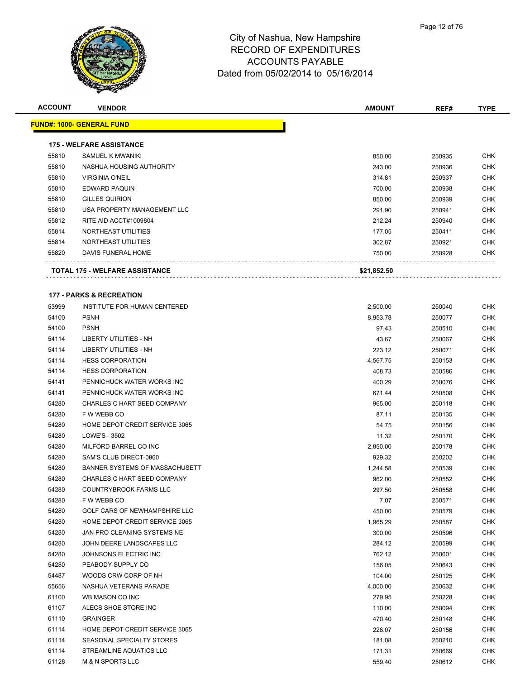

| <b>ACCOUNT</b> | <b>VENDOR</b>                         | <b>AMOUNT</b>    | REF#             | <b>TYPE</b> |
|----------------|---------------------------------------|------------------|------------------|-------------|
|                | <u> FUND#: 1000- GENERAL FUND</u>     |                  |                  |             |
|                | <b>175 - WELFARE ASSISTANCE</b>       |                  |                  |             |
| 55810          | SAMUEL K MWANIKI                      | 850.00           | 250935           | <b>CHK</b>  |
| 55810          | NASHUA HOUSING AUTHORITY              | 243.00           | 250936           | <b>CHK</b>  |
| 55810          | <b>VIRGINIA O'NEIL</b>                | 314.81           | 250937           | CHK         |
| 55810          | <b>EDWARD PAQUIN</b>                  | 700.00           | 250938           | CHK         |
| 55810          | <b>GILLES QUIRION</b>                 | 850.00           | 250939           | <b>CHK</b>  |
| 55810          | USA PROPERTY MANAGEMENT LLC           | 291.90           |                  | CHK         |
| 55812          | RITE AID ACCT#1009804                 | 212.24           | 250941<br>250940 | CHK         |
| 55814          | NORTHEAST UTILITIES                   |                  |                  | <b>CHK</b>  |
| 55814          | NORTHEAST UTILITIES                   | 177.05<br>302.87 | 250411<br>250921 | CHK         |
| 55820          | DAVIS FUNERAL HOME                    | 750.00           | 250928           | CHK         |
|                | <b>TOTAL 175 - WELFARE ASSISTANCE</b> | \$21,852.50      |                  |             |
|                |                                       |                  |                  |             |
|                | <b>177 - PARKS &amp; RECREATION</b>   |                  |                  |             |
| 53999          | INSTITUTE FOR HUMAN CENTERED          | 2,500.00         | 250040           | CHK         |
| 54100          | <b>PSNH</b>                           | 8,953.78         | 250077           | <b>CHK</b>  |
| 54100          | <b>PSNH</b>                           | 97.43            | 250510           | CHK         |
| 54114          | <b>LIBERTY UTILITIES - NH</b>         | 43.67            | 250067           | CHK         |
| 54114          | LIBERTY UTILITIES - NH                | 223.12           | 250071           | CHK         |
| 54114          | <b>HESS CORPORATION</b>               | 4,567.75         | 250153           | CHK         |
| 54114          | <b>HESS CORPORATION</b>               | 408.73           | 250586           | CHK         |
| 54141          | PENNICHUCK WATER WORKS INC            | 400.29           | 250076           | <b>CHK</b>  |
| 54141          | PENNICHUCK WATER WORKS INC            | 671.44           | 250508           | CHK         |
| 54280          | CHARLES C HART SEED COMPANY           | 965.00           | 250118           | <b>CHK</b>  |
| 54280          | F W WEBB CO                           | 87.11            | 250135           | <b>CHK</b>  |
| 54280          | HOME DEPOT CREDIT SERVICE 3065        | 54.75            | 250156           | CHK         |
| 54280          | LOWE'S - 3502                         | 11.32            | 250170           | <b>CHK</b>  |
| 54280          | MILFORD BARREL CO INC                 | 2,850.00         | 250178           | CHK         |
| 54280          | SAM'S CLUB DIRECT-0860                | 929.32           | 250202           | CHK         |
| 54280          | BANNER SYSTEMS OF MASSACHUSETT        | 1,244.58         | 250539           | <b>CHK</b>  |
| 54280          | CHARLES C HART SEED COMPANY           | 962.00           | 250552           | CHK         |
| 54280          | COUNTRYBROOK FARMS LLC                | 297.50           | 250558           | <b>CHK</b>  |
| 54280          | F W WEBB CO                           | 7.07             | 250571           | CHK         |
| 54280          | GOLF CARS OF NEWHAMPSHIRE LLC         | 450.00           | 250579           | <b>CHK</b>  |
| 54280          | HOME DEPOT CREDIT SERVICE 3065        | 1,965.29         | 250587           | <b>CHK</b>  |
| 54280          | JAN PRO CLEANING SYSTEMS NE           | 300.00           | 250596           | <b>CHK</b>  |
| 54280          | JOHN DEERE LANDSCAPES LLC             | 284.12           | 250599           | <b>CHK</b>  |
| 54280          | JOHNSONS ELECTRIC INC                 | 762.12           | 250601           | <b>CHK</b>  |
| 54280          | PEABODY SUPPLY CO                     | 156.05           | 250643           | <b>CHK</b>  |
| 54487          | WOODS CRW CORP OF NH                  | 104.00           | 250125           | <b>CHK</b>  |
| 55656          | NASHUA VETERANS PARADE                | 4,000.00         | 250632           | CHK         |
| 61100          | WB MASON CO INC                       | 279.95           | 250228           | CHK         |
| 61107          | ALECS SHOE STORE INC                  | 110.00           | 250094           | CHK         |
| 61110          | <b>GRAINGER</b>                       | 470.40           | 250148           | <b>CHK</b>  |
| 61114          | HOME DEPOT CREDIT SERVICE 3065        | 228.07           | 250156           | <b>CHK</b>  |
| 61114          | SEASONAL SPECIALTY STORES             | 181.08           | 250210           | <b>CHK</b>  |
| 61114          | STREAMLINE AQUATICS LLC               | 171.31           | 250669           | <b>CHK</b>  |
| 61128          | <b>M &amp; N SPORTS LLC</b>           | 559.40           | 250612           | <b>CHK</b>  |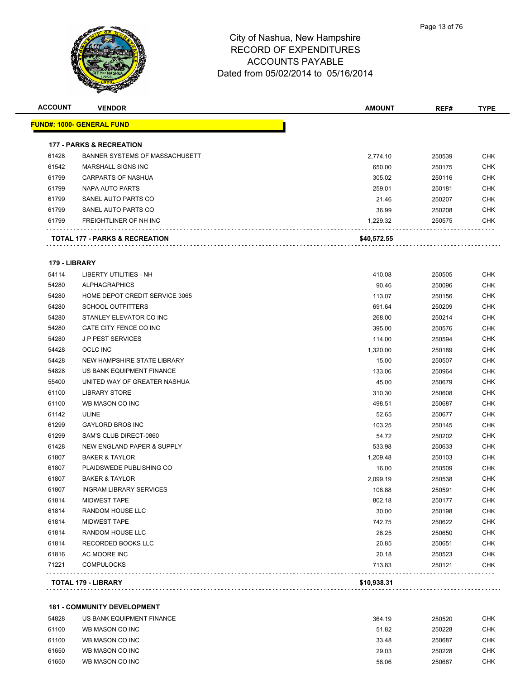

|               |                                     |             | REF#   | <b>TYPE</b> |
|---------------|-------------------------------------|-------------|--------|-------------|
|               | <u> FUND#: 1000- GENERAL FUND</u>   |             |        |             |
|               | <b>177 - PARKS &amp; RECREATION</b> |             |        |             |
| 61428         | BANNER SYSTEMS OF MASSACHUSETT      | 2,774.10    | 250539 | <b>CHK</b>  |
| 61542         | MARSHALL SIGNS INC                  | 650.00      | 250175 | <b>CHK</b>  |
| 61799         | <b>CARPARTS OF NASHUA</b>           | 305.02      | 250116 | <b>CHK</b>  |
| 61799         | NAPA AUTO PARTS                     | 259.01      | 250181 | CHK         |
| 61799         | SANEL AUTO PARTS CO                 | 21.46       | 250207 | <b>CHK</b>  |
| 61799         | SANEL AUTO PARTS CO                 | 36.99       | 250208 | <b>CHK</b>  |
| 61799         | FREIGHTLINER OF NH INC              | 1,229.32    | 250575 | <b>CHK</b>  |
|               | TOTAL 177 - PARKS & RECREATION      | \$40,572.55 |        |             |
| 179 - LIBRARY |                                     |             |        |             |
| 54114         | <b>LIBERTY UTILITIES - NH</b>       | 410.08      | 250505 | <b>CHK</b>  |
| 54280         | <b>ALPHAGRAPHICS</b>                | 90.46       | 250096 | <b>CHK</b>  |
| 54280         | HOME DEPOT CREDIT SERVICE 3065      | 113.07      | 250156 | <b>CHK</b>  |
| 54280         | <b>SCHOOL OUTFITTERS</b>            | 691.64      | 250209 | <b>CHK</b>  |
| 54280         | STANLEY ELEVATOR CO INC             | 268.00      | 250214 | <b>CHK</b>  |
| 54280         | GATE CITY FENCE CO INC              | 395.00      | 250576 | <b>CHK</b>  |
| 54280         | <b>JP PEST SERVICES</b>             | 114.00      | 250594 | <b>CHK</b>  |
| 54428         | <b>OCLC INC</b>                     | 1,320.00    | 250189 | <b>CHK</b>  |
| 54428         | NEW HAMPSHIRE STATE LIBRARY         | 15.00       | 250507 | <b>CHK</b>  |
| 54828         | US BANK EQUIPMENT FINANCE           | 133.06      | 250964 | <b>CHK</b>  |
| 55400         | UNITED WAY OF GREATER NASHUA        | 45.00       | 250679 | <b>CHK</b>  |
| 61100         | <b>LIBRARY STORE</b>                | 310.30      | 250608 | <b>CHK</b>  |
| 61100         | WB MASON CO INC                     | 498.51      | 250687 | <b>CHK</b>  |
| 61142         | <b>ULINE</b>                        | 52.65       | 250677 | <b>CHK</b>  |
| 61299         | <b>GAYLORD BROS INC</b>             | 103.25      | 250145 | CHK         |
| 61299         | SAM'S CLUB DIRECT-0860              | 54.72       | 250202 | <b>CHK</b>  |
| 61428         | NEW ENGLAND PAPER & SUPPLY          | 533.98      | 250633 | <b>CHK</b>  |
| 61807         | <b>BAKER &amp; TAYLOR</b>           | 1,209.48    | 250103 | <b>CHK</b>  |
| 61807         | PLAIDSWEDE PUBLISHING CO            | 16.00       | 250509 | <b>CHK</b>  |
| 61807         | <b>BAKER &amp; TAYLOR</b>           | 2,099.19    | 250538 | <b>CHK</b>  |
| 61807         | <b>INGRAM LIBRARY SERVICES</b>      | 108.88      | 250591 | CHK         |
| 61814         | <b>MIDWEST TAPE</b>                 | 802.18      | 250177 | <b>CHK</b>  |
| 61814         | <b>RANDOM HOUSE LLC</b>             | 30.00       | 250198 | <b>CHK</b>  |
| 61814         | <b>MIDWEST TAPE</b>                 | 742.75      | 250622 | <b>CHK</b>  |
| 61814         | <b>RANDOM HOUSE LLC</b>             | 26.25       | 250650 | <b>CHK</b>  |
| 61814         | RECORDED BOOKS LLC                  | 20.85       | 250651 | <b>CHK</b>  |
| 61816         | AC MOORE INC                        | 20.18       | 250523 | <b>CHK</b>  |
| 71221         | <b>COMPULOCKS</b>                   | 713.83      | 250121 | <b>CHK</b>  |
|               |                                     |             |        |             |

#### **181 - COMMUNITY DEVELOPMENT**

| 54828 | US BANK EQUIPMENT FINANCE | 364.19 | 250520 | СНК |
|-------|---------------------------|--------|--------|-----|
| 61100 | WB MASON CO INC           | 51.82  | 250228 | снк |
| 61100 | WB MASON CO INC           | 33.48  | 250687 | СНК |
| 61650 | WB MASON CO INC           | 29.03  | 250228 | снк |
| 61650 | WB MASON CO INC           | 58.06  | 250687 | снк |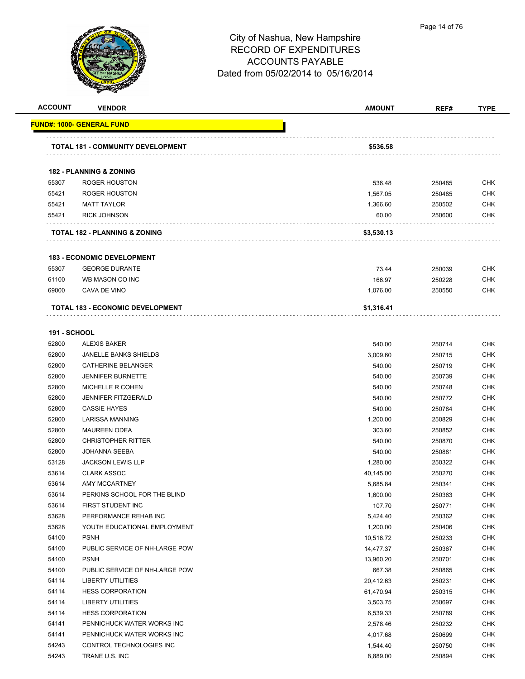

| <b>ACCOUNT</b>      | <b>VENDOR</b>                            | <b>AMOUNT</b> | REF#   | <b>TYPE</b> |
|---------------------|------------------------------------------|---------------|--------|-------------|
|                     | FUND#: 1000- GENERAL FUND                |               |        |             |
|                     | <b>TOTAL 181 - COMMUNITY DEVELOPMENT</b> | \$536.58      |        |             |
|                     | <b>182 - PLANNING &amp; ZONING</b>       |               |        |             |
| 55307               | ROGER HOUSTON                            | 536.48        | 250485 | <b>CHK</b>  |
| 55421               | ROGER HOUSTON                            | 1,567.05      | 250485 | <b>CHK</b>  |
| 55421               | <b>MATT TAYLOR</b>                       | 1,366.60      | 250502 | <b>CHK</b>  |
| 55421               | <b>RICK JOHNSON</b>                      | 60.00         | 250600 | <b>CHK</b>  |
|                     | TOTAL 182 - PLANNING & ZONING            | \$3,530.13    |        |             |
|                     | <b>183 - ECONOMIC DEVELOPMENT</b>        |               |        |             |
| 55307               | <b>GEORGE DURANTE</b>                    | 73.44         | 250039 | <b>CHK</b>  |
| 61100               | WB MASON CO INC                          | 166.97        | 250228 | <b>CHK</b>  |
| 69000               | CAVA DE VINO                             | 1,076.00      | 250550 | <b>CHK</b>  |
|                     | TOTAL 183 - ECONOMIC DEVELOPMENT         | \$1,316.41    |        |             |
|                     |                                          |               |        |             |
| <b>191 - SCHOOL</b> |                                          |               |        |             |
| 52800               | <b>ALEXIS BAKER</b>                      | 540.00        | 250714 | <b>CHK</b>  |
| 52800               | <b>JANELLE BANKS SHIELDS</b>             | 3,009.60      | 250715 | <b>CHK</b>  |
| 52800               | CATHERINE BELANGER                       | 540.00        | 250719 | <b>CHK</b>  |
| 52800               | <b>JENNIFER BURNETTE</b>                 | 540.00        | 250739 | <b>CHK</b>  |
| 52800               | MICHELLE R COHEN                         | 540.00        | 250748 | <b>CHK</b>  |
| 52800               | <b>JENNIFER FITZGERALD</b>               | 540.00        | 250772 | <b>CHK</b>  |
| 52800               | <b>CASSIE HAYES</b>                      | 540.00        | 250784 | <b>CHK</b>  |
| 52800               | LARISSA MANNING                          | 1,200.00      | 250829 | <b>CHK</b>  |
| 52800               | <b>MAUREEN ODEA</b>                      | 303.60        | 250852 | <b>CHK</b>  |
| 52800               | <b>CHRISTOPHER RITTER</b>                | 540.00        | 250870 | <b>CHK</b>  |
| 52800               | <b>JOHANNA SEEBA</b>                     | 540.00        | 250881 | <b>CHK</b>  |
| 53128               | <b>JACKSON LEWIS LLP</b>                 | 1,280.00      | 250322 | <b>CHK</b>  |
| 53614               | <b>CLARK ASSOC</b>                       | 40,145.00     | 250270 | <b>CHK</b>  |
| 53614               | <b>AMY MCCARTNEY</b>                     | 5,685.84      | 250341 | <b>CHK</b>  |
| 53614               | PERKINS SCHOOL FOR THE BLIND             | 1,600.00      | 250363 | <b>CHK</b>  |
| 53614               | FIRST STUDENT INC                        | 107.70        | 250771 | <b>CHK</b>  |
| 53628               | PERFORMANCE REHAB INC                    | 5,424.40      | 250362 | <b>CHK</b>  |
| 53628               | YOUTH EDUCATIONAL EMPLOYMENT             | 1,200.00      | 250406 | <b>CHK</b>  |
| 54100               | <b>PSNH</b>                              | 10,516.72     | 250233 | <b>CHK</b>  |
| 54100               | PUBLIC SERVICE OF NH-LARGE POW           | 14,477.37     | 250367 | <b>CHK</b>  |
| 54100               | <b>PSNH</b>                              | 13,960.20     | 250701 | <b>CHK</b>  |
| 54100               | PUBLIC SERVICE OF NH-LARGE POW           | 667.38        | 250865 | <b>CHK</b>  |
| 54114               | LIBERTY UTILITIES                        | 20,412.63     | 250231 | <b>CHK</b>  |
| 54114               | <b>HESS CORPORATION</b>                  | 61,470.94     | 250315 | <b>CHK</b>  |
| 54114               | LIBERTY UTILITIES                        | 3,503.75      | 250697 | <b>CHK</b>  |
| 54114               | <b>HESS CORPORATION</b>                  | 6,539.33      | 250789 | <b>CHK</b>  |
| 54141               | PENNICHUCK WATER WORKS INC               | 2,578.46      | 250232 | <b>CHK</b>  |
| 54141               | PENNICHUCK WATER WORKS INC               | 4,017.68      | 250699 | CHK         |
| 54243               | CONTROL TECHNOLOGIES INC                 | 1,544.40      | 250750 | <b>CHK</b>  |
| 54243               | TRANE U.S. INC                           | 8,889.00      | 250894 | <b>CHK</b>  |
|                     |                                          |               |        |             |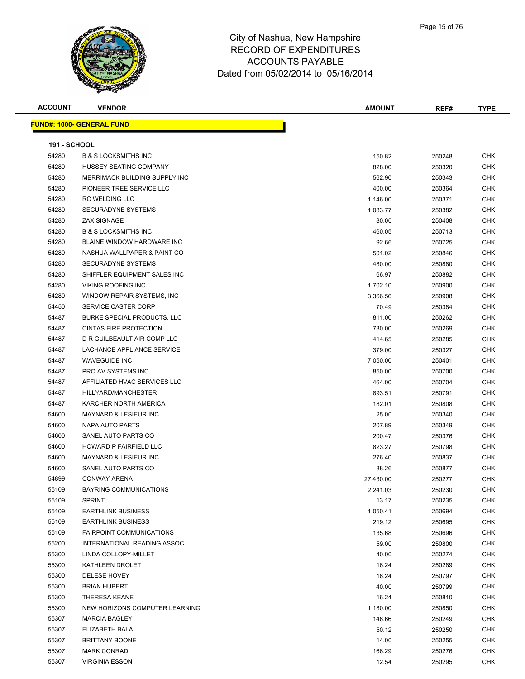

| <b>ACCOUNT</b>      | <b>VENDOR</b>                      | <b>AMOUNT</b> | REF#   | <b>TYPE</b> |
|---------------------|------------------------------------|---------------|--------|-------------|
|                     | <b>FUND#: 1000- GENERAL FUND</b>   |               |        |             |
|                     |                                    |               |        |             |
| <b>191 - SCHOOL</b> |                                    |               |        |             |
| 54280               | <b>B &amp; S LOCKSMITHS INC</b>    | 150.82        | 250248 | <b>CHK</b>  |
| 54280               | HUSSEY SEATING COMPANY             | 828.00        | 250320 | <b>CHK</b>  |
| 54280               | MERRIMACK BUILDING SUPPLY INC      | 562.90        | 250343 | <b>CHK</b>  |
| 54280               | PIONEER TREE SERVICE LLC           | 400.00        | 250364 | <b>CHK</b>  |
| 54280               | <b>RC WELDING LLC</b>              | 1,146.00      | 250371 | <b>CHK</b>  |
| 54280               | <b>SECURADYNE SYSTEMS</b>          | 1,083.77      | 250382 | <b>CHK</b>  |
| 54280               | <b>ZAX SIGNAGE</b>                 | 80.00         | 250408 | <b>CHK</b>  |
| 54280               | <b>B &amp; S LOCKSMITHS INC</b>    | 460.05        | 250713 | <b>CHK</b>  |
| 54280               | BLAINE WINDOW HARDWARE INC         | 92.66         | 250725 | <b>CHK</b>  |
| 54280               | NASHUA WALLPAPER & PAINT CO        | 501.02        | 250846 | <b>CHK</b>  |
| 54280               | <b>SECURADYNE SYSTEMS</b>          | 480.00        | 250880 | <b>CHK</b>  |
| 54280               | SHIFFLER EQUIPMENT SALES INC       | 66.97         | 250882 | <b>CHK</b>  |
| 54280               | <b>VIKING ROOFING INC</b>          | 1,702.10      | 250900 | <b>CHK</b>  |
| 54280               | WINDOW REPAIR SYSTEMS, INC.        | 3,366.56      | 250908 | <b>CHK</b>  |
| 54450               | SERVICE CASTER CORP                | 70.49         | 250384 | <b>CHK</b>  |
| 54487               | <b>BURKE SPECIAL PRODUCTS, LLC</b> | 811.00        | 250262 | <b>CHK</b>  |
| 54487               | <b>CINTAS FIRE PROTECTION</b>      | 730.00        | 250269 | <b>CHK</b>  |
| 54487               | D R GUILBEAULT AIR COMP LLC        | 414.65        | 250285 | <b>CHK</b>  |
| 54487               | LACHANCE APPLIANCE SERVICE         | 379.00        | 250327 | <b>CHK</b>  |
| 54487               | <b>WAVEGUIDE INC</b>               | 7,050.00      | 250401 | CHK         |
| 54487               | PRO AV SYSTEMS INC                 | 850.00        | 250700 | <b>CHK</b>  |
| 54487               | AFFILIATED HVAC SERVICES LLC       | 464.00        | 250704 | <b>CHK</b>  |
| 54487               | HILLYARD/MANCHESTER                | 893.51        | 250791 | <b>CHK</b>  |
| 54487               | KARCHER NORTH AMERICA              | 182.01        | 250808 | <b>CHK</b>  |
| 54600               | <b>MAYNARD &amp; LESIEUR INC</b>   | 25.00         | 250340 | <b>CHK</b>  |
| 54600               | NAPA AUTO PARTS                    | 207.89        | 250349 | <b>CHK</b>  |
| 54600               | SANEL AUTO PARTS CO                | 200.47        | 250376 | <b>CHK</b>  |
| 54600               | HOWARD P FAIRFIELD LLC             | 823.27        | 250798 | <b>CHK</b>  |
| 54600               | <b>MAYNARD &amp; LESIEUR INC</b>   | 276.40        | 250837 | <b>CHK</b>  |
| 54600               | SANEL AUTO PARTS CO                | 88.26         | 250877 | <b>CHK</b>  |
| 54899               | <b>CONWAY ARENA</b>                | 27,430.00     | 250277 | CHK         |
| 55109               | <b>BAYRING COMMUNICATIONS</b>      | 2,241.03      | 250230 | CHK         |
| 55109               | <b>SPRINT</b>                      | 13.17         | 250235 | <b>CHK</b>  |
| 55109               | <b>EARTHLINK BUSINESS</b>          | 1,050.41      | 250694 | <b>CHK</b>  |
| 55109               | <b>EARTHLINK BUSINESS</b>          | 219.12        | 250695 | CHK         |
| 55109               | <b>FAIRPOINT COMMUNICATIONS</b>    | 135.68        | 250696 | CHK         |
| 55200               | INTERNATIONAL READING ASSOC        | 59.00         | 250800 | CHK         |
| 55300               | LINDA COLLOPY-MILLET               | 40.00         | 250274 | CHK         |
| 55300               | KATHLEEN DROLET                    | 16.24         | 250289 | <b>CHK</b>  |
| 55300               | DELESE HOVEY                       | 16.24         | 250797 | CHK         |
| 55300               | <b>BRIAN HUBERT</b>                | 40.00         | 250799 | CHK         |
| 55300               | <b>THERESA KEANE</b>               | 16.24         | 250810 | CHK         |
| 55300               | NEW HORIZONS COMPUTER LEARNING     | 1,180.00      | 250850 | CHK         |
| 55307               | <b>MARCIA BAGLEY</b>               | 146.66        | 250249 | CHK         |
| 55307               | ELIZABETH BALA                     | 50.12         | 250250 | <b>CHK</b>  |
| 55307               | <b>BRITTANY BOONE</b>              | 14.00         | 250255 | CHK         |
| 55307               | <b>MARK CONRAD</b>                 | 166.29        | 250276 | CHK         |
| 55307               | <b>VIRGINIA ESSON</b>              | 12.54         | 250295 | <b>CHK</b>  |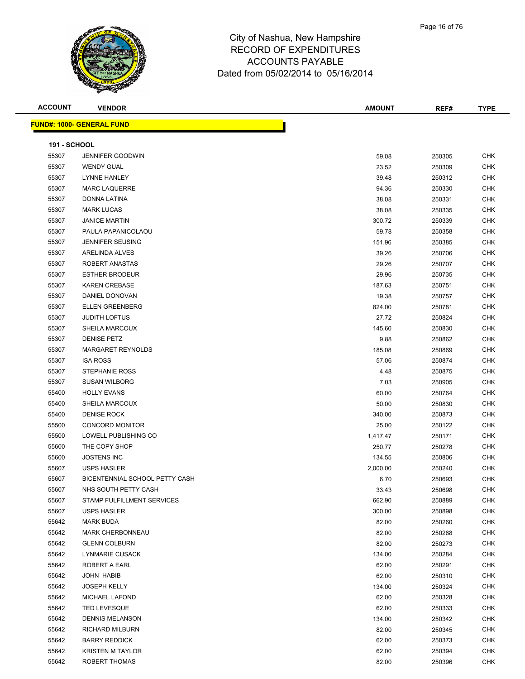

| <b>ACCOUNT</b>      | <b>VENDOR</b>                    | <b>AMOUNT</b> | REF#   | <b>TYPE</b> |
|---------------------|----------------------------------|---------------|--------|-------------|
|                     | <b>FUND#: 1000- GENERAL FUND</b> |               |        |             |
| <b>191 - SCHOOL</b> |                                  |               |        |             |
| 55307               | <b>JENNIFER GOODWIN</b>          | 59.08         | 250305 | <b>CHK</b>  |
| 55307               | <b>WENDY GUAL</b>                | 23.52         | 250309 | <b>CHK</b>  |
| 55307               | <b>LYNNE HANLEY</b>              | 39.48         | 250312 | CHK         |
| 55307               | <b>MARC LAQUERRE</b>             | 94.36         | 250330 | <b>CHK</b>  |
| 55307               | <b>DONNA LATINA</b>              | 38.08         | 250331 | <b>CHK</b>  |
| 55307               | <b>MARK LUCAS</b>                | 38.08         | 250335 | <b>CHK</b>  |
| 55307               | <b>JANICE MARTIN</b>             | 300.72        | 250339 | CHK         |
| 55307               | PAULA PAPANICOLAOU               | 59.78         | 250358 | <b>CHK</b>  |
| 55307               | <b>JENNIFER SEUSING</b>          | 151.96        | 250385 | CHK         |
| 55307               | <b>ARELINDA ALVES</b>            | 39.26         | 250706 | CHK         |
| 55307               | ROBERT ANASTAS                   | 29.26         | 250707 | CHK         |
| 55307               | <b>ESTHER BRODEUR</b>            | 29.96         | 250735 | <b>CHK</b>  |
| 55307               | <b>KAREN CREBASE</b>             | 187.63        | 250751 | <b>CHK</b>  |
| 55307               | DANIEL DONOVAN                   | 19.38         | 250757 | CHK         |
| 55307               | <b>ELLEN GREENBERG</b>           | 824.00        | 250781 | <b>CHK</b>  |
| 55307               | <b>JUDITH LOFTUS</b>             | 27.72         | 250824 | <b>CHK</b>  |
| 55307               | SHEILA MARCOUX                   | 145.60        | 250830 | CHK         |
| 55307               | <b>DENISE PETZ</b>               | 9.88          | 250862 | CHK         |
| 55307               | MARGARET REYNOLDS                | 185.08        | 250869 | <b>CHK</b>  |
| 55307               | <b>ISA ROSS</b>                  | 57.06         | 250874 | <b>CHK</b>  |
| 55307               | <b>STEPHANIE ROSS</b>            | 4.48          | 250875 | CHK         |
| 55307               | <b>SUSAN WILBORG</b>             | 7.03          | 250905 | <b>CHK</b>  |
| 55400               | <b>HOLLY EVANS</b>               | 60.00         | 250764 | <b>CHK</b>  |
| 55400               | <b>SHEILA MARCOUX</b>            | 50.00         | 250830 | <b>CHK</b>  |
| 55400               | <b>DENISE ROCK</b>               | 340.00        | 250873 | CHK         |
| 55500               | <b>CONCORD MONITOR</b>           | 25.00         | 250122 | <b>CHK</b>  |
| 55500               | LOWELL PUBLISHING CO             | 1,417.47      | 250171 | CHK         |
| 55600               | THE COPY SHOP                    | 250.77        | 250278 | <b>CHK</b>  |
| 55600               | <b>JOSTENS INC</b>               | 134.55        | 250806 | CHK         |
| 55607               | <b>USPS HASLER</b>               | 2,000.00      | 250240 | <b>CHK</b>  |
| 55607               | BICENTENNIAL SCHOOL PETTY CASH   | 6.70          | 250693 | <b>CHK</b>  |
| 55607               | NHS SOUTH PETTY CASH             | 33.43         | 250698 | <b>CHK</b>  |
| 55607               | STAMP FULFILLMENT SERVICES       | 662.90        | 250889 | CHK         |
| 55607               | <b>USPS HASLER</b>               | 300.00        | 250898 | <b>CHK</b>  |
| 55642               | <b>MARK BUDA</b>                 | 82.00         | 250260 | <b>CHK</b>  |

 MARK CHERBONNEAU 82.00 250268 CHK GLENN COLBURN 82.00 250273 CHK LYNMARIE CUSACK 134.00 250284 CHK ROBERT A EARL 62.00 250291 CHK JOHN HABIB 62.00 250310 CHK JOSEPH KELLY 134.00 250324 CHK MICHAEL LAFOND 62.00 250328 CHK TED LEVESQUE 62.00 250333 CHK DENNIS MELANSON 134.00 250342 CHK RICHARD MILBURN 82.00 250345 CHK BARRY REDDICK 62.00 250373 CHK KRISTEN M TAYLOR 62.00 250394 CHK ROBERT THOMAS 82.00 250396 CHK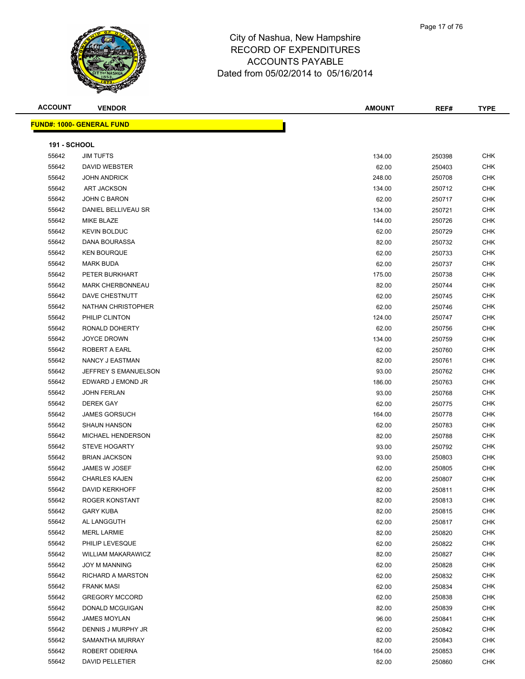

 FRANK MASI 62.00 250834 CHK GREGORY MCCORD 62.00 250838 CHK DONALD MCGUIGAN 82.00 250839 CHK JAMES MOYLAN 96.00 250841 CHK DENNIS J MURPHY JR 62.00 250842 CHK SAMANTHA MURRAY 82.00 250843 CHK ROBERT ODIERNA 164.00 250853 CHK DAVID PELLETIER 82.00 250860 CHK

**FUND#: 1000- GENERAL FUND**

| <b>ACCOUNT</b>      | <b>VENDOR</b>                         | <b>AMOUNT</b> | REF#   | <b>TYPE</b> |
|---------------------|---------------------------------------|---------------|--------|-------------|
|                     | <mark>JND#: 1000- GENERAL FUND</mark> |               |        |             |
|                     |                                       |               |        |             |
| <b>191 - SCHOOL</b> |                                       |               |        |             |
| 55642               | <b>JIM TUFTS</b>                      | 134.00        | 250398 | <b>CHK</b>  |
| 55642               | <b>DAVID WEBSTER</b>                  | 62.00         | 250403 | <b>CHK</b>  |
| 55642               | <b>JOHN ANDRICK</b>                   | 248.00        | 250708 | <b>CHK</b>  |
| 55642               | <b>ART JACKSON</b>                    | 134.00        | 250712 | <b>CHK</b>  |
| 55642               | <b>JOHN C BARON</b>                   | 62.00         | 250717 | <b>CHK</b>  |
| 55642               | DANIEL BELLIVEAU SR                   | 134.00        | 250721 | <b>CHK</b>  |
| 55642               | MIKE BLAZE                            | 144.00        | 250726 | <b>CHK</b>  |
| 55642               | <b>KEVIN BOLDUC</b>                   | 62.00         | 250729 | <b>CHK</b>  |
| 55642               | DANA BOURASSA                         | 82.00         | 250732 | <b>CHK</b>  |
| 55642               | <b>KEN BOURQUE</b>                    | 62.00         | 250733 | <b>CHK</b>  |
| 55642               | <b>MARK BUDA</b>                      | 62.00         | 250737 | <b>CHK</b>  |
| 55642               | PETER BURKHART                        | 175.00        | 250738 | <b>CHK</b>  |
| 55642               | <b>MARK CHERBONNEAU</b>               | 82.00         | 250744 | <b>CHK</b>  |
| 55642               | DAVE CHESTNUTT                        | 62.00         | 250745 | <b>CHK</b>  |
| 55642               | NATHAN CHRISTOPHER                    | 62.00         | 250746 | <b>CHK</b>  |
| 55642               | PHILIP CLINTON                        | 124.00        | 250747 | <b>CHK</b>  |
| 55642               | RONALD DOHERTY                        | 62.00         | 250756 | <b>CHK</b>  |
| 55642               | <b>JOYCE DROWN</b>                    | 134.00        | 250759 | <b>CHK</b>  |
| 55642               | ROBERT A EARL                         | 62.00         | 250760 | <b>CHK</b>  |
| 55642               | NANCY J EASTMAN                       | 82.00         | 250761 | <b>CHK</b>  |
| 55642               | JEFFREY S EMANUELSON                  | 93.00         | 250762 | <b>CHK</b>  |
| 55642               | EDWARD J EMOND JR                     | 186.00        | 250763 | <b>CHK</b>  |
| 55642               | <b>JOHN FERLAN</b>                    | 93.00         | 250768 | <b>CHK</b>  |
| 55642               | <b>DEREK GAY</b>                      | 62.00         | 250775 | <b>CHK</b>  |
| 55642               | <b>JAMES GORSUCH</b>                  | 164.00        | 250778 | <b>CHK</b>  |
| 55642               | <b>SHAUN HANSON</b>                   | 62.00         | 250783 | <b>CHK</b>  |
| 55642               | <b>MICHAEL HENDERSON</b>              | 82.00         | 250788 | <b>CHK</b>  |
| 55642               | <b>STEVE HOGARTY</b>                  | 93.00         | 250792 | <b>CHK</b>  |
| 55642               | <b>BRIAN JACKSON</b>                  | 93.00         | 250803 | <b>CHK</b>  |
| 55642               | JAMES W JOSEF                         | 62.00         | 250805 | <b>CHK</b>  |
| 55642               | <b>CHARLES KAJEN</b>                  | 62.00         | 250807 | <b>CHK</b>  |
| 55642               | <b>DAVID KERKHOFF</b>                 | 82.00         | 250811 | <b>CHK</b>  |
| 55642               | <b>ROGER KONSTANT</b>                 | 82.00         | 250813 | <b>CHK</b>  |
| 55642               | <b>GARY KUBA</b>                      | 82.00         | 250815 | <b>CHK</b>  |
| 55642               | AL LANGGUTH                           | 62.00         | 250817 | <b>CHK</b>  |
| 55642               | <b>MERL LARMIE</b>                    | 82.00         | 250820 | <b>CHK</b>  |
| 55642               | PHILIP LEVESQUE                       | 62.00         | 250822 | <b>CHK</b>  |
| 55642               | <b>WILLIAM MAKARAWICZ</b>             | 82.00         | 250827 | <b>CHK</b>  |
| 55642               | JOY M MANNING                         | 62.00         | 250828 | <b>CHK</b>  |
| 55642               | RICHARD A MARSTON                     | 62.00         | 250832 | <b>CHK</b>  |
|                     |                                       |               |        |             |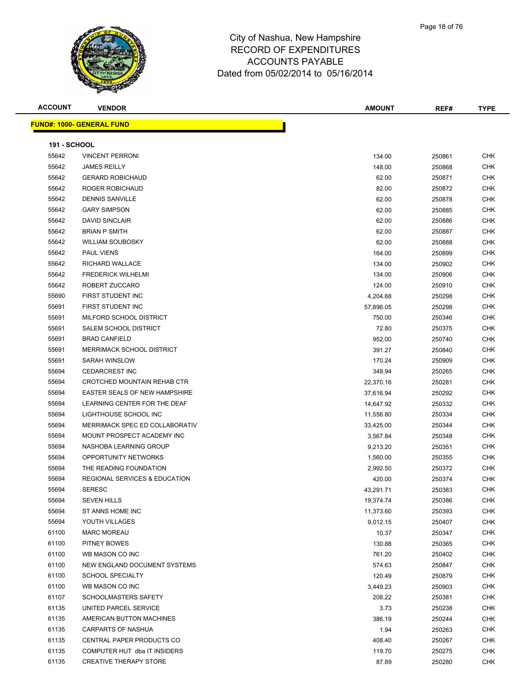

| <b>ACCOUNT</b>                    | <b>VENDOR</b> |  | <b>AMOUNT</b> | REF# | <b>TYPE</b> |
|-----------------------------------|---------------|--|---------------|------|-------------|
| <u>  IND#: 1000- GENERAL FUND</u> |               |  |               |      |             |
|                                   |               |  |               |      |             |

| <b>191 - SCHOOL</b> |                                          |           |        |            |
|---------------------|------------------------------------------|-----------|--------|------------|
| 55642               | <b>VINCENT PERRONI</b>                   | 134.00    | 250861 | <b>CHK</b> |
| 55642               | <b>JAMES REILLY</b>                      | 148.00    | 250868 | <b>CHK</b> |
| 55642               | <b>GERARD ROBICHAUD</b>                  | 62.00     | 250871 | <b>CHK</b> |
| 55642               | ROGER ROBICHAUD                          | 82.00     | 250872 | <b>CHK</b> |
| 55642               | <b>DENNIS SANVILLE</b>                   | 62.00     | 250878 | <b>CHK</b> |
| 55642               | <b>GARY SIMPSON</b>                      | 62.00     | 250885 | <b>CHK</b> |
| 55642               | <b>DAVID SINCLAIR</b>                    | 62.00     | 250886 | <b>CHK</b> |
| 55642               | <b>BRIAN P SMITH</b>                     | 62.00     | 250887 | <b>CHK</b> |
| 55642               | <b>WILLIAM SOUBOSKY</b>                  | 62.00     | 250888 | <b>CHK</b> |
| 55642               | PAUL VIENS                               | 164.00    | 250899 | <b>CHK</b> |
| 55642               | RICHARD WALLACE                          | 134.00    | 250902 | <b>CHK</b> |
| 55642               | <b>FREDERICK WILHELMI</b>                | 134.00    | 250906 | <b>CHK</b> |
| 55642               | ROBERT ZUCCARO                           | 124.00    | 250910 | <b>CHK</b> |
| 55690               | FIRST STUDENT INC                        | 4,204.68  | 250298 | <b>CHK</b> |
| 55691               | <b>FIRST STUDENT INC</b>                 | 57,896.05 | 250298 | <b>CHK</b> |
| 55691               | MILFORD SCHOOL DISTRICT                  | 750.00    | 250346 | <b>CHK</b> |
| 55691               | SALEM SCHOOL DISTRICT                    | 72.80     | 250375 | <b>CHK</b> |
| 55691               | <b>BRAD CANFIELD</b>                     | 952.00    | 250740 | <b>CHK</b> |
| 55691               | <b>MERRIMACK SCHOOL DISTRICT</b>         | 391.27    | 250840 | <b>CHK</b> |
| 55691               | SARAH WINSLOW                            | 170.24    | 250909 | <b>CHK</b> |
| 55694               | <b>CEDARCREST INC</b>                    | 348.94    | 250265 | <b>CHK</b> |
| 55694               | CROTCHED MOUNTAIN REHAB CTR              | 22,370.16 | 250281 | <b>CHK</b> |
| 55694               | <b>EASTER SEALS OF NEW HAMPSHIRE</b>     | 37,616.94 | 250292 | <b>CHK</b> |
| 55694               | LEARNING CENTER FOR THE DEAF             | 14,647.92 | 250332 | <b>CHK</b> |
| 55694               | LIGHTHOUSE SCHOOL INC                    | 11,556.80 | 250334 | <b>CHK</b> |
| 55694               | MERRIMACK SPEC ED COLLABORATIV           | 33,425.00 | 250344 | CHK        |
| 55694               | MOUNT PROSPECT ACADEMY INC               | 3,567.84  | 250348 | <b>CHK</b> |
| 55694               | NASHOBA LEARNING GROUP                   | 9,213.20  | 250351 | <b>CHK</b> |
| 55694               | OPPORTUNITY NETWORKS                     | 1,560.00  | 250355 | <b>CHK</b> |
| 55694               | THE READING FOUNDATION                   | 2,992.50  | 250372 | <b>CHK</b> |
| 55694               | <b>REGIONAL SERVICES &amp; EDUCATION</b> | 420.00    | 250374 | <b>CHK</b> |
| 55694               | <b>SERESC</b>                            | 43,291.71 | 250383 | CHK        |
| 55694               | <b>SEVEN HILLS</b>                       | 19,374.74 | 250386 | <b>CHK</b> |
| 55694               | ST ANNS HOME INC                         | 11,373.60 | 250393 | <b>CHK</b> |
| 55694               | YOUTH VILLAGES                           | 9,012.15  | 250407 | <b>CHK</b> |
| 61100               | <b>MARC MOREAU</b>                       | 10.37     | 250347 | <b>CHK</b> |
| 61100               | PITNEY BOWES                             | 130.88    | 250365 | <b>CHK</b> |
| 61100               | WB MASON CO INC                          | 761.20    | 250402 | <b>CHK</b> |
| 61100               | NEW ENGLAND DOCUMENT SYSTEMS             | 574.63    | 250847 | <b>CHK</b> |
| 61100               | <b>SCHOOL SPECIALTY</b>                  | 120.49    | 250879 | <b>CHK</b> |
| 61100               | WB MASON CO INC                          | 3,449.23  | 250903 | <b>CHK</b> |
| 61107               | SCHOOLMASTERS SAFETY                     | 208.22    | 250381 | <b>CHK</b> |
| 61135               | UNITED PARCEL SERVICE                    | 3.73      | 250238 | <b>CHK</b> |
| 61135               | AMERICAN BUTTON MACHINES                 | 386.19    | 250244 | <b>CHK</b> |
| 61135               | CARPARTS OF NASHUA                       | 1.94      | 250263 | <b>CHK</b> |
| 61135               | CENTRAL PAPER PRODUCTS CO                | 408.40    | 250267 | <b>CHK</b> |
| 61135               | COMPUTER HUT dba IT INSIDERS             | 119.70    | 250275 | <b>CHK</b> |
| 61135               | <b>CREATIVE THERAPY STORE</b>            | 87.89     | 250280 | <b>CHK</b> |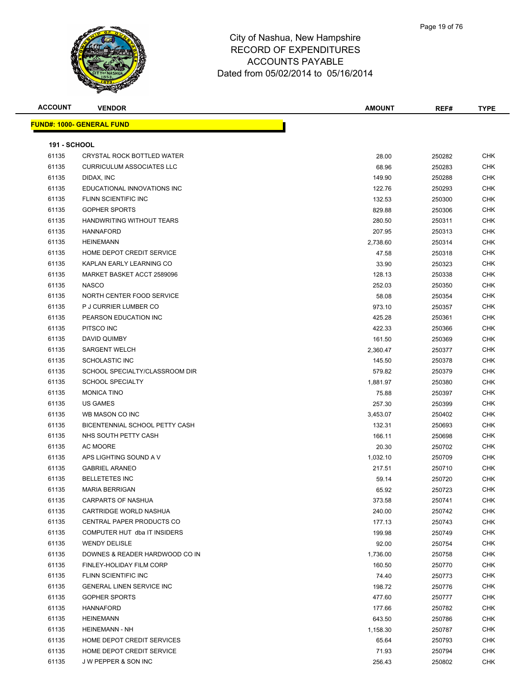

| <b>ACCOUNT</b>      | <b>VENDOR</b>                                        | <b>AMOUNT</b>      | REF#   | <b>TYPE</b>       |
|---------------------|------------------------------------------------------|--------------------|--------|-------------------|
|                     | <b>FUND#: 1000- GENERAL FUND</b>                     |                    |        |                   |
| <b>191 - SCHOOL</b> |                                                      |                    |        |                   |
| 61135               | CRYSTAL ROCK BOTTLED WATER                           | 28.00              | 250282 | <b>CHK</b>        |
| 61135               | <b>CURRICULUM ASSOCIATES LLC</b>                     | 68.96              | 250283 | <b>CHK</b>        |
| 61135               | DIDAX, INC                                           | 149.90             | 250288 | CHK               |
| 61135               | EDUCATIONAL INNOVATIONS INC                          | 122.76             | 250293 | <b>CHK</b>        |
| 61135               | FLINN SCIENTIFIC INC                                 | 132.53             | 250300 | <b>CHK</b>        |
| 61135               | <b>GOPHER SPORTS</b>                                 | 829.88             | 250306 | CHK               |
| 61135               | HANDWRITING WITHOUT TEARS                            | 280.50             | 250311 | <b>CHK</b>        |
| 61135               | <b>HANNAFORD</b>                                     | 207.95             | 250313 | <b>CHK</b>        |
| 61135               | <b>HEINEMANN</b>                                     | 2,738.60           | 250314 | <b>CHK</b>        |
| 61135               | HOME DEPOT CREDIT SERVICE                            | 47.58              | 250318 | <b>CHK</b>        |
| 61135               | KAPLAN EARLY LEARNING CO                             | 33.90              | 250323 | CHK               |
| 61135               | MARKET BASKET ACCT 2589096                           | 128.13             | 250338 | CHK               |
| 61135               | <b>NASCO</b>                                         | 252.03             | 250350 | <b>CHK</b>        |
| 61135               | NORTH CENTER FOOD SERVICE                            | 58.08              | 250354 | CHK               |
| 61135               | P J CURRIER LUMBER CO                                | 973.10             | 250357 | <b>CHK</b>        |
| 61135               | PEARSON EDUCATION INC                                | 425.28             | 250361 | <b>CHK</b>        |
| 61135               | PITSCO INC                                           | 422.33             | 250366 | CHK               |
| 61135               | DAVID QUIMBY                                         | 161.50             | 250369 | <b>CHK</b>        |
| 61135               | <b>SARGENT WELCH</b>                                 |                    |        | CHK               |
| 61135               | <b>SCHOLASTIC INC</b>                                | 2,360.47<br>145.50 | 250377 | CHK               |
| 61135               | SCHOOL SPECIALTY/CLASSROOM DIR                       |                    | 250378 | CHK               |
| 61135               | <b>SCHOOL SPECIALTY</b>                              | 579.82             | 250379 | CHK               |
|                     | <b>MONICA TINO</b>                                   | 1,881.97           | 250380 | CHK               |
| 61135<br>61135      | <b>US GAMES</b>                                      | 75.88              | 250397 |                   |
|                     |                                                      | 257.30             | 250399 | <b>CHK</b>        |
| 61135               | WB MASON CO INC                                      | 3,453.07           | 250402 | CHK<br><b>CHK</b> |
| 61135               | BICENTENNIAL SCHOOL PETTY CASH                       | 132.31             | 250693 |                   |
| 61135               | NHS SOUTH PETTY CASH                                 | 166.11             | 250698 | <b>CHK</b>        |
| 61135               | AC MOORE                                             | 20.30              | 250702 | CHK               |
| 61135               | APS LIGHTING SOUND A V                               | 1,032.10           | 250709 | <b>CHK</b>        |
| 61135               | <b>GABRIEL ARANEO</b>                                | 217.51             | 250710 | CHK               |
| 61135               | <b>BELLETETES INC</b>                                | 59.14              | 250720 | CHK               |
| 61135               | <b>MARIA BERRIGAN</b>                                | 65.92              | 250723 | <b>CHK</b>        |
| 61135               | CARPARTS OF NASHUA                                   | 373.58             | 250741 | CHK               |
| 61135               | CARTRIDGE WORLD NASHUA                               | 240.00             | 250742 | CHK               |
| 61135               | CENTRAL PAPER PRODUCTS CO                            | 177.13             | 250743 | CHK               |
| 61135               | COMPUTER HUT dba IT INSIDERS<br><b>WENDY DELISLE</b> | 199.98             | 250749 | CHK               |
| 61135               |                                                      | 92.00              | 250754 | <b>CHK</b>        |
| 61135               | DOWNES & READER HARDWOOD CO IN                       | 1,736.00           | 250758 | CHK               |
| 61135               | FINLEY-HOLIDAY FILM CORP                             | 160.50             | 250770 | <b>CHK</b>        |
| 61135               | FLINN SCIENTIFIC INC                                 | 74.40              | 250773 | <b>CHK</b>        |
| 61135               | <b>GENERAL LINEN SERVICE INC</b>                     | 198.72             | 250776 | CHK               |
| 61135               | <b>GOPHER SPORTS</b>                                 | 477.60             | 250777 | <b>CHK</b>        |
| 61135               | HANNAFORD                                            | 177.66             | 250782 | <b>CHK</b>        |
| 61135               | <b>HEINEMANN</b>                                     | 643.50             | 250786 | CHK               |
| 61135               | <b>HEINEMANN - NH</b>                                | 1,158.30           | 250787 | CHK               |
| 61135               | HOME DEPOT CREDIT SERVICES                           | 65.64              | 250793 | <b>CHK</b>        |
| 61135               | HOME DEPOT CREDIT SERVICE                            | 71.93              | 250794 | CHK               |
| 61135               | J W PEPPER & SON INC                                 | 256.43             | 250802 | <b>CHK</b>        |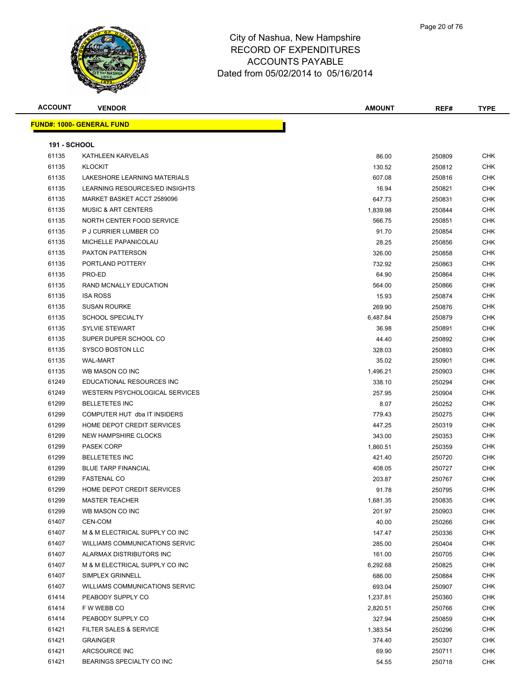

| <b>ACCOUNT</b>      | <b>VENDOR</b>                         | <b>AMOUNT</b> | REF#   | <b>TYPE</b> |
|---------------------|---------------------------------------|---------------|--------|-------------|
|                     | <b>FUND#: 1000- GENERAL FUND</b>      |               |        |             |
|                     |                                       |               |        |             |
| <b>191 - SCHOOL</b> |                                       |               |        |             |
| 61135               | KATHLEEN KARVELAS                     | 86.00         | 250809 | <b>CHK</b>  |
| 61135               | <b>KLOCKIT</b>                        | 130.52        | 250812 | <b>CHK</b>  |
| 61135               | LAKESHORE LEARNING MATERIALS          | 607.08        | 250816 | <b>CHK</b>  |
| 61135               | LEARNING RESOURCES/ED INSIGHTS        | 16.94         | 250821 | <b>CHK</b>  |
| 61135               | MARKET BASKET ACCT 2589096            | 647.73        | 250831 | <b>CHK</b>  |
| 61135               | <b>MUSIC &amp; ART CENTERS</b>        | 1,839.98      | 250844 | <b>CHK</b>  |
| 61135               | NORTH CENTER FOOD SERVICE             | 566.75        | 250851 | <b>CHK</b>  |
| 61135               | P J CURRIER LUMBER CO                 | 91.70         | 250854 | <b>CHK</b>  |
| 61135               | MICHELLE PAPANICOLAU                  | 28.25         | 250856 | <b>CHK</b>  |
| 61135               | <b>PAXTON PATTERSON</b>               | 326.00        | 250858 | <b>CHK</b>  |
| 61135               | PORTLAND POTTERY                      | 732.92        | 250863 | <b>CHK</b>  |
| 61135               | PRO-ED                                | 64.90         | 250864 | <b>CHK</b>  |
| 61135               | RAND MCNALLY EDUCATION                | 564.00        | 250866 | <b>CHK</b>  |
| 61135               | <b>ISA ROSS</b>                       | 15.93         | 250874 | <b>CHK</b>  |
| 61135               | <b>SUSAN ROURKE</b>                   | 269.90        | 250876 | <b>CHK</b>  |
| 61135               | <b>SCHOOL SPECIALTY</b>               | 6,487.84      | 250879 | <b>CHK</b>  |
| 61135               | <b>SYLVIE STEWART</b>                 | 36.98         | 250891 | <b>CHK</b>  |
| 61135               | SUPER DUPER SCHOOL CO                 | 44.40         | 250892 | CHK         |
| 61135               | <b>SYSCO BOSTON LLC</b>               | 328.03        | 250893 | <b>CHK</b>  |
| 61135               | <b>WAL-MART</b>                       | 35.02         | 250901 | <b>CHK</b>  |
| 61135               | WB MASON CO INC                       | 1,496.21      | 250903 | <b>CHK</b>  |
| 61249               | EDUCATIONAL RESOURCES INC             | 338.10        | 250294 | <b>CHK</b>  |
| 61249               | WESTERN PSYCHOLOGICAL SERVICES        | 257.95        | 250904 | <b>CHK</b>  |
| 61299               | <b>BELLETETES INC</b>                 | 8.07          | 250252 | <b>CHK</b>  |
| 61299               | COMPUTER HUT dba IT INSIDERS          | 779.43        | 250275 | <b>CHK</b>  |
| 61299               | HOME DEPOT CREDIT SERVICES            | 447.25        | 250319 | <b>CHK</b>  |
| 61299               | <b>NEW HAMPSHIRE CLOCKS</b>           | 343.00        | 250353 | <b>CHK</b>  |
| 61299               | <b>PASEK CORP</b>                     | 1,860.51      | 250359 | <b>CHK</b>  |
| 61299               | <b>BELLETETES INC</b>                 | 421.40        | 250720 | <b>CHK</b>  |
| 61299               | <b>BLUE TARP FINANCIAL</b>            | 408.05        | 250727 | <b>CHK</b>  |
| 61299               | <b>FASTENAL CO</b>                    | 203.87        | 250767 | CHK         |
| 61299               | HOME DEPOT CREDIT SERVICES            | 91.78         | 250795 | CHK         |
| 61299               | <b>MASTER TEACHER</b>                 | 1,681.35      | 250835 | <b>CHK</b>  |
| 61299               | WB MASON CO INC                       | 201.97        | 250903 | <b>CHK</b>  |
| 61407               | CEN-COM                               | 40.00         | 250266 | <b>CHK</b>  |
| 61407               | M & M ELECTRICAL SUPPLY CO INC        | 147.47        | 250336 | <b>CHK</b>  |
| 61407               | WILLIAMS COMMUNICATIONS SERVIC        | 285.00        | 250404 | CHK         |
| 61407               | ALARMAX DISTRIBUTORS INC              | 161.00        | 250705 | <b>CHK</b>  |
| 61407               | M & M ELECTRICAL SUPPLY CO INC        | 6,292.68      | 250825 | <b>CHK</b>  |
| 61407               | SIMPLEX GRINNELL                      | 686.00        | 250884 | <b>CHK</b>  |
| 61407               | <b>WILLIAMS COMMUNICATIONS SERVIC</b> | 693.04        | 250907 | <b>CHK</b>  |
| 61414               | PEABODY SUPPLY CO                     | 1,237.81      | 250360 | CHK         |
| 61414               | F W WEBB CO                           | 2,820.51      | 250766 | CHK         |
| 61414               | PEABODY SUPPLY CO                     | 327.94        | 250859 | <b>CHK</b>  |
| 61421               | FILTER SALES & SERVICE                | 1,383.54      | 250296 | <b>CHK</b>  |
| 61421               | <b>GRAINGER</b>                       | 374.40        | 250307 | CHK         |
| 61421               | ARCSOURCE INC                         | 69.90         | 250711 | CHK         |
| 61421               | BEARINGS SPECIALTY CO INC             | 54.55         | 250718 | <b>CHK</b>  |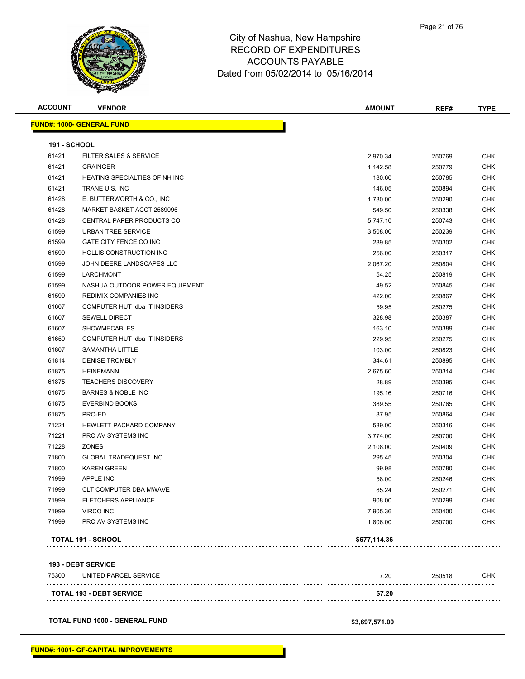

| <b>ACCOUNT</b>      | <b>VENDOR</b>                    | <b>AMOUNT</b> | REF#   | <b>TYPE</b> |
|---------------------|----------------------------------|---------------|--------|-------------|
|                     | <b>FUND#: 1000- GENERAL FUND</b> |               |        |             |
| <b>191 - SCHOOL</b> |                                  |               |        |             |
| 61421               | FILTER SALES & SERVICE           | 2,970.34      | 250769 | <b>CHK</b>  |
| 61421               | <b>GRAINGER</b>                  | 1,142.58      | 250779 | <b>CHK</b>  |
| 61421               | HEATING SPECIALTIES OF NH INC    | 180.60        | 250785 | <b>CHK</b>  |
| 61421               | TRANE U.S. INC                   | 146.05        | 250894 | <b>CHK</b>  |
| 61428               | E. BUTTERWORTH & CO., INC.       | 1,730.00      | 250290 | <b>CHK</b>  |
| 61428               | MARKET BASKET ACCT 2589096       | 549.50        | 250338 | <b>CHK</b>  |
| 61428               | CENTRAL PAPER PRODUCTS CO        | 5,747.10      | 250743 | <b>CHK</b>  |
| 61599               | URBAN TREE SERVICE               | 3,508.00      | 250239 | <b>CHK</b>  |
| 61599               | GATE CITY FENCE CO INC           | 289.85        | 250302 | <b>CHK</b>  |
| 61599               | <b>HOLLIS CONSTRUCTION INC.</b>  | 256.00        | 250317 | <b>CHK</b>  |
| 61599               | JOHN DEERE LANDSCAPES LLC        | 2,067.20      | 250804 | <b>CHK</b>  |
| 61599               | <b>LARCHMONT</b>                 | 54.25         | 250819 | <b>CHK</b>  |
| 61599               | NASHUA OUTDOOR POWER EQUIPMENT   | 49.52         | 250845 | <b>CHK</b>  |
| 61599               | <b>REDIMIX COMPANIES INC</b>     | 422.00        | 250867 | <b>CHK</b>  |
| 61607               | COMPUTER HUT dba IT INSIDERS     | 59.95         | 250275 | <b>CHK</b>  |
| 61607               | <b>SEWELL DIRECT</b>             | 328.98        | 250387 | <b>CHK</b>  |
| 61607               | <b>SHOWMECABLES</b>              | 163.10        | 250389 | <b>CHK</b>  |
| 61650               | COMPUTER HUT dba IT INSIDERS     | 229.95        | 250275 | <b>CHK</b>  |
| 61807               | SAMANTHA LITTLE                  | 103.00        | 250823 | <b>CHK</b>  |
| 61814               | <b>DENISE TROMBLY</b>            | 344.61        | 250895 | <b>CHK</b>  |
| 61875               | <b>HEINEMANN</b>                 | 2,675.60      | 250314 | <b>CHK</b>  |
| 61875               | <b>TEACHERS DISCOVERY</b>        | 28.89         | 250395 | <b>CHK</b>  |
| 61875               | <b>BARNES &amp; NOBLE INC</b>    | 195.16        | 250716 | <b>CHK</b>  |
| 61875               | <b>EVERBIND BOOKS</b>            | 389.55        | 250765 | <b>CHK</b>  |
| 61875               | PRO-ED                           | 87.95         | 250864 | <b>CHK</b>  |
| 71221               | HEWLETT PACKARD COMPANY          | 589.00        | 250316 | <b>CHK</b>  |
| 71221               | PRO AV SYSTEMS INC               | 3,774.00      | 250700 | <b>CHK</b>  |
| 71228               | <b>ZONES</b>                     | 2,108.00      | 250409 | <b>CHK</b>  |
| 71800               | <b>GLOBAL TRADEQUEST INC</b>     | 295.45        | 250304 | <b>CHK</b>  |
| 71800               | <b>KAREN GREEN</b>               | 99.98         | 250780 | <b>CHK</b>  |
| 71999               | <b>APPLE INC</b>                 | 58.00         | 250246 | <b>CHK</b>  |
| 71999               | CLT COMPUTER DBA MWAVE           | 85.24         | 250271 | <b>CHK</b>  |
| 71999               | <b>FLETCHERS APPLIANCE</b>       | 908.00        | 250299 | <b>CHK</b>  |
| 71999               | <b>VIRCO INC</b>                 | 7,905.36      | 250400 | <b>CHK</b>  |
| 71999               | PRO AV SYSTEMS INC               | 1,806.00      | 250700 | <b>CHK</b>  |
|                     | <b>TOTAL 191 - SCHOOL</b>        | \$677,114.36  |        |             |

**193 - DEBT SERVICE**

| 75300 | UNITED PARCEL SERVICE           | 7.2C   | 250518 | <b>CHK</b> |
|-------|---------------------------------|--------|--------|------------|
|       |                                 | \$7.20 |        |            |
|       | <b>TOTAL 193 - DEBT SERVICE</b> |        |        |            |

**TOTAL FUND 1000 - GENERAL FUND \$3,697,571.00**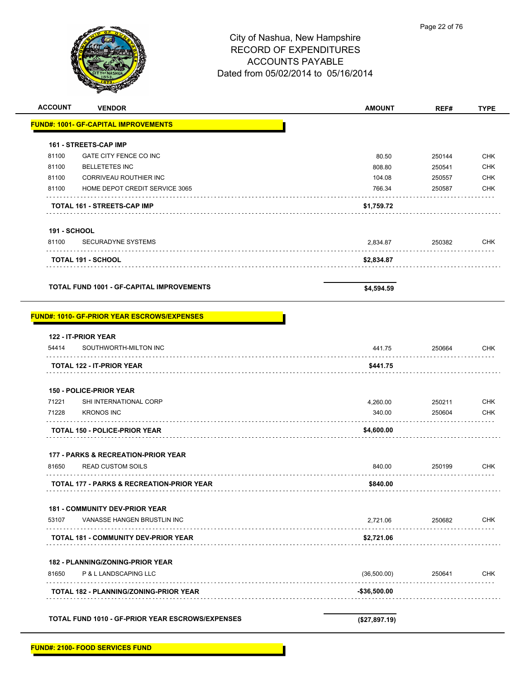

| <b>ACCOUNT</b>      | <b>VENDOR</b>                                        | <b>AMOUNT</b> | REF#   | <b>TYPE</b> |
|---------------------|------------------------------------------------------|---------------|--------|-------------|
|                     | <b>FUND#: 1001- GF-CAPITAL IMPROVEMENTS</b>          |               |        |             |
|                     | 161 - STREETS-CAP IMP                                |               |        |             |
| 81100               | GATE CITY FENCE CO INC                               | 80.50         | 250144 | <b>CHK</b>  |
| 81100               | <b>BELLETETES INC</b>                                | 808.80        | 250541 | <b>CHK</b>  |
| 81100               | CORRIVEAU ROUTHIER INC                               | 104.08        | 250557 | <b>CHK</b>  |
| 81100               | HOME DEPOT CREDIT SERVICE 3065                       | 766.34        | 250587 | <b>CHK</b>  |
|                     | TOTAL 161 - STREETS-CAP IMP                          | \$1,759.72    |        |             |
| <b>191 - SCHOOL</b> |                                                      |               |        |             |
| 81100               | <b>SECURADYNE SYSTEMS</b>                            | 2,834.87      | 250382 | <b>CHK</b>  |
|                     | <b>TOTAL 191 - SCHOOL</b>                            | \$2,834.87    |        |             |
|                     | <b>TOTAL FUND 1001 - GF-CAPITAL IMPROVEMENTS</b>     | \$4,594.59    |        |             |
|                     | <b>FUND#: 1010- GF-PRIOR YEAR ESCROWS/EXPENSES</b>   |               |        |             |
|                     | 122 - IT-PRIOR YEAR                                  |               |        |             |
| 54414               | SOUTHWORTH-MILTON INC                                | 441.75        | 250664 | <b>CHK</b>  |
|                     | <b>TOTAL 122 - IT-PRIOR YEAR</b>                     | \$441.75      |        |             |
|                     | <b>150 - POLICE-PRIOR YEAR</b>                       |               |        |             |
| 71221               | SHI INTERNATIONAL CORP                               | 4,260.00      | 250211 | <b>CHK</b>  |
| 71228               | <b>KRONOS INC</b>                                    | 340.00        | 250604 | <b>CHK</b>  |
|                     | <b>TOTAL 150 - POLICE-PRIOR YEAR</b>                 | \$4,600.00    |        |             |
|                     | 177 - PARKS & RECREATION-PRIOR YEAR                  |               |        |             |
| 81650               | <b>READ CUSTOM SOILS</b>                             | 840.00        | 250199 | <b>CHK</b>  |
|                     | <b>TOTAL 177 - PARKS &amp; RECREATION-PRIOR YEAR</b> | \$840.00      |        |             |
|                     | 181 - COMMUNITY DEV-PRIOR YEAR                       |               |        |             |
| 53107               | VANASSE HANGEN BRUSTLIN INC                          | 2,721.06      | 250682 | <b>CHK</b>  |
|                     | <b>TOTAL 181 - COMMUNITY DEV-PRIOR YEAR</b>          | \$2,721.06    |        |             |
|                     | <b>182 - PLANNING/ZONING-PRIOR YEAR</b>              |               |        |             |
| 81650               | P & L LANDSCAPING LLC                                | (36,500.00)   | 250641 | <b>CHK</b>  |
|                     | <b>TOTAL 182 - PLANNING/ZONING-PRIOR YEAR</b>        | -\$36,500.00  |        |             |
|                     |                                                      |               |        |             |
|                     | TOTAL FUND 1010 - GF-PRIOR YEAR ESCROWS/EXPENSES     | (\$27,897.19) |        |             |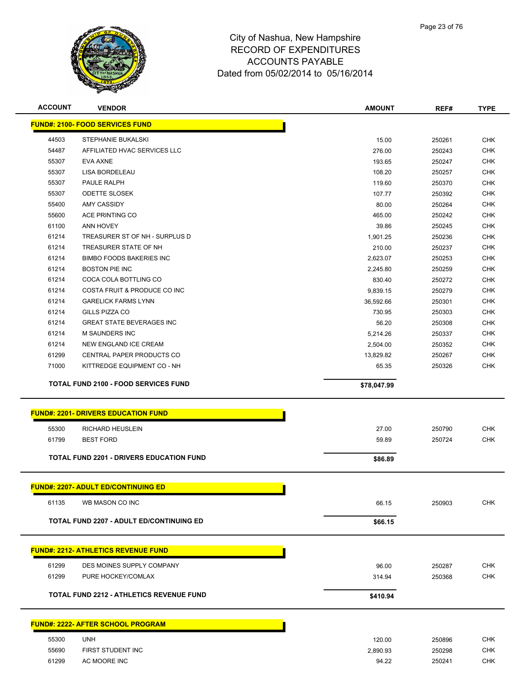

| <b>ACCOUNT</b> | <b>VENDOR</b>                                   | <b>AMOUNT</b> | REF#   | <b>TYPE</b> |
|----------------|-------------------------------------------------|---------------|--------|-------------|
|                | <b>FUND#: 2100- FOOD SERVICES FUND</b>          |               |        |             |
| 44503          | STEPHANIE BUKALSKI                              | 15.00         | 250261 | <b>CHK</b>  |
| 54487          | AFFILIATED HVAC SERVICES LLC                    | 276.00        | 250243 | CHK         |
| 55307          | <b>EVA AXNE</b>                                 | 193.65        | 250247 | <b>CHK</b>  |
| 55307          | LISA BORDELEAU                                  | 108.20        | 250257 | <b>CHK</b>  |
| 55307          | PAULE RALPH                                     | 119.60        | 250370 | <b>CHK</b>  |
| 55307          | <b>ODETTE SLOSEK</b>                            | 107.77        | 250392 | <b>CHK</b>  |
| 55400          | <b>AMY CASSIDY</b>                              | 80.00         | 250264 | <b>CHK</b>  |
| 55600          | ACE PRINTING CO                                 | 465.00        | 250242 | <b>CHK</b>  |
| 61100          | ANN HOVEY                                       | 39.86         | 250245 | <b>CHK</b>  |
| 61214          | TREASURER ST OF NH - SURPLUS D                  | 1,901.25      | 250236 | <b>CHK</b>  |
| 61214          | TREASURER STATE OF NH                           | 210.00        | 250237 | <b>CHK</b>  |
| 61214          | <b>BIMBO FOODS BAKERIES INC</b>                 | 2,623.07      | 250253 | <b>CHK</b>  |
| 61214          | <b>BOSTON PIE INC</b>                           | 2,245.80      | 250259 | <b>CHK</b>  |
| 61214          | COCA COLA BOTTLING CO                           | 830.40        | 250272 | <b>CHK</b>  |
| 61214          | COSTA FRUIT & PRODUCE CO INC                    | 9,839.15      | 250279 | <b>CHK</b>  |
| 61214          | <b>GARELICK FARMS LYNN</b>                      | 36,592.66     | 250301 | <b>CHK</b>  |
| 61214          | GILLS PIZZA CO                                  | 730.95        | 250303 | <b>CHK</b>  |
| 61214          | <b>GREAT STATE BEVERAGES INC</b>                | 56.20         | 250308 | <b>CHK</b>  |
| 61214          | <b>M SAUNDERS INC</b>                           | 5,214.26      | 250337 | <b>CHK</b>  |
| 61214          | NEW ENGLAND ICE CREAM                           | 2,504.00      | 250352 | <b>CHK</b>  |
| 61299          | CENTRAL PAPER PRODUCTS CO                       | 13,829.82     | 250267 | <b>CHK</b>  |
| 71000          | KITTREDGE EQUIPMENT CO - NH                     | 65.35         | 250326 | <b>CHK</b>  |
|                | <b>TOTAL FUND 2100 - FOOD SERVICES FUND</b>     | \$78,047.99   |        |             |
|                | <b>FUND#: 2201- DRIVERS EDUCATION FUND</b>      |               |        |             |
| 55300          | RICHARD HEUSLEIN                                | 27.00         | 250790 | <b>CHK</b>  |
| 61799          | <b>BEST FORD</b>                                | 59.89         | 250724 | CHK         |
|                | <b>TOTAL FUND 2201 - DRIVERS EDUCATION FUND</b> | \$86.89       |        |             |
|                |                                                 |               |        |             |
|                | <b>FUND#: 2207- ADULT ED/CONTINUING ED</b>      |               |        |             |
| 61135          | WB MASON CO INC                                 | 66.15         | 250903 | <b>CHK</b>  |
|                | <b>TOTAL FUND 2207 - ADULT ED/CONTINUING ED</b> | \$66.15       |        |             |
|                |                                                 |               |        |             |
|                | <b>FUND#: 2212- ATHLETICS REVENUE FUND</b>      |               |        |             |
| 61299          | DES MOINES SUPPLY COMPANY                       | 96.00         | 250287 | <b>CHK</b>  |
| 61299          | PURE HOCKEY/COMLAX                              | 314.94        | 250368 | <b>CHK</b>  |
|                |                                                 |               |        |             |
|                | <b>TOTAL FUND 2212 - ATHLETICS REVENUE FUND</b> | \$410.94      |        |             |
|                | <b>FUND#: 2222- AFTER SCHOOL PROGRAM</b>        |               |        |             |
|                |                                                 |               |        |             |
| 55300          | <b>UNH</b>                                      | 120.00        | 250896 | <b>CHK</b>  |
| 55690          | FIRST STUDENT INC                               | 2,890.93      | 250298 | <b>CHK</b>  |
| 61299          | AC MOORE INC                                    | 94.22         | 250241 | <b>CHK</b>  |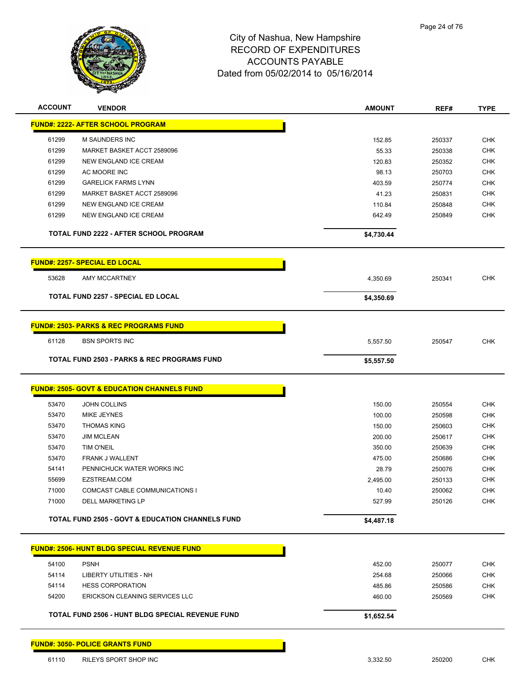

| <b>ACCOUNT</b> | <b>VENDOR</b>                                               | <b>AMOUNT</b>   | REF#             | <b>TYPE</b>              |
|----------------|-------------------------------------------------------------|-----------------|------------------|--------------------------|
|                | <b>FUND#: 2222- AFTER SCHOOL PROGRAM</b>                    |                 |                  |                          |
| 61299          | M SAUNDERS INC                                              | 152.85          | 250337           | <b>CHK</b>               |
| 61299          | MARKET BASKET ACCT 2589096                                  | 55.33           | 250338           | <b>CHK</b>               |
| 61299          | <b>NEW ENGLAND ICE CREAM</b>                                | 120.83          | 250352           | <b>CHK</b>               |
| 61299          | AC MOORE INC                                                | 98.13           | 250703           | <b>CHK</b>               |
| 61299          | <b>GARELICK FARMS LYNN</b>                                  | 403.59          | 250774           | <b>CHK</b>               |
| 61299          | MARKET BASKET ACCT 2589096                                  | 41.23           | 250831           | <b>CHK</b>               |
| 61299          | NEW ENGLAND ICE CREAM                                       | 110.84          | 250848           | <b>CHK</b>               |
| 61299          | NEW ENGLAND ICE CREAM                                       | 642.49          | 250849           | <b>CHK</b>               |
|                | TOTAL FUND 2222 - AFTER SCHOOL PROGRAM                      | \$4,730.44      |                  |                          |
|                | <b>FUND#: 2257- SPECIAL ED LOCAL</b>                        |                 |                  |                          |
| 53628          | AMY MCCARTNEY                                               | 4,350.69        | 250341           | <b>CHK</b>               |
|                | <b>TOTAL FUND 2257 - SPECIAL ED LOCAL</b>                   | \$4,350.69      |                  |                          |
|                |                                                             |                 |                  |                          |
|                | <b>FUND#: 2503- PARKS &amp; REC PROGRAMS FUND</b>           |                 |                  |                          |
| 61128          | <b>BSN SPORTS INC</b>                                       | 5,557.50        | 250547           | <b>CHK</b>               |
|                | <b>TOTAL FUND 2503 - PARKS &amp; REC PROGRAMS FUND</b>      | \$5,557.50      |                  |                          |
|                | <b>FUND#: 2505- GOVT &amp; EDUCATION CHANNELS FUND</b>      |                 |                  |                          |
|                |                                                             |                 |                  |                          |
| 53470          | <b>JOHN COLLINS</b>                                         | 150.00          | 250554           | <b>CHK</b>               |
| 53470          | MIKE JEYNES<br><b>THOMAS KING</b>                           | 100.00          | 250598           | <b>CHK</b>               |
| 53470<br>53470 | <b>JIM MCLEAN</b>                                           | 150.00          | 250603           | <b>CHK</b><br><b>CHK</b> |
|                |                                                             | 200.00          | 250617           |                          |
| 53470          | <b>TIM O'NEIL</b>                                           | 350.00          | 250639           | <b>CHK</b>               |
| 53470<br>54141 | FRANK J WALLENT                                             | 475.00          | 250686           | <b>CHK</b>               |
|                | PENNICHUCK WATER WORKS INC<br>EZSTREAM.COM                  | 28.79           | 250076           | <b>CHK</b>               |
| 55699<br>71000 | COMCAST CABLE COMMUNICATIONS I                              | 2,495.00        | 250133           | <b>CHK</b><br><b>CHK</b> |
| 71000          | <b>DELL MARKETING LP</b>                                    | 10.40<br>527.99 | 250062<br>250126 | <b>CHK</b>               |
|                | <b>TOTAL FUND 2505 - GOVT &amp; EDUCATION CHANNELS FUND</b> | \$4,487.18      |                  |                          |
|                |                                                             |                 |                  |                          |
|                | <b>FUND#: 2506- HUNT BLDG SPECIAL REVENUE FUND</b>          |                 |                  |                          |
| 54100          | <b>PSNH</b>                                                 | 452.00          | 250077           | <b>CHK</b>               |
| 54114          | LIBERTY UTILITIES - NH                                      | 254.68          | 250066           | <b>CHK</b>               |
| 54114          | <b>HESS CORPORATION</b>                                     | 485.86          | 250586           | <b>CHK</b>               |
| 54200          | ERICKSON CLEANING SERVICES LLC                              | 460.00          | 250569           | <b>CHK</b>               |
|                | TOTAL FUND 2506 - HUNT BLDG SPECIAL REVENUE FUND            | \$1,652.54      |                  |                          |
|                | <b>FUND#: 3050- POLICE GRANTS FUND</b>                      |                 |                  |                          |
| 61110          | RILEYS SPORT SHOP INC                                       | 3,332.50        | 250200           | <b>CHK</b>               |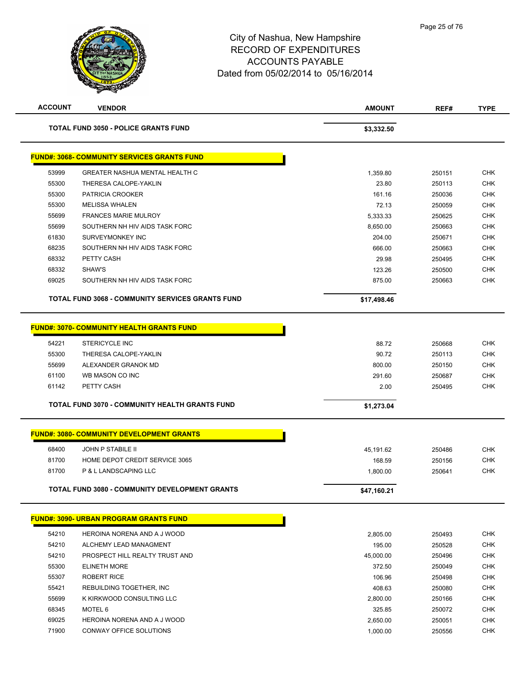

| <b>ACCOUNT</b> | <b>VENDOR</b>                                           | <b>AMOUNT</b> | REF#   | <b>TYPE</b> |
|----------------|---------------------------------------------------------|---------------|--------|-------------|
|                | <b>TOTAL FUND 3050 - POLICE GRANTS FUND</b>             | \$3,332.50    |        |             |
|                | <b>FUND#: 3068- COMMUNITY SERVICES GRANTS FUND</b>      |               |        |             |
| 53999          | <b>GREATER NASHUA MENTAL HEALTH C</b>                   | 1,359.80      | 250151 | <b>CHK</b>  |
| 55300          | THERESA CALOPE-YAKLIN                                   | 23.80         | 250113 | <b>CHK</b>  |
| 55300          | PATRICIA CROOKER                                        | 161.16        | 250036 | <b>CHK</b>  |
| 55300          | <b>MELISSA WHALEN</b>                                   | 72.13         | 250059 | <b>CHK</b>  |
| 55699          | <b>FRANCES MARIE MULROY</b>                             | 5.333.33      | 250625 | <b>CHK</b>  |
| 55699          | SOUTHERN NH HIV AIDS TASK FORC                          | 8,650.00      | 250663 | <b>CHK</b>  |
| 61830          | SURVEYMONKEY INC                                        | 204.00        | 250671 | <b>CHK</b>  |
| 68235          | SOUTHERN NH HIV AIDS TASK FORC                          | 666.00        | 250663 | <b>CHK</b>  |
| 68332          | PETTY CASH                                              | 29.98         | 250495 | <b>CHK</b>  |
| 68332          | SHAW'S                                                  | 123.26        | 250500 | <b>CHK</b>  |
| 69025          | SOUTHERN NH HIV AIDS TASK FORC                          | 875.00        | 250663 | <b>CHK</b>  |
|                | <b>TOTAL FUND 3068 - COMMUNITY SERVICES GRANTS FUND</b> | \$17,498.46   |        |             |
|                | <b>FUND#: 3070- COMMUNITY HEALTH GRANTS FUND</b>        |               |        |             |
| 54221          | <b>STERICYCLE INC</b>                                   | 88.72         | 250668 | <b>CHK</b>  |
| 55300          | THERESA CALOPE-YAKLIN                                   | 90.72         | 250113 | <b>CHK</b>  |
| 55699          | ALEXANDER GRANOK MD                                     | 800.00        | 250150 | <b>CHK</b>  |
| 61100          | WB MASON CO INC                                         | 291.60        | 250687 | <b>CHK</b>  |
| 61142          | PETTY CASH                                              | 2.00          | 250495 | <b>CHK</b>  |
|                |                                                         |               |        |             |
|                | <b>TOTAL FUND 3070 - COMMUNITY HEALTH GRANTS FUND</b>   | \$1,273.04    |        |             |
|                | <b>FUND#: 3080- COMMUNITY DEVELOPMENT GRANTS</b>        |               |        |             |
| 68400          | <b>JOHN P STABILE II</b>                                | 45,191.62     | 250486 | <b>CHK</b>  |
| 81700          | HOME DEPOT CREDIT SERVICE 3065                          | 168.59        | 250156 | <b>CHK</b>  |
| 81700          | P & L LANDSCAPING LLC                                   | 1,800.00      | 250641 | <b>CHK</b>  |
|                | TOTAL FUND 3080 - COMMUNITY DEVELOPMENT GRANTS          | \$47,160.21   |        |             |
|                | <b>FUND#: 3090- URBAN PROGRAM GRANTS FUND</b>           |               |        |             |
| 54210          | HEROINA NORENA AND A J WOOD                             | 2,805.00      | 250493 | <b>CHK</b>  |
| 54210          | ALCHEMY LEAD MANAGMENT                                  | 195.00        | 250528 | <b>CHK</b>  |
| 54210          | PROSPECT HILL REALTY TRUST AND                          | 45,000.00     | 250496 | <b>CHK</b>  |
| 55300          | <b>ELINETH MORE</b>                                     | 372.50        | 250049 | <b>CHK</b>  |
| 55307          | <b>ROBERT RICE</b>                                      | 106.96        | 250498 | <b>CHK</b>  |
| 55421          | REBUILDING TOGETHER, INC.                               | 408.63        | 250080 | <b>CHK</b>  |
| 55699          | K KIRKWOOD CONSULTING LLC                               | 2,800.00      | 250166 | <b>CHK</b>  |
| 68345          | MOTEL 6                                                 | 325.85        | 250072 | <b>CHK</b>  |
| 69025          | HEROINA NORENA AND A J WOOD                             | 2,650.00      | 250051 | <b>CHK</b>  |
| 71900          | CONWAY OFFICE SOLUTIONS                                 | 1,000.00      | 250556 | <b>CHK</b>  |
|                |                                                         |               |        |             |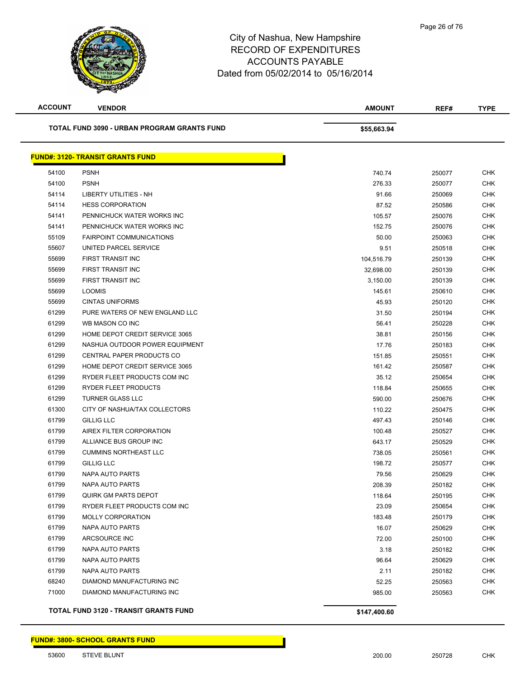

| <b>ACCOUNT</b> | <b>VENDOR</b>                               | <b>AMOUNT</b> | REF#   | <b>TYPE</b> |
|----------------|---------------------------------------------|---------------|--------|-------------|
|                | TOTAL FUND 3090 - URBAN PROGRAM GRANTS FUND | \$55,663.94   |        |             |
|                | <b>FUND#: 3120- TRANSIT GRANTS FUND</b>     |               |        |             |
| 54100          | <b>PSNH</b>                                 | 740.74        | 250077 | <b>CHK</b>  |
| 54100          | <b>PSNH</b>                                 | 276.33        | 250077 | <b>CHK</b>  |
| 54114          | LIBERTY UTILITIES - NH                      | 91.66         | 250069 | <b>CHK</b>  |
| 54114          | <b>HESS CORPORATION</b>                     | 87.52         | 250586 | CHK         |
| 54141          | PENNICHUCK WATER WORKS INC                  | 105.57        | 250076 | <b>CHK</b>  |
| 54141          | PENNICHUCK WATER WORKS INC                  | 152.75        | 250076 | <b>CHK</b>  |
| 55109          | <b>FAIRPOINT COMMUNICATIONS</b>             | 50.00         | 250063 | <b>CHK</b>  |
| 55607          | UNITED PARCEL SERVICE                       | 9.51          | 250518 | <b>CHK</b>  |
| 55699          | FIRST TRANSIT INC                           | 104,516.79    | 250139 | <b>CHK</b>  |
| 55699          | FIRST TRANSIT INC                           | 32,698.00     | 250139 | <b>CHK</b>  |
| 55699          | FIRST TRANSIT INC                           | 3.150.00      | 250139 | <b>CHK</b>  |
| 55699          | <b>LOOMIS</b>                               | 145.61        | 250610 | <b>CHK</b>  |
| 55699          | <b>CINTAS UNIFORMS</b>                      | 45.93         | 250120 | <b>CHK</b>  |
| 61299          | PURE WATERS OF NEW ENGLAND LLC              | 31.50         | 250194 | <b>CHK</b>  |
| 61299          | WB MASON CO INC                             | 56.41         | 250228 | <b>CHK</b>  |
| 61299          | HOME DEPOT CREDIT SERVICE 3065              | 38.81         | 250156 | <b>CHK</b>  |
| 61299          | NASHUA OUTDOOR POWER EQUIPMENT              | 17.76         | 250183 | <b>CHK</b>  |
| 61299          | CENTRAL PAPER PRODUCTS CO                   | 151.85        | 250551 | <b>CHK</b>  |
| 61299          | HOME DEPOT CREDIT SERVICE 3065              | 161.42        | 250587 | <b>CHK</b>  |
| 61299          | RYDER FLEET PRODUCTS COM INC                | 35.12         | 250654 | <b>CHK</b>  |
| 61299          | RYDER FLEET PRODUCTS                        | 118.84        | 250655 | <b>CHK</b>  |
| 61299          | <b>TURNER GLASS LLC</b>                     | 590.00        | 250676 | <b>CHK</b>  |
| 61300          | CITY OF NASHUA/TAX COLLECTORS               | 110.22        | 250475 | <b>CHK</b>  |
| 61799          | <b>GILLIG LLC</b>                           | 497.43        | 250146 | CHK         |
| 61799          | AIREX FILTER CORPORATION                    | 100.48        | 250527 | <b>CHK</b>  |
| 61799          | ALLIANCE BUS GROUP INC                      | 643.17        | 250529 | <b>CHK</b>  |
| 61799          | <b>CUMMINS NORTHEAST LLC</b>                | 738.05        | 250561 | <b>CHK</b>  |
| 61799          | <b>GILLIG LLC</b>                           | 198.72        | 250577 | <b>CHK</b>  |
| 61799          | NAPA AUTO PARTS                             | 79.56         | 250629 | <b>CHK</b>  |
| 61799          | <b>NAPA AUTO PARTS</b>                      | 208.39        | 250182 | <b>CHK</b>  |
| 61799          | <b>QUIRK GM PARTS DEPOT</b>                 | 118.64        | 250195 | <b>CHK</b>  |
| 61799          | RYDER FLEET PRODUCTS COM INC                | 23.09         | 250654 | <b>CHK</b>  |
| 61799          | <b>MOLLY CORPORATION</b>                    | 183.48        | 250179 | <b>CHK</b>  |
| 61799          | NAPA AUTO PARTS                             | 16.07         | 250629 | <b>CHK</b>  |
| 61799          | ARCSOURCE INC                               | 72.00         | 250100 | <b>CHK</b>  |
| 61799          | NAPA AUTO PARTS                             | 3.18          | 250182 | <b>CHK</b>  |
| 61799          | NAPA AUTO PARTS                             | 96.64         | 250629 | <b>CHK</b>  |
| 61799          | <b>NAPA AUTO PARTS</b>                      | 2.11          | 250182 | <b>CHK</b>  |
| 68240          | DIAMOND MANUFACTURING INC                   | 52.25         | 250563 | <b>CHK</b>  |
| 71000          | DIAMOND MANUFACTURING INC                   | 985.00        | 250563 | CHK         |
|                | TOTAL FUND 3120 - TRANSIT GRANTS FUND       | \$147,400.60  |        |             |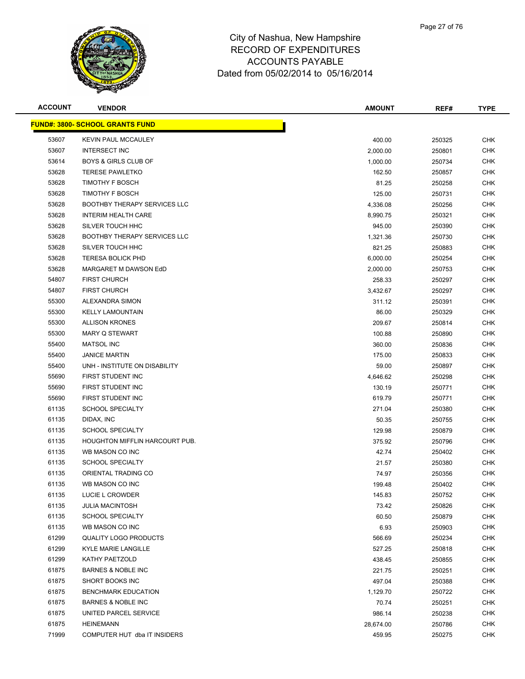

| <b>ACCOUNT</b> | <b>VENDOR</b>                          | <b>AMOUNT</b> | REF#             | <b>TYPE</b> |
|----------------|----------------------------------------|---------------|------------------|-------------|
|                | <b>FUND#: 3800- SCHOOL GRANTS FUND</b> |               |                  |             |
| 53607          | <b>KEVIN PAUL MCCAULEY</b>             | 400.00        | 250325           | <b>CHK</b>  |
| 53607          | <b>INTERSECT INC</b>                   | 2,000.00      | 250801           | <b>CHK</b>  |
| 53614          | <b>BOYS &amp; GIRLS CLUB OF</b>        | 1,000.00      | 250734           | <b>CHK</b>  |
| 53628          | <b>TERESE PAWLETKO</b>                 | 162.50        | 250857           | <b>CHK</b>  |
| 53628          | TIMOTHY F BOSCH                        | 81.25         | 250258           | <b>CHK</b>  |
| 53628          | <b>TIMOTHY F BOSCH</b>                 | 125.00        | 250731           | <b>CHK</b>  |
| 53628          | <b>BOOTHBY THERAPY SERVICES LLC</b>    | 4,336.08      | 250256           | <b>CHK</b>  |
| 53628          | <b>INTERIM HEALTH CARE</b>             | 8,990.75      | 250321           | <b>CHK</b>  |
| 53628          | SILVER TOUCH HHC                       | 945.00        | 250390           | <b>CHK</b>  |
| 53628          | <b>BOOTHBY THERAPY SERVICES LLC</b>    | 1,321.36      | 250730           | <b>CHK</b>  |
| 53628          | SILVER TOUCH HHC                       | 821.25        | 250883           | <b>CHK</b>  |
| 53628          | <b>TERESA BOLICK PHD</b>               | 6,000.00      | 250254           | <b>CHK</b>  |
| 53628          | MARGARET M DAWSON EdD                  | 2,000.00      | 250753           | <b>CHK</b>  |
| 54807          | <b>FIRST CHURCH</b>                    | 258.33        | 250297           | <b>CHK</b>  |
| 54807          | <b>FIRST CHURCH</b>                    | 3,432.67      | 250297           | <b>CHK</b>  |
| 55300          | ALEXANDRA SIMON                        | 311.12        | 250391           | <b>CHK</b>  |
| 55300          | <b>KELLY LAMOUNTAIN</b>                | 86.00         | 250329           | <b>CHK</b>  |
| 55300          | <b>ALLISON KRONES</b>                  | 209.67        | 250814           | <b>CHK</b>  |
| 55300          | MARY Q STEWART                         | 100.88        | 250890           | <b>CHK</b>  |
| 55400          | <b>MATSOL INC</b>                      | 360.00        | 250836           | <b>CHK</b>  |
| 55400          | <b>JANICE MARTIN</b>                   | 175.00        | 250833           | <b>CHK</b>  |
| 55400          | UNH - INSTITUTE ON DISABILITY          | 59.00         | 250897           | <b>CHK</b>  |
| 55690          | FIRST STUDENT INC                      | 4,646.62      | 250298           | <b>CHK</b>  |
| 55690          | FIRST STUDENT INC                      | 130.19        | 250771           | <b>CHK</b>  |
| 55690          | FIRST STUDENT INC                      | 619.79        | 250771           | <b>CHK</b>  |
| 61135          | <b>SCHOOL SPECIALTY</b>                | 271.04        | 250380           | <b>CHK</b>  |
| 61135          | DIDAX, INC                             | 50.35         | 250755           | <b>CHK</b>  |
| 61135          | <b>SCHOOL SPECIALTY</b>                | 129.98        | 250879           | <b>CHK</b>  |
| 61135          | <b>HOUGHTON MIFFLIN HARCOURT PUB.</b>  | 375.92        | 250796           | <b>CHK</b>  |
| 61135          | WB MASON CO INC                        | 42.74         | 250402           | <b>CHK</b>  |
| 61135          | <b>SCHOOL SPECIALTY</b>                | 21.57         | 250380           | <b>CHK</b>  |
| 61135          | ORIENTAL TRADING CO                    | 74.97         | 250356           | <b>CHK</b>  |
| 61135          | WB MASON CO INC                        | 199.48        | 250402           | <b>CHK</b>  |
| 61135          | LUCIE L CROWDER                        | 145.83        | 250752           | <b>CHK</b>  |
| 61135          | <b>JULIA MACINTOSH</b>                 | 73.42         | 250826           | <b>CHK</b>  |
| 61135          | <b>SCHOOL SPECIALTY</b>                | 60.50         | 250879           | <b>CHK</b>  |
| 61135          | WB MASON CO INC                        | 6.93          | 250903           | <b>CHK</b>  |
| 61299          | <b>QUALITY LOGO PRODUCTS</b>           | 566.69        | 250234           | <b>CHK</b>  |
| 61299          | KYLE MARIE LANGILLE                    | 527.25        | 250818           | <b>CHK</b>  |
| 61299          | KATHY PAETZOLD                         | 438.45        | 250855           | <b>CHK</b>  |
| 61875          | <b>BARNES &amp; NOBLE INC</b>          | 221.75        | 250251           | <b>CHK</b>  |
| 61875          | SHORT BOOKS INC                        | 497.04        | 250388           | <b>CHK</b>  |
| 61875          | <b>BENCHMARK EDUCATION</b>             | 1,129.70      | 250722           | <b>CHK</b>  |
| 61875          | <b>BARNES &amp; NOBLE INC</b>          | 70.74         |                  | <b>CHK</b>  |
| 61875          | UNITED PARCEL SERVICE                  | 986.14        | 250251<br>250238 | CHK         |
| 61875          | <b>HEINEMANN</b>                       | 28,674.00     |                  | <b>CHK</b>  |
| 71999          | COMPUTER HUT dba IT INSIDERS           | 459.95        | 250786           | <b>CHK</b>  |
|                |                                        |               | 250275           |             |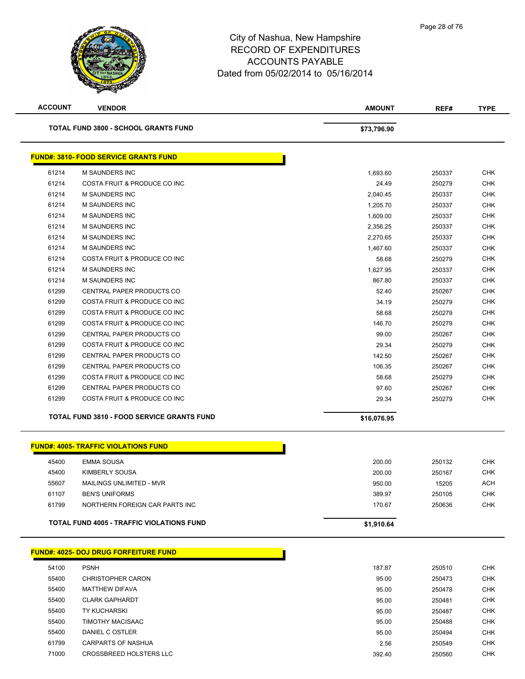| <b>ACCOUNT</b> | <b>VENDOR</b>                                     | AMOUNT      | REF#   | <b>TYPE</b> |
|----------------|---------------------------------------------------|-------------|--------|-------------|
|                | <b>TOTAL FUND 3800 - SCHOOL GRANTS FUND</b>       | \$73,796.90 |        |             |
|                | <b>FUND#: 3810- FOOD SERVICE GRANTS FUND</b>      |             |        |             |
| 61214          | M SAUNDERS INC                                    | 1,693.60    | 250337 | <b>CHK</b>  |
| 61214          | COSTA FRUIT & PRODUCE CO INC                      | 24.49       | 250279 | <b>CHK</b>  |
| 61214          | <b>M SAUNDERS INC</b>                             | 2,040.45    | 250337 | <b>CHK</b>  |
| 61214          | <b>M SAUNDERS INC</b>                             | 1,205.70    | 250337 | <b>CHK</b>  |
| 61214          | M SAUNDERS INC                                    | 1,609.00    | 250337 | <b>CHK</b>  |
| 61214          | M SAUNDERS INC                                    | 2,356.25    | 250337 | <b>CHK</b>  |
| 61214          | <b>M SAUNDERS INC</b>                             | 2,270.65    | 250337 | <b>CHK</b>  |
| 61214          | <b>M SAUNDERS INC</b>                             | 1,467.60    | 250337 | <b>CHK</b>  |
| 61214          | COSTA FRUIT & PRODUCE CO INC                      | 58.68       | 250279 | <b>CHK</b>  |
| 61214          | M SAUNDERS INC                                    | 1,627.95    | 250337 | <b>CHK</b>  |
| 61214          | <b>M SAUNDERS INC</b>                             | 867.80      | 250337 | <b>CHK</b>  |
| 61299          | CENTRAL PAPER PRODUCTS CO                         | 52.40       | 250267 | <b>CHK</b>  |
| 61299          | COSTA FRUIT & PRODUCE CO INC                      | 34.19       | 250279 | <b>CHK</b>  |
| 61299          | COSTA FRUIT & PRODUCE CO INC                      | 58.68       | 250279 | <b>CHK</b>  |
| 61299          | COSTA FRUIT & PRODUCE CO INC                      | 146.70      | 250279 | <b>CHK</b>  |
| 61299          | CENTRAL PAPER PRODUCTS CO                         | 99.00       | 250267 | <b>CHK</b>  |
| 61299          | COSTA FRUIT & PRODUCE CO INC                      | 29.34       | 250279 | <b>CHK</b>  |
| 61299          | CENTRAL PAPER PRODUCTS CO                         | 142.50      | 250267 | <b>CHK</b>  |
| 61299          | CENTRAL PAPER PRODUCTS CO                         | 106.35      | 250267 | <b>CHK</b>  |
| 61299          | COSTA FRUIT & PRODUCE CO INC                      | 58.68       | 250279 | <b>CHK</b>  |
| 61299          | CENTRAL PAPER PRODUCTS CO                         | 97.60       | 250267 | <b>CHK</b>  |
| 61299          | COSTA FRUIT & PRODUCE CO INC                      | 29.34       | 250279 | <b>CHK</b>  |
|                | <b>TOTAL FUND 3810 - FOOD SERVICE GRANTS FUND</b> | \$16,076.95 |        |             |
|                | <b>FUND#: 4005- TRAFFIC VIOLATIONS FUND</b>       |             |        |             |
| 45400          | <b>EMMA SOUSA</b>                                 | 200.00      | 250132 | <b>CHK</b>  |
| 45400          | KIMBERLY SOUSA                                    | 200.00      | 250167 | <b>CHK</b>  |
| 55607          | MAILINGS UNLIMITED - MVR                          | 950.00      | 15205  | <b>ACH</b>  |
| 61107          | <b>BEN'S UNIFORMS</b>                             | 389.97      | 250105 | <b>CHK</b>  |
| 61799          | NORTHERN FOREIGN CAR PARTS INC                    | 170.67      | 250636 | CHK         |
|                | TOTAL FUND 4005 - TRAFFIC VIOLATIONS FUND         | \$1,910.64  |        |             |
|                |                                                   |             |        |             |
|                | <b>FUND#: 4025- DOJ DRUG FORFEITURE FUND</b>      |             |        |             |
| 54100          | <b>PSNH</b>                                       | 187.87      | 250510 | <b>CHK</b>  |
| 55400          | <b>CHRISTOPHER CARON</b>                          | 95.00       | 250473 | <b>CHK</b>  |
| 55400          | <b>MATTHEW DIFAVA</b>                             | 95.00       | 250478 | <b>CHK</b>  |
| 55400          | <b>CLARK GAPHARDT</b>                             | 95.00       | 250481 | <b>CHK</b>  |
| 55400          | <b>TY KUCHARSKI</b>                               | 95.00       | 250487 | <b>CHK</b>  |
| 55400          | TIMOTHY MACISAAC                                  | 95.00       | 250488 | <b>CHK</b>  |
| 55400          | DANIEL C OSTLER                                   | 95.00       | 250494 | <b>CHK</b>  |
| 61799          | <b>CARPARTS OF NASHUA</b>                         | 2.56        | 250549 | <b>CHK</b>  |
| 71000          | CROSSBREED HOLSTERS LLC                           | 392.40      | 250560 | <b>CHK</b>  |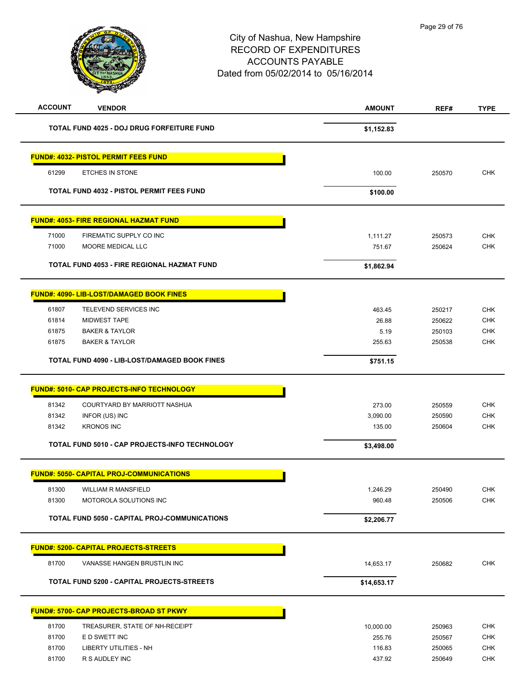| <b>ACCOUNT</b> | <b>VENDOR</b>                                     | <b>AMOUNT</b> | REF#   | <b>TYPE</b> |
|----------------|---------------------------------------------------|---------------|--------|-------------|
|                | <b>TOTAL FUND 4025 - DOJ DRUG FORFEITURE FUND</b> | \$1,152.83    |        |             |
|                | <b>FUND#: 4032- PISTOL PERMIT FEES FUND</b>       |               |        |             |
| 61299          | ETCHES IN STONE                                   | 100.00        | 250570 | <b>CHK</b>  |
|                | <b>TOTAL FUND 4032 - PISTOL PERMIT FEES FUND</b>  | \$100.00      |        |             |
|                | <b>FUND#: 4053- FIRE REGIONAL HAZMAT FUND</b>     |               |        |             |
| 71000          | FIREMATIC SUPPLY CO INC                           | 1,111.27      | 250573 | <b>CHK</b>  |
| 71000          | MOORE MEDICAL LLC                                 | 751.67        | 250624 | <b>CHK</b>  |
|                | TOTAL FUND 4053 - FIRE REGIONAL HAZMAT FUND       | \$1,862.94    |        |             |
|                | <b>FUND#: 4090- LIB-LOST/DAMAGED BOOK FINES</b>   |               |        |             |
| 61807          | TELEVEND SERVICES INC                             | 463.45        | 250217 | <b>CHK</b>  |
| 61814          | MIDWEST TAPE                                      | 26.88         | 250622 | <b>CHK</b>  |
| 61875          | <b>BAKER &amp; TAYLOR</b>                         | 5.19          | 250103 | <b>CHK</b>  |
| 61875          | <b>BAKER &amp; TAYLOR</b>                         | 255.63        | 250538 | <b>CHK</b>  |
|                | TOTAL FUND 4090 - LIB-LOST/DAMAGED BOOK FINES     | \$751.15      |        |             |
|                | <b>FUND#: 5010- CAP PROJECTS-INFO TECHNOLOGY</b>  |               |        |             |
| 81342          | COURTYARD BY MARRIOTT NASHUA                      | 273.00        | 250559 | <b>CHK</b>  |
| 81342          | INFOR (US) INC                                    | 3,090.00      | 250590 | <b>CHK</b>  |
| 81342          | <b>KRONOS INC</b>                                 | 135.00        | 250604 | <b>CHK</b>  |
|                | TOTAL FUND 5010 - CAP PROJECTS-INFO TECHNOLOGY    | \$3,498.00    |        |             |
|                | <b>FUND#: 5050- CAPITAL PROJ-COMMUNICATIONS</b>   |               |        |             |
| 81300          | WILLIAM R MANSFIELD                               | 1,246.29      | 250490 | CHK         |
| 81300          | MOTOROLA SOLUTIONS INC                            | 960.48        | 250506 | <b>CHK</b>  |
|                | TOTAL FUND 5050 - CAPITAL PROJ-COMMUNICATIONS     | \$2,206.77    |        |             |
|                | <b>FUND#: 5200- CAPITAL PROJECTS-STREETS</b>      |               |        |             |
| 81700          | VANASSE HANGEN BRUSTLIN INC                       | 14,653.17     | 250682 | <b>CHK</b>  |
|                | <b>TOTAL FUND 5200 - CAPITAL PROJECTS-STREETS</b> | \$14,653.17   |        |             |
|                | FUND#: 5700- CAP PROJECTS-BROAD ST PKWY           |               |        |             |
| 81700          | TREASURER, STATE OF NH-RECEIPT                    | 10,000.00     | 250963 | <b>CHK</b>  |
| 81700          | E D SWETT INC                                     | 255.76        | 250567 | <b>CHK</b>  |
| 81700          | <b>LIBERTY UTILITIES - NH</b>                     | 116.83        | 250065 | <b>CHK</b>  |
| 81700          | R S AUDLEY INC                                    | 437.92        | 250649 | <b>CHK</b>  |
|                |                                                   |               |        |             |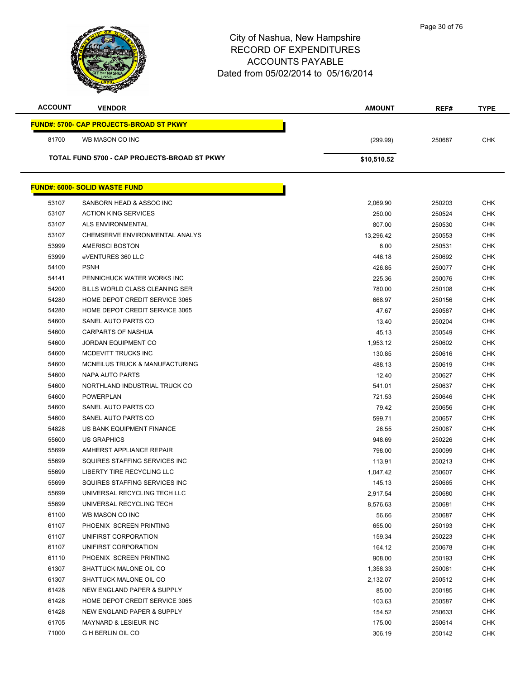| <b>ACCOUNT</b> | <b>VENDOR</b>                                  | <b>AMOUNT</b> | REF#   | <b>TYPE</b> |
|----------------|------------------------------------------------|---------------|--------|-------------|
|                | <b>FUND#: 5700- CAP PROJECTS-BROAD ST PKWY</b> |               |        |             |
| 81700          | WB MASON CO INC                                | (299.99)      | 250687 | <b>CHK</b>  |
|                | TOTAL FUND 5700 - CAP PROJECTS-BROAD ST PKWY   | \$10,510.52   |        |             |
|                |                                                |               |        |             |
|                | <b>FUND#: 6000- SOLID WASTE FUND</b>           |               |        |             |
| 53107          | SANBORN HEAD & ASSOC INC                       | 2,069.90      | 250203 | <b>CHK</b>  |
| 53107          | <b>ACTION KING SERVICES</b>                    | 250.00        | 250524 | <b>CHK</b>  |
| 53107          | <b>ALS ENVIRONMENTAL</b>                       | 807.00        | 250530 | <b>CHK</b>  |
| 53107          | CHEMSERVE ENVIRONMENTAL ANALYS                 | 13,296.42     | 250553 | <b>CHK</b>  |
| 53999          | AMERISCI BOSTON                                | 6.00          | 250531 | <b>CHK</b>  |
| 53999          | eVENTURES 360 LLC                              | 446.18        | 250692 | <b>CHK</b>  |
| 54100          | <b>PSNH</b>                                    | 426.85        | 250077 | <b>CHK</b>  |
| 54141          | PENNICHUCK WATER WORKS INC                     | 225.36        | 250076 | <b>CHK</b>  |
| 54200          | BILLS WORLD CLASS CLEANING SER                 | 780.00        | 250108 | <b>CHK</b>  |
| 54280          | HOME DEPOT CREDIT SERVICE 3065                 | 668.97        | 250156 | <b>CHK</b>  |
| 54280          | HOME DEPOT CREDIT SERVICE 3065                 | 47.67         | 250587 | <b>CHK</b>  |
| 54600          | SANEL AUTO PARTS CO                            | 13.40         | 250204 | <b>CHK</b>  |
| 54600          | <b>CARPARTS OF NASHUA</b>                      | 45.13         | 250549 | <b>CHK</b>  |
| 54600          | <b>JORDAN EQUIPMENT CO</b>                     | 1,953.12      | 250602 | <b>CHK</b>  |
| 54600          | MCDEVITT TRUCKS INC                            | 130.85        | 250616 | <b>CHK</b>  |
| 54600          | MCNEILUS TRUCK & MANUFACTURING                 | 488.13        | 250619 | <b>CHK</b>  |
| 54600          | NAPA AUTO PARTS                                | 12.40         | 250627 | <b>CHK</b>  |
| 54600          | NORTHLAND INDUSTRIAL TRUCK CO                  | 541.01        | 250637 | <b>CHK</b>  |
| 54600          | <b>POWERPLAN</b>                               | 721.53        | 250646 | <b>CHK</b>  |
| 54600          | SANEL AUTO PARTS CO                            | 79.42         | 250656 | <b>CHK</b>  |
| 54600          | SANEL AUTO PARTS CO                            | 599.71        | 250657 | CHK         |
| 54828          | US BANK EQUIPMENT FINANCE                      | 26.55         | 250087 | <b>CHK</b>  |
| 55600          | <b>US GRAPHICS</b>                             | 948.69        | 250226 | <b>CHK</b>  |
| 55699          | AMHERST APPLIANCE REPAIR                       | 798.00        | 250099 | CHK         |
| 55699          | SQUIRES STAFFING SERVICES INC                  | 113.91        | 250213 | <b>CHK</b>  |
| 55699          | LIBERTY TIRE RECYCLING LLC                     | 1,047.42      | 250607 | <b>CHK</b>  |
| 55699          | SQUIRES STAFFING SERVICES INC                  | 145.13        | 250665 | <b>CHK</b>  |
| 55699          | UNIVERSAL RECYCLING TECH LLC                   | 2,917.54      | 250680 | <b>CHK</b>  |
| 55699          | UNIVERSAL RECYCLING TECH                       | 8,576.63      | 250681 | <b>CHK</b>  |
| 61100          | WB MASON CO INC                                | 56.66         | 250687 | <b>CHK</b>  |
| 61107          | PHOENIX SCREEN PRINTING                        | 655.00        | 250193 | <b>CHK</b>  |
| 61107          | UNIFIRST CORPORATION                           | 159.34        | 250223 | <b>CHK</b>  |
| 61107          | UNIFIRST CORPORATION                           | 164.12        | 250678 | <b>CHK</b>  |
| 61110          | PHOENIX SCREEN PRINTING                        | 908.00        | 250193 | <b>CHK</b>  |
| 61307          | SHATTUCK MALONE OIL CO                         | 1,358.33      | 250081 | <b>CHK</b>  |
| 61307          | SHATTUCK MALONE OIL CO                         | 2,132.07      | 250512 | <b>CHK</b>  |
| 61428          | NEW ENGLAND PAPER & SUPPLY                     | 85.00         | 250185 | CHK         |
| 61428          | HOME DEPOT CREDIT SERVICE 3065                 | 103.63        | 250587 | <b>CHK</b>  |
| 61428          | NEW ENGLAND PAPER & SUPPLY                     | 154.52        | 250633 | <b>CHK</b>  |
| 61705          | MAYNARD & LESIEUR INC                          | 175.00        | 250614 | <b>CHK</b>  |
| 71000          | <b>GH BERLIN OIL CO</b>                        | 306.19        | 250142 | <b>CHK</b>  |
|                |                                                |               |        |             |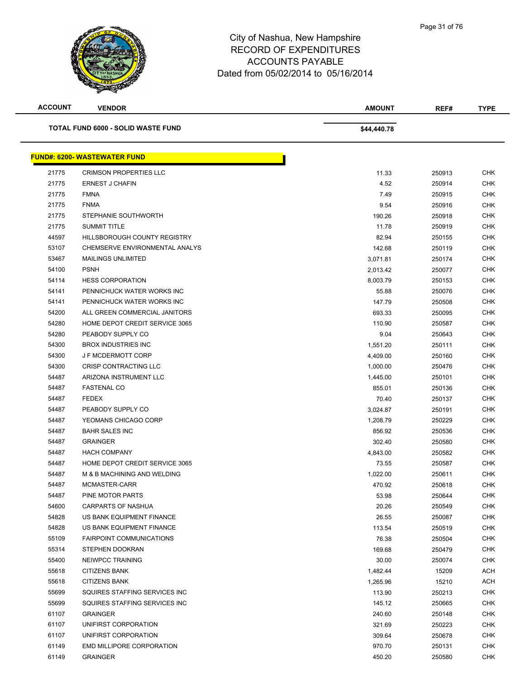

| <b>ACCOUNT</b> | <b>VENDOR</b>                             | <b>AMOUNT</b> | REF#   | <b>TYPE</b> |
|----------------|-------------------------------------------|---------------|--------|-------------|
|                | <b>TOTAL FUND 6000 - SOLID WASTE FUND</b> | \$44,440.78   |        |             |
|                | <b>FUND#: 6200- WASTEWATER FUND</b>       |               |        |             |
| 21775          | <b>CRIMSON PROPERTIES LLC</b>             | 11.33         | 250913 | <b>CHK</b>  |
| 21775          | <b>ERNEST J CHAFIN</b>                    | 4.52          | 250914 | <b>CHK</b>  |
| 21775          | <b>FMNA</b>                               | 7.49          | 250915 | CHK         |
| 21775          | <b>FNMA</b>                               | 9.54          | 250916 | <b>CHK</b>  |
| 21775          | STEPHANIE SOUTHWORTH                      | 190.26        | 250918 | CHK         |
| 21775          | <b>SUMMIT TITLE</b>                       | 11.78         | 250919 | <b>CHK</b>  |
| 44597          | HILLSBOROUGH COUNTY REGISTRY              | 82.94         | 250155 | <b>CHK</b>  |
| 53107          | CHEMSERVE ENVIRONMENTAL ANALYS            | 142.68        | 250119 | <b>CHK</b>  |
| 53467          | <b>MAILINGS UNLIMITED</b>                 | 3,071.81      | 250174 | <b>CHK</b>  |
| 54100          | <b>PSNH</b>                               | 2,013.42      | 250077 | <b>CHK</b>  |
| 54114          | <b>HESS CORPORATION</b>                   | 8,003.79      | 250153 | <b>CHK</b>  |
| 54141          | PENNICHUCK WATER WORKS INC                | 55.88         | 250076 | <b>CHK</b>  |
| 54141          | PENNICHUCK WATER WORKS INC                | 147.79        | 250508 | <b>CHK</b>  |
| 54200          | ALL GREEN COMMERCIAL JANITORS             | 693.33        | 250095 | <b>CHK</b>  |
| 54280          | HOME DEPOT CREDIT SERVICE 3065            | 110.90        | 250587 | <b>CHK</b>  |
| 54280          | PEABODY SUPPLY CO                         | 9.04          | 250643 | CHK         |
| 54300          | <b>BROX INDUSTRIES INC</b>                | 1,551.20      | 250111 | <b>CHK</b>  |
| 54300          | <b>JF MCDERMOTT CORP</b>                  | 4,409.00      | 250160 | <b>CHK</b>  |
| 54300          | CRISP CONTRACTING LLC                     | 1,000.00      | 250476 | <b>CHK</b>  |
| 54487          | ARIZONA INSTRUMENT LLC                    | 1,445.00      | 250101 | <b>CHK</b>  |
| 54487          | <b>FASTENAL CO</b>                        | 855.01        | 250136 | CHK         |
| 54487          | <b>FEDEX</b>                              | 70.40         | 250137 | <b>CHK</b>  |
| 54487          | PEABODY SUPPLY CO                         | 3,024.87      | 250191 | CHK         |
| 54487          | YEOMANS CHICAGO CORP                      | 1,208.79      | 250229 | <b>CHK</b>  |
| 54487          | <b>BAHR SALES INC</b>                     | 856.92        | 250536 | <b>CHK</b>  |
| 54487          | <b>GRAINGER</b>                           | 302.40        | 250580 | <b>CHK</b>  |
| 54487          | <b>HACH COMPANY</b>                       | 4,843.00      | 250582 | CHK         |
| 54487          | HOME DEPOT CREDIT SERVICE 3065            | 73.55         | 250587 | <b>CHK</b>  |
| 54487          | M & B MACHINING AND WELDING               | 1,022.00      | 250611 | <b>CHK</b>  |
| 54487          | MCMASTER-CARR                             | 470.92        | 250618 | <b>CHK</b>  |
| 54487          | PINE MOTOR PARTS                          | 53.98         | 250644 | <b>CHK</b>  |
| 54600          | CARPARTS OF NASHUA                        | 20.26         | 250549 | <b>CHK</b>  |
| 54828          | US BANK EQUIPMENT FINANCE                 | 26.55         | 250087 | <b>CHK</b>  |
| 54828          | US BANK EQUIPMENT FINANCE                 | 113.54        | 250519 | CHK         |
| 55109          | <b>FAIRPOINT COMMUNICATIONS</b>           | 76.38         | 250504 | <b>CHK</b>  |
| 55314          | STEPHEN DOOKRAN                           | 169.68        | 250479 | <b>CHK</b>  |
| 55400          | NEIWPCC TRAINING                          | 30.00         | 250074 | CHK         |
| 55618          | <b>CITIZENS BANK</b>                      | 1,482.44      | 15209  | ACH         |
| 55618          | <b>CITIZENS BANK</b>                      | 1,265.96      | 15210  | ACH         |
| 55699          | SQUIRES STAFFING SERVICES INC             | 113.90        | 250213 | <b>CHK</b>  |
| 55699          | SQUIRES STAFFING SERVICES INC             | 145.12        | 250665 | <b>CHK</b>  |
| 61107          | <b>GRAINGER</b>                           | 240.60        | 250148 | CHK         |
| 61107          | UNIFIRST CORPORATION                      | 321.69        | 250223 | CHK         |
| 61107          | UNIFIRST CORPORATION                      | 309.64        | 250678 | <b>CHK</b>  |
| 61149          | EMD MILLIPORE CORPORATION                 | 970.70        | 250131 | CHK         |
| 61149          | <b>GRAINGER</b>                           | 450.20        | 250580 | <b>CHK</b>  |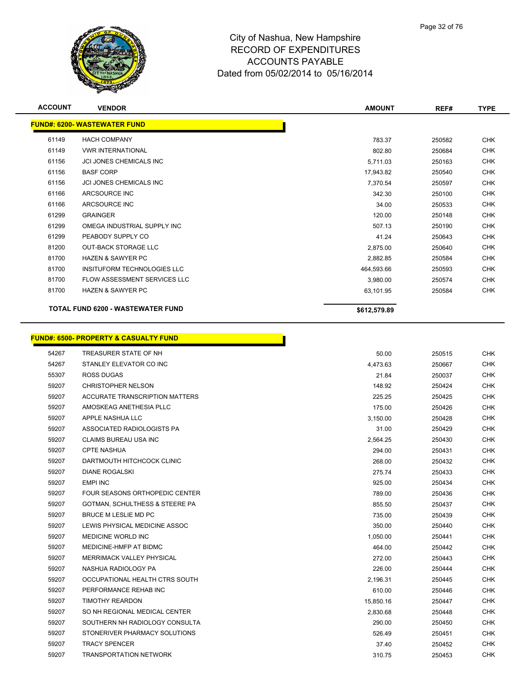

| <b>ACCOUNT</b> | <b>VENDOR</b>                                    | <b>AMOUNT</b> | REF#   | <b>TYPE</b> |
|----------------|--------------------------------------------------|---------------|--------|-------------|
|                | <b>FUND#: 6200- WASTEWATER FUND</b>              |               |        |             |
| 61149          | <b>HACH COMPANY</b>                              | 783.37        | 250582 | <b>CHK</b>  |
| 61149          | <b>VWR INTERNATIONAL</b>                         | 802.80        | 250684 | <b>CHK</b>  |
| 61156          | JCI JONES CHEMICALS INC                          | 5,711.03      | 250163 | <b>CHK</b>  |
| 61156          | <b>BASF CORP</b>                                 | 17,943.82     | 250540 | CHK         |
| 61156          | JCI JONES CHEMICALS INC                          | 7,370.54      | 250597 | <b>CHK</b>  |
| 61166          | ARCSOURCE INC                                    | 342.30        | 250100 | <b>CHK</b>  |
| 61166          | ARCSOURCE INC                                    | 34.00         | 250533 | CHK         |
| 61299          | <b>GRAINGER</b>                                  | 120.00        | 250148 | <b>CHK</b>  |
| 61299          | OMEGA INDUSTRIAL SUPPLY INC                      | 507.13        | 250190 | <b>CHK</b>  |
| 61299          | PEABODY SUPPLY CO                                | 41.24         | 250643 | <b>CHK</b>  |
| 81200          | <b>OUT-BACK STORAGE LLC</b>                      | 2,875.00      | 250640 | <b>CHK</b>  |
| 81700          | <b>HAZEN &amp; SAWYER PC</b>                     | 2,882.85      | 250584 | <b>CHK</b>  |
| 81700          | INSITUFORM TECHNOLOGIES LLC                      | 464,593.66    | 250593 | <b>CHK</b>  |
| 81700          | FLOW ASSESSMENT SERVICES LLC                     | 3,980.00      | 250574 | <b>CHK</b>  |
| 81700          | <b>HAZEN &amp; SAWYER PC</b>                     | 63,101.95     | 250584 | CHK         |
|                |                                                  |               |        |             |
|                | <b>TOTAL FUND 6200 - WASTEWATER FUND</b>         | \$612,579.89  |        |             |
|                |                                                  |               |        |             |
|                | <b>FUND#: 6500- PROPERTY &amp; CASUALTY FUND</b> |               |        |             |
| 54267          | TREASURER STATE OF NH                            | 50.00         | 250515 | <b>CHK</b>  |
| 54267          | STANLEY ELEVATOR CO INC                          | 4,473.63      | 250667 | <b>CHK</b>  |
| 55307          | <b>ROSS DUGAS</b>                                | 21.84         | 250037 | <b>CHK</b>  |
| 59207          | <b>CHRISTOPHER NELSON</b>                        | 148.92        | 250424 | <b>CHK</b>  |
| 59207          | ACCURATE TRANSCRIPTION MATTERS                   | 225.25        | 250425 | <b>CHK</b>  |
| 59207          | AMOSKEAG ANETHESIA PLLC                          | 175.00        | 250426 | <b>CHK</b>  |
| 59207          | APPLE NASHUA LLC                                 | 3,150.00      | 250428 | <b>CHK</b>  |
| 59207          | ASSOCIATED RADIOLOGISTS PA                       | 31.00         | 250429 | <b>CHK</b>  |
| 59207          | <b>CLAIMS BUREAU USA INC</b>                     | 2,564.25      | 250430 | CHK         |
| 59207          | <b>CPTE NASHUA</b>                               | 294.00        | 250431 | <b>CHK</b>  |
| 59207          | DARTMOUTH HITCHCOCK CLINIC                       | 268.00        | 250432 | CHK         |
| 59207          | <b>DIANE ROGALSKI</b>                            | 275.74        | 250433 | CHK         |
| 59207          | <b>EMPI INC</b>                                  | 925.00        | 250434 | <b>CHK</b>  |
| 59207          | FOUR SEASONS ORTHOPEDIC CENTER                   | 789.00        | 250436 | <b>CHK</b>  |
| 59207          | GOTMAN, SCHULTHESS & STEERE PA                   | 855.50        | 250437 | <b>CHK</b>  |
| 59207          | BRUCE M LESLIE MD PC                             | 735.00        | 250439 | <b>CHK</b>  |
| 59207          | LEWIS PHYSICAL MEDICINE ASSOC                    | 350.00        | 250440 | <b>CHK</b>  |
| 59207          | MEDICINE WORLD INC                               | 1,050.00      | 250441 | <b>CHK</b>  |
| 59207          | MEDICINE-HMFP AT BIDMC                           | 464.00        | 250442 | <b>CHK</b>  |
| 59207          | MERRIMACK VALLEY PHYSICAL                        | 272.00        | 250443 | <b>CHK</b>  |
| 59207          | NASHUA RADIOLOGY PA                              | 226.00        | 250444 | <b>CHK</b>  |
| 59207          | OCCUPATIONAL HEALTH CTRS SOUTH                   | 2,196.31      | 250445 | <b>CHK</b>  |
| 59207          | PERFORMANCE REHAB INC                            | 610.00        | 250446 | <b>CHK</b>  |
| 59207          | <b>TIMOTHY REARDON</b>                           | 15,850.16     | 250447 | <b>CHK</b>  |
| 59207          | SO NH REGIONAL MEDICAL CENTER                    | 2,830.68      | 250448 | <b>CHK</b>  |
| 59207          | SOUTHERN NH RADIOLOGY CONSULTA                   | 290.00        | 250450 | <b>CHK</b>  |
| 59207          | STONERIVER PHARMACY SOLUTIONS                    | 526.49        | 250451 | <b>CHK</b>  |
| 59207          | <b>TRACY SPENCER</b>                             | 37.40         | 250452 | <b>CHK</b>  |
| 59207          | <b>TRANSPORTATION NETWORK</b>                    | 310.75        | 250453 | <b>CHK</b>  |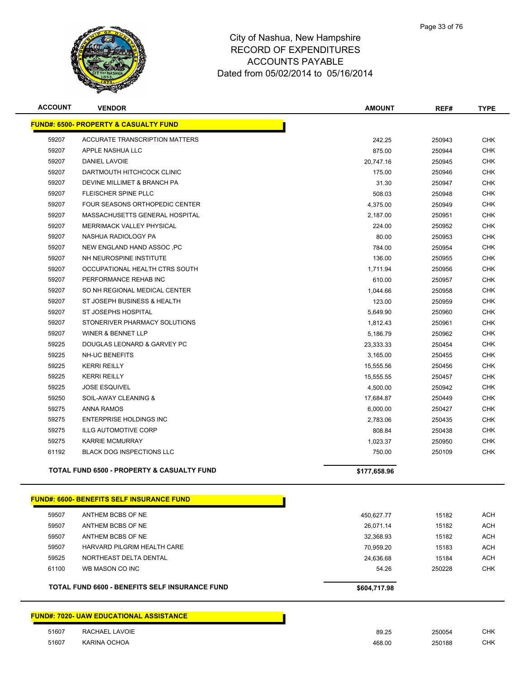

| <b>ACCOUNT</b> | <b>VENDOR</b>                                         | <b>AMOUNT</b> | REF#   | <b>TYPE</b> |
|----------------|-------------------------------------------------------|---------------|--------|-------------|
|                | <b>FUND#: 6500- PROPERTY &amp; CASUALTY FUND</b>      |               |        |             |
| 59207          | <b>ACCURATE TRANSCRIPTION MATTERS</b>                 | 242.25        | 250943 | <b>CHK</b>  |
| 59207          | APPLE NASHUA LLC                                      | 875.00        | 250944 | <b>CHK</b>  |
| 59207          | <b>DANIEL LAVOIE</b>                                  | 20,747.16     | 250945 | <b>CHK</b>  |
| 59207          | DARTMOUTH HITCHCOCK CLINIC                            | 175.00        | 250946 | <b>CHK</b>  |
| 59207          | DEVINE MILLIMET & BRANCH PA                           | 31.30         | 250947 | <b>CHK</b>  |
| 59207          | FLEISCHER SPINE PLLC                                  | 508.03        | 250948 | <b>CHK</b>  |
| 59207          | <b>FOUR SEASONS ORTHOPEDIC CENTER</b>                 | 4,375.00      | 250949 | <b>CHK</b>  |
| 59207          | MASSACHUSETTS GENERAL HOSPITAL                        | 2,187.00      | 250951 | <b>CHK</b>  |
| 59207          | <b>MERRIMACK VALLEY PHYSICAL</b>                      | 224.00        | 250952 | <b>CHK</b>  |
| 59207          | NASHUA RADIOLOGY PA                                   | 80.00         | 250953 | <b>CHK</b>  |
| 59207          | NEW ENGLAND HAND ASSOC, PC                            | 784.00        | 250954 | <b>CHK</b>  |
| 59207          | NH NEUROSPINE INSTITUTE                               | 136.00        | 250955 | <b>CHK</b>  |
| 59207          | OCCUPATIONAL HEALTH CTRS SOUTH                        | 1,711.94      | 250956 | <b>CHK</b>  |
| 59207          | PERFORMANCE REHAB INC                                 | 610.00        | 250957 | <b>CHK</b>  |
| 59207          | SO NH REGIONAL MEDICAL CENTER                         | 1,044.66      | 250958 | <b>CHK</b>  |
| 59207          | ST JOSEPH BUSINESS & HEALTH                           | 123.00        | 250959 | <b>CHK</b>  |
| 59207          | ST JOSEPHS HOSPITAL                                   | 5,649.90      | 250960 | <b>CHK</b>  |
| 59207          | STONERIVER PHARMACY SOLUTIONS                         | 1,812.43      | 250961 | <b>CHK</b>  |
| 59207          | <b>WINER &amp; BENNET LLP</b>                         | 5,186.79      | 250962 | <b>CHK</b>  |
| 59225          | DOUGLAS LEONARD & GARVEY PC                           | 23,333.33     | 250454 | <b>CHK</b>  |
| 59225          | <b>NH-UC BENEFITS</b>                                 | 3,165.00      | 250455 | <b>CHK</b>  |
| 59225          | <b>KERRI REILLY</b>                                   | 15,555.56     | 250456 | <b>CHK</b>  |
| 59225          | <b>KERRI REILLY</b>                                   | 15,555.55     | 250457 | <b>CHK</b>  |
| 59225          | <b>JOSE ESQUIVEL</b>                                  | 4,500.00      | 250942 | <b>CHK</b>  |
| 59250          | SOIL-AWAY CLEANING &                                  | 17,684.87     | 250449 | <b>CHK</b>  |
| 59275          | <b>ANNA RAMOS</b>                                     | 6,000.00      | 250427 | <b>CHK</b>  |
| 59275          | <b>ENTERPRISE HOLDINGS INC</b>                        | 2,783.06      | 250435 | <b>CHK</b>  |
| 59275          | <b>ILLG AUTOMOTIVE CORP</b>                           | 808.84        | 250438 | <b>CHK</b>  |
| 59275          | <b>KARRIE MCMURRAY</b>                                | 1,023.37      | 250950 | <b>CHK</b>  |
| 61192          | <b>BLACK DOG INSPECTIONS LLC</b>                      | 750.00        | 250109 | <b>CHK</b>  |
|                | <b>TOTAL FUND 6500 - PROPERTY &amp; CASUALTY FUND</b> | \$177,658.96  |        |             |
|                | <b>FUND#: 6600- BENEFITS SELF INSURANCE FUND</b>      |               |        |             |
| 59507          | ANTHEM BCBS OF NE                                     | 450,627.77    | 15182  | <b>ACH</b>  |
| 59507          | ANTHEM BCBS OF NE                                     | 26,071.14     | 15182  | <b>ACH</b>  |
| 59507          | ANTHEM BCBS OF NE                                     | 32,368.93     | 15182  | <b>ACH</b>  |
| 59507          | HARVARD PILGRIM HEALTH CARE                           | 70,959.20     | 15183  | <b>ACH</b>  |
| 59525          | NORTHEAST DELTA DENTAL                                | 24,636.68     | 15184  | <b>ACH</b>  |
| 61100          | WB MASON CO INC                                       | 54.26         | 250228 | <b>CHK</b>  |
|                | TOTAL FUND 6600 - BENEFITS SELF INSURANCE FUND        | \$604,717.98  |        |             |
|                | <b>FUND#: 7020- UAW EDUCATIONAL ASSISTANCE</b>        |               |        |             |
| 51607          | RACHAEL LAVOIE                                        | 89.25         | 250054 | <b>CHK</b>  |
| 51607          | KARINA OCHOA                                          | 468.00        | 250188 | <b>CHK</b>  |
|                |                                                       |               |        |             |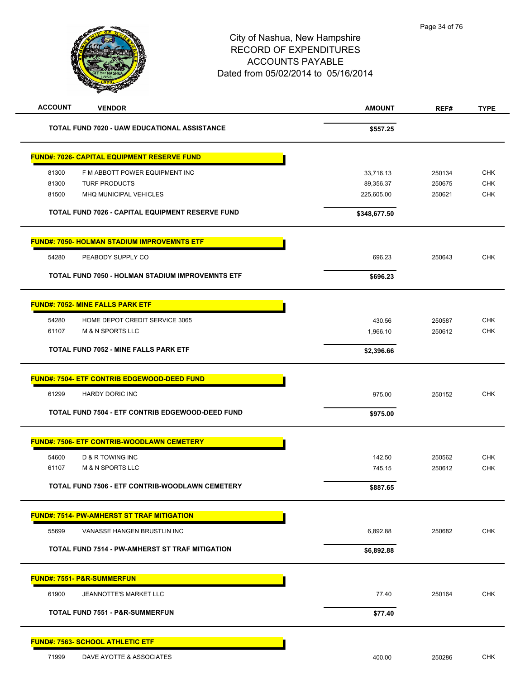

| <b>ACCOUNT</b><br><b>VENDOR</b>                         | <b>AMOUNT</b> | REF#   | <b>TYPE</b> |
|---------------------------------------------------------|---------------|--------|-------------|
| TOTAL FUND 7020 - UAW EDUCATIONAL ASSISTANCE            | \$557.25      |        |             |
| <b>FUND#: 7026- CAPITAL EQUIPMENT RESERVE FUND</b>      |               |        |             |
| 81300<br>F M ABBOTT POWER EQUIPMENT INC                 | 33,716.13     | 250134 | <b>CHK</b>  |
| 81300<br><b>TURF PRODUCTS</b>                           | 89,356.37     | 250675 | <b>CHK</b>  |
| 81500<br>MHQ MUNICIPAL VEHICLES                         | 225,605.00    | 250621 | <b>CHK</b>  |
| TOTAL FUND 7026 - CAPITAL EQUIPMENT RESERVE FUND        | \$348,677.50  |        |             |
| <b>FUND#: 7050- HOLMAN STADIUM IMPROVEMNTS ETF</b>      |               |        |             |
| 54280<br>PEABODY SUPPLY CO                              | 696.23        | 250643 | <b>CHK</b>  |
| <b>TOTAL FUND 7050 - HOLMAN STADIUM IMPROVEMNTS ETF</b> | \$696.23      |        |             |
| <b>FUND#: 7052- MINE FALLS PARK ETF</b>                 |               |        |             |
| HOME DEPOT CREDIT SERVICE 3065<br>54280                 | 430.56        | 250587 | <b>CHK</b>  |
| 61107<br><b>M &amp; N SPORTS LLC</b>                    | 1,966.10      | 250612 | <b>CHK</b>  |
| TOTAL FUND 7052 - MINE FALLS PARK ETF                   | \$2,396.66    |        |             |
| <b>FUND#: 7504- ETF CONTRIB EDGEWOOD-DEED FUND</b>      |               |        |             |
| 61299<br><b>HARDY DORIC INC</b>                         | 975.00        | 250152 | <b>CHK</b>  |
| TOTAL FUND 7504 - ETF CONTRIB EDGEWOOD-DEED FUND        | \$975.00      |        |             |
| <b>FUND#: 7506- ETF CONTRIB-WOODLAWN CEMETERY</b>       |               |        |             |
| 54600<br>D & R TOWING INC                               | 142.50        | 250562 | <b>CHK</b>  |
| <b>M &amp; N SPORTS LLC</b><br>61107                    | 745.15        | 250612 | <b>CHK</b>  |
| TOTAL FUND 7506 - ETF CONTRIB-WOODLAWN CEMETERY         | \$887.65      |        |             |
| <b>FUND#: 7514- PW-AMHERST ST TRAF MITIGATION</b>       |               |        |             |
| 55699<br>VANASSE HANGEN BRUSTLIN INC                    | 6,892.88      | 250682 | <b>CHK</b>  |
| TOTAL FUND 7514 - PW-AMHERST ST TRAF MITIGATION         | \$6,892.88    |        |             |
| <b>FUND#: 7551- P&amp;R-SUMMERFUN</b>                   |               |        |             |
| 61900<br>JEANNOTTE'S MARKET LLC                         | 77.40         | 250164 | <b>CHK</b>  |
| <b>TOTAL FUND 7551 - P&amp;R-SUMMERFUN</b>              | \$77.40       |        |             |
| <b>FUND#: 7563- SCHOOL ATHLETIC ETF</b>                 |               |        |             |
| 71999<br>DAVE AYOTTE & ASSOCIATES                       | 400.00        | 250286 | <b>CHK</b>  |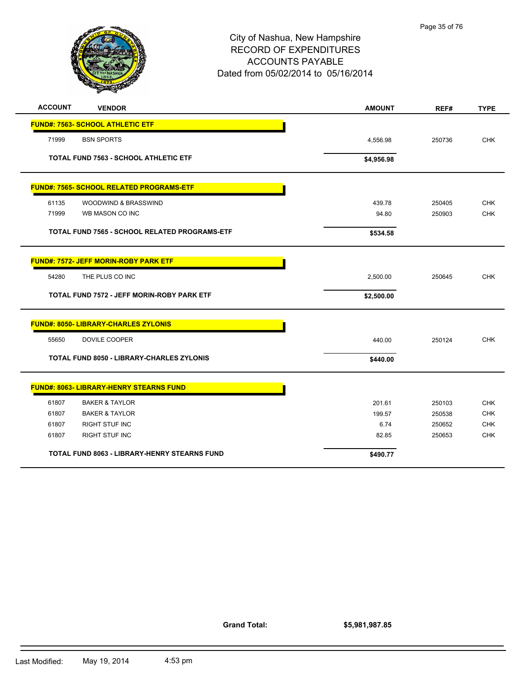

| <b>ACCOUNT</b><br><b>VENDOR</b>                      | <b>AMOUNT</b> | REF#   | <b>TYPE</b> |
|------------------------------------------------------|---------------|--------|-------------|
| <b>FUND#: 7563- SCHOOL ATHLETIC ETF</b>              |               |        |             |
| 71999<br><b>BSN SPORTS</b>                           | 4,556.98      | 250736 | <b>CHK</b>  |
| <b>TOTAL FUND 7563 - SCHOOL ATHLETIC ETF</b>         | \$4,956.98    |        |             |
| FUND#: 7565- SCHOOL RELATED PROGRAMS-ETF             |               |        |             |
| 61135<br>WOODWIND & BRASSWIND                        | 439.78        | 250405 | <b>CHK</b>  |
| 71999<br>WB MASON CO INC                             | 94.80         | 250903 | <b>CHK</b>  |
| <b>TOTAL FUND 7565 - SCHOOL RELATED PROGRAMS-ETF</b> | \$534.58      |        |             |
| <b>FUND#: 7572- JEFF MORIN-ROBY PARK ETF</b>         |               |        |             |
| THE PLUS CO INC<br>54280                             | 2,500.00      | 250645 | <b>CHK</b>  |
| <b>TOTAL FUND 7572 - JEFF MORIN-ROBY PARK ETF</b>    | \$2,500.00    |        |             |
| <b>FUND#: 8050- LIBRARY-CHARLES ZYLONIS</b>          |               |        |             |
| 55650<br>DOVILE COOPER                               | 440.00        | 250124 | <b>CHK</b>  |
| <b>TOTAL FUND 8050 - LIBRARY-CHARLES ZYLONIS</b>     | \$440.00      |        |             |
| <b>FUND#: 8063- LIBRARY-HENRY STEARNS FUND</b>       |               |        |             |
| 61807<br><b>BAKER &amp; TAYLOR</b>                   | 201.61        | 250103 | <b>CHK</b>  |
| 61807<br><b>BAKER &amp; TAYLOR</b>                   | 199.57        | 250538 | <b>CHK</b>  |
| 61807<br><b>RIGHT STUF INC</b>                       | 6.74          | 250652 | <b>CHK</b>  |
| 61807<br>RIGHT STUF INC                              | 82.85         | 250653 | <b>CHK</b>  |
| <b>TOTAL FUND 8063 - LIBRARY-HENRY STEARNS FUND</b>  | \$490.77      |        |             |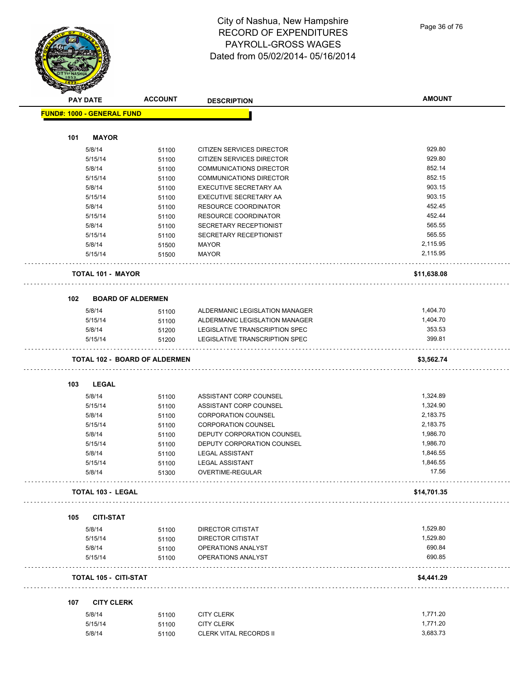City of Nashua, New Hampshire RECORD OF EXPENDITURES PAYROLL-GROSS WAGES Dated from 05/02/2014- 05/16/2014

Page 36 of 76

|     | <b>PAY DATE</b>                      | <b>ACCOUNT</b> | <b>DESCRIPTION</b>               | <b>AMOUNT</b> |
|-----|--------------------------------------|----------------|----------------------------------|---------------|
|     | <b>FUND#: 1000 - GENERAL FUND</b>    |                |                                  |               |
|     |                                      |                |                                  |               |
| 101 | <b>MAYOR</b>                         |                |                                  |               |
|     |                                      |                |                                  |               |
|     | 5/8/14                               | 51100          | <b>CITIZEN SERVICES DIRECTOR</b> | 929.80        |
|     | 5/15/14                              | 51100          | CITIZEN SERVICES DIRECTOR        | 929.80        |
|     | 5/8/14                               | 51100          | <b>COMMUNICATIONS DIRECTOR</b>   | 852.14        |
|     | 5/15/14                              | 51100          | <b>COMMUNICATIONS DIRECTOR</b>   | 852.15        |
|     | 5/8/14                               | 51100          | EXECUTIVE SECRETARY AA           | 903.15        |
|     | 5/15/14                              | 51100          | EXECUTIVE SECRETARY AA           | 903.15        |
|     | 5/8/14                               | 51100          | <b>RESOURCE COORDINATOR</b>      | 452.45        |
|     | 5/15/14                              | 51100          | <b>RESOURCE COORDINATOR</b>      | 452.44        |
|     | 5/8/14                               | 51100          | SECRETARY RECEPTIONIST           | 565.55        |
|     | 5/15/14                              | 51100          | SECRETARY RECEPTIONIST           | 565.55        |
|     | 5/8/14                               | 51500          | <b>MAYOR</b>                     | 2,115.95      |
|     | 5/15/14                              | 51500          | <b>MAYOR</b>                     | 2,115.95      |
|     |                                      |                |                                  |               |
|     | <b>TOTAL 101 - MAYOR</b>             |                |                                  | \$11,638.08   |
|     |                                      |                |                                  |               |
| 102 | <b>BOARD OF ALDERMEN</b>             |                |                                  |               |
|     | 5/8/14                               |                | ALDERMANIC LEGISLATION MANAGER   | 1,404.70      |
|     |                                      | 51100          |                                  |               |
|     | 5/15/14                              | 51100          | ALDERMANIC LEGISLATION MANAGER   | 1,404.70      |
|     | 5/8/14                               | 51200          | LEGISLATIVE TRANSCRIPTION SPEC   | 353.53        |
|     | 5/15/14                              | 51200          | LEGISLATIVE TRANSCRIPTION SPEC   | 399.81        |
|     | <b>TOTAL 102 - BOARD OF ALDERMEN</b> |                |                                  | \$3,562.74    |
|     |                                      |                |                                  |               |
| 103 | <b>LEGAL</b>                         |                |                                  |               |
|     | 5/8/14                               | 51100          | ASSISTANT CORP COUNSEL           | 1,324.89      |
|     | 5/15/14                              | 51100          | ASSISTANT CORP COUNSEL           | 1,324.90      |
|     | 5/8/14                               | 51100          | <b>CORPORATION COUNSEL</b>       | 2,183.75      |
|     | 5/15/14                              | 51100          | <b>CORPORATION COUNSEL</b>       | 2,183.75      |
|     | 5/8/14                               | 51100          | DEPUTY CORPORATION COUNSEL       | 1,986.70      |
|     | 5/15/14                              | 51100          | DEPUTY CORPORATION COUNSEL       | 1,986.70      |
|     | 5/8/14                               | 51100          | <b>LEGAL ASSISTANT</b>           | 1,846.55      |
|     | 5/15/14                              | 51100          | <b>LEGAL ASSISTANT</b>           | 1,846.55      |
|     | 5/8/14                               | 51300          | OVERTIME-REGULAR                 | 17.56         |
|     |                                      |                |                                  |               |
|     | <b>TOTAL 103 - LEGAL</b>             |                |                                  | \$14,701.35   |
| 105 | <b>CITI-STAT</b>                     |                |                                  |               |
|     | 5/8/14                               | 51100          | DIRECTOR CITISTAT                | 1,529.80      |
|     | 5/15/14                              | 51100          | <b>DIRECTOR CITISTAT</b>         | 1,529.80      |
|     |                                      |                | OPERATIONS ANALYST               | 690.84        |
|     | 5/8/14<br>5/15/14                    | 51100          | OPERATIONS ANALYST               | 690.85        |
|     |                                      | 51100          |                                  |               |
|     | <b>TOTAL 105 - CITI-STAT</b>         |                |                                  | \$4,441.29    |
|     |                                      |                |                                  |               |
| 107 | <b>CITY CLERK</b>                    |                |                                  |               |
|     | 5/8/14                               | 51100          | <b>CITY CLERK</b>                | 1,771.20      |
|     | 5/15/14                              | 51100          | <b>CITY CLERK</b>                | 1,771.20      |
|     | 5/8/14                               | 51100          | <b>CLERK VITAL RECORDS II</b>    | 3,683.73      |
|     |                                      |                |                                  |               |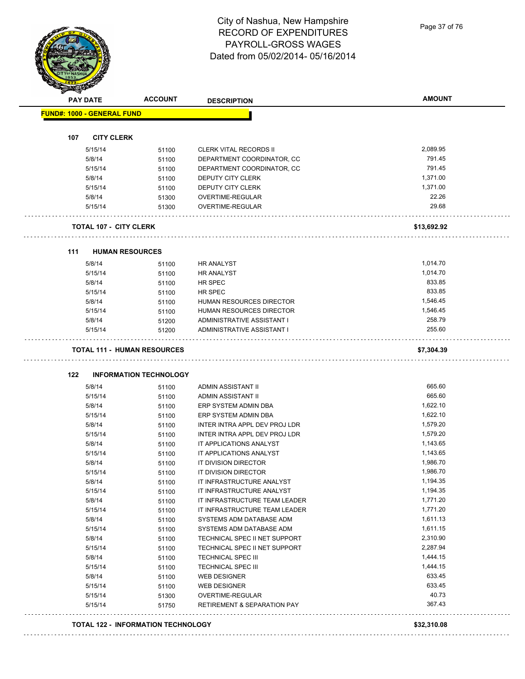Page 37 of 76

|     |                                   |                               |                               | <b>AMOUNT</b> |
|-----|-----------------------------------|-------------------------------|-------------------------------|---------------|
|     | <b>PAY DATE</b>                   | <b>ACCOUNT</b>                | <b>DESCRIPTION</b>            |               |
|     | <b>FUND#: 1000 - GENERAL FUND</b> |                               |                               |               |
| 107 | <b>CITY CLERK</b>                 |                               |                               |               |
|     | 5/15/14                           | 51100                         | <b>CLERK VITAL RECORDS II</b> | 2,089.95      |
|     | 5/8/14                            | 51100                         | DEPARTMENT COORDINATOR, CC    | 791.45        |
|     | 5/15/14                           | 51100                         | DEPARTMENT COORDINATOR, CC    | 791.45        |
|     | 5/8/14                            | 51100                         | DEPUTY CITY CLERK             | 1,371.00      |
|     | 5/15/14                           | 51100                         | DEPUTY CITY CLERK             | 1,371.00      |
|     | 5/8/14                            | 51300                         | OVERTIME-REGULAR              | 22.26         |
|     | 5/15/14                           | 51300                         | OVERTIME-REGULAR              | 29.68         |
|     | <b>TOTAL 107 - CITY CLERK</b>     |                               |                               | \$13,692.92   |
| 111 |                                   | <b>HUMAN RESOURCES</b>        |                               |               |
|     | 5/8/14                            | 51100                         | <b>HR ANALYST</b>             | 1,014.70      |
|     | 5/15/14                           | 51100                         | <b>HR ANALYST</b>             | 1,014.70      |
|     | 5/8/14                            | 51100                         | <b>HR SPEC</b>                | 833.85        |
|     | 5/15/14                           | 51100                         | HR SPEC                       | 833.85        |
|     | 5/8/14                            | 51100                         | HUMAN RESOURCES DIRECTOR      | 1,546.45      |
|     | 5/15/14                           | 51100                         | HUMAN RESOURCES DIRECTOR      | 1,546.45      |
|     | 5/8/14                            | 51200                         | ADMINISTRATIVE ASSISTANT I    | 258.79        |
|     | 5/15/14                           | 51200                         | ADMINISTRATIVE ASSISTANT I    | 255.60        |
|     |                                   |                               |                               |               |
|     |                                   | TOTAL 111 - HUMAN RESOURCES   |                               | \$7,304.39    |
|     |                                   |                               |                               |               |
| 122 |                                   | <b>INFORMATION TECHNOLOGY</b> |                               |               |
|     | 5/8/14                            | 51100                         | ADMIN ASSISTANT II            | 665.60        |
|     | 5/15/14                           | 51100                         | ADMIN ASSISTANT II            | 665.60        |
|     | 5/8/14                            | 51100                         | ERP SYSTEM ADMIN DBA          | 1,622.10      |
|     | 5/15/14                           | 51100                         | ERP SYSTEM ADMIN DBA          | 1,622.10      |
|     | 5/8/14                            | 51100                         | INTER INTRA APPL DEV PROJ LDR | 1,579.20      |
|     | 5/15/14                           | 51100                         | INTER INTRA APPL DEV PROJ LDR | 1,579.20      |
|     | 5/8/14                            | 51100                         | IT APPLICATIONS ANALYST       | 1,143.65      |
|     | 5/15/14                           | 51100                         | IT APPLICATIONS ANALYST       | 1,143.65      |
|     | 5/8/14                            | 51100                         | IT DIVISION DIRECTOR          | 1,986.70      |
|     | 5/15/14                           | 51100                         | IT DIVISION DIRECTOR          | 1,986.70      |
|     | 5/8/14                            | 51100                         | IT INFRASTRUCTURE ANALYST     | 1,194.35      |
|     | 5/15/14                           | 51100                         | IT INFRASTRUCTURE ANALYST     | 1,194.35      |
|     | 5/8/14                            | 51100                         | IT INFRASTRUCTURE TEAM LEADER | 1,771.20      |
|     | 5/15/14                           | 51100                         | IT INFRASTRUCTURE TEAM LEADER | 1,771.20      |
|     | 5/8/14                            | 51100                         | SYSTEMS ADM DATABASE ADM      | 1,611.13      |
|     | 5/15/14                           | 51100                         | SYSTEMS ADM DATABASE ADM      | 1,611.15      |
|     | 5/8/14                            | 51100                         | TECHNICAL SPEC II NET SUPPORT | 2,310.90      |
|     | 5/15/14                           | 51100                         | TECHNICAL SPEC II NET SUPPORT | 2,287.94      |
|     | 5/8/14                            | 51100                         | <b>TECHNICAL SPEC III</b>     | 1,444.15      |
|     | 5/15/14                           | 51100                         | <b>TECHNICAL SPEC III</b>     | 1,444.15      |
|     | 5/8/14                            | 51100                         | <b>WEB DESIGNER</b>           | 633.45        |
|     | 5/15/14                           | 51100                         | <b>WEB DESIGNER</b>           | 633.45        |
|     | 5/15/14                           | 51300                         | OVERTIME-REGULAR              | 40.73         |

#### **TOTAL 122 - INFORMATION TECHNOLOGY \$32,310.08**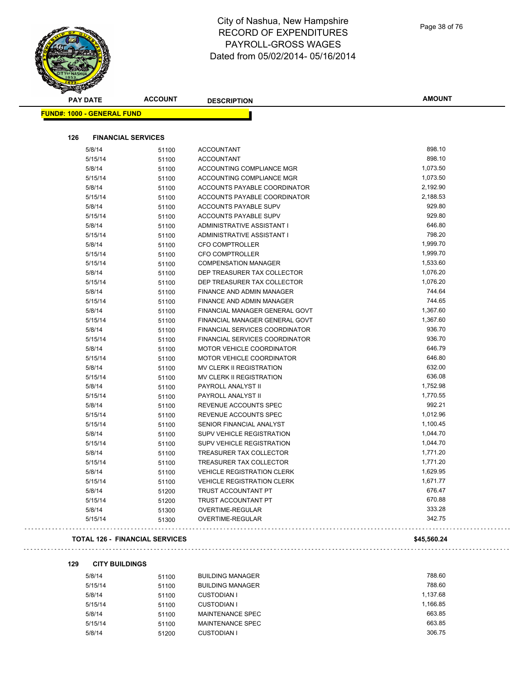| <b>PAY DATE</b>                   | <b>ACCOUNT</b>                        | <b>DESCRIPTION</b>                                     | <b>AMOUNT</b> |
|-----------------------------------|---------------------------------------|--------------------------------------------------------|---------------|
| <b>FUND#: 1000 - GENERAL FUND</b> |                                       |                                                        |               |
| 126                               | <b>FINANCIAL SERVICES</b>             |                                                        |               |
|                                   |                                       |                                                        | 898.10        |
| 5/8/14                            | 51100                                 | <b>ACCOUNTANT</b>                                      | 898.10        |
| 5/15/14                           | 51100                                 | <b>ACCOUNTANT</b>                                      | 1,073.50      |
| 5/8/14                            | 51100                                 | ACCOUNTING COMPLIANCE MGR<br>ACCOUNTING COMPLIANCE MGR | 1,073.50      |
| 5/15/14<br>5/8/14                 | 51100                                 | ACCOUNTS PAYABLE COORDINATOR                           | 2,192.90      |
| 5/15/14                           | 51100                                 | ACCOUNTS PAYABLE COORDINATOR                           | 2,188.53      |
| 5/8/14                            | 51100                                 | ACCOUNTS PAYABLE SUPV                                  | 929.80        |
| 5/15/14                           | 51100                                 | ACCOUNTS PAYABLE SUPV                                  | 929.80        |
| 5/8/14                            | 51100<br>51100                        | ADMINISTRATIVE ASSISTANT I                             | 646.80        |
| 5/15/14                           | 51100                                 | ADMINISTRATIVE ASSISTANT I                             | 798.20        |
| 5/8/14                            | 51100                                 | <b>CFO COMPTROLLER</b>                                 | 1,999.70      |
| 5/15/14                           | 51100                                 | <b>CFO COMPTROLLER</b>                                 | 1,999.70      |
| 5/15/14                           | 51100                                 | <b>COMPENSATION MANAGER</b>                            | 1,533.60      |
| 5/8/14                            | 51100                                 | DEP TREASURER TAX COLLECTOR                            | 1,076.20      |
| 5/15/14                           | 51100                                 | DEP TREASURER TAX COLLECTOR                            | 1,076.20      |
| 5/8/14                            | 51100                                 | FINANCE AND ADMIN MANAGER                              | 744.64        |
| 5/15/14                           | 51100                                 | <b>FINANCE AND ADMIN MANAGER</b>                       | 744.65        |
| 5/8/14                            | 51100                                 | FINANCIAL MANAGER GENERAL GOVT                         | 1,367.60      |
| 5/15/14                           | 51100                                 | FINANCIAL MANAGER GENERAL GOVT                         | 1,367.60      |
| 5/8/14                            | 51100                                 | FINANCIAL SERVICES COORDINATOR                         | 936.70        |
| 5/15/14                           | 51100                                 | <b>FINANCIAL SERVICES COORDINATOR</b>                  | 936.70        |
| 5/8/14                            | 51100                                 | MOTOR VEHICLE COORDINATOR                              | 646.79        |
| 5/15/14                           | 51100                                 | MOTOR VEHICLE COORDINATOR                              | 646.80        |
| 5/8/14                            | 51100                                 | MV CLERK II REGISTRATION                               | 632.00        |
| 5/15/14                           | 51100                                 | MV CLERK II REGISTRATION                               | 636.08        |
| 5/8/14                            | 51100                                 | PAYROLL ANALYST II                                     | 1,752.98      |
| 5/15/14                           | 51100                                 | PAYROLL ANALYST II                                     | 1,770.55      |
| 5/8/14                            | 51100                                 | REVENUE ACCOUNTS SPEC                                  | 992.21        |
| 5/15/14                           | 51100                                 | REVENUE ACCOUNTS SPEC                                  | 1,012.96      |
| 5/15/14                           | 51100                                 | SENIOR FINANCIAL ANALYST                               | 1,100.45      |
| 5/8/14                            | 51100                                 | SUPV VEHICLE REGISTRATION                              | 1,044.70      |
| 5/15/14                           | 51100                                 | SUPV VEHICLE REGISTRATION                              | 1,044.70      |
| 5/8/14                            | 51100                                 | TREASURER TAX COLLECTOR                                | 1,771.20      |
| 5/15/14                           | 51100                                 | TREASURER TAX COLLECTOR                                | 1,771.20      |
| 5/8/14                            | 51100                                 | <b>VEHICLE REGISTRATION CLERK</b>                      | 1,629.95      |
| 5/15/14                           | 51100                                 | <b>VEHICLE REGISTRATION CLERK</b>                      | 1,671.77      |
| 5/8/14                            | 51200                                 | TRUST ACCOUNTANT PT                                    | 676.47        |
| 5/15/14                           | 51200                                 | TRUST ACCOUNTANT PT                                    | 670.88        |
| 5/8/14                            | 51300                                 | OVERTIME-REGULAR                                       | 333.28        |
| 5/15/14                           | 51300                                 | OVERTIME-REGULAR                                       | 342.75        |
|                                   | <b>TOTAL 126 - FINANCIAL SERVICES</b> |                                                        | \$45,560.24   |

## 

#### **129 CITY BUILDINGS**

| 5/8/14  | 51100 | <b>BUILDING MANAGER</b> | 788.60   |
|---------|-------|-------------------------|----------|
| 5/15/14 | 51100 | <b>BUILDING MANAGER</b> | 788.60   |
| 5/8/14  | 51100 | CUSTODIAN I             | 1.137.68 |
| 5/15/14 | 51100 | CUSTODIAN I             | 1.166.85 |
| 5/8/14  | 51100 | MAINTENANCE SPEC        | 663.85   |
| 5/15/14 | 51100 | MAINTENANCE SPEC        | 663.85   |
| 5/8/14  | 51200 | <b>CUSTODIAN I</b>      | 306.75   |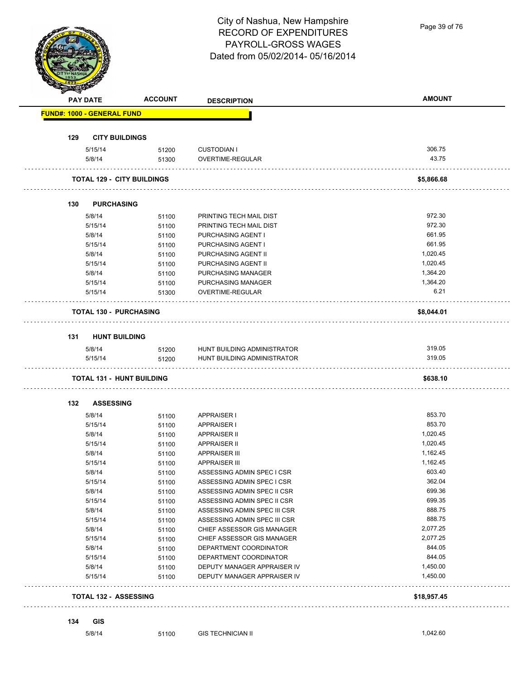City of Nashua, New Hampshire Page 39 of 76RECORD OF EXPENDITURES PAYROLL-GROSS WAGES Dated from 05/02/2014- 05/16/2014 **PAY DATE ACCOUNT DESCRIPTION AMOUNT FUND#: 1000 - GENERAL FUND 129 CITY BUILDINGS** 5/15/14 51200 CUSTODIAN I 306.75 5/8/14 51300 OVERTIME-REGULAR 43.75 **TOTAL 129 - CITY BUILDINGS \$5,866.68 130 PURCHASING** 5/8/14 51100 PRINTING TECH MAIL DIST 972.30 5/15/14 51100 PRINTING TECH MAIL DIST 972.30 5/8/14 51100 PURCHASING AGENT I 661.95 5/15/14 51100 PURCHASING AGENT I 661.95 5/8/14 51100 PURCHASING AGENT II 1,020.45 5/15/14 5/1100 PURCHASING AGENT II 1,020.45 5/8/14 5/100 PURCHASING MANAGER 1,364.20 5/15/14 51100 PURCHASING MANAGER 1,364.20 5/15/14 51300 OVERTIME-REGULAR 6.21 . . . . . . . . . . . . . . . . . . . . . . . . . . **TOTAL 130 - PURCHASING \$8,044.01** . . . . . . . . **131 HUNT BUILDING** 5/8/14 51200 HUNT BUILDING ADMINISTRATOR 319.05 5/15/14 51200 HUNT BUILDING ADMINISTRATOR 319.05 **TOTAL 131 - HUNT BUILDING \$638.10 132 ASSESSING** 5/8/14 51100 APPRAISER I 853.70 5/15/14 51100 APPRAISER I 853.70 5/8/14 51100 APPRAISER II 3.020.45 5/15/14 51100 APPRAISER II 1,020.45 5/8/14 51100 APPRAISER III 1,162.45 5/15/14 51100 APPRAISER III 1,162.45 5/8/14 51100 ASSESSING ADMIN SPEC I CSR 603.40 5/15/14 51100 ASSESSING ADMIN SPEC I CSR 362.04 5/8/14 51100 ASSESSING ADMIN SPEC II CSR 699.36 5/15/14 51100 ASSESSING ADMIN SPEC II CSR 699.35 5/8/14 5/100 ASSESSING ADMIN SPEC III CSR 688.75 5/15/14 51100 ASSESSING ADMIN SPEC III CSR 888.75 5/8/14 51100 CHIEF ASSESSOR GIS MANAGER 2,077.25 5/15/14 51100 CHIEF ASSESSOR GIS MANAGER 2,077.25 5/8/14 51100 DEPARTMENT COORDINATOR 844.05 5/15/14 51100 DEPARTMENT COORDINATOR 844.05 5/8/14 51100 DEPUTY MANAGER APPRAISER IV 1,450.00 5/15/14 51100 DEPUTY MANAGER APPRAISER IV 1,450.00 **TOTAL 132 - ASSESSING \$18,957.45**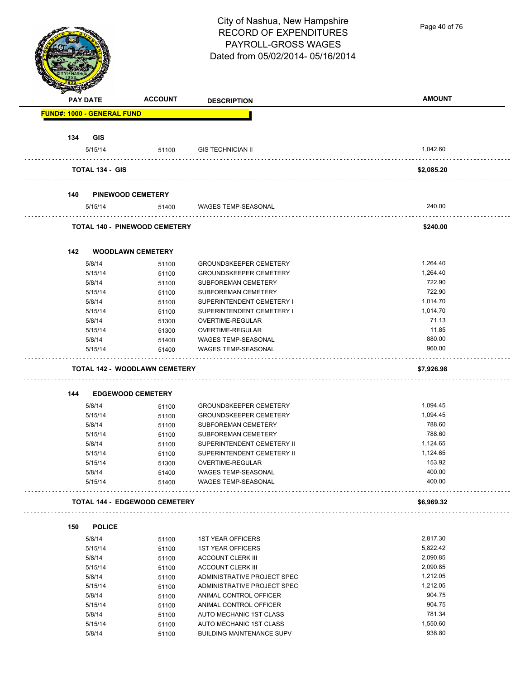Page 40 of 76

|                                   | <b>PAY DATE</b>        | <b>ACCOUNT</b>                       | <b>DESCRIPTION</b>                                | <b>AMOUNT</b>    |
|-----------------------------------|------------------------|--------------------------------------|---------------------------------------------------|------------------|
| <b>FUND#: 1000 - GENERAL FUND</b> |                        |                                      |                                                   |                  |
| 134                               | <b>GIS</b>             |                                      |                                                   |                  |
|                                   | 5/15/14                | 51100                                | <b>GIS TECHNICIAN II</b>                          | 1,042.60         |
|                                   | <b>TOTAL 134 - GIS</b> |                                      |                                                   | \$2,085.20       |
|                                   | .                      |                                      |                                                   |                  |
| 140                               |                        | <b>PINEWOOD CEMETERY</b>             |                                                   |                  |
|                                   | 5/15/14                | 51400                                | WAGES TEMP-SEASONAL                               | 240.00           |
|                                   |                        | <b>TOTAL 140 - PINEWOOD CEMETERY</b> |                                                   | \$240.00         |
| 142                               |                        | <b>WOODLAWN CEMETERY</b>             |                                                   |                  |
|                                   | 5/8/14                 | 51100                                | <b>GROUNDSKEEPER CEMETERY</b>                     | 1,264.40         |
|                                   | 5/15/14                | 51100                                | <b>GROUNDSKEEPER CEMETERY</b>                     | 1,264.40         |
|                                   | 5/8/14                 | 51100                                | <b>SUBFOREMAN CEMETERY</b>                        | 722.90           |
|                                   | 5/15/14                | 51100                                | <b>SUBFOREMAN CEMETERY</b>                        | 722.90           |
|                                   | 5/8/14                 | 51100                                | SUPERINTENDENT CEMETERY I                         | 1,014.70         |
|                                   | 5/15/14                | 51100                                | SUPERINTENDENT CEMETERY I                         | 1,014.70         |
|                                   | 5/8/14                 | 51300                                | OVERTIME-REGULAR                                  | 71.13            |
|                                   | 5/15/14                | 51300                                | OVERTIME-REGULAR                                  | 11.85            |
|                                   |                        |                                      |                                                   | 880.00           |
|                                   | 5/8/14                 | 51400                                | <b>WAGES TEMP-SEASONAL</b>                        |                  |
|                                   | 5/15/14                | 51400                                | WAGES TEMP-SEASONAL                               | 960.00           |
|                                   |                        | <b>TOTAL 142 - WOODLAWN CEMETERY</b> |                                                   | \$7,926.98       |
|                                   |                        |                                      |                                                   |                  |
| 144                               |                        | <b>EDGEWOOD CEMETERY</b>             |                                                   |                  |
|                                   | 5/8/14                 | 51100                                | <b>GROUNDSKEEPER CEMETERY</b>                     | 1,094.45         |
|                                   | 5/15/14                | 51100                                | <b>GROUNDSKEEPER CEMETERY</b>                     | 1,094.45         |
|                                   | 5/8/14                 | 51100                                | <b>SUBFOREMAN CEMETERY</b>                        | 788.60           |
|                                   | 5/15/14                | 51100                                | <b>SUBFOREMAN CEMETERY</b>                        | 788.60           |
|                                   | 5/8/14                 | 51100                                | SUPERINTENDENT CEMETERY II                        | 1,124.65         |
|                                   | 5/15/14                | 51100                                | SUPERINTENDENT CEMETERY II                        | 1,124.65         |
|                                   |                        |                                      |                                                   | 153.92           |
|                                   | 5/15/14                | 51300                                | OVERTIME-REGULAR                                  |                  |
|                                   | 5/8/14<br>5/15/14      | 51400<br>51400                       | WAGES TEMP-SEASONAL<br><b>WAGES TEMP-SEASONAL</b> | 400.00<br>400.00 |
|                                   |                        |                                      |                                                   |                  |
|                                   |                        | <b>TOTAL 144 - EDGEWOOD CEMETERY</b> |                                                   | \$6,969.32       |
| 150                               | <b>POLICE</b>          |                                      |                                                   |                  |
|                                   | 5/8/14                 | 51100                                | <b>1ST YEAR OFFICERS</b>                          | 2,817.30         |
|                                   | 5/15/14                | 51100                                | <b>1ST YEAR OFFICERS</b>                          | 5,822.42         |
|                                   | 5/8/14                 | 51100                                | <b>ACCOUNT CLERK III</b>                          | 2,090.85         |
|                                   | 5/15/14                | 51100                                | <b>ACCOUNT CLERK III</b>                          | 2,090.85         |
|                                   | 5/8/14                 | 51100                                | ADMINISTRATIVE PROJECT SPEC                       | 1,212.05         |
|                                   | 5/15/14                | 51100                                | ADMINISTRATIVE PROJECT SPEC                       | 1,212.05         |
|                                   | 5/8/14                 | 51100                                | ANIMAL CONTROL OFFICER                            | 904.75           |
|                                   | 5/15/14                | 51100                                | ANIMAL CONTROL OFFICER                            | 904.75           |
|                                   | 5/8/14                 | 51100                                | AUTO MECHANIC 1ST CLASS                           | 781.34           |
|                                   | 5/15/14                | 51100                                | AUTO MECHANIC 1ST CLASS                           | 1,550.60         |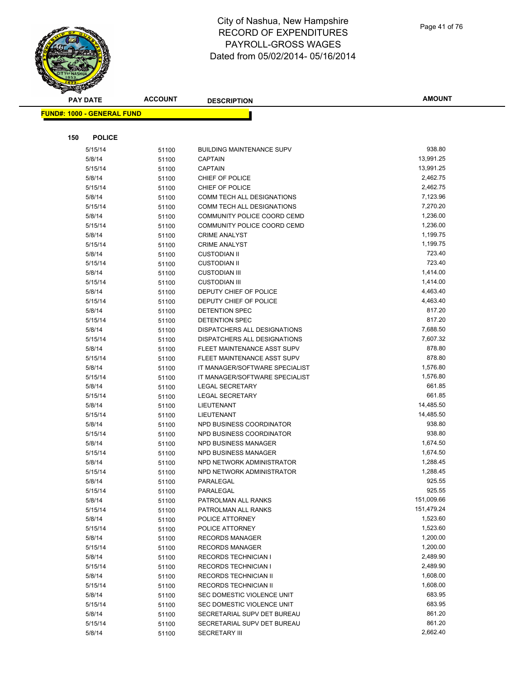|     | <b>PAY DATE</b>                    | <b>ACCOUNT</b> | <b>DESCRIPTION</b>                         | <b>AMOUNT</b>      |
|-----|------------------------------------|----------------|--------------------------------------------|--------------------|
|     | <u> FUND#: 1000 - GENERAL FUND</u> |                |                                            |                    |
|     |                                    |                |                                            |                    |
|     |                                    |                |                                            |                    |
| 150 | <b>POLICE</b>                      |                |                                            |                    |
|     | 5/15/14                            | 51100          | <b>BUILDING MAINTENANCE SUPV</b>           | 938.80             |
|     | 5/8/14                             | 51100          | <b>CAPTAIN</b>                             | 13,991.25          |
|     | 5/15/14                            | 51100          | <b>CAPTAIN</b>                             | 13,991.25          |
|     | 5/8/14                             | 51100          | CHIEF OF POLICE                            | 2,462.75           |
|     | 5/15/14                            | 51100          | CHIEF OF POLICE                            | 2,462.75           |
|     | 5/8/14                             | 51100          | <b>COMM TECH ALL DESIGNATIONS</b>          | 7,123.96           |
|     | 5/15/14                            | 51100          | COMM TECH ALL DESIGNATIONS                 | 7,270.20           |
|     | 5/8/14                             | 51100          | COMMUNITY POLICE COORD CEMD                | 1,236.00           |
|     | 5/15/14                            | 51100          | COMMUNITY POLICE COORD CEMD                | 1,236.00           |
|     | 5/8/14                             | 51100          | <b>CRIME ANALYST</b>                       | 1,199.75           |
|     | 5/15/14                            | 51100          | <b>CRIME ANALYST</b>                       | 1,199.75<br>723.40 |
|     | 5/8/14                             | 51100          | <b>CUSTODIAN II</b><br><b>CUSTODIAN II</b> | 723.40             |
|     | 5/15/14                            | 51100          | <b>CUSTODIAN III</b>                       | 1,414.00           |
|     | 5/8/14                             | 51100          | <b>CUSTODIAN III</b>                       | 1,414.00           |
|     | 5/15/14                            | 51100          | DEPUTY CHIEF OF POLICE                     | 4,463.40           |
|     | 5/8/14<br>5/15/14                  | 51100          | DEPUTY CHIEF OF POLICE                     | 4,463.40           |
|     |                                    | 51100          | DETENTION SPEC                             | 817.20             |
|     | 5/8/14<br>5/15/14                  | 51100          | <b>DETENTION SPEC</b>                      | 817.20             |
|     | 5/8/14                             | 51100<br>51100 | <b>DISPATCHERS ALL DESIGNATIONS</b>        | 7,688.50           |
|     | 5/15/14                            | 51100          | DISPATCHERS ALL DESIGNATIONS               | 7,607.32           |
|     | 5/8/14                             | 51100          | FLEET MAINTENANCE ASST SUPV                | 878.80             |
|     | 5/15/14                            | 51100          | FLEET MAINTENANCE ASST SUPV                | 878.80             |
|     | 5/8/14                             | 51100          | IT MANAGER/SOFTWARE SPECIALIST             | 1,576.80           |
|     | 5/15/14                            | 51100          | IT MANAGER/SOFTWARE SPECIALIST             | 1,576.80           |
|     | 5/8/14                             | 51100          | <b>LEGAL SECRETARY</b>                     | 661.85             |
|     | 5/15/14                            | 51100          | <b>LEGAL SECRETARY</b>                     | 661.85             |
|     | 5/8/14                             | 51100          | LIEUTENANT                                 | 14,485.50          |
|     | 5/15/14                            | 51100          | LIEUTENANT                                 | 14,485.50          |
|     | 5/8/14                             | 51100          | NPD BUSINESS COORDINATOR                   | 938.80             |
|     | 5/15/14                            | 51100          | NPD BUSINESS COORDINATOR                   | 938.80             |
|     | 5/8/14                             | 51100          | NPD BUSINESS MANAGER                       | 1,674.50           |
|     | 5/15/14                            | 51100          | NPD BUSINESS MANAGER                       | 1,674.50           |
|     | 5/8/14                             | 51100          | NPD NETWORK ADMINISTRATOR                  | 1,288.45           |
|     | 5/15/14                            | 51100          | NPD NETWORK ADMINISTRATOR                  | 1,288.45           |
|     | 5/8/14                             | 51100          | PARALEGAL                                  | 925.55             |
|     | 5/15/14                            | 51100          | PARALEGAL                                  | 925.55             |
|     | 5/8/14                             | 51100          | PATROLMAN ALL RANKS                        | 151,009.66         |
|     | 5/15/14                            | 51100          | PATROLMAN ALL RANKS                        | 151,479.24         |
|     | 5/8/14                             | 51100          | POLICE ATTORNEY                            | 1,523.60           |
|     | 5/15/14                            | 51100          | POLICE ATTORNEY                            | 1,523.60           |
|     | 5/8/14                             | 51100          | <b>RECORDS MANAGER</b>                     | 1,200.00           |
|     | 5/15/14                            | 51100          | <b>RECORDS MANAGER</b>                     | 1,200.00           |
|     | 5/8/14                             | 51100          | <b>RECORDS TECHNICIAN I</b>                | 2,489.90           |
|     | 5/15/14                            | 51100          | <b>RECORDS TECHNICIAN I</b>                | 2,489.90           |
|     | 5/8/14                             | 51100          | <b>RECORDS TECHNICIAN II</b>               | 1,608.00           |
|     | 5/15/14                            | 51100          | <b>RECORDS TECHNICIAN II</b>               | 1,608.00           |
|     | 5/8/14                             | 51100          | SEC DOMESTIC VIOLENCE UNIT                 | 683.95             |
|     | 5/15/14                            | 51100          | SEC DOMESTIC VIOLENCE UNIT                 | 683.95             |
|     | 5/8/14                             | 51100          | SECRETARIAL SUPV DET BUREAU                | 861.20             |
|     | 5/15/14                            | 51100          | SECRETARIAL SUPV DET BUREAU                | 861.20             |
|     | 5/8/14                             | 51100          | <b>SECRETARY III</b>                       | 2,662.40           |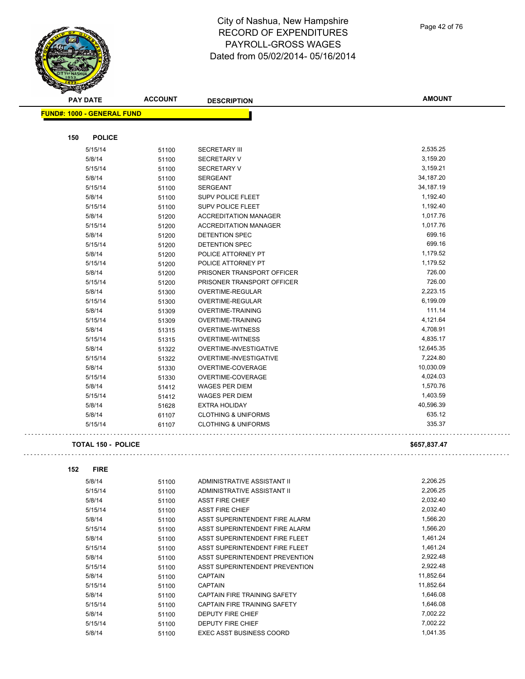City of Nashua, New Hampshire RECORD OF EXPENDITURES PAYROLL-GROSS WAGES

Dated from 05/02/2014- 05/16/2014

|     | <b>PAY DATE</b>                   | <b>ACCOUNT</b> | <b>DESCRIPTION</b>                          | <b>AMOUNT</b>      |
|-----|-----------------------------------|----------------|---------------------------------------------|--------------------|
|     | <b>FUND#: 1000 - GENERAL FUND</b> |                |                                             |                    |
|     |                                   |                |                                             |                    |
| 150 | <b>POLICE</b>                     |                |                                             |                    |
|     | 5/15/14                           |                | <b>SECRETARY III</b>                        | 2,535.25           |
|     | 5/8/14                            | 51100<br>51100 | <b>SECRETARY V</b>                          | 3,159.20           |
|     | 5/15/14                           | 51100          | <b>SECRETARY V</b>                          | 3,159.21           |
|     | 5/8/14                            | 51100          | <b>SERGEANT</b>                             | 34,187.20          |
|     | 5/15/14                           | 51100          | <b>SERGEANT</b>                             | 34,187.19          |
|     | 5/8/14                            |                | <b>SUPV POLICE FLEET</b>                    | 1,192.40           |
|     | 5/15/14                           | 51100<br>51100 | <b>SUPV POLICE FLEET</b>                    | 1,192.40           |
|     | 5/8/14                            |                | <b>ACCREDITATION MANAGER</b>                | 1,017.76           |
|     | 5/15/14                           | 51200          | <b>ACCREDITATION MANAGER</b>                | 1,017.76           |
|     | 5/8/14                            | 51200          | DETENTION SPEC                              | 699.16             |
|     | 5/15/14                           | 51200          | DETENTION SPEC                              | 699.16             |
|     | 5/8/14                            | 51200          | POLICE ATTORNEY PT                          | 1,179.52           |
|     | 5/15/14                           | 51200          | POLICE ATTORNEY PT                          | 1,179.52           |
|     | 5/8/14                            | 51200          | PRISONER TRANSPORT OFFICER                  | 726.00             |
|     | 5/15/14                           | 51200          | PRISONER TRANSPORT OFFICER                  | 726.00             |
|     |                                   | 51200          |                                             | 2,223.15           |
|     | 5/8/14                            | 51300          | OVERTIME-REGULAR<br><b>OVERTIME-REGULAR</b> |                    |
|     | 5/15/14                           | 51300          |                                             | 6,199.09<br>111.14 |
|     | 5/8/14                            | 51309          | <b>OVERTIME-TRAINING</b>                    | 4,121.64           |
|     | 5/15/14                           | 51309          | OVERTIME-TRAINING                           |                    |
|     | 5/8/14                            | 51315          | <b>OVERTIME-WITNESS</b>                     | 4,708.91           |
|     | 5/15/14                           | 51315          | <b>OVERTIME-WITNESS</b>                     | 4,835.17           |
|     | 5/8/14                            | 51322          | OVERTIME-INVESTIGATIVE                      | 12,645.35          |
|     | 5/15/14                           | 51322          | OVERTIME-INVESTIGATIVE                      | 7,224.80           |
|     | 5/8/14                            | 51330          | OVERTIME-COVERAGE                           | 10,030.09          |
|     | 5/15/14                           | 51330          | OVERTIME-COVERAGE                           | 4,024.03           |
|     | 5/8/14                            | 51412          | <b>WAGES PER DIEM</b>                       | 1,570.76           |
|     | 5/15/14                           | 51412          | <b>WAGES PER DIEM</b>                       | 1,403.59           |
|     | 5/8/14                            | 51628          | <b>EXTRA HOLIDAY</b>                        | 40,596.39          |
|     | 5/8/14                            | 61107          | <b>CLOTHING &amp; UNIFORMS</b>              | 635.12             |
|     | 5/15/14                           | 61107          | <b>CLOTHING &amp; UNIFORMS</b>              | 335.37             |
|     | <b>TOTAL 150 - POLICE</b>         |                |                                             | \$657,837.47       |
|     |                                   |                |                                             |                    |
| 152 | <b>FIRE</b>                       |                |                                             |                    |
|     | 5/8/14                            |                | ADMINISTRATIVE ASSISTANT II                 | 2,206.25           |
|     | 5/15/14                           | 51100<br>51100 | ADMINISTRATIVE ASSISTANT II                 | 2,206.25           |
|     | 5/8/14                            |                | <b>ASST FIRE CHIEF</b>                      | 2,032.40           |
|     | 5/15/14                           | 51100          | <b>ASST FIRE CHIEF</b>                      | 2,032.40           |
|     | 5/8/14                            | 51100          | ASST SUPERINTENDENT FIRE ALARM              | 1,566.20           |
|     | 5/15/14                           | 51100          | ASST SUPERINTENDENT FIRE ALARM              | 1,566.20           |
|     | 5/8/14                            | 51100          | ASST SUPERINTENDENT FIRE FLEET              | 1,461.24           |
|     | 5/15/14                           | 51100          | ASST SUPERINTENDENT FIRE FLEET              | 1,461.24           |
|     | 5/8/14                            | 51100          | ASST SUPERINTENDENT PREVENTION              | 2,922.48           |
|     | 5/15/14                           | 51100<br>51100 | ASST SUPERINTENDENT PREVENTION              | 2,922.48           |
|     | 5/8/14                            |                | <b>CAPTAIN</b>                              | 11,852.64          |
|     | 5/15/14                           | 51100          | <b>CAPTAIN</b>                              | 11,852.64          |
|     | 5/8/14                            | 51100          | CAPTAIN FIRE TRAINING SAFETY                | 1,646.08           |
|     | 5/15/14                           | 51100<br>51100 | CAPTAIN FIRE TRAINING SAFETY                | 1,646.08           |
|     | 5/8/14                            | 51100          | DEPUTY FIRE CHIEF                           | 7,002.22           |
|     | 5/15/14                           | 51100          | DEPUTY FIRE CHIEF                           | 7,002.22           |
|     | 5/8/14                            | 51100          | <b>EXEC ASST BUSINESS COORD</b>             | 1,041.35           |
|     |                                   |                |                                             |                    |

 $\bar{1}$  ,  $\bar{1}$ 

 $\bar{z}$  ,  $\bar{z}$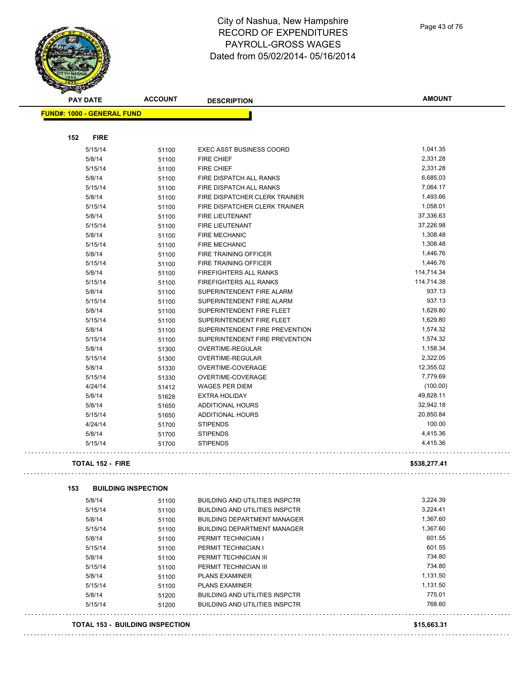Page 43 of 76

| <b>PAY DATE</b>                   | <b>ACCOUNT</b>                         | <b>DESCRIPTION</b>                                             | <b>AMOUNT</b> |
|-----------------------------------|----------------------------------------|----------------------------------------------------------------|---------------|
| <b>FUND#: 1000 - GENERAL FUND</b> |                                        |                                                                |               |
| 152<br><b>FIRE</b>                |                                        |                                                                |               |
| 5/15/14                           | 51100                                  | <b>EXEC ASST BUSINESS COORD</b>                                | 1,041.35      |
| 5/8/14                            | 51100                                  | <b>FIRE CHIEF</b>                                              | 2,331.28      |
| 5/15/14                           | 51100                                  | <b>FIRE CHIEF</b>                                              | 2,331.28      |
| 5/8/14                            | 51100                                  | FIRE DISPATCH ALL RANKS                                        | 6,685.03      |
| 5/15/14                           | 51100                                  | FIRE DISPATCH ALL RANKS                                        | 7,064.17      |
| 5/8/14                            | 51100                                  | FIRE DISPATCHER CLERK TRAINER                                  | 1,493.66      |
| 5/15/14                           | 51100                                  | FIRE DISPATCHER CLERK TRAINER                                  | 1,058.01      |
| 5/8/14                            | 51100                                  | <b>FIRE LIEUTENANT</b>                                         | 37,336.63     |
| 5/15/14                           | 51100                                  | <b>FIRE LIEUTENANT</b>                                         | 37,226.98     |
| 5/8/14                            |                                        | <b>FIRE MECHANIC</b>                                           | 1,308.48      |
| 5/15/14                           | 51100                                  | <b>FIRE MECHANIC</b>                                           | 1,308.48      |
| 5/8/14                            | 51100                                  | FIRE TRAINING OFFICER                                          | 1,446.76      |
| 5/15/14                           | 51100                                  | FIRE TRAINING OFFICER                                          | 1,446.76      |
|                                   | 51100                                  |                                                                | 114,714.34    |
| 5/8/14                            | 51100                                  | <b>FIREFIGHTERS ALL RANKS</b><br><b>FIREFIGHTERS ALL RANKS</b> | 114,714.38    |
| 5/15/14                           | 51100                                  |                                                                |               |
| 5/8/14                            | 51100                                  | SUPERINTENDENT FIRE ALARM                                      | 937.13        |
| 5/15/14                           | 51100                                  | SUPERINTENDENT FIRE ALARM                                      | 937.13        |
| 5/8/14                            | 51100                                  | SUPERINTENDENT FIRE FLEET                                      | 1,629.80      |
| 5/15/14                           | 51100                                  | SUPERINTENDENT FIRE FLEET                                      | 1,629.80      |
| 5/8/14                            | 51100                                  | SUPERINTENDENT FIRE PREVENTION                                 | 1,574.32      |
| 5/15/14                           | 51100                                  | SUPERINTENDENT FIRE PREVENTION                                 | 1,574.32      |
| 5/8/14                            | 51300                                  | OVERTIME-REGULAR                                               | 1,158.34      |
| 5/15/14                           | 51300                                  | OVERTIME-REGULAR                                               | 2,322.05      |
| 5/8/14                            | 51330                                  | OVERTIME-COVERAGE                                              | 12,355.02     |
| 5/15/14                           | 51330                                  | OVERTIME-COVERAGE                                              | 7,779.69      |
| 4/24/14                           | 51412                                  | <b>WAGES PER DIEM</b>                                          | (100.00)      |
| 5/8/14                            | 51628                                  | <b>EXTRA HOLIDAY</b>                                           | 49,828.11     |
| 5/8/14                            | 51650                                  | ADDITIONAL HOURS                                               | 32,942.18     |
| 5/15/14                           | 51650                                  | <b>ADDITIONAL HOURS</b>                                        | 20,850.84     |
| 4/24/14                           | 51700                                  | <b>STIPENDS</b>                                                | 100.00        |
| 5/8/14                            | 51700                                  | <b>STIPENDS</b>                                                | 4,415.36      |
| 5/15/14                           | 51700                                  | <b>STIPENDS</b>                                                | 4,415.36      |
| <b>TOTAL 152 - FIRE</b>           |                                        |                                                                | \$538,277.41  |
| 153                               | <b>BUILDING INSPECTION</b>             |                                                                |               |
| 5/8/14                            | 51100                                  | <b>BUILDING AND UTILITIES INSPCTR</b>                          | 3,224.39      |
| 5/15/14                           | 51100                                  | <b>BUILDING AND UTILITIES INSPCTR</b>                          | 3,224.41      |
| 5/8/14                            | 51100                                  | <b>BUILDING DEPARTMENT MANAGER</b>                             | 1,367.60      |
| 5/15/14                           | 51100                                  | <b>BUILDING DEPARTMENT MANAGER</b>                             | 1,367.60      |
| 5/8/14                            | 51100                                  | PERMIT TECHNICIAN I                                            | 601.55        |
| 5/15/14                           | 51100                                  | PERMIT TECHNICIAN I                                            | 601.55        |
| 5/8/14                            | 51100                                  | PERMIT TECHNICIAN III                                          | 734.80        |
| 5/15/14                           | 51100                                  | PERMIT TECHNICIAN III                                          | 734.80        |
| 5/8/14                            | 51100                                  | <b>PLANS EXAMINER</b>                                          | 1,131.50      |
| 5/15/14                           | 51100                                  | <b>PLANS EXAMINER</b>                                          | 1,131.50      |
| 5/8/14                            |                                        | <b>BUILDING AND UTILITIES INSPCTR</b>                          | 775.01        |
| 5/15/14                           | 51200                                  | <b>BUILDING AND UTILITIES INSPCTR</b>                          | 768.60        |
|                                   | 51200                                  |                                                                |               |
|                                   | <b>TOTAL 153 - BUILDING INSPECTION</b> |                                                                | \$15,663.31   |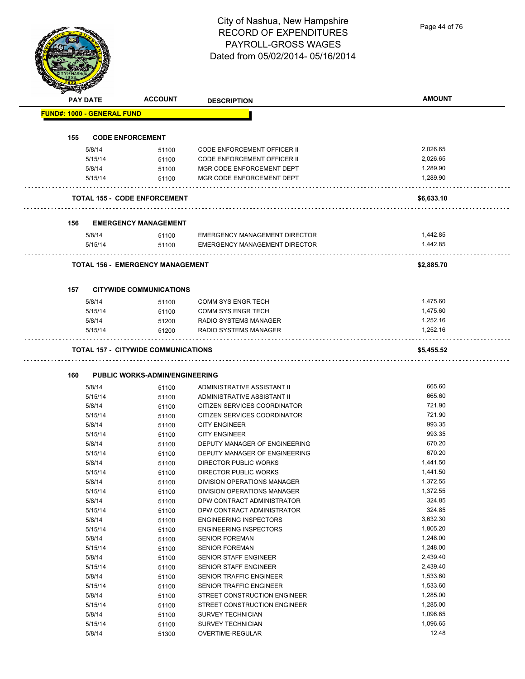Page 44 of 76

#### RECORD OF EXPENDITURES PAYROLL-GROSS WAGES Dated from 05/02/2014- 05/16/2014 **PAY DATE ACCOUNT DESCRIPTION AMOUNT FUND#: 1000 - GENERAL FUND 155 CODE ENFORCEMENT** 5/8/14 51100 CODE ENFORCEMENT OFFICER II 2,026.65 5/15/14 51100 CODE ENFORCEMENT OFFICER II 2,026.65 5/8/14 51100 MGR CODE ENFORCEMENT DEPT 1,289.90 5/15/14 51100 MGR CODE ENFORCEMENT DEPT 1,289.90 **TOTAL 155 - CODE ENFORCEMENT \$6,633.10 156 EMERGENCY MANAGEMENT** 5/8/14 51100 EMERGENCY MANAGEMENT DIRECTOR 1,442.85 5/15/14 51100 EMERGENCY MANAGEMENT DIRECTOR 1,442.85 **TOTAL 156 - EMERGENCY MANAGEMENT \$2,885.70** . . . . . . . . . . . . . . . . . . . **157 CITYWIDE COMMUNICATIONS** 5/8/14 51100 COMM SYS ENGR TECH 5/6/14 51100 5/15/14 51100 COMM SYS ENGR TECH 1,475.60 5/8/14 51200 RADIO SYSTEMS MANAGER 1,252.16 5/15/14 51200 RADIO SYSTEMS MANAGER 1,252.16

City of Nashua, New Hampshire

#### **TOTAL 157 - CITYWIDE COMMUNICATIONS \$5,455.52**

#### **160 PUBLIC WORKS-ADMIN/ENGINEERING**

| 5/8/14  | 51100 | ADMINISTRATIVE ASSISTANT II        | 665.60   |
|---------|-------|------------------------------------|----------|
| 5/15/14 | 51100 | ADMINISTRATIVE ASSISTANT II        | 665.60   |
| 5/8/14  | 51100 | CITIZEN SERVICES COORDINATOR       | 721.90   |
| 5/15/14 | 51100 | CITIZEN SERVICES COORDINATOR       | 721.90   |
| 5/8/14  | 51100 | <b>CITY ENGINEER</b>               | 993.35   |
| 5/15/14 | 51100 | <b>CITY ENGINEER</b>               | 993.35   |
| 5/8/14  | 51100 | DEPUTY MANAGER OF ENGINEERING      | 670.20   |
| 5/15/14 | 51100 | DEPUTY MANAGER OF ENGINEERING      | 670.20   |
| 5/8/14  | 51100 | DIRECTOR PUBLIC WORKS              | 1,441.50 |
| 5/15/14 | 51100 | DIRECTOR PUBLIC WORKS              | 1,441.50 |
| 5/8/14  | 51100 | <b>DIVISION OPERATIONS MANAGER</b> | 1,372.55 |
| 5/15/14 | 51100 | DIVISION OPERATIONS MANAGER        | 1,372.55 |
| 5/8/14  | 51100 | DPW CONTRACT ADMINISTRATOR         | 324.85   |
| 5/15/14 | 51100 | DPW CONTRACT ADMINISTRATOR         | 324.85   |
| 5/8/14  | 51100 | <b>ENGINEERING INSPECTORS</b>      | 3,632.30 |
| 5/15/14 | 51100 | <b>ENGINEERING INSPECTORS</b>      | 1,805.20 |
| 5/8/14  | 51100 | <b>SENIOR FOREMAN</b>              | 1,248.00 |
| 5/15/14 | 51100 | <b>SENIOR FOREMAN</b>              | 1,248.00 |
| 5/8/14  | 51100 | SENIOR STAFF ENGINEER              | 2,439.40 |
| 5/15/14 | 51100 | <b>SENIOR STAFF ENGINEER</b>       | 2,439.40 |
| 5/8/14  | 51100 | <b>SENIOR TRAFFIC ENGINEER</b>     | 1,533.60 |
| 5/15/14 | 51100 | <b>SENIOR TRAFFIC ENGINEER</b>     | 1,533.60 |
| 5/8/14  | 51100 | STREET CONSTRUCTION ENGINEER       | 1,285.00 |
| 5/15/14 | 51100 | STREET CONSTRUCTION ENGINEER       | 1,285.00 |
| 5/8/14  | 51100 | <b>SURVEY TECHNICIAN</b>           | 1,096.65 |
| 5/15/14 | 51100 | <b>SURVEY TECHNICIAN</b>           | 1,096.65 |
| 5/8/14  | 51300 | OVERTIME-REGULAR                   | 12.48    |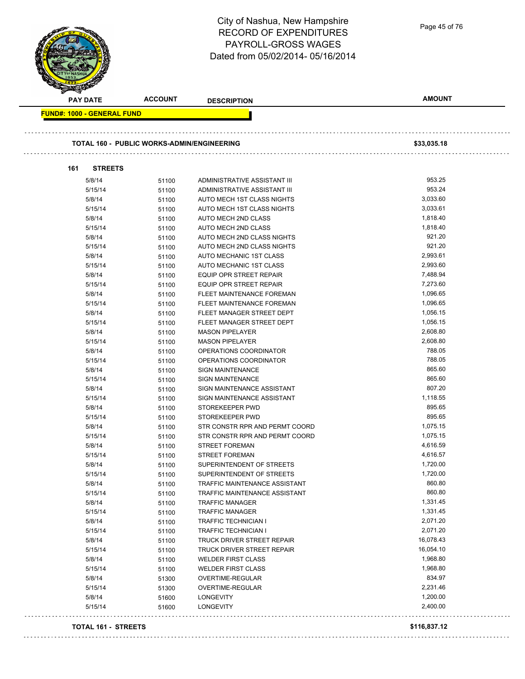#### City of Nashua, New Hampshire Page 45 of 76RECORD OF EXPENDITURES PAYROLL-GROSS WAGES Dated from 05/02/2014- 05/16/2014 **PAY DATE ACCOUNT DESCRIPTION AMOUNT FUND#: 1000 - GENERAL FUND TOTAL 160 - PUBLIC WORKS-ADMIN/ENGINEERING \$33,035.18 161 STREETS** 5/8/14 51100 ADMINISTRATIVE ASSISTANT III 953.25 5/15/14 51100 ADMINISTRATIVE ASSISTANT III 953.24 5/8/14 51100 AUTO MECH 1ST CLASS NIGHTS 3003160 3,033.60 5/15/14 51100 AUTO MECH 1ST CLASS NIGHTS 3,033.61 5/8/14 51100 AUTO MECH 2ND CLASS 1,818.40 5/15/14 51100 AUTO MECH 2ND CLASS 1,818.40 5/8/14 51100 AUTO MECH 2ND CLASS NIGHTS 921.20 5/15/14 51100 AUTO MECH 2ND CLASS NIGHTS 921.20 5/8/14 51100 AUTO MECHANIC 1ST CLASS 61 20093.61

| 5/8/14  | 51100 | AUTO MECH 2ND CLASS                  | 1,818.40  |
|---------|-------|--------------------------------------|-----------|
| 5/15/14 | 51100 | AUTO MECH 2ND CLASS                  | 1,818.40  |
| 5/8/14  | 51100 | AUTO MECH 2ND CLASS NIGHTS           | 921.20    |
| 5/15/14 | 51100 | AUTO MECH 2ND CLASS NIGHTS           | 921.20    |
| 5/8/14  | 51100 | AUTO MECHANIC 1ST CLASS              | 2,993.61  |
| 5/15/14 | 51100 | AUTO MECHANIC 1ST CLASS              | 2,993.60  |
| 5/8/14  | 51100 | <b>EQUIP OPR STREET REPAIR</b>       | 7,488.94  |
| 5/15/14 | 51100 | EQUIP OPR STREET REPAIR              | 7,273.60  |
| 5/8/14  | 51100 | FLEET MAINTENANCE FOREMAN            | 1,096.65  |
| 5/15/14 | 51100 | FLEET MAINTENANCE FOREMAN            | 1,096.65  |
| 5/8/14  | 51100 | FLEET MANAGER STREET DEPT            | 1,056.15  |
| 5/15/14 | 51100 | FLEET MANAGER STREET DEPT            | 1,056.15  |
| 5/8/14  | 51100 | <b>MASON PIPELAYER</b>               | 2,608.80  |
| 5/15/14 | 51100 | <b>MASON PIPELAYER</b>               | 2,608.80  |
| 5/8/14  | 51100 | OPERATIONS COORDINATOR               | 788.05    |
| 5/15/14 | 51100 | OPERATIONS COORDINATOR               | 788.05    |
| 5/8/14  | 51100 | <b>SIGN MAINTENANCE</b>              | 865.60    |
| 5/15/14 | 51100 | <b>SIGN MAINTENANCE</b>              | 865.60    |
| 5/8/14  | 51100 | SIGN MAINTENANCE ASSISTANT           | 807.20    |
| 5/15/14 | 51100 | SIGN MAINTENANCE ASSISTANT           | 1,118.55  |
| 5/8/14  | 51100 | STOREKEEPER PWD                      | 895.65    |
| 5/15/14 | 51100 | STOREKEEPER PWD                      | 895.65    |
| 5/8/14  | 51100 | STR CONSTR RPR AND PERMT COORD       | 1,075.15  |
| 5/15/14 | 51100 | STR CONSTR RPR AND PERMT COORD       | 1,075.15  |
| 5/8/14  | 51100 | <b>STREET FOREMAN</b>                | 4,616.59  |
| 5/15/14 | 51100 | <b>STREET FOREMAN</b>                | 4,616.57  |
| 5/8/14  | 51100 | SUPERINTENDENT OF STREETS            | 1,720.00  |
| 5/15/14 | 51100 | SUPERINTENDENT OF STREETS            | 1,720.00  |
| 5/8/14  | 51100 | TRAFFIC MAINTENANCE ASSISTANT        | 860.80    |
| 5/15/14 | 51100 | <b>TRAFFIC MAINTENANCE ASSISTANT</b> | 860.80    |
| 5/8/14  | 51100 | <b>TRAFFIC MANAGER</b>               | 1,331.45  |
| 5/15/14 | 51100 | <b>TRAFFIC MANAGER</b>               | 1,331.45  |
| 5/8/14  | 51100 | <b>TRAFFIC TECHNICIAN I</b>          | 2,071.20  |
| 5/15/14 | 51100 | TRAFFIC TECHNICIAN I                 | 2,071.20  |
| 5/8/14  | 51100 | TRUCK DRIVER STREET REPAIR           | 16,078.43 |
| 5/15/14 | 51100 | TRUCK DRIVER STREET REPAIR           | 16,054.10 |
| 5/8/14  | 51100 | <b>WELDER FIRST CLASS</b>            | 1,968.80  |
| 5/15/14 | 51100 | <b>WELDER FIRST CLASS</b>            | 1,968.80  |
| 5/8/14  | 51300 | OVERTIME-REGULAR                     | 834.97    |
| 5/15/14 | 51300 | <b>OVERTIME-REGULAR</b>              | 2,231.46  |
| 5/8/14  | 51600 | <b>LONGEVITY</b>                     | 1,200.00  |
| 5/15/14 | 51600 | <b>LONGEVITY</b>                     | 2,400.00  |
|         |       |                                      |           |

**TOTAL 161 - STREETS \$116,837.12**

. . . . . . . . . . . . .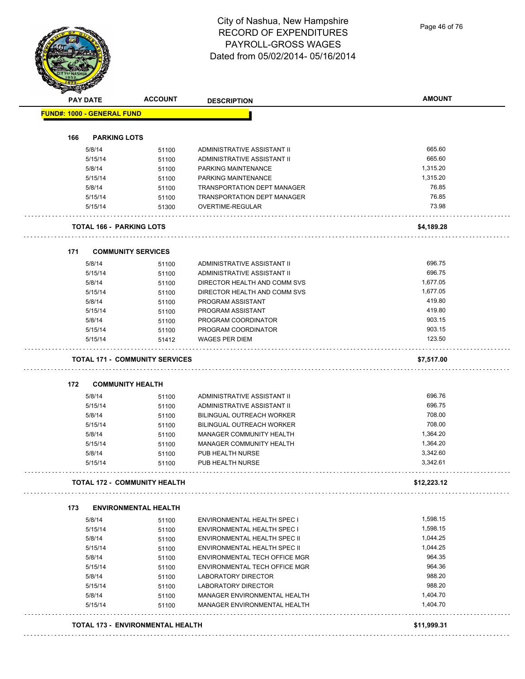|     | <b>PAY DATE</b>                       | <b>ACCOUNT</b> | <b>DESCRIPTION</b>                  | <b>AMOUNT</b> |
|-----|---------------------------------------|----------------|-------------------------------------|---------------|
|     | <b>FUND#: 1000 - GENERAL FUND</b>     |                |                                     |               |
|     |                                       |                |                                     |               |
| 166 | <b>PARKING LOTS</b>                   |                |                                     |               |
|     | 5/8/14                                | 51100          | ADMINISTRATIVE ASSISTANT II         | 665.60        |
|     | 5/15/14                               | 51100          | ADMINISTRATIVE ASSISTANT II         | 665.60        |
|     | 5/8/14                                | 51100          | PARKING MAINTENANCE                 | 1,315.20      |
|     | 5/15/14                               | 51100          | PARKING MAINTENANCE                 | 1,315.20      |
|     | 5/8/14                                | 51100          | <b>TRANSPORTATION DEPT MANAGER</b>  | 76.85         |
|     | 5/15/14                               | 51100          | <b>TRANSPORTATION DEPT MANAGER</b>  | 76.85         |
|     | 5/15/14                               | 51300          | OVERTIME-REGULAR                    | 73.98         |
|     | <b>TOTAL 166 - PARKING LOTS</b>       |                |                                     | \$4,189.28    |
| 171 | <b>COMMUNITY SERVICES</b>             |                |                                     |               |
|     | 5/8/14                                | 51100          | ADMINISTRATIVE ASSISTANT II         | 696.75        |
|     | 5/15/14                               | 51100          | ADMINISTRATIVE ASSISTANT II         | 696.75        |
|     | 5/8/14                                | 51100          | DIRECTOR HEALTH AND COMM SVS        | 1,677.05      |
|     | 5/15/14                               | 51100          | DIRECTOR HEALTH AND COMM SVS        | 1,677.05      |
|     | 5/8/14                                | 51100          | PROGRAM ASSISTANT                   | 419.80        |
|     | 5/15/14                               | 51100          | PROGRAM ASSISTANT                   | 419.80        |
|     | 5/8/14                                | 51100          | PROGRAM COORDINATOR                 | 903.15        |
|     | 5/15/14                               | 51100          | PROGRAM COORDINATOR                 | 903.15        |
|     | 5/15/14                               | 51412          | <b>WAGES PER DIEM</b>               | 123.50        |
|     |                                       |                | .                                   |               |
|     | <b>TOTAL 171 - COMMUNITY SERVICES</b> |                |                                     | \$7,517.00    |
| 172 | <b>COMMUNITY HEALTH</b>               |                |                                     |               |
|     | 5/8/14                                | 51100          | ADMINISTRATIVE ASSISTANT II         | 696.76        |
|     | 5/15/14                               | 51100          | ADMINISTRATIVE ASSISTANT II         | 696.75        |
|     | 5/8/14                                | 51100          | BILINGUAL OUTREACH WORKER           | 708.00        |
|     | 5/15/14                               | 51100          | <b>BILINGUAL OUTREACH WORKER</b>    | 708.00        |
|     | 5/8/14                                | 51100          | MANAGER COMMUNITY HEALTH            | 1,364.20      |
|     | 5/15/14                               | 51100          | MANAGER COMMUNITY HEALTH            | 1,364.20      |
|     | 5/8/14                                | 51100          | PUB HEALTH NURSE                    | 3,342.60      |
|     | 5/15/14                               | 51100          | PUB HEALTH NURSE                    | 3,342.61      |
|     | <b>TOTAL 172 - COMMUNITY HEALTH</b>   |                |                                     | \$12,223.12   |
| 173 | <b>ENVIRONMENTAL HEALTH</b>           |                |                                     |               |
|     | 5/8/14                                | 51100          | ENVIRONMENTAL HEALTH SPEC I         | 1,598.15      |
|     | 5/15/14                               | 51100          | ENVIRONMENTAL HEALTH SPEC I         | 1,598.15      |
|     | 5/8/14                                | 51100          | <b>ENVIRONMENTAL HEALTH SPEC II</b> | 1,044.25      |
|     | 5/15/14                               | 51100          | <b>ENVIRONMENTAL HEALTH SPEC II</b> | 1,044.25      |
|     | 5/8/14                                | 51100          | ENVIRONMENTAL TECH OFFICE MGR       | 964.35        |
|     |                                       |                | ENVIRONMENTAL TECH OFFICE MGR       | 964.36        |
|     |                                       | 51100          |                                     | 988.20        |
|     | 5/15/14                               |                |                                     |               |
|     | 5/8/14                                | 51100          | LABORATORY DIRECTOR                 |               |
|     | 5/15/14                               | 51100          | LABORATORY DIRECTOR                 | 988.20        |
|     | 5/8/14                                | 51100          | MANAGER ENVIRONMENTAL HEALTH        | 1,404.70      |
|     | 5/15/14                               | 51100          | MANAGER ENVIRONMENTAL HEALTH        | 1,404.70      |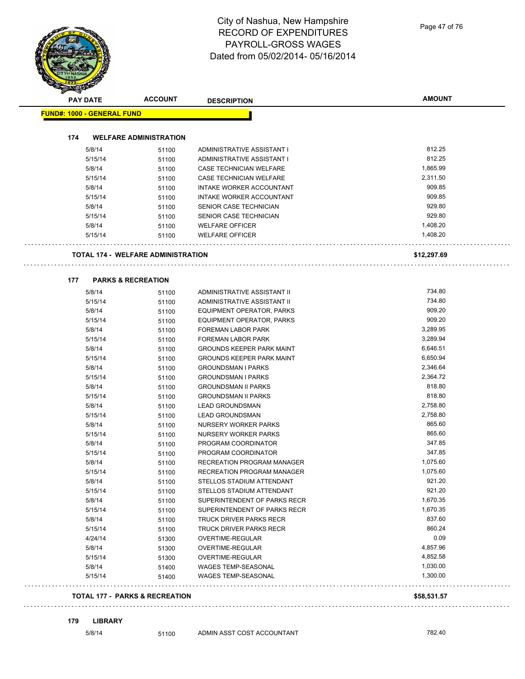Page 47 of 76

|     | <b>PAY DATE</b>                   | <b>ACCOUNT</b>                            | <b>DESCRIPTION</b>               | <b>AMOUNT</b> |
|-----|-----------------------------------|-------------------------------------------|----------------------------------|---------------|
|     | <b>FUND#: 1000 - GENERAL FUND</b> |                                           |                                  |               |
| 174 |                                   | <b>WELFARE ADMINISTRATION</b>             |                                  |               |
|     | 5/8/14                            | 51100                                     | ADMINISTRATIVE ASSISTANT I       | 812.25        |
|     | 5/15/14                           | 51100                                     | ADMINISTRATIVE ASSISTANT I       | 812.25        |
|     | 5/8/14                            | 51100                                     | CASE TECHNICIAN WELFARE          | 1,865.99      |
|     | 5/15/14                           | 51100                                     | <b>CASE TECHNICIAN WELFARE</b>   | 2,311.50      |
|     | 5/8/14                            | 51100                                     | INTAKE WORKER ACCOUNTANT         | 909.85        |
|     | 5/15/14                           | 51100                                     | INTAKE WORKER ACCOUNTANT         | 909.85        |
|     | 5/8/14                            | 51100                                     | SENIOR CASE TECHNICIAN           | 929.80        |
|     | 5/15/14                           | 51100                                     | SENIOR CASE TECHNICIAN           | 929.80        |
|     | 5/8/14                            | 51100                                     | <b>WELFARE OFFICER</b>           | 1,408.20      |
|     | 5/15/14                           | 51100                                     | <b>WELFARE OFFICER</b>           | 1,408.20      |
|     |                                   | <b>TOTAL 174 - WELFARE ADMINISTRATION</b> |                                  | \$12,297.69   |
|     |                                   |                                           |                                  |               |
| 177 |                                   | <b>PARKS &amp; RECREATION</b>             |                                  |               |
|     | 5/8/14                            | 51100                                     | ADMINISTRATIVE ASSISTANT II      | 734.80        |
|     | 5/15/14                           | 51100                                     | ADMINISTRATIVE ASSISTANT II      | 734.80        |
|     | 5/8/14                            | 51100                                     | EQUIPMENT OPERATOR, PARKS        | 909.20        |
|     | 5/15/14                           | 51100                                     | EQUIPMENT OPERATOR, PARKS        | 909.20        |
|     | 5/8/14                            | 51100                                     | <b>FOREMAN LABOR PARK</b>        | 3,289.95      |
|     | 5/15/14                           | 51100                                     | <b>FOREMAN LABOR PARK</b>        | 3,289.94      |
|     | 5/8/14                            | 51100                                     | <b>GROUNDS KEEPER PARK MAINT</b> | 6,646.51      |
|     | 5/15/14                           | 51100                                     | <b>GROUNDS KEEPER PARK MAINT</b> | 6,650.94      |
|     | 5/8/14                            | 51100                                     | <b>GROUNDSMAN I PARKS</b>        | 2,346.64      |
|     | 5/15/14                           | 51100                                     | <b>GROUNDSMAN I PARKS</b>        | 2,364.72      |
|     | 5/8/14                            | 51100                                     | <b>GROUNDSMAN II PARKS</b>       | 818.80        |
|     | 5/15/14                           | 51100                                     | <b>GROUNDSMAN II PARKS</b>       | 818.80        |
|     | 5/8/14                            | 51100                                     | <b>LEAD GROUNDSMAN</b>           | 2,758.80      |
|     | 5/15/14                           | 51100                                     | <b>LEAD GROUNDSMAN</b>           | 2,758.80      |
|     | 5/8/14                            | 51100                                     | NURSERY WORKER PARKS             | 865.60        |
|     | 5/15/14                           | 51100                                     | NURSERY WORKER PARKS             | 865.60        |
|     | 5/8/14                            | 51100                                     | PROGRAM COORDINATOR              | 347.85        |
|     | 5/15/14                           | 51100                                     | PROGRAM COORDINATOR              | 347.85        |
|     | 5/8/14                            | 51100                                     | RECREATION PROGRAM MANAGER       | 1,075.60      |
|     | 5/15/14                           | 51100                                     | RECREATION PROGRAM MANAGER       | 1,075.60      |
|     | 5/8/14                            | 51100                                     | STELLOS STADIUM ATTENDANT        | 921.20        |
|     | 5/15/14                           | 51100                                     | STELLOS STADIUM ATTENDANT        | 921.20        |
|     | 5/8/14                            | 51100                                     | SUPERINTENDENT OF PARKS RECR     | 1,670.35      |
|     | 5/15/14                           | 51100                                     | SUPERINTENDENT OF PARKS RECR     | 1,670.35      |
|     | 5/8/14                            | 51100                                     | <b>TRUCK DRIVER PARKS RECR</b>   | 837.60        |
|     | 5/15/14                           | 51100                                     | TRUCK DRIVER PARKS RECR          | 860.24        |
|     | 4/24/14                           | 51300                                     | OVERTIME-REGULAR                 | 0.09          |
|     | 5/8/14                            | 51300                                     | OVERTIME-REGULAR                 | 4,857.96      |
|     | 5/15/14                           | 51300                                     | OVERTIME-REGULAR                 | 4,852.58      |
|     | 5/8/14                            | 51400                                     | WAGES TEMP-SEASONAL              | 1,030.00      |
|     | 5/15/14                           | 51400                                     | WAGES TEMP-SEASONAL              | 1,300.00      |
|     |                                   | <b>TOTAL 177 - PARKS &amp; RECREATION</b> |                                  | \$58,531.57   |

**179 LIBRARY**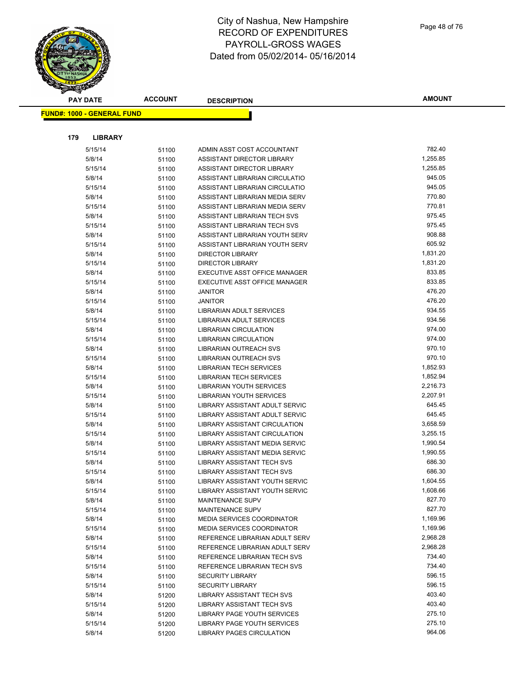| <b>PAY DATE</b>                   | <b>ACCOUNT</b> | <b>DESCRIPTION</b>                                        | <b>AMOUNT</b>    |
|-----------------------------------|----------------|-----------------------------------------------------------|------------------|
| <b>FUND#: 1000 - GENERAL FUND</b> |                |                                                           |                  |
|                                   |                |                                                           |                  |
|                                   |                |                                                           |                  |
| 179<br><b>LIBRARY</b>             |                |                                                           |                  |
| 5/15/14                           | 51100          | ADMIN ASST COST ACCOUNTANT                                | 782.40           |
| 5/8/14                            | 51100          | ASSISTANT DIRECTOR LIBRARY                                | 1,255.85         |
| 5/15/14                           | 51100          | ASSISTANT DIRECTOR LIBRARY                                | 1,255.85         |
| 5/8/14                            | 51100          | ASSISTANT LIBRARIAN CIRCULATIO                            | 945.05           |
| 5/15/14                           | 51100          | ASSISTANT LIBRARIAN CIRCULATIO                            | 945.05           |
| 5/8/14                            | 51100          | ASSISTANT LIBRARIAN MEDIA SERV                            | 770.80           |
| 5/15/14                           | 51100          | ASSISTANT LIBRARIAN MEDIA SERV                            | 770.81           |
| 5/8/14                            | 51100          | ASSISTANT LIBRARIAN TECH SVS                              | 975.45           |
| 5/15/14                           | 51100          | ASSISTANT LIBRARIAN TECH SVS                              | 975.45<br>908.88 |
| 5/8/14                            | 51100          | ASSISTANT LIBRARIAN YOUTH SERV                            | 605.92           |
| 5/15/14                           | 51100          | ASSISTANT LIBRARIAN YOUTH SERV<br><b>DIRECTOR LIBRARY</b> | 1,831.20         |
| 5/8/14<br>5/15/14                 | 51100          | <b>DIRECTOR LIBRARY</b>                                   | 1,831.20         |
| 5/8/14                            | 51100          | EXECUTIVE ASST OFFICE MANAGER                             | 833.85           |
| 5/15/14                           | 51100<br>51100 | EXECUTIVE ASST OFFICE MANAGER                             | 833.85           |
| 5/8/14                            | 51100          | <b>JANITOR</b>                                            | 476.20           |
| 5/15/14                           | 51100          | <b>JANITOR</b>                                            | 476.20           |
| 5/8/14                            | 51100          | LIBRARIAN ADULT SERVICES                                  | 934.55           |
| 5/15/14                           | 51100          | <b>LIBRARIAN ADULT SERVICES</b>                           | 934.56           |
| 5/8/14                            | 51100          | <b>LIBRARIAN CIRCULATION</b>                              | 974.00           |
| 5/15/14                           | 51100          | <b>LIBRARIAN CIRCULATION</b>                              | 974.00           |
| 5/8/14                            | 51100          | LIBRARIAN OUTREACH SVS                                    | 970.10           |
| 5/15/14                           | 51100          | LIBRARIAN OUTREACH SVS                                    | 970.10           |
| 5/8/14                            | 51100          | <b>LIBRARIAN TECH SERVICES</b>                            | 1,852.93         |
| 5/15/14                           | 51100          | <b>LIBRARIAN TECH SERVICES</b>                            | 1,852.94         |
| 5/8/14                            | 51100          | LIBRARIAN YOUTH SERVICES                                  | 2,216.73         |
| 5/15/14                           | 51100          | LIBRARIAN YOUTH SERVICES                                  | 2,207.91         |
| 5/8/14                            | 51100          | LIBRARY ASSISTANT ADULT SERVIC                            | 645.45           |
| 5/15/14                           | 51100          | LIBRARY ASSISTANT ADULT SERVIC                            | 645.45           |
| 5/8/14                            | 51100          | <b>LIBRARY ASSISTANT CIRCULATION</b>                      | 3,658.59         |
| 5/15/14                           | 51100          | <b>LIBRARY ASSISTANT CIRCULATION</b>                      | 3,255.15         |
| 5/8/14                            | 51100          | LIBRARY ASSISTANT MEDIA SERVIC                            | 1,990.54         |
| 5/15/14                           | 51100          | LIBRARY ASSISTANT MEDIA SERVIC                            | 1,990.55         |
| 5/8/14                            | 51100          | <b>LIBRARY ASSISTANT TECH SVS</b>                         | 686.30           |
| 5/15/14                           | 51100          | <b>LIBRARY ASSISTANT TECH SVS</b>                         | 686.30           |
| 5/8/14                            | 51100          | LIBRARY ASSISTANT YOUTH SERVIC                            | 1,604.55         |
| 5/15/14                           | 51100          | LIBRARY ASSISTANT YOUTH SERVIC                            | 1,608.66         |
| 5/8/14                            | 51100          | MAINTENANCE SUPV                                          | 827.70           |
| 5/15/14                           | 51100          | <b>MAINTENANCE SUPV</b>                                   | 827.70           |
| 5/8/14                            | 51100          | <b>MEDIA SERVICES COORDINATOR</b>                         | 1,169.96         |
| 5/15/14                           | 51100          | <b>MEDIA SERVICES COORDINATOR</b>                         | 1,169.96         |
| 5/8/14                            | 51100          | REFERENCE LIBRARIAN ADULT SERV                            | 2,968.28         |
| 5/15/14                           | 51100          | REFERENCE LIBRARIAN ADULT SERV                            | 2,968.28         |
| 5/8/14                            | 51100          | REFERENCE LIBRARIAN TECH SVS                              | 734.40           |
| 5/15/14                           | 51100          | REFERENCE LIBRARIAN TECH SVS                              | 734.40           |
| 5/8/14                            | 51100          | <b>SECURITY LIBRARY</b>                                   | 596.15           |
| 5/15/14                           | 51100          | <b>SECURITY LIBRARY</b>                                   | 596.15           |
| 5/8/14                            | 51200          | <b>LIBRARY ASSISTANT TECH SVS</b>                         | 403.40           |
| 5/15/14                           | 51200          | LIBRARY ASSISTANT TECH SVS                                | 403.40           |
| 5/8/14                            | 51200          | LIBRARY PAGE YOUTH SERVICES                               | 275.10           |
| 5/15/14                           | 51200          | LIBRARY PAGE YOUTH SERVICES                               | 275.10           |
| 5/8/14                            | 51200          | LIBRARY PAGES CIRCULATION                                 | 964.06           |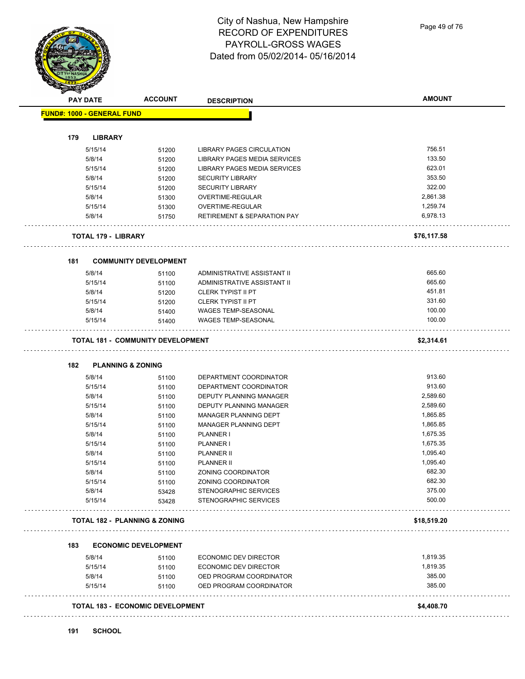Page 49 of 76

| <b>YOF NASHU</b><br>1853.<br>R |
|--------------------------------|
| <b>PAY DATE</b>                |

 $\bar{\tau}$  .

 $\epsilon$  .

 $\bar{\mathcal{L}}$  .

 $\Box$ 

| <b>PAY DATE</b>                          | <b>ACCOUNT</b>                          | <b>DESCRIPTION</b>                     | <b>AMOUNT</b> |
|------------------------------------------|-----------------------------------------|----------------------------------------|---------------|
| <b>FUND#: 1000 - GENERAL FUND</b>        |                                         |                                        |               |
|                                          |                                         |                                        |               |
| 179<br><b>LIBRARY</b>                    |                                         |                                        |               |
| 5/15/14                                  | 51200                                   | LIBRARY PAGES CIRCULATION              | 756.51        |
| 5/8/14                                   | 51200                                   | LIBRARY PAGES MEDIA SERVICES           | 133.50        |
| 5/15/14                                  | 51200                                   | LIBRARY PAGES MEDIA SERVICES           | 623.01        |
| 5/8/14                                   | 51200                                   | <b>SECURITY LIBRARY</b>                | 353.50        |
| 5/15/14                                  | 51200                                   | <b>SECURITY LIBRARY</b>                | 322.00        |
| 5/8/14                                   | 51300                                   | OVERTIME-REGULAR                       | 2,861.38      |
| 5/15/14                                  | 51300                                   | OVERTIME-REGULAR                       | 1,259.74      |
| 5/8/14                                   | 51750                                   | <b>RETIREMENT &amp; SEPARATION PAY</b> | 6,978.13      |
| <b>TOTAL 179 - LIBRARY</b>               |                                         |                                        | \$76,117.58   |
| 181                                      | <b>COMMUNITY DEVELOPMENT</b>            |                                        |               |
| 5/8/14                                   | 51100                                   | ADMINISTRATIVE ASSISTANT II            | 665.60        |
| 5/15/14                                  | 51100                                   | ADMINISTRATIVE ASSISTANT II            | 665.60        |
| 5/8/14                                   | 51200                                   | <b>CLERK TYPIST II PT</b>              | 451.81        |
| 5/15/14                                  | 51200                                   | <b>CLERK TYPIST II PT</b>              | 331.60        |
| 5/8/14                                   | 51400                                   | WAGES TEMP-SEASONAL                    | 100.00        |
| 5/15/14                                  | 51400                                   | WAGES TEMP-SEASONAL                    | 100.00        |
| <b>TOTAL 181 - COMMUNITY DEVELOPMENT</b> |                                         |                                        | \$2,314.61    |
| 182<br><b>PLANNING &amp; ZONING</b>      |                                         |                                        |               |
| 5/8/14                                   | 51100                                   | DEPARTMENT COORDINATOR                 | 913.60        |
| 5/15/14                                  | 51100                                   | DEPARTMENT COORDINATOR                 | 913.60        |
| 5/8/14                                   | 51100                                   | DEPUTY PLANNING MANAGER                | 2,589.60      |
| 5/15/14                                  | 51100                                   | DEPUTY PLANNING MANAGER                | 2,589.60      |
| 5/8/14                                   | 51100                                   | MANAGER PLANNING DEPT                  | 1,865.85      |
| 5/15/14                                  | 51100                                   | MANAGER PLANNING DEPT                  | 1,865.85      |
| 5/8/14                                   | 51100                                   | PLANNER I                              | 1,675.35      |
| 5/15/14                                  | 51100                                   | PLANNER I                              | 1,675.35      |
| 5/8/14                                   | 51100                                   | <b>PLANNER II</b>                      | 1,095.40      |
| 5/15/14                                  | 51100                                   | <b>PLANNER II</b>                      | 1,095.40      |
| 5/8/14                                   | 51100                                   | ZONING COORDINATOR                     | 682.30        |
| 5/15/14                                  | 51100                                   | ZONING COORDINATOR                     | 682.30        |
| 5/8/14                                   | 53428                                   | STENOGRAPHIC SERVICES                  | 375.00        |
| 5/15/14                                  | 53428                                   | STENOGRAPHIC SERVICES                  | 500.00        |
| TOTAL 182 - PLANNING & ZONING            |                                         |                                        | \$18,519.20   |
|                                          |                                         |                                        |               |
| 183                                      | <b>ECONOMIC DEVELOPMENT</b>             |                                        |               |
| 5/8/14                                   | 51100                                   | <b>ECONOMIC DEV DIRECTOR</b>           | 1,819.35      |
| 5/15/14                                  | 51100                                   | <b>ECONOMIC DEV DIRECTOR</b>           | 1,819.35      |
| 5/8/14                                   | 51100                                   | OED PROGRAM COORDINATOR                | 385.00        |
| 5/15/14                                  | 51100                                   | OED PROGRAM COORDINATOR                | 385.00        |
|                                          | <b>TOTAL 183 - ECONOMIC DEVELOPMENT</b> |                                        | \$4,408.70    |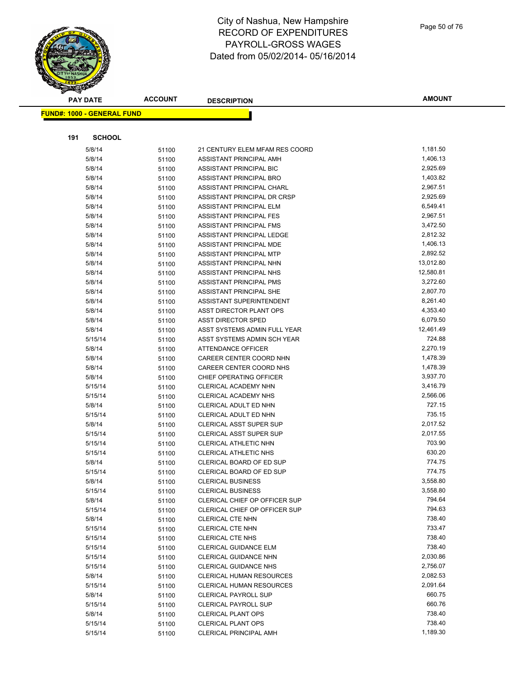**PAY DATE ACCOUNT DESCRIPTION**

|     | <u> FUND#: 1000 - GENERAL FUND</u> |       |                                                      |                    |
|-----|------------------------------------|-------|------------------------------------------------------|--------------------|
|     |                                    |       |                                                      |                    |
| 191 | <b>SCHOOL</b>                      |       |                                                      |                    |
|     | 5/8/14                             | 51100 | 21 CENTURY ELEM MFAM RES COORD                       | 1,181.50           |
|     | 5/8/14                             | 51100 | ASSISTANT PRINCIPAL AMH                              | 1,406.13           |
|     | 5/8/14                             | 51100 | ASSISTANT PRINCIPAL BIC                              | 2,925.69           |
|     | 5/8/14                             | 51100 | ASSISTANT PRINCIPAL BRO                              | 1,403.82           |
|     | 5/8/14                             | 51100 | ASSISTANT PRINCIPAL CHARL                            | 2,967.51           |
|     | 5/8/14                             | 51100 | ASSISTANT PRINCIPAL DR CRSP                          | 2,925.69           |
|     | 5/8/14                             | 51100 | ASSISTANT PRINCIPAL ELM                              | 6,549.41           |
|     | 5/8/14                             | 51100 | ASSISTANT PRINCIPAL FES                              | 2,967.51           |
|     | 5/8/14                             | 51100 | ASSISTANT PRINCIPAL FMS                              | 3,472.50           |
|     | 5/8/14                             | 51100 | ASSISTANT PRINCIPAL LEDGE                            | 2,812.32           |
|     | 5/8/14                             | 51100 | ASSISTANT PRINCIPAL MDE                              | 1,406.13           |
|     | 5/8/14                             | 51100 | ASSISTANT PRINCIPAL MTP                              | 2,892.52           |
|     | 5/8/14                             | 51100 | ASSISTANT PRINCIPAL NHN                              | 13,012.80          |
|     | 5/8/14                             | 51100 | ASSISTANT PRINCIPAL NHS                              | 12,580.81          |
|     | 5/8/14                             | 51100 | ASSISTANT PRINCIPAL PMS                              | 3,272.60           |
|     | 5/8/14                             | 51100 | ASSISTANT PRINCIPAL SHE                              | 2,807.70           |
|     | 5/8/14                             | 51100 | ASSISTANT SUPERINTENDENT                             | 8,261.40           |
|     | 5/8/14                             | 51100 | ASST DIRECTOR PLANT OPS                              | 4,353.40           |
|     | 5/8/14                             | 51100 | <b>ASST DIRECTOR SPED</b>                            | 6,079.50           |
|     | 5/8/14                             | 51100 | ASST SYSTEMS ADMIN FULL YEAR                         | 12,461.49          |
|     | 5/15/14                            | 51100 | ASST SYSTEMS ADMIN SCH YEAR                          | 724.88             |
|     | 5/8/14                             | 51100 | <b>ATTENDANCE OFFICER</b>                            | 2,270.19           |
|     | 5/8/14                             | 51100 | CAREER CENTER COORD NHN                              | 1,478.39           |
|     | 5/8/14                             | 51100 | CAREER CENTER COORD NHS                              | 1,478.39           |
|     | 5/8/14                             | 51100 | CHIEF OPERATING OFFICER                              | 3,937.70           |
|     | 5/15/14                            | 51100 | <b>CLERICAL ACADEMY NHN</b>                          | 3,416.79           |
|     | 5/15/14                            | 51100 | <b>CLERICAL ACADEMY NHS</b>                          | 2,566.06           |
|     | 5/8/14                             | 51100 | CLERICAL ADULT ED NHN                                | 727.15             |
|     | 5/15/14                            | 51100 | CLERICAL ADULT ED NHN                                | 735.15             |
|     | 5/8/14                             | 51100 | <b>CLERICAL ASST SUPER SUP</b>                       | 2,017.52           |
|     | 5/15/14                            | 51100 | <b>CLERICAL ASST SUPER SUP</b>                       | 2,017.55           |
|     | 5/15/14                            |       | <b>CLERICAL ATHLETIC NHN</b>                         | 703.90             |
|     |                                    | 51100 | CLERICAL ATHLETIC NHS                                | 630.20             |
|     | 5/15/14<br>5/8/14                  | 51100 | CLERICAL BOARD OF ED SUP                             | 774.75             |
|     |                                    | 51100 |                                                      | 774.75             |
|     | 5/15/14<br>5/8/14                  | 51100 | CLERICAL BOARD OF ED SUP<br><b>CLERICAL BUSINESS</b> | 3,558.80           |
|     |                                    | 51100 |                                                      |                    |
|     | 5/15/14                            | 51100 | <b>CLERICAL BUSINESS</b>                             | 3,558.80<br>794.64 |
|     | 5/8/14                             | 51100 | CLERICAL CHIEF OP OFFICER SUP                        |                    |
|     | 5/15/14                            | 51100 | CLERICAL CHIEF OP OFFICER SUP                        | 794.63             |
|     | 5/8/14                             | 51100 | <b>CLERICAL CTE NHN</b>                              | 738.40             |
|     | 5/15/14                            | 51100 | <b>CLERICAL CTE NHN</b>                              | 733.47             |
|     | 5/15/14                            | 51100 | CLERICAL CTE NHS                                     | 738.40             |
|     | 5/15/14                            | 51100 | <b>CLERICAL GUIDANCE ELM</b>                         | 738.40             |
|     | 5/15/14                            | 51100 | <b>CLERICAL GUIDANCE NHN</b>                         | 2,030.86           |
|     | 5/15/14                            | 51100 | CLERICAL GUIDANCE NHS                                | 2,756.07           |
|     | 5/8/14                             | 51100 | <b>CLERICAL HUMAN RESOURCES</b>                      | 2,082.53           |
|     | 5/15/14                            | 51100 | <b>CLERICAL HUMAN RESOURCES</b>                      | 2,091.64           |
|     | 5/8/14                             | 51100 | <b>CLERICAL PAYROLL SUP</b>                          | 660.75             |
|     | 5/15/14                            | 51100 | <b>CLERICAL PAYROLL SUP</b>                          | 660.76             |
|     | 5/8/14                             | 51100 | <b>CLERICAL PLANT OPS</b>                            | 738.40             |
|     | 5/15/14                            | 51100 | <b>CLERICAL PLANT OPS</b>                            | 738.40             |
|     | 5/15/14                            | 51100 | CLERICAL PRINCIPAL AMH                               | 1,189.30           |

#### Page 50 of 76

**AMOUNT**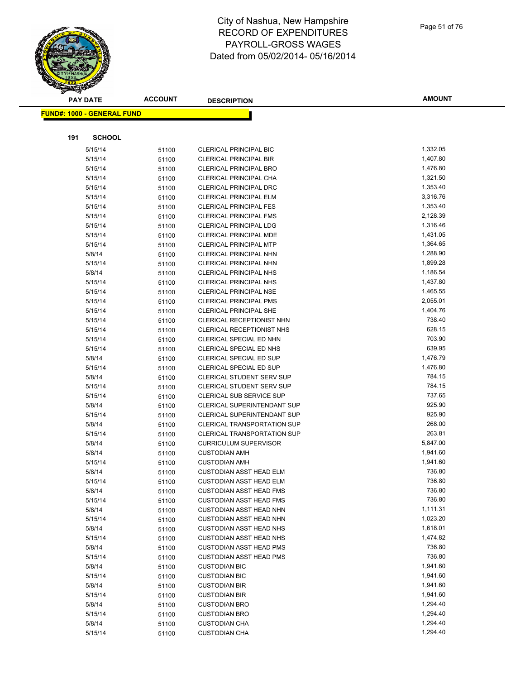**AMOUNT PAY DATE ACCOUNT DESCRIPTION FUND#: 1000 - GENERAL FUND 191 SCHOOL** 5/15/14 51100 CLERICAL PRINCIPAL BIC 1,332.05 5/15/14 51100 CLERICAL PRINCIPAL BIR 5/15/14 51100 CLERICAL PRINCIPAL BRO 1,476.80 5/15/14 51100 CLERICAL PRINCIPAL CHA 1,321.50 5/15/14 51100 CLERICAL PRINCIPAL DRC 1,353.40 5/15/14 51100 CLERICAL PRINCIPAL ELM 3,316.76 5/15/14 51100 CLERICAL PRINCIPAL FES 1,353.40 5/15/14 51100 CLERICAL PRINCIPAL FMS 2,128.39 5/15/14 51100 CLERICAL PRINCIPAL LDG 1,316.46 5/15/14 51100 CLERICAL PRINCIPAL MDE 1,431.05 5/15/14 51100 CLERICAL PRINCIPAL MTP 1,364.65 5/8/14 51100 CLERICAL PRINCIPAL NHN 1,288.90 5/15/14 51100 CLERICAL PRINCIPAL NHN 1,899.28 5/8/14 51100 CLERICAL PRINCIPAL NHS 5/8/14 51100 5/8/14 5/15/14 51100 CLERICAL PRINCIPAL NHS 1,437.80 5/15/14 51100 CLERICAL PRINCIPAL NSE 1,465.55 5/15/14 51100 CLERICAL PRINCIPAL PMS 2,055.01 5/15/14 51100 CLERICAL PRINCIPAL SHE 1,404.76 5/15/14 51100 CLERICAL RECEPTIONIST NHN 738.40 5/15/14 51100 CLERICAL RECEPTIONIST NHS 628.15 5/15/14 51100 CLERICAL SPECIAL ED NHN 703.90 5/15/14 51100 CLERICAL SPECIAL ED NHS 639.95 5/8/14 51100 CLERICAL SPECIAL ED SUP 5/8/14 51100 5/8/14 5/15/14 51100 CLERICAL SPECIAL ED SUP 1,476.80 5/8/14 51100 CLERICAL STUDENT SERV SUP 784.15 5/15/14 51100 CLERICAL STUDENT SERV SUP 784.15 5/15/14 51100 CLERICAL SUB SERVICE SUP 6 15/15/14 737.65 5/8/14 51100 CLERICAL SUPERINTENDANT SUP 925.90 5/15/14 51100 CLERICAL SUPERINTENDANT SUP 925.90 5/8/14 51100 CLERICAL TRANSPORTATION SUP 268.00 5/15/14 51100 CLERICAL TRANSPORTATION SUP 263.81 5/8/14 51100 CURRICULUM SUPERVISOR 5,847.00 5/8/14 51100 CUSTODIAN AMH 5/15/14 51100 CUSTODIAN AMH 5/8/14 51100 CUSTODIAN ASST HEAD ELM 736.80 5/15/14 51100 CUSTODIAN ASST HEAD ELM 6 2016 19:30 19:30 19:30 19:30 19:30 19:30 19:30 19:30 19:30 19:30 19:30 5/8/14 51100 CUSTODIAN ASST HEAD FMS 67100 736.80 5/15/14 51100 CUSTODIAN ASST HEAD FMS 6 15/15/14 736.80 5/8/14 51100 CUSTODIAN ASST HEAD NHN 1,111.31 5/15/14 51100 CUSTODIAN ASST HEAD NHN 1,023.20 5/8/14 51100 CUSTODIAN ASST HEAD NHS 1,618.01 5/15/14 51100 CUSTODIAN ASST HEAD NHS 1,474.82 5/8/14 51100 CUSTODIAN ASST HEAD PMS 67100 736.80 5/15/14 51100 CUSTODIAN ASST HEAD PMS 6 15/15/14 736.80 5/8/14 51100 CUSTODIAN BIC 1,941.60 5/15/14 51100 CUSTODIAN BIC 1,941.60 5/8/14 5/100 CUSTODIAN BIR 1,941.60 5/15/14 51100 CUSTODIAN BIR 1,941.60 5/8/14 5/100 CUSTODIAN BRO 1,294.40 5/15/14 51100 CUSTODIAN BRO 1,294.40 5/8/14 51100 CUSTODIAN CHA 1,294.40

5/15/14 51100 CUSTODIAN CHA 1,294.40

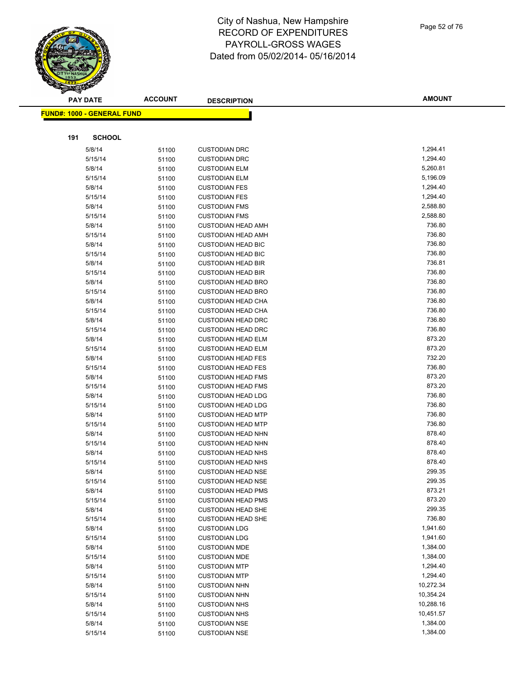

|     | <b>PAY DATE</b>                   | <b>ACCOUNT</b> | <b>DESCRIPTION</b>                                     | <b>AMOUNT</b>        |
|-----|-----------------------------------|----------------|--------------------------------------------------------|----------------------|
|     | <b>FUND#: 1000 - GENERAL FUND</b> |                |                                                        |                      |
|     |                                   |                |                                                        |                      |
| 191 | <b>SCHOOL</b>                     |                |                                                        |                      |
|     |                                   |                |                                                        |                      |
|     | 5/8/14                            | 51100          | <b>CUSTODIAN DRC</b>                                   | 1,294.41             |
|     | 5/15/14                           | 51100          | <b>CUSTODIAN DRC</b>                                   | 1,294.40             |
|     | 5/8/14                            | 51100          | <b>CUSTODIAN ELM</b>                                   | 5,260.81             |
|     | 5/15/14                           | 51100          | <b>CUSTODIAN ELM</b>                                   | 5,196.09             |
|     | 5/8/14                            | 51100          | <b>CUSTODIAN FES</b><br><b>CUSTODIAN FES</b>           | 1,294.40             |
|     | 5/15/14                           | 51100          |                                                        | 1,294.40<br>2,588.80 |
|     | 5/8/14<br>5/15/14                 | 51100          | <b>CUSTODIAN FMS</b><br><b>CUSTODIAN FMS</b>           | 2,588.80             |
|     | 5/8/14                            | 51100          |                                                        | 736.80               |
|     | 5/15/14                           | 51100          | <b>CUSTODIAN HEAD AMH</b><br><b>CUSTODIAN HEAD AMH</b> | 736.80               |
|     | 5/8/14                            | 51100          | <b>CUSTODIAN HEAD BIC</b>                              | 736.80               |
|     | 5/15/14                           | 51100          | <b>CUSTODIAN HEAD BIC</b>                              | 736.80               |
|     | 5/8/14                            | 51100          | <b>CUSTODIAN HEAD BIR</b>                              | 736.81               |
|     | 5/15/14                           | 51100<br>51100 | <b>CUSTODIAN HEAD BIR</b>                              | 736.80               |
|     | 5/8/14                            |                | <b>CUSTODIAN HEAD BRO</b>                              | 736.80               |
|     | 5/15/14                           | 51100          | <b>CUSTODIAN HEAD BRO</b>                              | 736.80               |
|     | 5/8/14                            | 51100          | <b>CUSTODIAN HEAD CHA</b>                              | 736.80               |
|     |                                   | 51100          |                                                        | 736.80               |
|     | 5/15/14<br>5/8/14                 | 51100          | <b>CUSTODIAN HEAD CHA</b><br><b>CUSTODIAN HEAD DRC</b> | 736.80               |
|     | 5/15/14                           | 51100          |                                                        | 736.80               |
|     | 5/8/14                            | 51100          | <b>CUSTODIAN HEAD DRC</b><br><b>CUSTODIAN HEAD ELM</b> | 873.20               |
|     |                                   | 51100          |                                                        | 873.20               |
|     | 5/15/14                           | 51100          | <b>CUSTODIAN HEAD ELM</b><br><b>CUSTODIAN HEAD FES</b> | 732.20               |
|     | 5/8/14                            | 51100          |                                                        | 736.80               |
|     | 5/15/14<br>5/8/14                 | 51100          | <b>CUSTODIAN HEAD FES</b>                              | 873.20               |
|     | 5/15/14                           | 51100          | <b>CUSTODIAN HEAD FMS</b><br><b>CUSTODIAN HEAD FMS</b> | 873.20               |
|     | 5/8/14                            | 51100          | <b>CUSTODIAN HEAD LDG</b>                              | 736.80               |
|     | 5/15/14                           | 51100          | <b>CUSTODIAN HEAD LDG</b>                              | 736.80               |
|     | 5/8/14                            | 51100          | <b>CUSTODIAN HEAD MTP</b>                              | 736.80               |
|     | 5/15/14                           | 51100          | <b>CUSTODIAN HEAD MTP</b>                              | 736.80               |
|     | 5/8/14                            | 51100<br>51100 | <b>CUSTODIAN HEAD NHN</b>                              | 878.40               |
|     | 5/15/14                           | 51100          | <b>CUSTODIAN HEAD NHN</b>                              | 878.40               |
|     | 5/8/14                            | 51100          | <b>CUSTODIAN HEAD NHS</b>                              | 878.40               |
|     | 5/15/14                           |                | <b>CUSTODIAN HEAD NHS</b>                              | 878.40               |
|     | 5/8/14                            | 51100<br>51100 | <b>CUSTODIAN HEAD NSE</b>                              | 299.35               |
|     | 5/15/14                           | 51100          | <b>CUSTODIAN HEAD NSE</b>                              | 299.35               |
|     | 5/8/14                            | 51100          | <b>CUSTODIAN HEAD PMS</b>                              | 873.21               |
|     | 5/15/14                           | 51100          | <b>CUSTODIAN HEAD PMS</b>                              | 873.20               |
|     | 5/8/14                            | 51100          | <b>CUSTODIAN HEAD SHE</b>                              | 299.35               |
|     | 5/15/14                           | 51100          | <b>CUSTODIAN HEAD SHE</b>                              | 736.80               |
|     | 5/8/14                            | 51100          | <b>CUSTODIAN LDG</b>                                   | 1,941.60             |
|     | 5/15/14                           | 51100          | <b>CUSTODIAN LDG</b>                                   | 1,941.60             |
|     | 5/8/14                            | 51100          | <b>CUSTODIAN MDE</b>                                   | 1,384.00             |
|     | 5/15/14                           | 51100          | <b>CUSTODIAN MDE</b>                                   | 1,384.00             |
|     | 5/8/14                            | 51100          | <b>CUSTODIAN MTP</b>                                   | 1,294.40             |
|     | 5/15/14                           | 51100          | <b>CUSTODIAN MTP</b>                                   | 1,294.40             |
|     | 5/8/14                            | 51100          | <b>CUSTODIAN NHN</b>                                   | 10,272.34            |
|     | 5/15/14                           | 51100          | <b>CUSTODIAN NHN</b>                                   | 10,354.24            |
|     | 5/8/14                            | 51100          | <b>CUSTODIAN NHS</b>                                   | 10,288.16            |
|     | 5/15/14                           | 51100          | <b>CUSTODIAN NHS</b>                                   | 10,451.57            |
|     | 5/8/14                            | 51100          | <b>CUSTODIAN NSE</b>                                   | 1,384.00             |
|     | 5/15/14                           | 51100          | <b>CUSTODIAN NSE</b>                                   | 1,384.00             |
|     |                                   |                |                                                        |                      |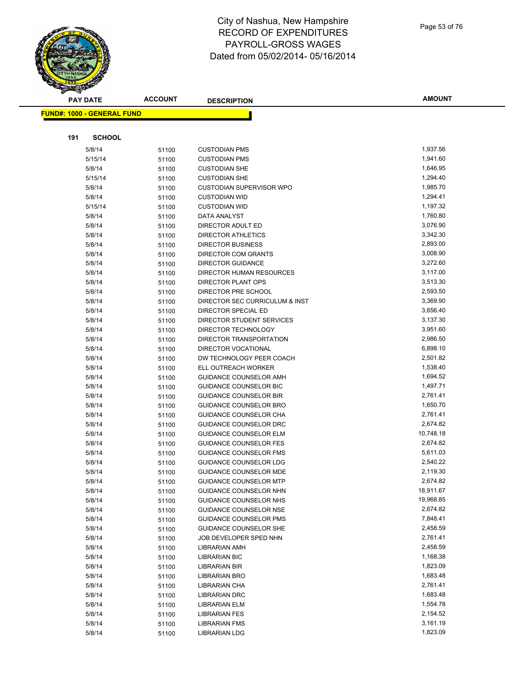**PAY DATE ACCOUNT DESCRIPTION**

|     | <u> FUND#: 1000 - GENERAL FUND</u> |       |                                 |           |
|-----|------------------------------------|-------|---------------------------------|-----------|
|     |                                    |       |                                 |           |
| 191 | <b>SCHOOL</b>                      |       |                                 |           |
|     | 5/8/14                             | 51100 | <b>CUSTODIAN PMS</b>            | 1,937.56  |
|     | 5/15/14                            | 51100 | <b>CUSTODIAN PMS</b>            | 1,941.60  |
|     | 5/8/14                             | 51100 | <b>CUSTODIAN SHE</b>            | 1,646.95  |
|     | 5/15/14                            | 51100 | <b>CUSTODIAN SHE</b>            | 1,294.40  |
|     | 5/8/14                             | 51100 | <b>CUSTODIAN SUPERVISOR WPO</b> | 1,985.70  |
|     | 5/8/14                             | 51100 | <b>CUSTODIAN WID</b>            | 1,294.41  |
|     | 5/15/14                            | 51100 | <b>CUSTODIAN WID</b>            | 1,197.32  |
|     | 5/8/14                             | 51100 | DATA ANALYST                    | 1,760.80  |
|     | 5/8/14                             | 51100 | DIRECTOR ADULT ED               | 3,076.90  |
|     | 5/8/14                             | 51100 | <b>DIRECTOR ATHLETICS</b>       | 3,342.30  |
|     | 5/8/14                             | 51100 | DIRECTOR BUSINESS               | 2,893.00  |
|     | 5/8/14                             | 51100 | DIRECTOR COM GRANTS             | 3,008.90  |
|     | 5/8/14                             | 51100 | <b>DIRECTOR GUIDANCE</b>        | 3,272.60  |
|     | 5/8/14                             | 51100 | DIRECTOR HUMAN RESOURCES        | 3,117.00  |
|     | 5/8/14                             | 51100 | DIRECTOR PLANT OPS              | 3,513.30  |
|     | 5/8/14                             | 51100 | DIRECTOR PRE SCHOOL             | 2,593.50  |
|     | 5/8/14                             | 51100 | DIRECTOR SEC CURRICULUM & INST  | 3,369.90  |
|     | 5/8/14                             | 51100 | DIRECTOR SPECIAL ED             | 3,656.40  |
|     | 5/8/14                             | 51100 | DIRECTOR STUDENT SERVICES       | 3,137.30  |
|     | 5/8/14                             | 51100 | DIRECTOR TECHNOLOGY             | 3,951.60  |
|     | 5/8/14                             | 51100 | DIRECTOR TRANSPORTATION         | 2,986.50  |
|     | 5/8/14                             | 51100 | <b>DIRECTOR VOCATIONAL</b>      | 6,898.10  |
|     | 5/8/14                             | 51100 | DW TECHNOLOGY PEER COACH        | 2,501.82  |
|     | 5/8/14                             | 51100 | ELL OUTREACH WORKER             | 1,538.40  |
|     | 5/8/14                             | 51100 | GUIDANCE COUNSELOR AMH          | 1,694.52  |
|     | 5/8/14                             | 51100 | GUIDANCE COUNSELOR BIC          | 1,497.71  |
|     | 5/8/14                             | 51100 | <b>GUIDANCE COUNSELOR BIR</b>   | 2,761.41  |
|     | 5/8/14                             | 51100 | GUIDANCE COUNSELOR BRO          | 1,650.70  |
|     | 5/8/14                             | 51100 | GUIDANCE COUNSELOR CHA          | 2,761.41  |
|     | 5/8/14                             | 51100 | GUIDANCE COUNSELOR DRC          | 2,674.82  |
|     | 5/8/14                             | 51100 | <b>GUIDANCE COUNSELOR ELM</b>   | 10,748.18 |
|     | 5/8/14                             | 51100 | <b>GUIDANCE COUNSELOR FES</b>   | 2,674.82  |
|     | 5/8/14                             | 51100 | <b>GUIDANCE COUNSELOR FMS</b>   | 5,611.03  |
|     | 5/8/14                             | 51100 | GUIDANCE COUNSELOR LDG          | 2,540.22  |
|     | 5/8/14                             | 51100 | <b>GUIDANCE COUNSELOR MDE</b>   | 2,119.30  |
|     | 5/8/14                             | 51100 | <b>GUIDANCE COUNSELOR MTP</b>   | 2,674.82  |
|     | 5/8/14                             | 51100 | <b>GUIDANCE COUNSELOR NHN</b>   | 18,911.67 |
|     | 5/8/14                             | 51100 | GUIDANCE COUNSELOR NHS          | 19,968.85 |
|     | 5/8/14                             | 51100 | GUIDANCE COUNSELOR NSE          | 2,674.82  |
|     | 5/8/14                             | 51100 | <b>GUIDANCE COUNSELOR PMS</b>   | 7,848.41  |
|     | 5/8/14                             | 51100 | GUIDANCE COUNSELOR SHE          | 2,458.59  |
|     | 5/8/14                             | 51100 | JOB DEVELOPER SPED NHN          | 2,761.41  |
|     | 5/8/14                             | 51100 | LIBRARIAN AMH                   | 2,458.59  |
|     | 5/8/14                             | 51100 | LIBRARIAN BIC                   | 1,168.38  |
|     | 5/8/14                             | 51100 | LIBRARIAN BIR                   | 1,823.09  |
|     | 5/8/14                             | 51100 | <b>LIBRARIAN BRO</b>            | 1,683.48  |
|     | 5/8/14                             | 51100 | LIBRARIAN CHA                   | 2,761.41  |
|     | 5/8/14                             | 51100 | <b>LIBRARIAN DRC</b>            | 1,683.48  |
|     | 5/8/14                             | 51100 | LIBRARIAN ELM                   | 1,554.78  |
|     | 5/8/14                             | 51100 | LIBRARIAN FES                   | 2,154.52  |
|     | 5/8/14                             | 51100 | <b>LIBRARIAN FMS</b>            | 3,161.19  |
|     | 5/8/14                             | 51100 | <b>LIBRARIAN LDG</b>            | 1,823.09  |

**AMOUNT**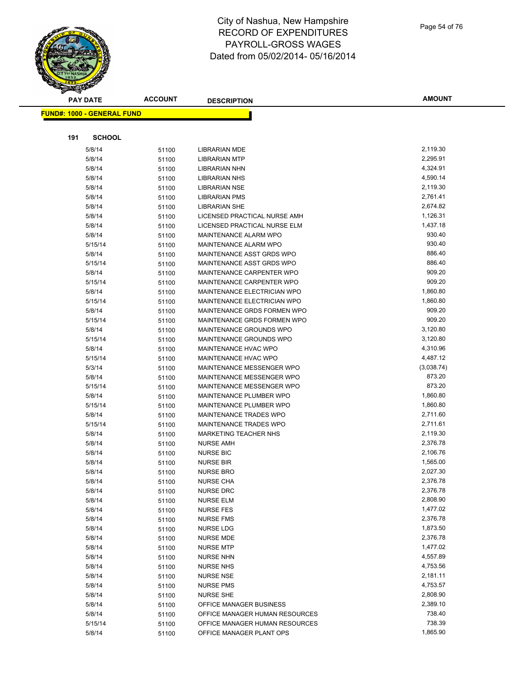|     | <b>PAY DATE</b>                    | <b>ACCOUNT</b> | <b>DESCRIPTION</b>             | <b>AMOUNT</b> |
|-----|------------------------------------|----------------|--------------------------------|---------------|
|     | <u> FUND#: 1000 - GENERAL FUND</u> |                |                                |               |
|     |                                    |                |                                |               |
| 191 | <b>SCHOOL</b>                      |                |                                |               |
|     | 5/8/14                             | 51100          | <b>LIBRARIAN MDE</b>           | 2,119.30      |
|     | 5/8/14                             | 51100          | <b>LIBRARIAN MTP</b>           | 2,295.91      |
|     | 5/8/14                             | 51100          | <b>LIBRARIAN NHN</b>           | 4,324.91      |
|     | 5/8/14                             | 51100          | <b>LIBRARIAN NHS</b>           | 4,590.14      |
|     | 5/8/14                             | 51100          | <b>LIBRARIAN NSE</b>           | 2,119.30      |
|     | 5/8/14                             | 51100          | <b>LIBRARIAN PMS</b>           | 2,761.41      |
|     | 5/8/14                             | 51100          | <b>LIBRARIAN SHE</b>           | 2,674.82      |
|     | 5/8/14                             | 51100          | LICENSED PRACTICAL NURSE AMH   | 1,126.31      |
|     | 5/8/14                             | 51100          | LICENSED PRACTICAL NURSE ELM   | 1,437.18      |
|     | 5/8/14                             | 51100          | MAINTENANCE ALARM WPO          | 930.40        |
|     | 5/15/14                            | 51100          | MAINTENANCE ALARM WPO          | 930.40        |
|     | 5/8/14                             | 51100          | MAINTENANCE ASST GRDS WPO      | 886.40        |
|     | 5/15/14                            | 51100          | MAINTENANCE ASST GRDS WPO      | 886.40        |
|     | 5/8/14                             | 51100          | MAINTENANCE CARPENTER WPO      | 909.20        |
|     | 5/15/14                            | 51100          | MAINTENANCE CARPENTER WPO      | 909.20        |
|     | 5/8/14                             | 51100          | MAINTENANCE ELECTRICIAN WPO    | 1,860.80      |
|     | 5/15/14                            | 51100          | MAINTENANCE ELECTRICIAN WPO    | 1,860.80      |
|     | 5/8/14                             | 51100          | MAINTENANCE GRDS FORMEN WPO    | 909.20        |
|     | 5/15/14                            | 51100          | MAINTENANCE GRDS FORMEN WPO    | 909.20        |
|     | 5/8/14                             | 51100          | MAINTENANCE GROUNDS WPO        | 3,120.80      |
|     | 5/15/14                            | 51100          | MAINTENANCE GROUNDS WPO        | 3,120.80      |
|     | 5/8/14                             | 51100          | MAINTENANCE HVAC WPO           | 4,310.96      |
|     | 5/15/14                            | 51100          | MAINTENANCE HVAC WPO           | 4,487.12      |
|     | 5/3/14                             | 51100          | MAINTENANCE MESSENGER WPO      | (3,038.74)    |
|     | 5/8/14                             | 51100          | MAINTENANCE MESSENGER WPO      | 873.20        |
|     | 5/15/14                            | 51100          | MAINTENANCE MESSENGER WPO      | 873.20        |
|     | 5/8/14                             | 51100          | MAINTENANCE PLUMBER WPO        | 1,860.80      |
|     | 5/15/14                            | 51100          | MAINTENANCE PLUMBER WPO        | 1,860.80      |
|     | 5/8/14                             | 51100          | MAINTENANCE TRADES WPO         | 2,711.60      |
|     | 5/15/14                            | 51100          | MAINTENANCE TRADES WPO         | 2,711.61      |
|     | 5/8/14                             | 51100          | <b>MARKETING TEACHER NHS</b>   | 2,119.30      |
|     | 5/8/14                             | 51100          | <b>NURSE AMH</b>               | 2,376.78      |
|     | 5/8/14                             | 51100          | <b>NURSE BIC</b>               | 2,106.76      |
|     | 5/8/14                             | 51100          | <b>NURSE BIR</b>               | 1,565.00      |
|     | 5/8/14                             | 51100          | <b>NURSE BRO</b>               | 2,027.30      |
|     | 5/8/14                             | 51100          | <b>NURSE CHA</b>               | 2,376.78      |
|     | 5/8/14                             | 51100          | <b>NURSE DRC</b>               | 2,376.78      |
|     | 5/8/14                             | 51100          | <b>NURSE ELM</b>               | 2,808.90      |
|     | 5/8/14                             | 51100          | <b>NURSE FES</b>               | 1,477.02      |
|     | 5/8/14                             | 51100          | <b>NURSE FMS</b>               | 2,376.78      |
|     | 5/8/14                             | 51100          | NURSE LDG                      | 1,873.50      |
|     | 5/8/14                             | 51100          | <b>NURSE MDE</b>               | 2,376.78      |
|     | 5/8/14                             | 51100          | <b>NURSE MTP</b>               | 1,477.02      |
|     | 5/8/14                             | 51100          | <b>NURSE NHN</b>               | 4,557.89      |
|     | 5/8/14                             | 51100          | <b>NURSE NHS</b>               | 4,753.56      |
|     | 5/8/14                             | 51100          | <b>NURSE NSE</b>               | 2,181.11      |
|     | 5/8/14                             | 51100          | <b>NURSE PMS</b>               | 4,753.57      |
|     | 5/8/14                             | 51100          | <b>NURSE SHE</b>               | 2,808.90      |
|     | 5/8/14                             | 51100          | OFFICE MANAGER BUSINESS        | 2,389.10      |
|     | 5/8/14                             | 51100          | OFFICE MANAGER HUMAN RESOURCES | 738.40        |
|     | 5/15/14                            | 51100          | OFFICE MANAGER HUMAN RESOURCES | 738.39        |
|     | 5/8/14                             | 51100          | OFFICE MANAGER PLANT OPS       | 1,865.90      |

Page 54 of 76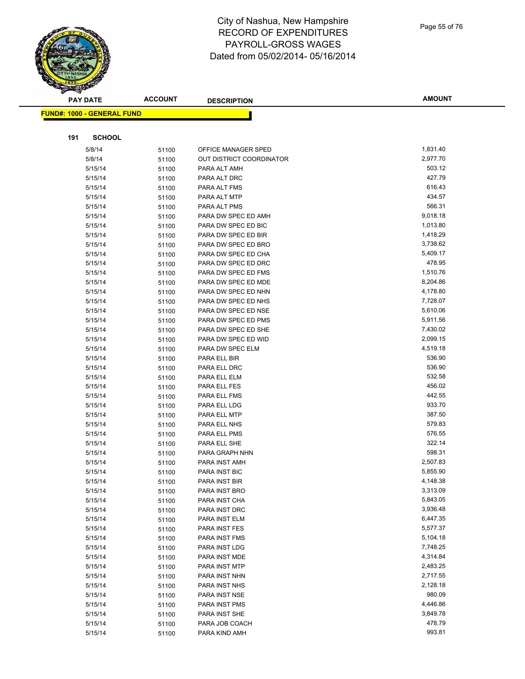|     | <b>PAY DATE</b>                    | <b>ACCOUNT</b> | <b>DESCRIPTION</b>                         | <b>AMOUNT</b>        |
|-----|------------------------------------|----------------|--------------------------------------------|----------------------|
|     | <u> FUND#: 1000 - GENERAL FUND</u> |                |                                            |                      |
|     |                                    |                |                                            |                      |
|     |                                    |                |                                            |                      |
| 191 | <b>SCHOOL</b>                      |                |                                            |                      |
|     | 5/8/14                             | 51100          | OFFICE MANAGER SPED                        | 1,831.40             |
|     | 5/8/14                             | 51100          | OUT DISTRICT COORDINATOR                   | 2,977.70             |
|     | 5/15/14                            | 51100          | PARA ALT AMH                               | 503.12               |
|     | 5/15/14                            | 51100          | PARA ALT DRC                               | 427.79               |
|     | 5/15/14                            | 51100          | PARA ALT FMS                               | 616.43               |
|     | 5/15/14                            | 51100          | PARA ALT MTP                               | 434.57               |
|     | 5/15/14                            | 51100          | PARA ALT PMS                               | 566.31               |
|     | 5/15/14                            | 51100          | PARA DW SPEC ED AMH                        | 9,018.18             |
|     | 5/15/14                            | 51100          | PARA DW SPEC ED BIC                        | 1,013.80             |
|     | 5/15/14                            | 51100          | PARA DW SPEC ED BIR                        | 1,418.29             |
|     | 5/15/14                            | 51100          | PARA DW SPEC ED BRO                        | 3,738.62             |
|     | 5/15/14                            | 51100          | PARA DW SPEC ED CHA                        | 5,409.17             |
|     | 5/15/14                            | 51100          | PARA DW SPEC ED DRC<br>PARA DW SPEC ED FMS | 478.95               |
|     | 5/15/14                            | 51100          |                                            | 1,510.76<br>8,204.86 |
|     | 5/15/14                            | 51100          | PARA DW SPEC ED MDE                        | 4,178.80             |
|     | 5/15/14<br>5/15/14                 | 51100          | PARA DW SPEC ED NHN<br>PARA DW SPEC ED NHS | 7,728.07             |
|     |                                    | 51100          | PARA DW SPEC ED NSE                        | 5,610.06             |
|     | 5/15/14<br>5/15/14                 | 51100          | PARA DW SPEC ED PMS                        | 5,911.56             |
|     | 5/15/14                            | 51100          | PARA DW SPEC ED SHE                        | 7,430.02             |
|     | 5/15/14                            | 51100          | PARA DW SPEC ED WID                        | 2,099.15             |
|     | 5/15/14                            | 51100          | PARA DW SPEC ELM                           | 4,519.18             |
|     | 5/15/14                            | 51100          | PARA ELL BIR                               | 536.90               |
|     | 5/15/14                            | 51100<br>51100 | PARA ELL DRC                               | 536.90               |
|     | 5/15/14                            |                | PARA ELL ELM                               | 532.58               |
|     | 5/15/14                            | 51100<br>51100 | PARA ELL FES                               | 456.02               |
|     | 5/15/14                            | 51100          | PARA ELL FMS                               | 442.55               |
|     | 5/15/14                            | 51100          | PARA ELL LDG                               | 933.70               |
|     | 5/15/14                            | 51100          | PARA ELL MTP                               | 387.50               |
|     | 5/15/14                            | 51100          | PARA ELL NHS                               | 579.83               |
|     | 5/15/14                            | 51100          | PARA ELL PMS                               | 576.55               |
|     | 5/15/14                            | 51100          | PARA ELL SHE                               | 322.14               |
|     | 5/15/14                            | 51100          | PARA GRAPH NHN                             | 598.31               |
|     | 5/15/14                            | 51100          | PARA INST AMH                              | 2,507.83             |
|     | 5/15/14                            | 51100          | PARA INST BIC                              | 5,855.90             |
|     | 5/15/14                            | 51100          | PARA INST BIR                              | 4,148.38             |
|     | 5/15/14                            | 51100          | PARA INST BRO                              | 3,313.09             |
|     | 5/15/14                            | 51100          | PARA INST CHA                              | 5,843.05             |
|     | 5/15/14                            | 51100          | PARA INST DRC                              | 3,936.48             |
|     | 5/15/14                            | 51100          | PARA INST ELM                              | 6,447.35             |
|     | 5/15/14                            | 51100          | PARA INST FES                              | 5,577.37             |
|     | 5/15/14                            | 51100          | PARA INST FMS                              | 5,104.18             |
|     | 5/15/14                            | 51100          | PARA INST LDG                              | 7,748.25             |
|     | 5/15/14                            | 51100          | PARA INST MDE                              | 4,314.84             |
|     | 5/15/14                            | 51100          | PARA INST MTP                              | 2,483.25             |
|     | 5/15/14                            | 51100          | PARA INST NHN                              | 2,717.55             |
|     | 5/15/14                            | 51100          | PARA INST NHS                              | 2,128.18             |
|     | 5/15/14                            | 51100          | PARA INST NSE                              | 980.09               |
|     | 5/15/14                            | 51100          | <b>PARA INST PMS</b>                       | 4,446.86             |
|     | 5/15/14                            | 51100          | PARA INST SHE                              | 3,849.78             |
|     | 5/15/14                            | 51100          | PARA JOB COACH                             | 478.79               |
|     | 5/15/14                            | 51100          | PARA KIND AMH                              | 993.81               |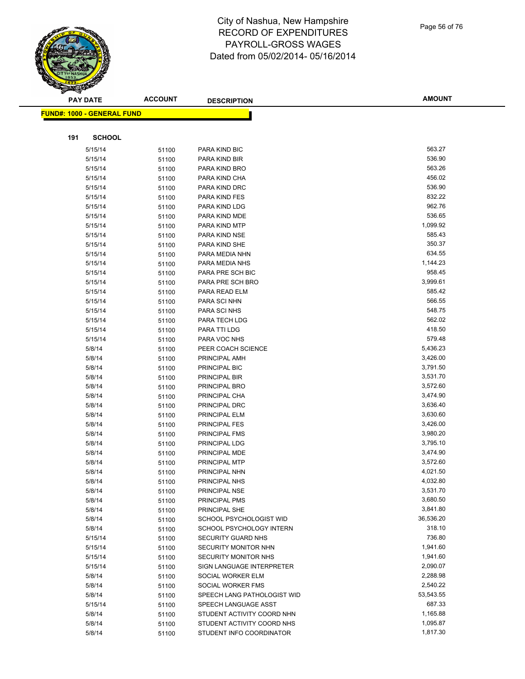|     | <b>PAY DATE</b>                   | <b>ACCOUNT</b> | <b>DESCRIPTION</b>          | <b>AMOUNT</b> |
|-----|-----------------------------------|----------------|-----------------------------|---------------|
|     | <b>FUND#: 1000 - GENERAL FUND</b> |                |                             |               |
|     |                                   |                |                             |               |
|     |                                   |                |                             |               |
| 191 | <b>SCHOOL</b>                     |                |                             |               |
|     | 5/15/14                           | 51100          | PARA KIND BIC               | 563.27        |
|     | 5/15/14                           | 51100          | PARA KIND BIR               | 536.90        |
|     | 5/15/14                           | 51100          | PARA KIND BRO               | 563.26        |
|     | 5/15/14                           | 51100          | PARA KIND CHA               | 456.02        |
|     | 5/15/14                           | 51100          | PARA KIND DRC               | 536.90        |
|     | 5/15/14                           | 51100          | PARA KIND FES               | 832.22        |
|     | 5/15/14                           | 51100          | PARA KIND LDG               | 962.76        |
|     | 5/15/14                           | 51100          | PARA KIND MDE               | 536.65        |
|     | 5/15/14                           | 51100          | PARA KIND MTP               | 1,099.92      |
|     | 5/15/14                           | 51100          | PARA KIND NSE               | 585.43        |
|     | 5/15/14                           | 51100          | PARA KIND SHE               | 350.37        |
|     | 5/15/14                           | 51100          | PARA MEDIA NHN              | 634.55        |
|     | 5/15/14                           | 51100          | PARA MEDIA NHS              | 1,144.23      |
|     | 5/15/14                           | 51100          | PARA PRE SCH BIC            | 958.45        |
|     | 5/15/14                           | 51100          | PARA PRE SCH BRO            | 3,999.61      |
|     | 5/15/14                           | 51100          | PARA READ ELM               | 585.42        |
|     | 5/15/14                           | 51100          | PARA SCI NHN                | 566.55        |
|     | 5/15/14                           | 51100          | PARA SCI NHS                | 548.75        |
|     | 5/15/14                           | 51100          | PARA TECH LDG               | 562.02        |
|     | 5/15/14                           | 51100          | PARA TTI LDG                | 418.50        |
|     | 5/15/14                           | 51100          | PARA VOC NHS                | 579.48        |
|     | 5/8/14                            | 51100          | PEER COACH SCIENCE          | 5,436.23      |
|     | 5/8/14                            | 51100          | PRINCIPAL AMH               | 3,426.00      |
|     | 5/8/14                            | 51100          | PRINCIPAL BIC               | 3,791.50      |
|     | 5/8/14                            | 51100          | PRINCIPAL BIR               | 3,531.70      |
|     | 5/8/14                            | 51100          | PRINCIPAL BRO               | 3,572.60      |
|     | 5/8/14                            | 51100          | PRINCIPAL CHA               | 3,474.90      |
|     | 5/8/14                            | 51100          | PRINCIPAL DRC               | 3,636.40      |
|     | 5/8/14                            | 51100          | PRINCIPAL ELM               | 3,630.60      |
|     | 5/8/14                            | 51100          | <b>PRINCIPAL FES</b>        | 3,426.00      |
|     | 5/8/14                            | 51100          | PRINCIPAL FMS               | 3,980.20      |
|     | 5/8/14                            | 51100          | PRINCIPAL LDG               | 3,795.10      |
|     | 5/8/14                            | 51100          | PRINCIPAL MDE               | 3,474.90      |
|     | 5/8/14                            | 51100          | PRINCIPAL MTP               | 3,572.60      |
|     | 5/8/14                            | 51100          | PRINCIPAL NHN               | 4,021.50      |
|     | 5/8/14                            | 51100          | PRINCIPAL NHS               | 4,032.80      |
|     | 5/8/14                            | 51100          | PRINCIPAL NSE               | 3,531.70      |
|     | 5/8/14                            | 51100          | PRINCIPAL PMS               | 3,680.50      |
|     | 5/8/14                            | 51100          | PRINCIPAL SHE               | 3,841.80      |
|     | 5/8/14                            | 51100          | SCHOOL PSYCHOLOGIST WID     | 36,536.20     |
|     | 5/8/14                            | 51100          | SCHOOL PSYCHOLOGY INTERN    | 318.10        |
|     | 5/15/14                           | 51100          | SECURITY GUARD NHS          | 736.80        |
|     | 5/15/14                           | 51100          | SECURITY MONITOR NHN        | 1,941.60      |
|     | 5/15/14                           | 51100          | SECURITY MONITOR NHS        | 1,941.60      |
|     | 5/15/14                           | 51100          | SIGN LANGUAGE INTERPRETER   | 2,090.07      |
|     | 5/8/14                            | 51100          | SOCIAL WORKER ELM           | 2,288.98      |
|     | 5/8/14                            | 51100          | SOCIAL WORKER FMS           | 2,540.22      |
|     | 5/8/14                            | 51100          | SPEECH LANG PATHOLOGIST WID | 53,543.55     |
|     | 5/15/14                           | 51100          | SPEECH LANGUAGE ASST        | 687.33        |
|     | 5/8/14                            | 51100          | STUDENT ACTIVITY COORD NHN  | 1,165.88      |
|     | 5/8/14                            | 51100          | STUDENT ACTIVITY COORD NHS  | 1,095.87      |
|     | 5/8/14                            | 51100          | STUDENT INFO COORDINATOR    | 1,817.30      |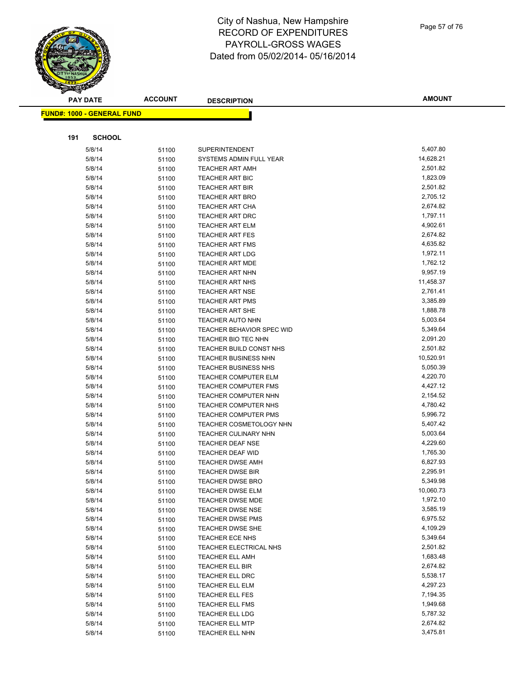

|     | <b>FUND#: 1000 - GENERAL FUND</b> |       |                                  |                       |
|-----|-----------------------------------|-------|----------------------------------|-----------------------|
|     |                                   |       |                                  |                       |
| 191 | <b>SCHOOL</b>                     |       |                                  |                       |
|     | 5/8/14                            | 51100 | <b>SUPERINTENDENT</b>            | 5,407.80              |
|     | 5/8/14                            | 51100 | SYSTEMS ADMIN FULL YEAR          | 14,628.21             |
|     | 5/8/14                            | 51100 | <b>TEACHER ART AMH</b>           | 2,501.82              |
|     | 5/8/14                            | 51100 | <b>TEACHER ART BIC</b>           | 1,823.09              |
|     | 5/8/14                            | 51100 | <b>TEACHER ART BIR</b>           | 2,501.82              |
|     | 5/8/14                            | 51100 | <b>TEACHER ART BRO</b>           | 2,705.12              |
|     | 5/8/14                            | 51100 | <b>TEACHER ART CHA</b>           | 2,674.82              |
|     | 5/8/14                            | 51100 | TEACHER ART DRC                  | 1,797.11              |
|     | 5/8/14                            | 51100 | <b>TEACHER ART ELM</b>           | 4,902.61              |
|     | 5/8/14                            | 51100 | <b>TEACHER ART FES</b>           | 2,674.82              |
|     | 5/8/14                            | 51100 | <b>TEACHER ART FMS</b>           | 4,635.82              |
|     | 5/8/14                            | 51100 | <b>TEACHER ART LDG</b>           | 1,972.11              |
|     | 5/8/14                            | 51100 | <b>TEACHER ART MDE</b>           | 1,762.12              |
|     | 5/8/14                            | 51100 | <b>TEACHER ART NHN</b>           | 9,957.19              |
|     | 5/8/14                            | 51100 | <b>TEACHER ART NHS</b>           | 11,458.37             |
|     | 5/8/14                            | 51100 | <b>TEACHER ART NSE</b>           | 2,761.41              |
|     | 5/8/14                            | 51100 | <b>TEACHER ART PMS</b>           | 3,385.89              |
|     | 5/8/14                            | 51100 | <b>TEACHER ART SHE</b>           | 1,888.78              |
|     | 5/8/14                            | 51100 | <b>TEACHER AUTO NHN</b>          | 5,003.64              |
|     | 5/8/14                            | 51100 | <b>TEACHER BEHAVIOR SPEC WID</b> | 5,349.64              |
|     | 5/8/14                            | 51100 | TEACHER BIO TEC NHN              | 2,091.20              |
|     | 5/8/14                            | 51100 | TEACHER BUILD CONST NHS          | 2,501.82              |
|     | 5/8/14                            |       | <b>TEACHER BUSINESS NHN</b>      | 10,520.91             |
|     | 5/8/14                            | 51100 | TEACHER BUSINESS NHS             | 5,050.39              |
|     | 5/8/14                            | 51100 | <b>TEACHER COMPUTER ELM</b>      | 4,220.70              |
|     | 5/8/14                            | 51100 | <b>TEACHER COMPUTER FMS</b>      | 4,427.12              |
|     | 5/8/14                            | 51100 | <b>TEACHER COMPUTER NHN</b>      | 2,154.52              |
|     | 5/8/14                            | 51100 | <b>TEACHER COMPUTER NHS</b>      | 4,780.42              |
|     | 5/8/14                            | 51100 | <b>TEACHER COMPUTER PMS</b>      | 5,996.72              |
|     | 5/8/14                            | 51100 | TEACHER COSMETOLOGY NHN          | 5,407.42              |
|     |                                   | 51100 |                                  | 5,003.64              |
|     | 5/8/14                            | 51100 | <b>TEACHER CULINARY NHN</b>      |                       |
|     | 5/8/14                            | 51100 | <b>TEACHER DEAF NSE</b>          | 4,229.60              |
|     | 5/8/14                            | 51100 | TEACHER DEAF WID                 | 1,765.30              |
|     | 5/8/14                            | 51100 | <b>TEACHER DWSE AMH</b>          | 6,827.93              |
|     | 5/8/14                            | 51100 | <b>TEACHER DWSE BIR</b>          | 2,295.91              |
|     | 5/8/14                            | 51100 | <b>TEACHER DWSE BRO</b>          | 5,349.98<br>10,060.73 |
|     | 5/8/14                            | 51100 | <b>TEACHER DWSE ELM</b>          |                       |
|     | 5/8/14                            | 51100 | <b>TEACHER DWSE MDE</b>          | 1,972.10              |
|     | 5/8/14                            | 51100 | <b>TEACHER DWSE NSE</b>          | 3,585.19              |
|     | 5/8/14                            | 51100 | <b>TEACHER DWSE PMS</b>          | 6,975.52              |
|     | 5/8/14                            | 51100 | TEACHER DWSE SHE                 | 4,109.29              |
|     | 5/8/14                            | 51100 | TEACHER ECE NHS                  | 5,349.64              |
|     | 5/8/14                            | 51100 | TEACHER ELECTRICAL NHS           | 2,501.82              |
|     | 5/8/14                            | 51100 | <b>TEACHER ELL AMH</b>           | 1,683.48              |
|     | 5/8/14                            | 51100 | TEACHER ELL BIR                  | 2,674.82              |
|     | 5/8/14                            | 51100 | TEACHER ELL DRC                  | 5,538.17              |
|     | 5/8/14                            | 51100 | TEACHER ELL ELM                  | 4,297.23              |
|     | 5/8/14                            | 51100 | TEACHER ELL FES                  | 7,194.35              |
|     | 5/8/14                            | 51100 | TEACHER ELL FMS                  | 1,949.68              |
|     | 5/8/14                            | 51100 | TEACHER ELL LDG                  | 5,787.32              |
|     | 5/8/14                            | 51100 | <b>TEACHER ELL MTP</b>           | 2,674.82              |
|     | 5/8/14                            | 51100 | TEACHER ELL NHN                  | 3,475.81              |

**AMOUNT**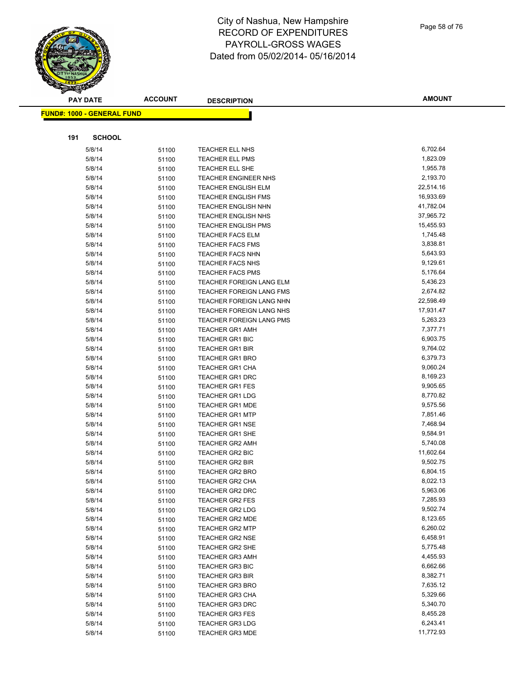**PAY DATE ACCOUNT DESCRIPTION**

#### **FUND#: 1000 - GENERAL FUND 191 SCHOOL** 5/8/14 51100 TEACHER ELL NHS 6,702.64 5/8/14 5/100 TEACHER ELL PMS 1,823.09 5/8/14 51100 TEACHER ELL SHE 1,955.78 5/8/14 51100 TEACHER ENGINEER NHS 2,193.70 5/8/14 51100 TEACHER ENGLISH ELM 22,514.16 5/8/14 5/100 TEACHER ENGLISH FMS 16,933.69 5/8/14 51100 TEACHER ENGLISH NHN 41,782.04 5/8/14 51100 TEACHER ENGLISH NHS 37,965.72 5/8/14 5/100 TEACHER ENGLISH PMS 15,455.93 5/8/14 51100 TEACHER FACS ELM 1,745.48 5/8/14 51100 TEACHER FACS FMS 3,838.81 5/8/14 51100 TEACHER FACS NHN 5,643.93 5/8/14 51100 TEACHER FACS NHS 9,129.61 5/8/14 51100 TEACHER FACS PMS 5,176.64 5/8/14 51100 TEACHER FOREIGN LANG ELM 5,436.23 5/8/14 51100 TEACHER FOREIGN LANG FMS 2,674.82 5/8/14 51100 TEACHER FOREIGN LANG NHN 22,598.49 5/8/14 51100 TEACHER FOREIGN LANG NHS 17,931.47 5/8/14 51100 TEACHER FOREIGN LANG PMS 5,263.23 5/8/14 51100 TEACHER GR1 AMH 7,377.71 5/8/14 51100 TEACHER GR1 BIC 6,903.75 5/8/14 51100 TEACHER GR1 BIR 9,764.02 5/8/14 51100 TEACHER GR1 BRO 6,379.73 5/8/14 5/1100 TEACHER GR1 CHA 9,060.24 5/8/14 5/100 TEACHER GR1 DRC 8,169.23 5/8/14 51100 TEACHER GR1 FES 9,905.65 5/8/14 51100 TEACHER GR1 LDG 5/8/70.82 5/8/14 51100 TEACHER GR1 MDE 9,575.56 5/8/14 51100 TEACHER GR1 MTP 5/6/100 5/6/14 7,851.46 5/8/14 51100 TEACHER GR1 NSE 5/8/14 7,468.94 5/8/14 51100 TEACHER GR1 SHE 9,584.91 5/8/14 51100 TEACHER GR2 AMH 5,740.08 5/8/14 51100 TEACHER GR2 BIC 11,602.64 5/8/14 51100 TEACHER GR2 BIR 502.75 5/8/14 51100 TEACHER GR2 BRO 6,804.15 5/8/14 5/100 TEACHER GR2 CHA 8,022.13 5/8/14 51100 TEACHER GR2 DRC 5,963.06 5/8/14 51100 TEACHER GR2 FES 7,285.93 5/8/14 5/1100 TEACHER GR2 LDG 5/602.74 9,502.74 5/8/14 51100 TEACHER GR2 MDE 6.123.65 5/8/14 51100 TEACHER GR2 MTP 6,260.02 5/8/14 51100 TEACHER GR2 NSE 6,458.91 5/8/14 51100 TEACHER GR2 SHE 5,775.48 5/8/14 51100 TEACHER GR3 AMH 4,455.93 5/8/14 51100 TEACHER GR3 BIC 6,662.66 5/8/14 51100 TEACHER GR3 BIR 8,382.71 5/8/14 51100 TEACHER GR3 BRO 5/8/14 51100 TEACHER GR3 CHA 5,329.66 5/8/14 51100 TEACHER GR3 DRC 5,340.70 5/8/14 51100 TEACHER GR3 FES 8,455.28 5/8/14 51100 TEACHER GR3 LDG 6,243.41 5/8/14 51100 TEACHER GR3 MDE 11,772.93

Page 58 of 76

**AMOUNT**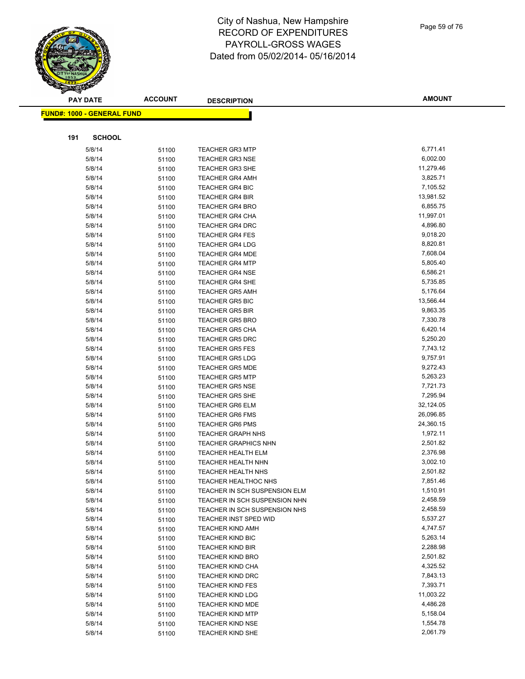|     | <b>PAY DATE</b>                   | <b>ACCOUNT</b> | <b>DESCRIPTION</b>            | <b>AMOUNT</b> |
|-----|-----------------------------------|----------------|-------------------------------|---------------|
|     | <b>FUND#: 1000 - GENERAL FUND</b> |                |                               |               |
|     |                                   |                |                               |               |
| 191 | <b>SCHOOL</b>                     |                |                               |               |
|     | 5/8/14                            | 51100          | <b>TEACHER GR3 MTP</b>        | 6,771.41      |
|     | 5/8/14                            | 51100          | <b>TEACHER GR3 NSE</b>        | 6,002.00      |
|     | 5/8/14                            | 51100          | <b>TEACHER GR3 SHE</b>        | 11,279.46     |
|     | 5/8/14                            | 51100          | <b>TEACHER GR4 AMH</b>        | 3,825.71      |
|     | 5/8/14                            | 51100          | <b>TEACHER GR4 BIC</b>        | 7,105.52      |
|     | 5/8/14                            | 51100          | <b>TEACHER GR4 BIR</b>        | 13,981.52     |
|     | 5/8/14                            | 51100          | <b>TEACHER GR4 BRO</b>        | 6,855.75      |
|     | 5/8/14                            | 51100          | <b>TEACHER GR4 CHA</b>        | 11,997.01     |
|     | 5/8/14                            | 51100          | <b>TEACHER GR4 DRC</b>        | 4,896.80      |
|     | 5/8/14                            | 51100          | <b>TEACHER GR4 FES</b>        | 9,018.20      |
|     | 5/8/14                            | 51100          | <b>TEACHER GR4 LDG</b>        | 8,820.81      |
|     | 5/8/14                            | 51100          | <b>TEACHER GR4 MDE</b>        | 7,608.04      |
|     | 5/8/14                            | 51100          | <b>TEACHER GR4 MTP</b>        | 5,805.40      |
|     | 5/8/14                            | 51100          | <b>TEACHER GR4 NSE</b>        | 6,586.21      |
|     | 5/8/14                            | 51100          | <b>TEACHER GR4 SHE</b>        | 5,735.85      |
|     | 5/8/14                            | 51100          | <b>TEACHER GR5 AMH</b>        | 5,176.64      |
|     | 5/8/14                            | 51100          | <b>TEACHER GR5 BIC</b>        | 13,566.44     |
|     | 5/8/14                            | 51100          | <b>TEACHER GR5 BIR</b>        | 9,863.35      |
|     | 5/8/14                            | 51100          | <b>TEACHER GR5 BRO</b>        | 7,330.78      |
|     | 5/8/14                            | 51100          | <b>TEACHER GR5 CHA</b>        | 6,420.14      |
|     | 5/8/14                            | 51100          | <b>TEACHER GR5 DRC</b>        | 5,250.20      |
|     | 5/8/14                            | 51100          | <b>TEACHER GR5 FES</b>        | 7,743.12      |
|     | 5/8/14                            | 51100          | <b>TEACHER GR5 LDG</b>        | 9,757.91      |
|     | 5/8/14                            | 51100          | <b>TEACHER GR5 MDE</b>        | 9,272.43      |
|     | 5/8/14                            | 51100          | <b>TEACHER GR5 MTP</b>        | 5,263.23      |
|     | 5/8/14                            | 51100          | <b>TEACHER GR5 NSE</b>        | 7,721.73      |
|     | 5/8/14                            | 51100          | <b>TEACHER GR5 SHE</b>        | 7,295.94      |
|     | 5/8/14                            | 51100          | <b>TEACHER GR6 ELM</b>        | 32,124.05     |
|     | 5/8/14                            | 51100          | <b>TEACHER GR6 FMS</b>        | 26,096.85     |
|     | 5/8/14                            | 51100          | <b>TEACHER GR6 PMS</b>        | 24,360.15     |
|     | 5/8/14                            | 51100          | <b>TEACHER GRAPH NHS</b>      | 1,972.11      |
|     | 5/8/14                            | 51100          | <b>TEACHER GRAPHICS NHN</b>   | 2,501.82      |
|     | 5/8/14                            | 51100          | TEACHER HEALTH ELM            | 2,376.98      |
|     | 5/8/14                            | 51100          | <b>TEACHER HEALTH NHN</b>     | 3,002.10      |
|     | 5/8/14                            | 51100          | <b>TEACHER HEALTH NHS</b>     | 2,501.82      |
|     | 5/8/14                            | 51100          | <b>TEACHER HEALTHOC NHS</b>   | 7,851.46      |
|     | 5/8/14                            | 51100          | TEACHER IN SCH SUSPENSION ELM | 1,510.91      |
|     | 5/8/14                            | 51100          | TEACHER IN SCH SUSPENSION NHN | 2,458.59      |
|     | 5/8/14                            | 51100          | TEACHER IN SCH SUSPENSION NHS | 2,458.59      |
|     | 5/8/14                            | 51100          | TEACHER INST SPED WID         | 5,537.27      |
|     | 5/8/14                            | 51100          | <b>TEACHER KIND AMH</b>       | 4,747.57      |
|     | 5/8/14                            | 51100          | <b>TEACHER KIND BIC</b>       | 5,263.14      |
|     | 5/8/14                            | 51100          | <b>TEACHER KIND BIR</b>       | 2,288.98      |
|     | 5/8/14                            | 51100          | <b>TEACHER KIND BRO</b>       | 2,501.82      |
|     | 5/8/14                            | 51100          | <b>TEACHER KIND CHA</b>       | 4,325.52      |
|     | 5/8/14                            | 51100          | <b>TEACHER KIND DRC</b>       | 7,843.13      |
|     | 5/8/14                            | 51100          | <b>TEACHER KIND FES</b>       | 7,393.71      |
|     | 5/8/14                            | 51100          | TEACHER KIND LDG              | 11,003.22     |

5/8/14 51100 TEACHER KIND MDE 4,486.28 5/8/14 51100 TEACHER KIND MTP 5,158.04 5/8/14 51100 TEACHER KIND NSE<br>1,554.78 5/8/14 51100 TEACHER KIND SHE

5/8/14 51100 TEACHER KIND SHE

Page 59 of 76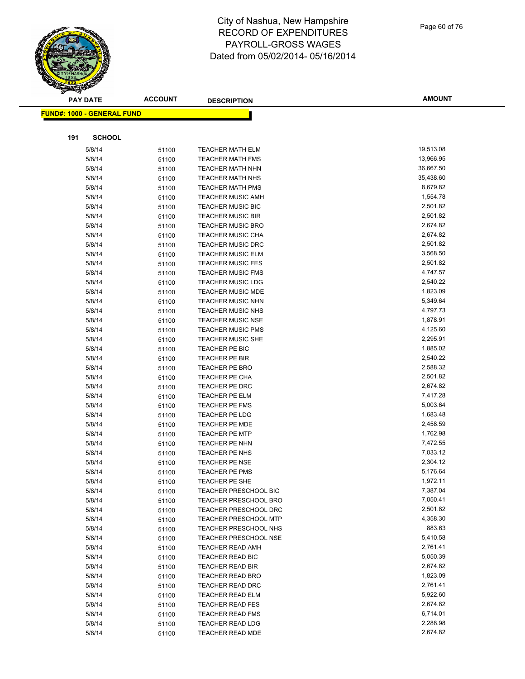City of Nashua, New Hampshire RECORD OF EXPENDITURES PAYROLL-GROSS WAGES

# Dated from 05/02/2014- 05/16/2014

|     | <b>PAY DATE</b>                    | <b>ACCOUNT</b> | <b>DESCRIPTION</b>                                   | <b>AMOUNT</b>        |
|-----|------------------------------------|----------------|------------------------------------------------------|----------------------|
|     | <u> FUND#: 1000 - GENERAL FUND</u> |                |                                                      |                      |
|     |                                    |                |                                                      |                      |
|     |                                    |                |                                                      |                      |
| 191 | <b>SCHOOL</b>                      |                |                                                      |                      |
|     | 5/8/14                             | 51100          | <b>TEACHER MATH ELM</b>                              | 19,513.08            |
|     | 5/8/14                             | 51100          | <b>TEACHER MATH FMS</b>                              | 13,966.95            |
|     | 5/8/14                             | 51100          | <b>TEACHER MATH NHN</b>                              | 36,667.50            |
|     | 5/8/14                             | 51100          | <b>TEACHER MATH NHS</b>                              | 35,438.60            |
|     | 5/8/14                             | 51100          | <b>TEACHER MATH PMS</b>                              | 8,679.82             |
|     | 5/8/14                             | 51100          | <b>TEACHER MUSIC AMH</b>                             | 1,554.78             |
|     | 5/8/14                             | 51100          | <b>TEACHER MUSIC BIC</b>                             | 2,501.82             |
|     | 5/8/14                             | 51100          | <b>TEACHER MUSIC BIR</b>                             | 2,501.82             |
|     | 5/8/14                             | 51100          | <b>TEACHER MUSIC BRO</b>                             | 2,674.82             |
|     | 5/8/14                             | 51100          | <b>TEACHER MUSIC CHA</b>                             | 2,674.82             |
|     | 5/8/14                             | 51100          | <b>TEACHER MUSIC DRC</b>                             | 2,501.82             |
|     | 5/8/14                             | 51100          | <b>TEACHER MUSIC ELM</b>                             | 3,568.50             |
|     | 5/8/14                             | 51100          | <b>TEACHER MUSIC FES</b>                             | 2,501.82<br>4,747.57 |
|     | 5/8/14<br>5/8/14                   | 51100          | <b>TEACHER MUSIC FMS</b>                             | 2,540.22             |
|     |                                    | 51100          | <b>TEACHER MUSIC LDG</b>                             | 1,823.09             |
|     | 5/8/14<br>5/8/14                   | 51100          | <b>TEACHER MUSIC MDE</b><br><b>TEACHER MUSIC NHN</b> | 5,349.64             |
|     |                                    | 51100          |                                                      | 4,797.73             |
|     | 5/8/14<br>5/8/14                   | 51100          | <b>TEACHER MUSIC NHS</b><br><b>TEACHER MUSIC NSE</b> | 1,878.91             |
|     | 5/8/14                             | 51100          | <b>TEACHER MUSIC PMS</b>                             | 4,125.60             |
|     | 5/8/14                             | 51100          | <b>TEACHER MUSIC SHE</b>                             | 2,295.91             |
|     | 5/8/14                             | 51100          | TEACHER PE BIC                                       | 1,885.02             |
|     | 5/8/14                             | 51100          | TEACHER PE BIR                                       | 2,540.22             |
|     | 5/8/14                             | 51100<br>51100 | <b>TEACHER PE BRO</b>                                | 2,588.32             |
|     | 5/8/14                             |                | <b>TEACHER PE CHA</b>                                | 2,501.82             |
|     | 5/8/14                             | 51100          | TEACHER PE DRC                                       | 2,674.82             |
|     | 5/8/14                             | 51100<br>51100 | TEACHER PE ELM                                       | 7,417.28             |
|     | 5/8/14                             | 51100          | <b>TEACHER PE FMS</b>                                | 5,003.64             |
|     | 5/8/14                             | 51100          | TEACHER PE LDG                                       | 1,683.48             |
|     | 5/8/14                             | 51100          | <b>TEACHER PE MDE</b>                                | 2,458.59             |
|     | 5/8/14                             | 51100          | <b>TEACHER PE MTP</b>                                | 1,762.98             |
|     | 5/8/14                             | 51100          | TEACHER PE NHN                                       | 7,472.55             |
|     | 5/8/14                             | 51100          | TEACHER PE NHS                                       | 7,033.12             |
|     | 5/8/14                             | 51100          | <b>TEACHER PE NSE</b>                                | 2,304.12             |
|     | 5/8/14                             | 51100          | <b>TEACHER PE PMS</b>                                | 5,176.64             |
|     | 5/8/14                             | 51100          | TEACHER PE SHE                                       | 1,972.11             |
|     | 5/8/14                             | 51100          | <b>TEACHER PRESCHOOL BIC</b>                         | 7,387.04             |
|     | 5/8/14                             | 51100          | <b>TEACHER PRESCHOOL BRO</b>                         | 7,050.41             |
|     | 5/8/14                             | 51100          | <b>TEACHER PRESCHOOL DRC</b>                         | 2,501.82             |
|     | 5/8/14                             | 51100          | <b>TEACHER PRESCHOOL MTP</b>                         | 4,358.30             |
|     | 5/8/14                             | 51100          | <b>TEACHER PRESCHOOL NHS</b>                         | 883.63               |
|     | 5/8/14                             | 51100          | <b>TEACHER PRESCHOOL NSE</b>                         | 5,410.58             |
|     | 5/8/14                             | 51100          | <b>TEACHER READ AMH</b>                              | 2,761.41             |
|     | 5/8/14                             | 51100          | TEACHER READ BIC                                     | 5,050.39             |
|     | 5/8/14                             | 51100          | TEACHER READ BIR                                     | 2,674.82             |
|     | 5/8/14                             | 51100          | <b>TEACHER READ BRO</b>                              | 1,823.09             |
|     | 5/8/14                             | 51100          | <b>TEACHER READ DRC</b>                              | 2,761.41             |
|     | 5/8/14                             | 51100          | <b>TEACHER READ ELM</b>                              | 5,922.60             |
|     | 5/8/14                             | 51100          | <b>TEACHER READ FES</b>                              | 2,674.82             |
|     | 5/8/14                             | 51100          | <b>TEACHER READ FMS</b>                              | 6,714.01             |
|     | 5/8/14                             | 51100          | <b>TEACHER READ LDG</b>                              | 2,288.98             |
|     | 5/8/14                             | 51100          | TEACHER READ MDE                                     | 2,674.82             |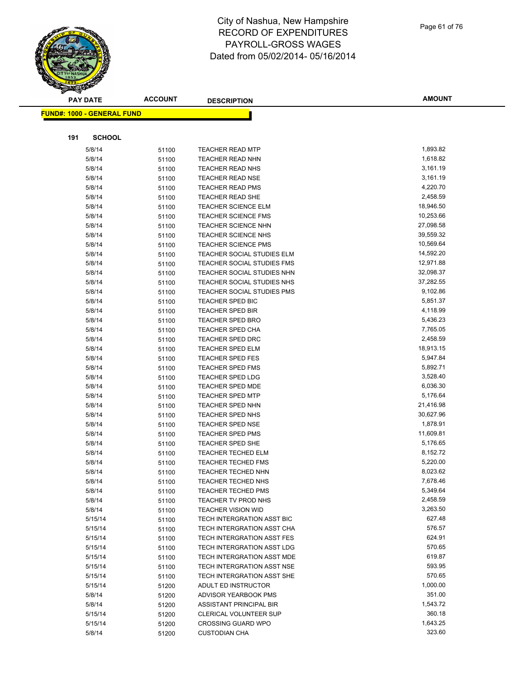

#### **FUND#: 1000 - GENERAL FUND 191 SCHOOL** 5/8/14 5/1100 TEACHER READ MTP 1,893.82 5/8/14 5/100 TEACHER READ NHN 1,618.82 5/8/14 51100 TEACHER READ NHS 3,161.19 5/8/14 51100 TEACHER READ NSE 5/8/14 3,161.19 5/8/14 51100 TEACHER READ PMS 4,220.70 5/8/14 51100 TEACHER READ SHE 2,458.59 5/8/14 51100 TEACHER SCIENCE ELM 18,946.50 5/8/14 51100 TEACHER SCIENCE FMS 10,253.66 5/8/14 51100 TEACHER SCIENCE NHN 5/6/8/10 27,098.58 5/8/14 51100 TEACHER SCIENCE NHS 39,559.32 5/8/14 51100 TEACHER SCIENCE PMS 10,569.64 5/8/14 51100 TEACHER SOCIAL STUDIES ELM 14,592.20 5/8/14 51100 TEACHER SOCIAL STUDIES FMS 12,971.88 5/8/14 51100 TEACHER SOCIAL STUDIES NHN 32,098.37 5/8/14 51100 TEACHER SOCIAL STUDIES NHS 37,282.55 5/8/14 51100 TEACHER SOCIAL STUDIES PMS 9,102.86 5/8/14 51100 TEACHER SPED BIC 5,851.37 5/8/14 51100 TEACHER SPED BIR 4,118.99 5/8/14 51100 TEACHER SPED BRO 5,436.23 5/8/14 51100 TEACHER SPED CHA 7,765.05 5/8/14 51100 TEACHER SPED DRC 2,458.59 5/8/14 51100 TEACHER SPED ELM 18,913.15 5/8/14 51100 TEACHER SPED FES 5,947.84 5/8/14 51100 TEACHER SPED FMS 5,892.71 5/8/14 51100 TEACHER SPED LDG 3,528.40 5/8/14 51100 TEACHER SPED MDE 6,036.30 5/8/14 51100 TEACHER SPED MTP 5,176.64 5/8/14 51100 TEACHER SPED NHN 21,416.98 5/8/14 51100 TEACHER SPED NHS 30,627.96 5/8/14 51100 TEACHER SPED NSE 1,878.91 5/8/14 51100 TEACHER SPED PMS 11,609.81 5/8/14 51100 TEACHER SPED SHE 5,176.65 5/8/14 51100 TEACHER TECHED ELM 8,152.72 5/8/14 51100 TEACHER TECHED FMS 5,220.00 5/8/14 51100 TEACHER TECHED NHN 8,023.62 5/8/14 51100 TEACHER TECHED NHS 7,678.46 5/8/14 51100 TEACHER TECHED PMS 5,349.64 5/8/14 51100 TEACHER TV PROD NHS 2,458.59 5/8/14 51100 TEACHER VISION WID 3,263.50 5/15/14 51100 TECH INTERGRATION ASST BIC 627.48 5/15/14 51100 TECH INTERGRATION ASST CHA 576.57 5/15/14 51100 TECH INTERGRATION ASST FES 624.91 5/15/14 51100 TECH INTERGRATION ASST LDG 570.65 5/15/14 51100 TECH INTERGRATION ASST MDE 619.87 5/15/14 51100 TECH INTERGRATION ASST NSE 593.95 5/15/14 51100 TECH INTERGRATION ASST SHE 570.65 5/15/14 51200 ADULT ED INSTRUCTOR 1,000.00 5/8/14 51200 ADVISOR YEARBOOK PMS 351.00 5/8/14 51200 ASSISTANT PRINCIPAL BIR 5/15/14 51200 CLERICAL VOLUNTEER SUP 360.18 5/15/14 51200 CROSSING GUARD WPO 1,643.25 5/8/14 51200 CUSTODIAN CHA 323.60

**AMOUNT**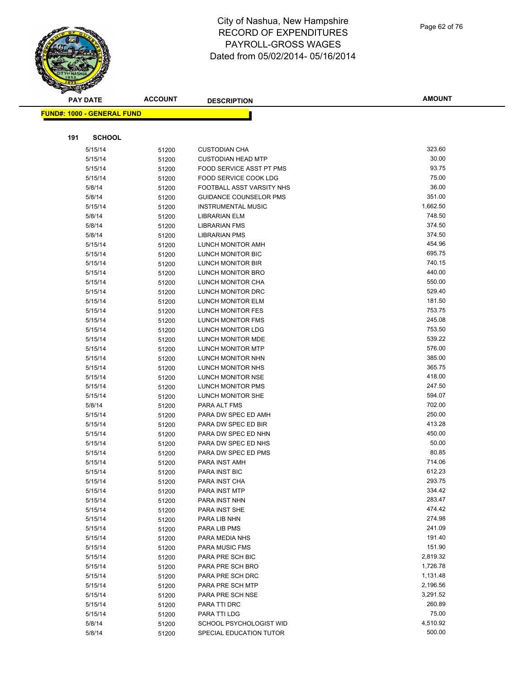Page 62 of 76

| <u>a ba</u><br><b>PAY DATE</b>    | <b>ACCOUNT</b> | <b>DESCRIPTION</b>                         | <b>AMOUNT</b>    |
|-----------------------------------|----------------|--------------------------------------------|------------------|
| <b>FUND#: 1000 - GENERAL FUND</b> |                |                                            |                  |
|                                   |                |                                            |                  |
| 191<br><b>SCHOOL</b>              |                |                                            |                  |
| 5/15/14                           | 51200          | <b>CUSTODIAN CHA</b>                       | 323.60           |
| 5/15/14                           | 51200          | <b>CUSTODIAN HEAD MTP</b>                  | 30.00            |
| 5/15/14                           | 51200          | FOOD SERVICE ASST PT PMS                   | 93.75            |
| 5/15/14                           | 51200          | FOOD SERVICE COOK LDG                      | 75.00            |
| 5/8/14                            | 51200          | FOOTBALL ASST VARSITY NHS                  | 36.00            |
| 5/8/14                            | 51200          | <b>GUIDANCE COUNSELOR PMS</b>              | 351.00           |
| 5/15/14                           | 51200          | <b>INSTRUMENTAL MUSIC</b>                  | 1,662.50         |
| 5/8/14                            | 51200          | <b>LIBRARIAN ELM</b>                       | 748.50           |
| 5/8/14                            | 51200          | <b>LIBRARIAN FMS</b>                       | 374.50           |
| 5/8/14                            | 51200          | <b>LIBRARIAN PMS</b>                       | 374.50           |
| 5/15/14                           | 51200          | LUNCH MONITOR AMH                          | 454.96           |
| 5/15/14                           | 51200          | LUNCH MONITOR BIC                          | 695.75           |
| 5/15/14                           | 51200          | LUNCH MONITOR BIR                          | 740.15           |
| 5/15/14                           | 51200          | LUNCH MONITOR BRO                          | 440.00           |
| 5/15/14                           | 51200          | LUNCH MONITOR CHA                          | 550.00           |
| 5/15/14                           | 51200          | LUNCH MONITOR DRC                          | 529.40           |
| 5/15/14                           | 51200          | LUNCH MONITOR ELM                          | 181.50           |
| 5/15/14                           | 51200          | LUNCH MONITOR FES                          | 753.75           |
| 5/15/14                           | 51200          | LUNCH MONITOR FMS                          | 245.08           |
| 5/15/14                           | 51200          | LUNCH MONITOR LDG                          | 753.50           |
| 5/15/14                           | 51200          | LUNCH MONITOR MDE                          | 539.22           |
| 5/15/14                           | 51200          | <b>LUNCH MONITOR MTP</b>                   | 576.00           |
| 5/15/14                           | 51200          | LUNCH MONITOR NHN                          | 385.00           |
| 5/15/14                           | 51200          | LUNCH MONITOR NHS                          | 365.75           |
| 5/15/14                           | 51200          | LUNCH MONITOR NSE                          | 418.00           |
| 5/15/14                           | 51200          | LUNCH MONITOR PMS                          | 247.50           |
| 5/15/14                           | 51200          | LUNCH MONITOR SHE                          | 594.07           |
| 5/8/14                            | 51200          | PARA ALT FMS                               | 702.00           |
| 5/15/14                           | 51200          | PARA DW SPEC ED AMH                        | 250.00           |
| 5/15/14                           | 51200          | PARA DW SPEC ED BIR                        | 413.28<br>450.00 |
| 5/15/14                           | 51200          | PARA DW SPEC ED NHN                        | 50.00            |
| 5/15/14<br>5/15/14                | 51200          | PARA DW SPEC ED NHS<br>PARA DW SPEC ED PMS | 80.85            |
| 5/15/14                           | 51200<br>51200 | PARA INST AMH                              | 714.06           |
| 5/15/14                           | 51200          | PARA INST BIC                              | 612.23           |
| 5/15/14                           | 51200          | PARA INST CHA                              | 293.75           |
| 5/15/14                           | 51200          | PARA INST MTP                              | 334.42           |
| 5/15/14                           | 51200          | PARA INST NHN                              | 283.47           |
| 5/15/14                           | 51200          | PARA INST SHE                              | 474.42           |
| 5/15/14                           | 51200          | PARA LIB NHN                               | 274.98           |
| 5/15/14                           | 51200          | PARA LIB PMS                               | 241.09           |
| 5/15/14                           | 51200          | PARA MEDIA NHS                             | 191.40           |
| 5/15/14                           | 51200          | PARA MUSIC FMS                             | 151.90           |
| 5/15/14                           | 51200          | PARA PRE SCH BIC                           | 2,819.32         |
| 5/15/14                           | 51200          | PARA PRE SCH BRO                           | 1,726.78         |
| 5/15/14                           | 51200          | PARA PRE SCH DRC                           | 1,131.48         |
| 5/15/14                           | 51200          | PARA PRE SCH MTP                           | 2,196.56         |
| 5/15/14                           | 51200          | PARA PRE SCH NSE                           | 3,291.52         |
| 5/15/14                           | 51200          | PARA TTI DRC                               | 260.89           |
| 5/15/14                           | 51200          | PARA TTI LDG                               | 75.00            |
| 5/8/14                            | 51200          | SCHOOL PSYCHOLOGIST WID                    | 4,510.92         |
| 5/8/14                            | 51200          | SPECIAL EDUCATION TUTOR                    | 500.00           |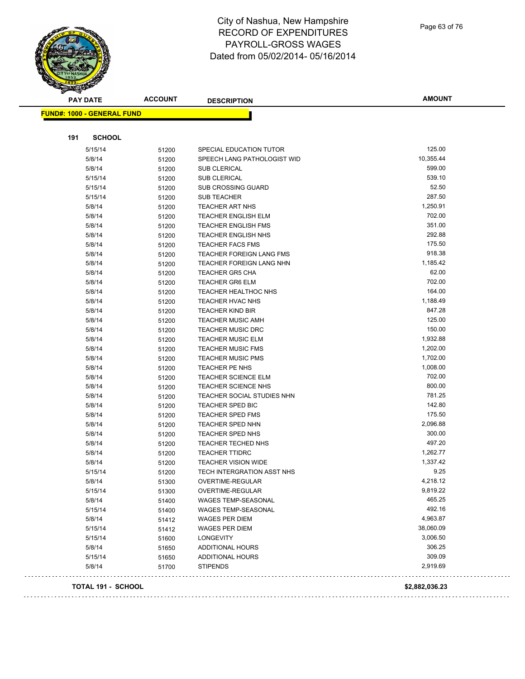# **PAY DATE ACCOUNT DESCRIPTION**

| <b>PAY DATE</b>                   | <b>ACCOUNT</b> | <b>DESCRIPTION</b>                                       | <b>AMOUNT</b>        |
|-----------------------------------|----------------|----------------------------------------------------------|----------------------|
| <b>FUND#: 1000 - GENERAL FUND</b> |                |                                                          |                      |
|                                   |                |                                                          |                      |
| 191<br><b>SCHOOL</b>              |                |                                                          |                      |
| 5/15/14                           | 51200          | SPECIAL EDUCATION TUTOR                                  | 125.00               |
| 5/8/14                            | 51200          | SPEECH LANG PATHOLOGIST WID                              | 10,355.44            |
| 5/8/14                            | 51200          | <b>SUB CLERICAL</b>                                      | 599.00               |
| 5/15/14                           | 51200          | <b>SUB CLERICAL</b>                                      | 539.10               |
| 5/15/14                           | 51200          | <b>SUB CROSSING GUARD</b>                                | 52.50                |
| 5/15/14                           | 51200          | <b>SUB TEACHER</b>                                       | 287.50               |
| 5/8/14                            | 51200          | <b>TEACHER ART NHS</b>                                   | 1,250.91             |
| 5/8/14                            | 51200          | <b>TEACHER ENGLISH ELM</b>                               | 702.00               |
| 5/8/14                            | 51200          | <b>TEACHER ENGLISH FMS</b>                               | 351.00               |
| 5/8/14                            | 51200          | TEACHER ENGLISH NHS                                      | 292.88               |
| 5/8/14                            | 51200          | <b>TEACHER FACS FMS</b>                                  | 175.50               |
| 5/8/14                            | 51200          | <b>TEACHER FOREIGN LANG FMS</b>                          | 918.38               |
| 5/8/14                            | 51200          | TEACHER FOREIGN LANG NHN                                 | 1,185.42             |
| 5/8/14                            | 51200          | <b>TEACHER GR5 CHA</b>                                   | 62.00                |
| 5/8/14                            | 51200          | <b>TEACHER GR6 ELM</b>                                   | 702.00               |
| 5/8/14                            | 51200          | TEACHER HEALTHOC NHS                                     | 164.00               |
| 5/8/14                            | 51200          | <b>TEACHER HVAC NHS</b>                                  | 1,188.49             |
| 5/8/14                            | 51200          | <b>TEACHER KIND BIR</b>                                  | 847.28               |
| 5/8/14                            | 51200          | <b>TEACHER MUSIC AMH</b>                                 | 125.00               |
| 5/8/14                            | 51200          | <b>TEACHER MUSIC DRC</b>                                 | 150.00               |
| 5/8/14                            | 51200          | <b>TEACHER MUSIC ELM</b>                                 | 1,932.88             |
| 5/8/14                            | 51200          | <b>TEACHER MUSIC FMS</b>                                 | 1,202.00             |
| 5/8/14                            | 51200          | <b>TEACHER MUSIC PMS</b>                                 | 1,702.00             |
| 5/8/14                            | 51200          | TEACHER PE NHS                                           | 1,008.00             |
| 5/8/14                            | 51200          | <b>TEACHER SCIENCE ELM</b>                               | 702.00               |
| 5/8/14                            | 51200          | <b>TEACHER SCIENCE NHS</b>                               | 800.00               |
| 5/8/14                            | 51200          | TEACHER SOCIAL STUDIES NHN                               | 781.25               |
| 5/8/14                            | 51200          | TEACHER SPED BIC                                         | 142.80               |
| 5/8/14                            | 51200          | <b>TEACHER SPED FMS</b>                                  | 175.50               |
| 5/8/14                            | 51200          | <b>TEACHER SPED NHN</b>                                  | 2,096.88             |
| 5/8/14                            |                | TEACHER SPED NHS                                         | 300.00               |
|                                   | 51200          |                                                          | 497.20               |
| 5/8/14<br>5/8/14                  | 51200          | TEACHER TECHED NHS<br><b>TEACHER TTIDRC</b>              | 1,262.77             |
|                                   | 51200          |                                                          | 1,337.42             |
| 5/8/14                            | 51200          | <b>TEACHER VISION WIDE</b><br>TECH INTERGRATION ASST NHS | 9.25                 |
| 5/15/14                           | 51200          |                                                          |                      |
| 5/8/14                            | 51300          | OVERTIME-REGULAR                                         | 4,218.12<br>9,819.22 |
| 5/15/14                           | 51300          | OVERTIME-REGULAR                                         | 465.25               |
| 5/8/14                            | 51400          | <b>WAGES TEMP-SEASONAL</b>                               |                      |
| 5/15/14                           | 51400          | <b>WAGES TEMP-SEASONAL</b>                               | 492.16               |
| 5/8/14                            | 51412          | WAGES PER DIEM                                           | 4,963.87             |
| 5/15/14                           | 51412          | WAGES PER DIEM                                           | 38,060.09            |
| 5/15/14                           | 51600          | <b>LONGEVITY</b>                                         | 3,006.50             |
| 5/8/14                            | 51650          | <b>ADDITIONAL HOURS</b>                                  | 306.25               |
| 5/15/14                           | 51650          | <b>ADDITIONAL HOURS</b>                                  | 309.09               |
| 5/8/14                            | 51700          | <b>STIPENDS</b>                                          | 2,919.69             |
|                                   |                |                                                          |                      |

Page 63 of 76

Ц,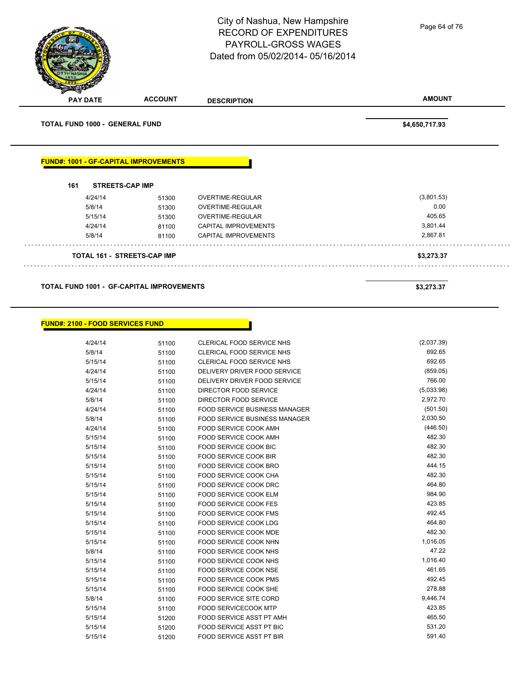PAYROLL-GROSS WAGES Dated from 05/02/2014- 05/16/2014 **PAY DATE ACCOUNT DESCRIPTION AMOUNT TOTAL FUND 1000 - GENERAL FUND \$4,650,717.93 FUND#: 1001 - GF-CAPITAL IMPROVEMENTS 161 STREETS-CAP IMP** 4/24/14 51300 OVERTIME-REGULAR (3,801.53) 5/8/14 51300 OVERTIME-REGULAR 0.00 5/15/14 51300 OVERTIME-REGULAR 405.65 4/24/14 81100 CAPITAL IMPROVEMENTS 3,801.44 5/8/14 81100 CAPITAL IMPROVEMENTS 2,867.81 . . . . . . . . . . . . . . . . . . . . . . . . . .

City of Nashua, New Hampshire RECORD OF EXPENDITURES

**TOTAL 161 - STREETS-CAP IMP \$3,273.37**

#### **TOTAL FUND 1001 - GF-CAPITAL IMPROVEMENTS \$3,273.37**

|  |  | FUND#: 2100 - FOOD SERVICES FUND |
|--|--|----------------------------------|
|--|--|----------------------------------|

| 4/24/14 | 51100 | <b>CLERICAL FOOD SERVICE NHS</b>     | (2,037.39) |
|---------|-------|--------------------------------------|------------|
| 5/8/14  | 51100 | <b>CLERICAL FOOD SERVICE NHS</b>     | 692.65     |
| 5/15/14 | 51100 | <b>CLERICAL FOOD SERVICE NHS</b>     | 692.65     |
| 4/24/14 | 51100 | DELIVERY DRIVER FOOD SERVICE         | (859.05)   |
| 5/15/14 | 51100 | DELIVERY DRIVER FOOD SERVICE         | 766.00     |
| 4/24/14 | 51100 | <b>DIRECTOR FOOD SERVICE</b>         | (5,033.98) |
| 5/8/14  | 51100 | <b>DIRECTOR FOOD SERVICE</b>         | 2,972.70   |
| 4/24/14 | 51100 | <b>FOOD SERVICE BUSINESS MANAGER</b> | (501.50)   |
| 5/8/14  | 51100 | <b>FOOD SERVICE BUSINESS MANAGER</b> | 2,030.50   |
| 4/24/14 | 51100 | FOOD SERVICE COOK AMH                | (446.50)   |
| 5/15/14 | 51100 | FOOD SERVICE COOK AMH                | 482.30     |
| 5/15/14 | 51100 | <b>FOOD SERVICE COOK BIC</b>         | 482.30     |
| 5/15/14 | 51100 | FOOD SERVICE COOK BIR                | 482.30     |
| 5/15/14 | 51100 | FOOD SERVICE COOK BRO                | 444.15     |
| 5/15/14 | 51100 | FOOD SERVICE COOK CHA                | 482.30     |
| 5/15/14 | 51100 | FOOD SERVICE COOK DRC                | 464.80     |
| 5/15/14 | 51100 | <b>FOOD SERVICE COOK ELM</b>         | 984.90     |
| 5/15/14 | 51100 | <b>FOOD SERVICE COOK FES</b>         | 423.85     |
| 5/15/14 | 51100 | <b>FOOD SERVICE COOK FMS</b>         | 492.45     |
| 5/15/14 | 51100 | <b>FOOD SERVICE COOK LDG</b>         | 464.80     |
| 5/15/14 | 51100 | FOOD SERVICE COOK MDE                | 482.30     |
| 5/15/14 | 51100 | FOOD SERVICE COOK NHN                | 1,016.05   |
| 5/8/14  | 51100 | FOOD SERVICE COOK NHS                | 47.22      |
| 5/15/14 | 51100 | <b>FOOD SERVICE COOK NHS</b>         | 1,016.40   |
| 5/15/14 | 51100 | <b>FOOD SERVICE COOK NSE</b>         | 461.65     |
| 5/15/14 | 51100 | FOOD SERVICE COOK PMS                | 492.45     |
| 5/15/14 | 51100 | FOOD SERVICE COOK SHE                | 278.88     |
| 5/8/14  | 51100 | <b>FOOD SERVICE SITE CORD</b>        | 9,446.74   |
| 5/15/14 | 51100 | <b>FOOD SERVICECOOK MTP</b>          | 423.85     |
| 5/15/14 | 51200 | <b>FOOD SERVICE ASST PT AMH</b>      | 465.50     |
| 5/15/14 | 51200 | <b>FOOD SERVICE ASST PT BIC</b>      | 531.20     |
| 5/15/14 | 51200 | <b>FOOD SERVICE ASST PT BIR</b>      | 591.40     |
|         |       |                                      |            |

Page 64 of 76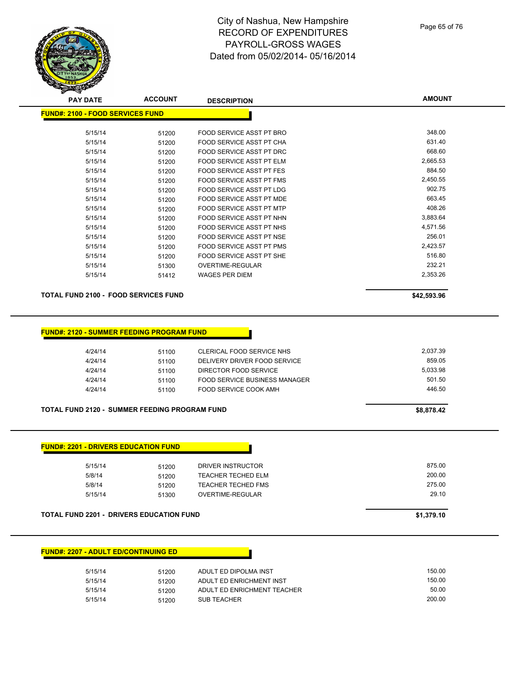Page 65 of 76

**AMOUNT**

|                    | <b>FUND#: 2100 - FOOD SERVICES FUND</b>          |                                                         |                 |
|--------------------|--------------------------------------------------|---------------------------------------------------------|-----------------|
| 5/15/14            | 51200                                            | FOOD SERVICE ASST PT BRO                                | 348.00          |
| 5/15/14            | 51200                                            | FOOD SERVICE ASST PT CHA                                | 631.40          |
| 5/15/14            | 51200                                            | FOOD SERVICE ASST PT DRC                                | 668.60          |
| 5/15/14            | 51200                                            | FOOD SERVICE ASST PT ELM                                | 2,665.53        |
| 5/15/14            | 51200                                            | FOOD SERVICE ASST PT FES                                | 884.50          |
| 5/15/14            | 51200                                            | FOOD SERVICE ASST PT FMS                                | 2,450.55        |
| 5/15/14            | 51200                                            | FOOD SERVICE ASST PT LDG                                | 902.75          |
| 5/15/14            | 51200                                            | <b>FOOD SERVICE ASST PT MDE</b>                         | 663.45          |
| 5/15/14            | 51200                                            | FOOD SERVICE ASST PT MTP                                | 408.26          |
| 5/15/14            | 51200                                            | FOOD SERVICE ASST PT NHN                                | 3,883.64        |
| 5/15/14            | 51200                                            | FOOD SERVICE ASST PT NHS                                | 4,571.56        |
| 5/15/14            | 51200                                            | FOOD SERVICE ASST PT NSE                                | 256.01          |
| 5/15/14            | 51200                                            | FOOD SERVICE ASST PT PMS                                | 2,423.57        |
| 5/15/14            | 51200                                            | FOOD SERVICE ASST PT SHE                                | 516.80          |
| 5/15/14            | 51300                                            | OVERTIME-REGULAR                                        | 232.21          |
| 5/15/14            | 51412                                            | <b>WAGES PER DIEM</b>                                   | 2,353.26        |
|                    | <b>TOTAL FUND 2100 - FOOD SERVICES FUND</b>      |                                                         | \$42,593.96     |
|                    | <b>FUND#: 2120 - SUMMER FEEDING PROGRAM FUND</b> |                                                         |                 |
| 4/24/14            | 51100                                            | CLERICAL FOOD SERVICE NHS                               | 2,037.39        |
| 4/24/14            | 51100                                            | DELIVERY DRIVER FOOD SERVICE                            | 859.05          |
| 4/24/14            | 51100                                            | DIRECTOR FOOD SERVICE                                   | 5,033.98        |
| 4/24/14            | 51100                                            | <b>FOOD SERVICE BUSINESS MANAGER</b>                    | 501.50          |
| 4/24/14            | 51100                                            | FOOD SERVICE COOK AMH                                   | 446.50          |
|                    | TOTAL FUND 2120 - SUMMER FEEDING PROGRAM FUND    |                                                         | \$8,878.42      |
|                    |                                                  |                                                         |                 |
|                    | <b>FUND#: 2201 - DRIVERS EDUCATION FUND</b>      |                                                         |                 |
|                    |                                                  |                                                         |                 |
| 5/15/14            | 51200                                            | DRIVER INSTRUCTOR                                       | 875.00          |
| 5/8/14             | 51200                                            | <b>TEACHER TECHED ELM</b>                               | 200.00          |
| 5/8/14<br>5/15/14  | 51200<br>51300                                   | <b>TEACHER TECHED FMS</b><br>OVERTIME-REGULAR           | 275.00<br>29.10 |
|                    | <b>TOTAL FUND 2201 - DRIVERS EDUCATION FUND</b>  |                                                         | \$1,379.10      |
|                    | <b>FUND#: 2207 - ADULT ED/CONTINUING ED</b>      |                                                         |                 |
|                    |                                                  |                                                         |                 |
| 5/15/14            | 51200                                            | ADULT ED DIPOLMA INST                                   | 150.00          |
| 5/15/14<br>5/15/14 | 51200<br>51200                                   | ADULT ED ENRICHMENT INST<br>ADULT ED ENRICHMENT TEACHER | 150.00<br>50.00 |

5/15/14 51200 SUB TEACHER

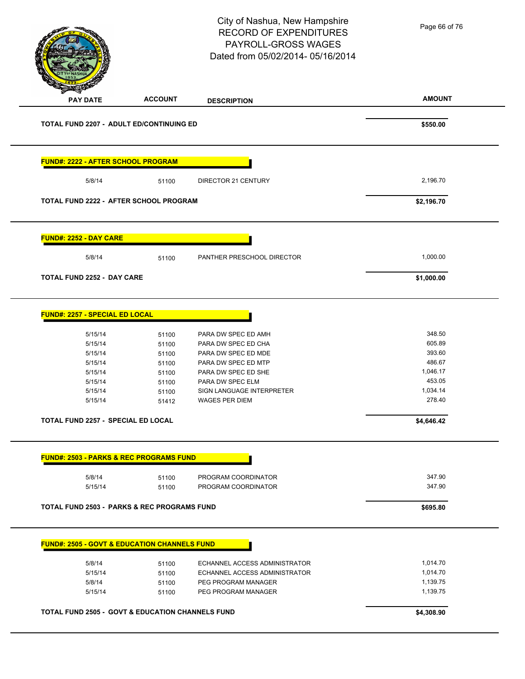Page 66 of 76

#### City of Nashua, New Hampshire RECORD OF EXPENDITURES PAYROLL-GROSS WAGES Dated from 05/02/2014- 05/16/2014

**AMOUNT PAY DATE ACCOUNT DESCRIPTION TOTAL FUND 2207 - ADULT ED/CONTINUING ED \$550.00 FUND#: 2222 - AFTER SCHOOL PROGRAM** 5/8/14 51100 DIRECTOR 21 CENTURY 2,196.70 **TOTAL FUND 2222 - AFTER SCHOOL PROGRAM \$2,196.70 FUND#: 2252 - DAY CARE** 5/8/14 51100 PANTHER PRESCHOOL DIRECTOR 1,000.00 **TOTAL FUND 2252 - DAY CARE \$1,000.00 FUND#: 2257 - SPECIAL ED LOCAL** 5/15/14 51100 PARA DW SPEC ED AMH 348.50 5/15/14 51100 PARA DW SPEC ED CHA 605.89 5/15/14 51100 PARA DW SPEC ED MDE 393.60 5/15/14 51100 PARA DW SPEC ED MTP 486.67 5/15/14 51100 PARA DW SPEC ED SHE 1,046.17 5/15/14 51100 PARA DW SPEC ELM 453.05 5/15/14 51100 SIGN LANGUAGE INTERPRETER 1,034.14 5/15/14 51412 WAGES PER DIEM 278.40 **TOTAL FUND 2257 - SPECIAL ED LOCAL \$4,646.42 FUND#: 2503 - PARKS & REC PROGRAMS FUND** 5/8/14 51100 PROGRAM COORDINATOR 347.90 5/15/14 51100 PROGRAM COORDINATOR 347.90 **TOTAL FUND 2503 - PARKS & REC PROGRAMS FUND \$695.80 FUND#: 2505 - GOVT & EDUCATION CHANNELS FUND** 5/8/14 51100 ECHANNEL ACCESS ADMINISTRATOR 1,014.70 5/15/14 51100 ECHANNEL ACCESS ADMINISTRATOR 1,014.70 5/8/14 51100 PEG PROGRAM MANAGER 5/8/14 5/8/14 5/15/14 51100 PEG PROGRAM MANAGER 1,139.75 **TOTAL FUND 2505 - GOVT & EDUCATION CHANNELS FUND \$4,308.90**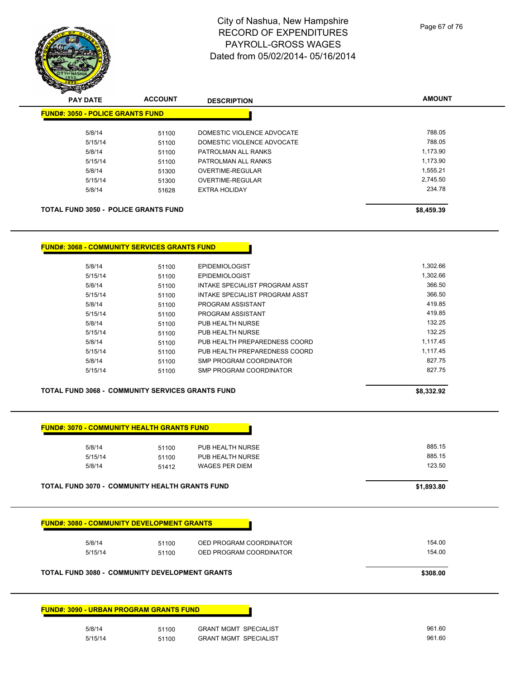| <b>1673-000</b>              |                |                            |               |  |  |  |
|------------------------------|----------------|----------------------------|---------------|--|--|--|
| <b>PAY DATE</b>              | <b>ACCOUNT</b> | <b>DESCRIPTION</b>         | <b>AMOUNT</b> |  |  |  |
| #: 3050 - POLICE GRANTS FUND |                |                            |               |  |  |  |
| 5/8/14                       | 51100          | DOMESTIC VIOLENCE ADVOCATE | 788.05        |  |  |  |
| 5/15/14                      | 51100          | DOMESTIC VIOLENCE ADVOCATE | 788.05        |  |  |  |
| 5/8/14                       | 51100          | PATROLMAN ALL RANKS        | 1,173.90      |  |  |  |
| 5/15/14                      | 51100          | PATROLMAN ALL RANKS        | 1,173.90      |  |  |  |
| 5/8/14                       | 51300          | OVERTIME-REGULAR           | 1.555.21      |  |  |  |
| 5/15/14                      | 51300          | OVERTIME-REGULAR           | 2.745.50      |  |  |  |
| 5/8/14                       | 51628          | <b>EXTRA HOLIDAY</b>       | 234.78        |  |  |  |

TOTAL FUND 3050 - POLICE GRANTS FUND **\$8,459.39** \$8,459.39

**FUND#: 3050 - POLICE GRANTS FUND**

**FUND#: 3068 - COMMUNITY SERVICES GRANTS FUND**

| 5/8/14  | 51100 | <b>EPIDEMIOLOGIST</b>          | 1.302.66 |
|---------|-------|--------------------------------|----------|
| 5/15/14 | 51100 | <b>EPIDEMIOLOGIST</b>          | 1.302.66 |
| 5/8/14  | 51100 | INTAKE SPECIALIST PROGRAM ASST | 366.50   |
| 5/15/14 | 51100 | INTAKE SPECIALIST PROGRAM ASST | 366.50   |
| 5/8/14  | 51100 | PROGRAM ASSISTANT              | 419.85   |
| 5/15/14 | 51100 | PROGRAM ASSISTANT              | 419.85   |
| 5/8/14  | 51100 | PUB HEALTH NURSE               | 132.25   |
| 5/15/14 | 51100 | PUB HEALTH NURSE               | 132.25   |
| 5/8/14  | 51100 | PUB HEALTH PREPAREDNESS COORD  | 1.117.45 |
| 5/15/14 | 51100 | PUB HEALTH PREPAREDNESS COORD  | 1.117.45 |
| 5/8/14  | 51100 | SMP PROGRAM COORDINATOR        | 827.75   |
| 5/15/14 | 51100 | SMP PROGRAM COORDINATOR        | 827.75   |
|         |       |                                |          |

#### **TOTAL FUND 3068 - COMMUNITY SERVICES GRANTS FUND \$8,332.92**

**FUND#: 3090 - URBAN PROGRAM GRANTS FUND**

| 5/8/14  | 51100 | PUB HEALTH NURSE      | 885.15 |
|---------|-------|-----------------------|--------|
| 5/15/14 | 51100 | PUB HEALTH NURSE      | 885.15 |
| 5/8/14  | 51412 | <b>WAGES PER DIEM</b> | 123.50 |

| <b>FUND#: 3080 - COMMUNITY DEVELOPMENT GRANTS</b><br>5/8/14 | 51100    | OED PROGRAM COORDINATOR | 154.00 |
|-------------------------------------------------------------|----------|-------------------------|--------|
| 5/15/14                                                     | 51100    | OED PROGRAM COORDINATOR | 154.00 |
| <b>TOTAL FUND 3080 - COMMUNITY DEVELOPMENT GRANTS</b>       | \$308.00 |                         |        |

| 5/8/14  | 51100 | <b>GRANT MGMT SPECIALIST</b> | 961.60 |
|---------|-------|------------------------------|--------|
| 5/15/14 | 51100 | <b>GRANT MGMT SPECIALIST</b> | 961.60 |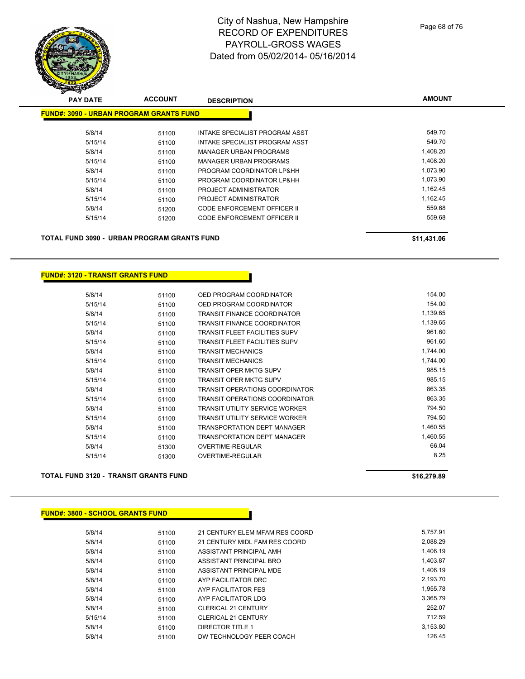| <b>PAY DATE</b>                                | <b>ACCOUNT</b> | <b>DESCRIPTION</b>                 | <b>AMOUNT</b> |
|------------------------------------------------|----------------|------------------------------------|---------------|
| <b>FUND#: 3090 - URBAN PROGRAM GRANTS FUND</b> |                |                                    |               |
| 5/8/14                                         | 51100          | INTAKE SPECIALIST PROGRAM ASST     | 549.70        |
| 5/15/14                                        | 51100          | INTAKE SPECIALIST PROGRAM ASST     | 549.70        |
| 5/8/14                                         | 51100          | MANAGER URBAN PROGRAMS             | 1,408.20      |
| 5/15/14                                        | 51100          | MANAGER URBAN PROGRAMS             | 1,408.20      |
| 5/8/14                                         | 51100          | PROGRAM COORDINATOR LP&HH          | 1,073.90      |
| 5/15/14                                        | 51100          | PROGRAM COORDINATOR LP&HH          | 1,073.90      |
| 5/8/14                                         | 51100          | PROJECT ADMINISTRATOR              | 1,162.45      |
| 5/15/14                                        | 51100          | PROJECT ADMINISTRATOR              | 1,162.45      |
| 5/8/14                                         | 51200          | CODE ENFORCEMENT OFFICER II        | 559.68        |
| 5/15/14                                        | 51200          | <b>CODE ENFORCEMENT OFFICER II</b> | 559.68        |
| TOTAL FUND 3090 - URBAN PROGRAM GRANTS FUND    |                |                                    | \$11,431.06   |
|                                                |                |                                    |               |

# **FUND#: 3120 - TRANSIT GRANTS FUND**

| 5/8/14  | 51100 | OED PROGRAM COORDINATOR               | 154.00   |
|---------|-------|---------------------------------------|----------|
| 5/15/14 | 51100 | OED PROGRAM COORDINATOR               | 154.00   |
| 5/8/14  | 51100 | <b>TRANSIT FINANCE COORDINATOR</b>    | 1,139.65 |
| 5/15/14 | 51100 | <b>TRANSIT FINANCE COORDINATOR</b>    | 1,139.65 |
| 5/8/14  | 51100 | <b>TRANSIT FLEET FACILITIES SUPV</b>  | 961.60   |
| 5/15/14 | 51100 | <b>TRANSIT FLEET FACILITIES SUPV</b>  | 961.60   |
| 5/8/14  | 51100 | <b>TRANSIT MECHANICS</b>              | 1,744.00 |
| 5/15/14 | 51100 | <b>TRANSIT MECHANICS</b>              | 1,744.00 |
| 5/8/14  | 51100 | <b>TRANSIT OPER MKTG SUPV</b>         | 985.15   |
| 5/15/14 | 51100 | <b>TRANSIT OPER MKTG SUPV</b>         | 985.15   |
| 5/8/14  | 51100 | <b>TRANSIT OPERATIONS COORDINATOR</b> | 863.35   |
| 5/15/14 | 51100 | <b>TRANSIT OPERATIONS COORDINATOR</b> | 863.35   |
| 5/8/14  | 51100 | <b>TRANSIT UTILITY SERVICE WORKER</b> | 794.50   |
| 5/15/14 | 51100 | <b>TRANSIT UTILITY SERVICE WORKER</b> | 794.50   |
| 5/8/14  | 51100 | <b>TRANSPORTATION DEPT MANAGER</b>    | 1,460.55 |
| 5/15/14 | 51100 | <b>TRANSPORTATION DEPT MANAGER</b>    | 1,460.55 |
| 5/8/14  | 51300 | OVERTIME-REGULAR                      | 66.04    |
| 5/15/14 | 51300 | OVERTIME-REGULAR                      | 8.25     |
|         |       |                                       |          |

#### **TOTAL FUND 3120 - TRANSIT GRANTS FUND \$16,279.89**

#### **FUND#: 3800 - SCHOOL GRANTS FUND**

| 5/8/14  | 51100 | 21 CENTURY ELEM MFAM RES COORD | 5.757.91 |
|---------|-------|--------------------------------|----------|
| 5/8/14  | 51100 | 21 CENTURY MIDL FAM RES COORD  | 2.088.29 |
| 5/8/14  | 51100 | ASSISTANT PRINCIPAL AMH        | 1.406.19 |
| 5/8/14  | 51100 | ASSISTANT PRINCIPAL BRO        | 1.403.87 |
| 5/8/14  | 51100 | ASSISTANT PRINCIPAL MDE        | 1.406.19 |
| 5/8/14  | 51100 | AYP FACILITATOR DRC            | 2.193.70 |
| 5/8/14  | 51100 | AYP FACILITATOR FES            | 1.955.78 |
| 5/8/14  | 51100 | AYP FACILITATOR LDG            | 3.365.79 |
| 5/8/14  | 51100 | <b>CLERICAL 21 CENTURY</b>     | 252.07   |
| 5/15/14 | 51100 | <b>CLERICAL 21 CENTURY</b>     | 712.59   |
| 5/8/14  | 51100 | DIRECTOR TITLE 1               | 3.153.80 |
| 5/8/14  | 51100 | DW TECHNOLOGY PEER COACH       | 126.45   |
|         |       |                                |          |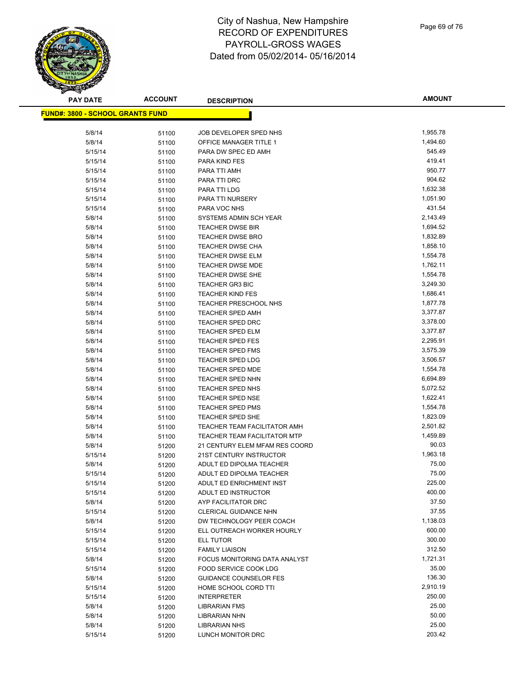

| <b>PAY DATE</b>                         | <b>ACCOUNT</b> | <b>DESCRIPTION</b>                                 | <b>AMOUNT</b>        |
|-----------------------------------------|----------------|----------------------------------------------------|----------------------|
| <b>FUND#: 3800 - SCHOOL GRANTS FUND</b> |                |                                                    |                      |
|                                         |                |                                                    |                      |
| 5/8/14                                  | 51100          | JOB DEVELOPER SPED NHS                             | 1,955.78             |
| 5/8/14                                  | 51100          | <b>OFFICE MANAGER TITLE 1</b>                      | 1,494.60             |
| 5/15/14                                 | 51100          | PARA DW SPEC ED AMH                                | 545.49               |
| 5/15/14                                 | 51100          | PARA KIND FES                                      | 419.41               |
| 5/15/14                                 | 51100          | PARA TTI AMH                                       | 950.77               |
| 5/15/14                                 | 51100          | PARA TTI DRC                                       | 904.62               |
| 5/15/14                                 | 51100          | PARA TTI LDG                                       | 1,632.38             |
| 5/15/14                                 | 51100          | PARA TTI NURSERY                                   | 1,051.90             |
| 5/15/14                                 | 51100          | PARA VOC NHS                                       | 431.54               |
| 5/8/14                                  | 51100          | SYSTEMS ADMIN SCH YEAR                             | 2,143.49             |
| 5/8/14                                  | 51100          | <b>TEACHER DWSE BIR</b>                            | 1,694.52             |
| 5/8/14                                  | 51100          | <b>TEACHER DWSE BRO</b>                            | 1,832.89             |
| 5/8/14                                  | 51100          | <b>TEACHER DWSE CHA</b>                            | 1,858.10             |
| 5/8/14                                  | 51100          | <b>TEACHER DWSE ELM</b>                            | 1,554.78             |
| 5/8/14                                  | 51100          | TEACHER DWSE MDE                                   | 1,762.11             |
| 5/8/14                                  | 51100          | <b>TEACHER DWSE SHE</b>                            | 1,554.78             |
| 5/8/14                                  | 51100          | <b>TEACHER GR3 BIC</b>                             | 3,249.30             |
| 5/8/14                                  | 51100          | <b>TEACHER KIND FES</b>                            | 1,686.41             |
| 5/8/14                                  | 51100          | TEACHER PRESCHOOL NHS                              | 1,877.78             |
| 5/8/14                                  | 51100          | <b>TEACHER SPED AMH</b>                            | 3,377.87             |
| 5/8/14                                  | 51100          | <b>TEACHER SPED DRC</b>                            | 3,378.00             |
| 5/8/14                                  | 51100          | <b>TEACHER SPED ELM</b>                            | 3,377.87             |
| 5/8/14                                  | 51100          | <b>TEACHER SPED FES</b>                            | 2,295.91             |
| 5/8/14                                  | 51100          | <b>TEACHER SPED FMS</b>                            | 3,575.39             |
| 5/8/14                                  | 51100          | <b>TEACHER SPED LDG</b>                            | 3,506.57             |
| 5/8/14                                  | 51100          | TEACHER SPED MDE                                   | 1,554.78             |
| 5/8/14                                  | 51100          | <b>TEACHER SPED NHN</b>                            | 6,694.89<br>5,072.52 |
| 5/8/14<br>5/8/14                        | 51100          | TEACHER SPED NHS<br><b>TEACHER SPED NSE</b>        | 1,622.41             |
|                                         | 51100          |                                                    | 1,554.78             |
| 5/8/14<br>5/8/14                        | 51100          | <b>TEACHER SPED PMS</b><br><b>TEACHER SPED SHE</b> | 1,823.09             |
| 5/8/14                                  | 51100          | TEACHER TEAM FACILITATOR AMH                       | 2,501.82             |
| 5/8/14                                  | 51100          | <b>TEACHER TEAM FACILITATOR MTP</b>                | 1,459.89             |
| 5/8/14                                  | 51100          | 21 CENTURY ELEM MFAM RES COORD                     | 90.03                |
| 5/15/14                                 | 51200          | 21ST CENTURY INSTRUCTOR                            | 1,963.18             |
| 5/8/14                                  | 51200<br>51200 | ADULT ED DIPOLMA TEACHER                           | 75.00                |
| 5/15/14                                 | 51200          | ADULT ED DIPOLMA TEACHER                           | 75.00                |
| 5/15/14                                 | 51200          | ADULT ED ENRICHMENT INST                           | 225.00               |
| 5/15/14                                 | 51200          | ADULT ED INSTRUCTOR                                | 400.00               |
| 5/8/14                                  | 51200          | AYP FACILITATOR DRC                                | 37.50                |
| 5/15/14                                 | 51200          | <b>CLERICAL GUIDANCE NHN</b>                       | 37.55                |
| 5/8/14                                  | 51200          | DW TECHNOLOGY PEER COACH                           | 1,138.03             |
| 5/15/14                                 | 51200          | ELL OUTREACH WORKER HOURLY                         | 600.00               |
| 5/15/14                                 | 51200          | <b>ELL TUTOR</b>                                   | 300.00               |
| 5/15/14                                 | 51200          | <b>FAMILY LIAISON</b>                              | 312.50               |
| 5/8/14                                  | 51200          | FOCUS MONITORING DATA ANALYST                      | 1,721.31             |
| 5/15/14                                 | 51200          | <b>FOOD SERVICE COOK LDG</b>                       | 35.00                |
| 5/8/14                                  | 51200          | <b>GUIDANCE COUNSELOR FES</b>                      | 136.30               |
| 5/15/14                                 | 51200          | HOME SCHOOL CORD TTI                               | 2,910.19             |
| 5/15/14                                 | 51200          | <b>INTERPRETER</b>                                 | 250.00               |
| 5/8/14                                  | 51200          | <b>LIBRARIAN FMS</b>                               | 25.00                |
| 5/8/14                                  | 51200          | LIBRARIAN NHN                                      | 50.00                |
| 5/8/14                                  | 51200          | <b>LIBRARIAN NHS</b>                               | 25.00                |
| 5/15/14                                 | 51200          | LUNCH MONITOR DRC                                  | 203.42               |
|                                         |                |                                                    |                      |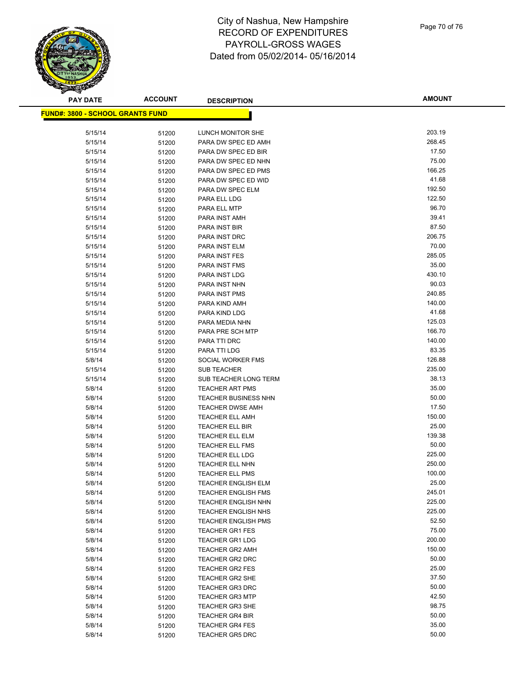

| <b>PAY DATE</b>                         | <b>ACCOUNT</b> | <b>DESCRIPTION</b>                                    | <b>AMOUNT</b>  |
|-----------------------------------------|----------------|-------------------------------------------------------|----------------|
| <b>FUND#: 3800 - SCHOOL GRANTS FUND</b> |                |                                                       |                |
|                                         |                |                                                       |                |
| 5/15/14                                 | 51200          | LUNCH MONITOR SHE                                     | 203.19         |
| 5/15/14                                 | 51200          | PARA DW SPEC ED AMH                                   | 268.45         |
| 5/15/14                                 | 51200          | PARA DW SPEC ED BIR                                   | 17.50          |
| 5/15/14                                 | 51200          | PARA DW SPEC ED NHN                                   | 75.00          |
| 5/15/14                                 | 51200          | PARA DW SPEC ED PMS                                   | 166.25         |
| 5/15/14                                 | 51200          | PARA DW SPEC ED WID                                   | 41.68          |
| 5/15/14                                 | 51200          | PARA DW SPEC ELM                                      | 192.50         |
| 5/15/14                                 | 51200          | PARA ELL LDG                                          | 122.50         |
| 5/15/14                                 | 51200          | PARA ELL MTP                                          | 96.70          |
| 5/15/14                                 | 51200          | PARA INST AMH                                         | 39.41          |
| 5/15/14                                 | 51200          | PARA INST BIR                                         | 87.50          |
| 5/15/14                                 | 51200          | PARA INST DRC                                         | 206.75         |
| 5/15/14                                 | 51200          | PARA INST ELM                                         | 70.00          |
| 5/15/14                                 | 51200          | PARA INST FES                                         | 285.05         |
| 5/15/14                                 | 51200          | PARA INST FMS                                         | 35.00          |
| 5/15/14                                 | 51200          | PARA INST LDG                                         | 430.10         |
| 5/15/14                                 | 51200          | PARA INST NHN                                         | 90.03          |
| 5/15/14                                 | 51200          | PARA INST PMS                                         | 240.85         |
| 5/15/14                                 | 51200          | PARA KIND AMH                                         | 140.00         |
| 5/15/14                                 | 51200          | PARA KIND LDG                                         | 41.68          |
| 5/15/14                                 | 51200          | PARA MEDIA NHN                                        | 125.03         |
| 5/15/14                                 | 51200          | PARA PRE SCH MTP                                      | 166.70         |
| 5/15/14                                 | 51200          | PARA TTI DRC                                          | 140.00         |
| 5/15/14                                 | 51200          | PARA TTI LDG                                          | 83.35          |
| 5/8/14                                  | 51200          | SOCIAL WORKER FMS                                     | 126.88         |
| 5/15/14                                 | 51200          | <b>SUB TEACHER</b>                                    | 235.00         |
| 5/15/14                                 | 51200          | SUB TEACHER LONG TERM                                 | 38.13<br>35.00 |
| 5/8/14<br>5/8/14                        | 51200          | <b>TEACHER ART PMS</b><br><b>TEACHER BUSINESS NHN</b> | 50.00          |
| 5/8/14                                  | 51200<br>51200 | <b>TEACHER DWSE AMH</b>                               | 17.50          |
| 5/8/14                                  | 51200          | <b>TEACHER ELL AMH</b>                                | 150.00         |
| 5/8/14                                  | 51200          | <b>TEACHER ELL BIR</b>                                | 25.00          |
| 5/8/14                                  | 51200          | <b>TEACHER ELL ELM</b>                                | 139.38         |
| 5/8/14                                  | 51200          | <b>TEACHER ELL FMS</b>                                | 50.00          |
| 5/8/14                                  | 51200          | <b>TEACHER ELL LDG</b>                                | 225.00         |
| 5/8/14                                  | 51200          | TEACHER ELL NHN                                       | 250.00         |
| 5/8/14                                  | 51200          | <b>TEACHER ELL PMS</b>                                | 100.00         |
| 5/8/14                                  | 51200          | TEACHER ENGLISH ELM                                   | 25.00          |
| 5/8/14                                  | 51200          | <b>TEACHER ENGLISH FMS</b>                            | 245.01         |
| 5/8/14                                  | 51200          | <b>TEACHER ENGLISH NHN</b>                            | 225.00         |
| 5/8/14                                  | 51200          | <b>TEACHER ENGLISH NHS</b>                            | 225.00         |
| 5/8/14                                  | 51200          | <b>TEACHER ENGLISH PMS</b>                            | 52.50          |
| 5/8/14                                  | 51200          | <b>TEACHER GR1 FES</b>                                | 75.00          |
| 5/8/14                                  | 51200          | <b>TEACHER GR1 LDG</b>                                | 200.00         |
| 5/8/14                                  | 51200          | <b>TEACHER GR2 AMH</b>                                | 150.00         |
| 5/8/14                                  | 51200          | <b>TEACHER GR2 DRC</b>                                | 50.00          |
| 5/8/14                                  | 51200          | <b>TEACHER GR2 FES</b>                                | 25.00          |
| 5/8/14                                  | 51200          | <b>TEACHER GR2 SHE</b>                                | 37.50          |
| 5/8/14                                  | 51200          | <b>TEACHER GR3 DRC</b>                                | 50.00          |
| 5/8/14                                  | 51200          | <b>TEACHER GR3 MTP</b>                                | 42.50          |
| 5/8/14                                  | 51200          | <b>TEACHER GR3 SHE</b>                                | 98.75          |
| 5/8/14                                  | 51200          | <b>TEACHER GR4 BIR</b>                                | 50.00          |
| 5/8/14                                  | 51200          | <b>TEACHER GR4 FES</b>                                | 35.00          |
| 5/8/14                                  | 51200          | <b>TEACHER GR5 DRC</b>                                | 50.00          |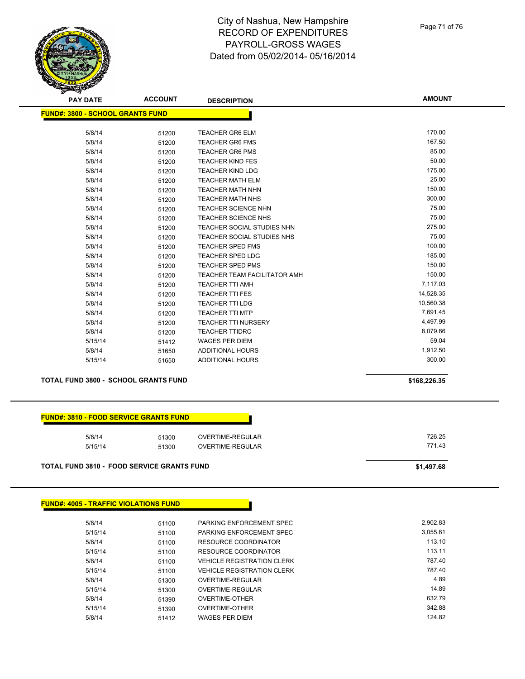| <b>PAY DATE</b>                         | <b>ACCOUNT</b> | <b>DESCRIPTION</b>                  | <b>AMOUNT</b> |
|-----------------------------------------|----------------|-------------------------------------|---------------|
| <b>FUND#: 3800 - SCHOOL GRANTS FUND</b> |                |                                     |               |
|                                         |                |                                     |               |
| 5/8/14                                  | 51200          | <b>TEACHER GR6 ELM</b>              | 170.00        |
| 5/8/14                                  | 51200          | <b>TEACHER GR6 FMS</b>              | 167.50        |
| 5/8/14                                  | 51200          | <b>TEACHER GR6 PMS</b>              | 85.00         |
| 5/8/14                                  | 51200          | <b>TEACHER KIND FES</b>             | 50.00         |
| 5/8/14                                  | 51200          | <b>TEACHER KIND LDG</b>             | 175.00        |
| 5/8/14                                  | 51200          | <b>TEACHER MATH ELM</b>             | 25.00         |
| 5/8/14                                  | 51200          | <b>TEACHER MATH NHN</b>             | 150.00        |
| 5/8/14                                  | 51200          | <b>TEACHER MATH NHS</b>             | 300.00        |
| 5/8/14                                  | 51200          | <b>TEACHER SCIENCE NHN</b>          | 75.00         |
| 5/8/14                                  | 51200          | <b>TEACHER SCIENCE NHS</b>          | 75.00         |
| 5/8/14                                  | 51200          | TEACHER SOCIAL STUDIES NHN          | 275.00        |
| 5/8/14                                  | 51200          | <b>TEACHER SOCIAL STUDIES NHS</b>   | 75.00         |
| 5/8/14                                  | 51200          | TEACHER SPED FMS                    | 100.00        |
| 5/8/14                                  | 51200          | <b>TEACHER SPED LDG</b>             | 185.00        |
| 5/8/14                                  | 51200          | <b>TEACHER SPED PMS</b>             | 150.00        |
| 5/8/14                                  | 51200          | <b>TEACHER TEAM FACILITATOR AMH</b> | 150.00        |
| 5/8/14                                  | 51200          | <b>TEACHER TTI AMH</b>              | 7,117.03      |
| 5/8/14                                  | 51200          | <b>TEACHER TTI FES</b>              | 14,528.35     |
| 5/8/14                                  | 51200          | <b>TEACHER TTI LDG</b>              | 10,560.38     |
| 5/8/14                                  | 51200          | <b>TEACHER TTI MTP</b>              | 7,691.45      |
| 5/8/14                                  | 51200          | <b>TEACHER TTI NURSERY</b>          | 4,497.99      |
| 5/8/14                                  | 51200          | <b>TEACHER TTIDRC</b>               | 8,079.66      |
| 5/15/14                                 | 51412          | <b>WAGES PER DIEM</b>               | 59.04         |
| 5/8/14                                  | 51650          | <b>ADDITIONAL HOURS</b>             | 1,912.50      |
| 5/15/14                                 | 51650          | <b>ADDITIONAL HOURS</b>             | 300.00        |

#### **TOTAL FUND 3800 - SCHOOL GRANTS FUND \$168,226.35**

|  |  | <u> FUND#: 3810 - FOOD SERVICE GRANTS FUNDI</u> |  |
|--|--|-------------------------------------------------|--|
|  |  |                                                 |  |

| <b>TOTAL FUND 3810 - FOOD SERVICE GRANTS FUND</b> |                |                                      | \$1,497.68       |
|---------------------------------------------------|----------------|--------------------------------------|------------------|
| 5/8/14<br>5/15/14                                 | 51300<br>51300 | OVERTIME-REGULAR<br>OVERTIME-REGULAR | 726.25<br>771.43 |
|                                                   |                |                                      |                  |

#### **FUND#: 4005 - TRAFFIC VIOLATIONS FUND**

| 5/8/14  | 51100 | PARKING ENFORCEMENT SPEC          | 2.902.83 |
|---------|-------|-----------------------------------|----------|
| 5/15/14 | 51100 | PARKING ENFORCEMENT SPEC          | 3.055.61 |
| 5/8/14  | 51100 | RESOURCE COORDINATOR              | 113.10   |
| 5/15/14 | 51100 | RESOURCE COORDINATOR              | 113.11   |
| 5/8/14  | 51100 | <b>VEHICLE REGISTRATION CLERK</b> | 787.40   |
| 5/15/14 | 51100 | <b>VEHICLE REGISTRATION CLERK</b> | 787.40   |
| 5/8/14  | 51300 | OVERTIME-REGULAR                  | 4.89     |
| 5/15/14 | 51300 | OVERTIME-REGULAR                  | 14.89    |
| 5/8/14  | 51390 | OVERTIME-OTHER                    | 632.79   |
| 5/15/14 | 51390 | OVERTIME-OTHER                    | 342.88   |
| 5/8/14  | 51412 | <b>WAGES PER DIEM</b>             | 124.82   |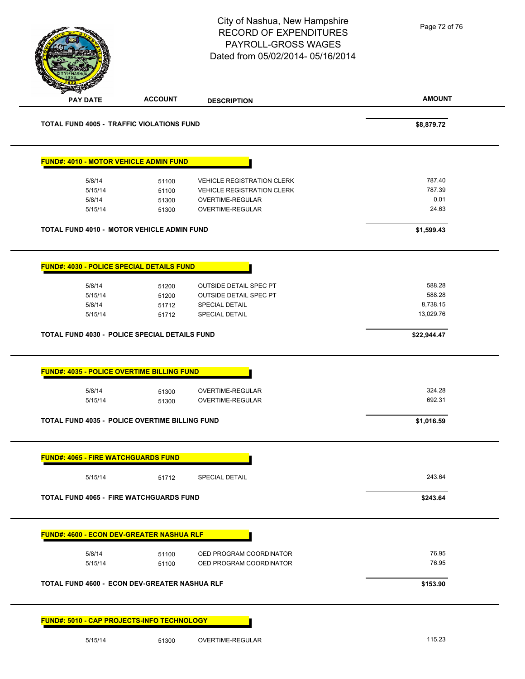Page 72 of 76

| <b>PAY DATE</b>                                             | <b>ACCOUNT</b> | <b>DESCRIPTION</b>                                 | <b>AMOUNT</b>  |
|-------------------------------------------------------------|----------------|----------------------------------------------------|----------------|
| <b>TOTAL FUND 4005 - TRAFFIC VIOLATIONS FUND</b>            |                |                                                    | \$8,879.72     |
| <b>FUND#: 4010 - MOTOR VEHICLE ADMIN FUND</b>               |                |                                                    |                |
| 5/8/14                                                      | 51100          | <b>VEHICLE REGISTRATION CLERK</b>                  | 787.40         |
| 5/15/14                                                     | 51100          | <b>VEHICLE REGISTRATION CLERK</b>                  | 787.39         |
| 5/8/14                                                      | 51300          | OVERTIME-REGULAR                                   | 0.01           |
| 5/15/14                                                     | 51300          | OVERTIME-REGULAR                                   | 24.63          |
| TOTAL FUND 4010 - MOTOR VEHICLE ADMIN FUND                  |                |                                                    | \$1,599.43     |
| FUND#: 4030 - POLICE SPECIAL DETAILS FUND                   |                |                                                    |                |
| 5/8/14                                                      | 51200          | <b>OUTSIDE DETAIL SPEC PT</b>                      | 588.28         |
| 5/15/14                                                     | 51200          | <b>OUTSIDE DETAIL SPEC PT</b>                      | 588.28         |
| 5/8/14                                                      | 51712          | <b>SPECIAL DETAIL</b>                              | 8,738.15       |
| 5/15/14                                                     | 51712          | <b>SPECIAL DETAIL</b>                              | 13,029.76      |
|                                                             |                |                                                    |                |
|                                                             |                |                                                    |                |
| TOTAL FUND 4030 - POLICE SPECIAL DETAILS FUND               |                |                                                    | \$22,944.47    |
| <b>FUND#: 4035 - POLICE OVERTIME BILLING FUND</b><br>5/8/14 | 51300          | OVERTIME-REGULAR                                   | 324.28         |
| 5/15/14                                                     | 51300          | OVERTIME-REGULAR                                   | 692.31         |
| <b>TOTAL FUND 4035 - POLICE OVERTIME BILLING FUND</b>       |                |                                                    | \$1,016.59     |
| <b>FUND#: 4065 - FIRE WATCHGUARDS FUND</b>                  |                |                                                    |                |
| 5/15/14                                                     | 51712          | <b>SPECIAL DETAIL</b>                              | 243.64         |
| <b>TOTAL FUND 4065 - FIRE WATCHGUARDS FUND</b>              |                |                                                    | \$243.64       |
| <u> FUND#: 4600 - ECON DEV-GREATER NASHUA RLF</u>           |                |                                                    |                |
|                                                             |                |                                                    |                |
| 5/8/14<br>5/15/14                                           | 51100<br>51100 | OED PROGRAM COORDINATOR<br>OED PROGRAM COORDINATOR | 76.95<br>76.95 |
| TOTAL FUND 4600 - ECON DEV-GREATER NASHUA RLF               |                |                                                    | \$153.90       |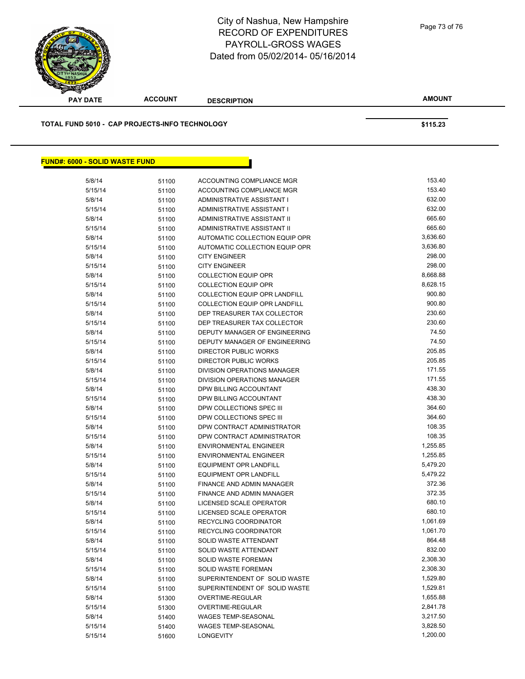

# City of Nashua, New Hampshire RECORD OF EXPENDITURES PAYROLL-GROSS WAGES Dated from 05/02/2014- 05/16/2014

Page 73 of 76

**AMOUNT**

| TOTAL FUND 5010 - CAP PROJECTS-INFO TECHNOLOGY |       |                                      | \$115.23 |
|------------------------------------------------|-------|--------------------------------------|----------|
|                                                |       |                                      |          |
| <b>FUND#: 6000 - SOLID WASTE FUND</b>          |       |                                      |          |
| 5/8/14                                         | 51100 | ACCOUNTING COMPLIANCE MGR            | 153.40   |
| 5/15/14                                        | 51100 | ACCOUNTING COMPLIANCE MGR            | 153.40   |
| 5/8/14                                         | 51100 | ADMINISTRATIVE ASSISTANT I           | 632.00   |
| 5/15/14                                        | 51100 | ADMINISTRATIVE ASSISTANT I           | 632.00   |
| 5/8/14                                         | 51100 | ADMINISTRATIVE ASSISTANT II          | 665.60   |
| 5/15/14                                        | 51100 | ADMINISTRATIVE ASSISTANT II          | 665.60   |
| 5/8/14                                         | 51100 | AUTOMATIC COLLECTION EQUIP OPR       | 3,636.60 |
| 5/15/14                                        | 51100 | AUTOMATIC COLLECTION EQUIP OPR       | 3,636.80 |
| 5/8/14                                         | 51100 | <b>CITY ENGINEER</b>                 | 298.00   |
| 5/15/14                                        | 51100 | <b>CITY ENGINEER</b>                 | 298.00   |
| 5/8/14                                         | 51100 | <b>COLLECTION EQUIP OPR</b>          | 8,668.88 |
| 5/15/14                                        | 51100 | <b>COLLECTION EQUIP OPR</b>          | 8,628.15 |
| 5/8/14                                         | 51100 | <b>COLLECTION EQUIP OPR LANDFILL</b> | 900.80   |
| 5/15/14                                        | 51100 | <b>COLLECTION EQUIP OPR LANDFILL</b> | 900.80   |
| 5/8/14                                         | 51100 | DEP TREASURER TAX COLLECTOR          | 230.60   |
| 5/15/14                                        | 51100 | DEP TREASURER TAX COLLECTOR          | 230.60   |
| 5/8/14                                         | 51100 | DEPUTY MANAGER OF ENGINEERING        | 74.50    |
| 5/15/14                                        | 51100 | DEPUTY MANAGER OF ENGINEERING        | 74.50    |
| 5/8/14                                         | 51100 | DIRECTOR PUBLIC WORKS                | 205.85   |
| 5/15/14                                        | 51100 | DIRECTOR PUBLIC WORKS                | 205.85   |
| 5/8/14                                         | 51100 | DIVISION OPERATIONS MANAGER          | 171.55   |
| 5/15/14                                        | 51100 | DIVISION OPERATIONS MANAGER          | 171.55   |
| 5/8/14                                         | 51100 | DPW BILLING ACCOUNTANT               | 438.30   |
| 5/15/14                                        | 51100 | DPW BILLING ACCOUNTANT               | 438.30   |
| 5/8/14                                         | 51100 | DPW COLLECTIONS SPEC III             | 364.60   |
| 5/15/14                                        | 51100 | DPW COLLECTIONS SPEC III             | 364.60   |
| 5/8/14                                         | 51100 | DPW CONTRACT ADMINISTRATOR           | 108.35   |
| 5/15/14                                        | 51100 | DPW CONTRACT ADMINISTRATOR           | 108.35   |
| 5/8/14                                         | 51100 | <b>ENVIRONMENTAL ENGINEER</b>        | 1,255.85 |
| 5/15/14                                        | 51100 | <b>ENVIRONMENTAL ENGINEER</b>        | 1,255.85 |
| 5/8/14                                         | 51100 | <b>EQUIPMENT OPR LANDFILL</b>        | 5,479.20 |
| 5/15/14                                        | 51100 | <b>EQUIPMENT OPR LANDFILL</b>        | 5,479.22 |
| 5/8/14                                         | 51100 | FINANCE AND ADMIN MANAGER            | 372.36   |
| 5/15/14                                        | 51100 | FINANCE AND ADMIN MANAGER            | 372.35   |
| 5/8/14                                         | 51100 | LICENSED SCALE OPERATOR              | 680.10   |
| 5/15/14                                        | 51100 | LICENSED SCALE OPERATOR              | 680.10   |
| 5/8/14                                         | 51100 | RECYCLING COORDINATOR                | 1,061.69 |
| 5/15/14                                        | 51100 | RECYCLING COORDINATOR                | 1,061.70 |
| 5/8/14                                         | 51100 | SOLID WASTE ATTENDANT                | 864.48   |
| 5/15/14                                        | 51100 | SOLID WASTE ATTENDANT                | 832.00   |
| 5/8/14                                         | 51100 | SOLID WASTE FOREMAN                  | 2,308.30 |
| 5/15/14                                        | 51100 | SOLID WASTE FOREMAN                  | 2,308.30 |
| 5/8/14                                         | 51100 | SUPERINTENDENT OF SOLID WASTE        | 1,529.80 |
| 5/15/14                                        | 51100 | SUPERINTENDENT OF SOLID WASTE        | 1,529.81 |
| 5/8/14                                         | 51300 | OVERTIME-REGULAR                     | 1,655.88 |
| 5/15/14                                        | 51300 | OVERTIME-REGULAR                     | 2,841.78 |
| 5/8/14                                         | 51400 | WAGES TEMP-SEASONAL                  | 3,217.50 |
| 5/15/14                                        |       | WAGES TEMP-SEASONAL                  | 3,828.50 |
|                                                | 51400 |                                      |          |

5/15/14 51600 LONGEVITY 1,200.00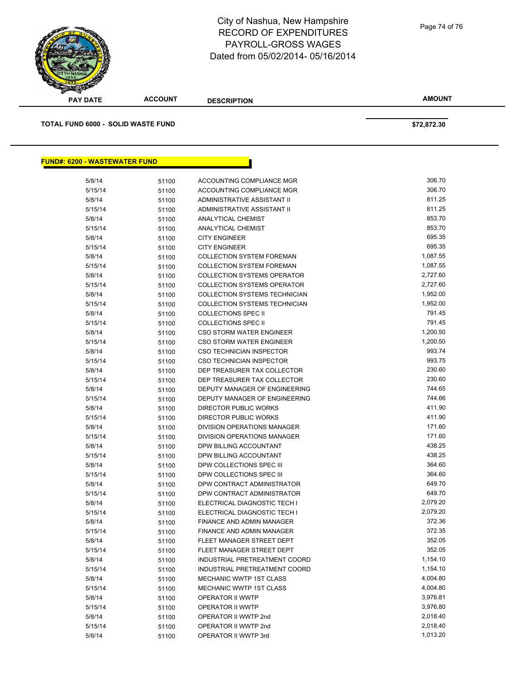

# City of Nashua, New Hampshire RECORD OF EXPENDITURES PAYROLL-GROSS WAGES Dated from 05/02/2014- 05/16/2014

Page 74 of 76

| <b>PAY DATE</b>                           | <b>ACCOUNT</b> | <b>DESCRIPTION</b>                 | <b>AMOUNT</b> |
|-------------------------------------------|----------------|------------------------------------|---------------|
| <b>TOTAL FUND 6000 - SOLID WASTE FUND</b> |                |                                    | \$72,872.30   |
|                                           |                |                                    |               |
| <b>FUND#: 6200 - WASTEWATER FUND</b>      |                |                                    |               |
| 5/8/14                                    | 51100          | ACCOUNTING COMPLIANCE MGR          | 306.70        |
| 5/15/14                                   | 51100          | ACCOUNTING COMPLIANCE MGR          | 306.70        |
| 5/8/14                                    | 51100          | ADMINISTRATIVE ASSISTANT II        | 811.25        |
| 5/15/14                                   | 51100          | ADMINISTRATIVE ASSISTANT II        | 811.25        |
| 5/8/14                                    | 51100          | ANALYTICAL CHEMIST                 | 853.70        |
| 5/15/14                                   | 51100          | <b>ANALYTICAL CHEMIST</b>          | 853.70        |
| 5/8/14                                    | 51100          | <b>CITY ENGINEER</b>               | 695.35        |
| 5/15/14                                   | 51100          | <b>CITY ENGINEER</b>               | 695.35        |
| 5/8/14                                    | 51100          | <b>COLLECTION SYSTEM FOREMAN</b>   | 1,087.55      |
| 5/15/14                                   | 51100          | <b>COLLECTION SYSTEM FOREMAN</b>   | 1,087.55      |
| 5/8/14                                    | 51100          | <b>COLLECTION SYSTEMS OPERATOR</b> | 2,727.60      |
| 5/15/14                                   | 51100          | <b>COLLECTION SYSTEMS OPERATOR</b> | 2,727.60      |
| 5/8/14                                    | 51100          | COLLECTION SYSTEMS TECHNICIAN      | 1,952.00      |
| 5/15/14                                   | 51100          | COLLECTION SYSTEMS TECHNICIAN      | 1,952.00      |
| 5/8/14                                    | 51100          | <b>COLLECTIONS SPEC II</b>         | 791.45        |
| 5/15/14                                   | 51100          | <b>COLLECTIONS SPEC II</b>         | 791.45        |
| 5/8/14                                    | 51100          | <b>CSO STORM WATER ENGINEER</b>    | 1,200.50      |
| 5/15/14                                   | 51100          | <b>CSO STORM WATER ENGINEER</b>    | 1,200.50      |
| 5/8/14                                    | 51100          | CSO TECHNICIAN INSPECTOR           | 993.74        |
| 5/15/14                                   | 51100          | CSO TECHNICIAN INSPECTOR           | 993.75        |
| 5/8/14                                    | 51100          | DEP TREASURER TAX COLLECTOR        | 230.60        |
| 5/15/14                                   | 51100          | DEP TREASURER TAX COLLECTOR        | 230.60        |
| 5/8/14                                    | 51100          | DEPUTY MANAGER OF ENGINEERING      | 744.65        |
| 5/15/14                                   | 51100          | DEPUTY MANAGER OF ENGINEERING      | 744.66        |
| 5/8/14                                    | 51100          | DIRECTOR PUBLIC WORKS              | 411.90        |
| 5/15/14                                   | 51100          | DIRECTOR PUBLIC WORKS              | 411.90        |
| 5/8/14                                    | 51100          | DIVISION OPERATIONS MANAGER        | 171.60        |
| 5/15/14                                   | 51100          | DIVISION OPERATIONS MANAGER        | 171.60        |
| 5/8/14                                    | 51100          | DPW BILLING ACCOUNTANT             | 438.25        |
| 5/15/14                                   | 51100          | DPW BILLING ACCOUNTANT             | 438.25        |
| 5/8/14                                    | 51100          | DPW COLLECTIONS SPEC III           | 364.60        |
| 5/15/14                                   | 51100          | DPW COLLECTIONS SPEC III           | 364.60        |
| 5/8/14                                    | 51100          | DPW CONTRACT ADMINISTRATOR         | 649.70        |
| 5/15/14                                   | 51100          | DPW CONTRACT ADMINISTRATOR         | 649.70        |
| 5/8/14                                    | 51100          | ELECTRICAL DIAGNOSTIC TECH I       | 2,079.20      |
| 5/15/14                                   |                | ELECTRICAL DIAGNOSTIC TECH I       | 2,079.20      |
| 5/8/14                                    | 51100          | FINANCE AND ADMIN MANAGER          | 372.36        |
| 5/15/14                                   | 51100          | FINANCE AND ADMIN MANAGER          | 372.35        |
|                                           | 51100          | FLEET MANAGER STREET DEPT          | 352.05        |
| 5/8/14<br>5/15/14                         | 51100          | FLEET MANAGER STREET DEPT          | 352.05        |
| 5/8/14                                    | 51100          | INDUSTRIAL PRETREATMENT COORD      | 1,154.10      |
|                                           | 51100          |                                    | 1,154.10      |
| 5/15/14                                   | 51100          | INDUSTRIAL PRETREATMENT COORD      |               |
| 5/8/14                                    | 51100          | MECHANIC WWTP 1ST CLASS            | 4,004.80      |
| 5/15/14                                   | 51100          | MECHANIC WWTP 1ST CLASS            | 4,004.80      |
| 5/8/14                                    | 51100          | OPERATOR II WWTP                   | 3,976.81      |
| 5/15/14                                   | 51100          | OPERATOR II WWTP                   | 3,976.80      |
| 5/8/14                                    | 51100          | OPERATOR II WWTP 2nd               | 2,018.40      |
| 5/15/14                                   | 51100          | OPERATOR II WWTP 2nd               | 2,018.40      |

5/8/14 51100 OPERATOR II WWTP 3rd 5/8/14 1,013.20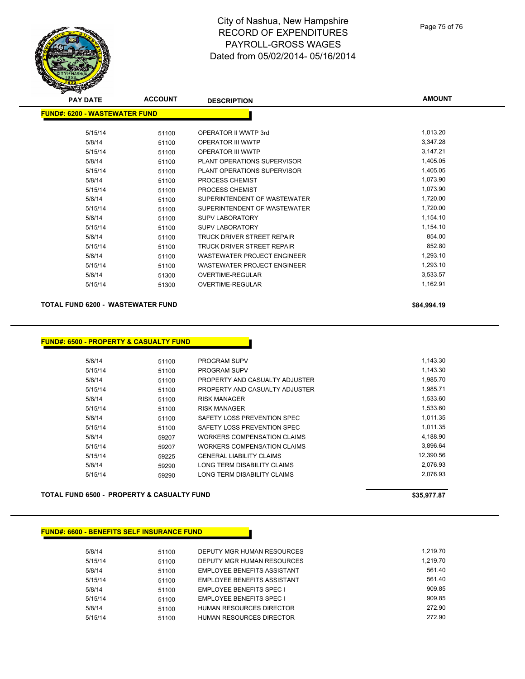# City of Nashua, New Hampshire RECORD OF EXPENDITURES PAYROLL-GROSS WAGES Dated from 05/02/2014- 05/16/2014

| <b>PAY DATE</b>                      | <b>ACCOUNT</b> | <b>DESCRIPTION</b>           | <b>AMOUNT</b> |
|--------------------------------------|----------------|------------------------------|---------------|
| <b>FUND#: 6200 - WASTEWATER FUND</b> |                |                              |               |
|                                      |                |                              |               |
| 5/15/14                              | 51100          | OPERATOR II WWTP 3rd         | 1,013.20      |
| 5/8/14                               | 51100          | OPERATOR III WWTP            | 3,347.28      |
| 5/15/14                              | 51100          | OPERATOR III WWTP            | 3,147.21      |
| 5/8/14                               | 51100          | PLANT OPERATIONS SUPERVISOR  | 1,405.05      |
| 5/15/14                              | 51100          | PLANT OPERATIONS SUPERVISOR  | 1,405.05      |
| 5/8/14                               | 51100          | PROCESS CHEMIST              | 1,073.90      |
| 5/15/14                              | 51100          | PROCESS CHEMIST              | 1,073.90      |
| 5/8/14                               | 51100          | SUPERINTENDENT OF WASTEWATER | 1,720.00      |
| 5/15/14                              | 51100          | SUPERINTENDENT OF WASTEWATER | 1,720.00      |
| 5/8/14                               | 51100          | <b>SUPV LABORATORY</b>       | 1,154.10      |
| 5/15/14                              | 51100          | <b>SUPV LABORATORY</b>       | 1,154.10      |
| 5/8/14                               | 51100          | TRUCK DRIVER STREET REPAIR   | 854.00        |
| 5/15/14                              | 51100          | TRUCK DRIVER STREET REPAIR   | 852.80        |
| 5/8/14                               | 51100          | WASTEWATER PROJECT ENGINEER  | 1,293.10      |
| 5/15/14                              | 51100          | WASTEWATER PROJECT ENGINEER  | 1,293.10      |
| 5/8/14                               | 51300          | OVERTIME-REGULAR             | 3,533.57      |
| 5/15/14                              | 51300          | <b>OVERTIME-REGULAR</b>      | 1,162.91      |
|                                      |                |                              |               |

### **TOTAL FUND 6200 - WASTEWATER FUND \$84,994.19 \$84,994.19**

#### **FUND#: 6500 - PROPERTY & CASUALTY FUND**

| 5/8/14  | 51100 | PROGRAM SUPV                    | 1,143.30  |
|---------|-------|---------------------------------|-----------|
| 5/15/14 | 51100 | PROGRAM SUPV                    | 1,143.30  |
| 5/8/14  | 51100 | PROPERTY AND CASUALTY ADJUSTER  | 1,985.70  |
| 5/15/14 | 51100 | PROPERTY AND CASUALTY ADJUSTER  | 1,985.71  |
| 5/8/14  | 51100 | <b>RISK MANAGER</b>             | 1,533.60  |
| 5/15/14 | 51100 | <b>RISK MANAGER</b>             | 1,533.60  |
| 5/8/14  | 51100 | SAFETY LOSS PREVENTION SPEC     | 1.011.35  |
| 5/15/14 | 51100 | SAFETY LOSS PREVENTION SPEC     | 1.011.35  |
| 5/8/14  | 59207 | WORKERS COMPENSATION CLAIMS     | 4,188.90  |
| 5/15/14 | 59207 | WORKERS COMPENSATION CLAIMS     | 3.896.64  |
| 5/15/14 | 59225 | <b>GENERAL LIABILITY CLAIMS</b> | 12.390.56 |
| 5/8/14  | 59290 | LONG TERM DISABILITY CLAIMS     | 2.076.93  |
| 5/15/14 | 59290 | LONG TERM DISABILITY CLAIMS     | 2.076.93  |
|         |       |                                 |           |

### **TOTAL FUND 6500 - PROPERTY & CASUALTY FUND \$35,977.87**

#### **FUND#: 6600 - BENEFITS SELF INSURANCE FUND**

| 5/8/14  | 51100 | DEPUTY MGR HUMAN RESOURCES      | 1.219.70 |
|---------|-------|---------------------------------|----------|
| 5/15/14 | 51100 | DEPUTY MGR HUMAN RESOURCES      | 1.219.70 |
| 5/8/14  | 51100 | EMPLOYEE BENEFITS ASSISTANT     | 561.40   |
| 5/15/14 | 51100 | EMPLOYEE BENEFITS ASSISTANT     | 561.40   |
| 5/8/14  | 51100 | <b>EMPLOYEE BENEFITS SPEC I</b> | 909.85   |
| 5/15/14 | 51100 | <b>EMPLOYEE BENEFITS SPEC I</b> | 909.85   |
| 5/8/14  | 51100 | <b>HUMAN RESOURCES DIRECTOR</b> | 272.90   |
| 5/15/14 | 51100 | <b>HUMAN RESOURCES DIRECTOR</b> | 272.90   |